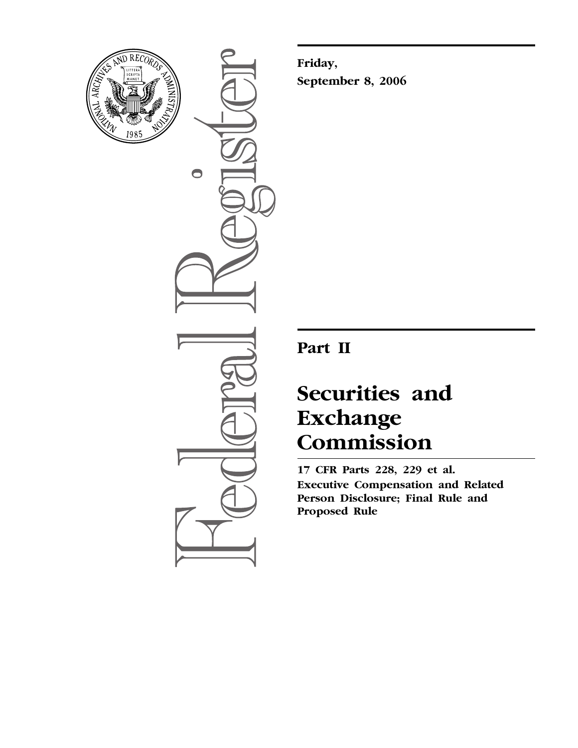

 $\bullet$ 

**Friday, September 8, 2006** 

**Part II** 

# **Securities and Exchange Commission**

**17 CFR Parts 228, 229 et al. Executive Compensation and Related Person Disclosure; Final Rule and Proposed Rule**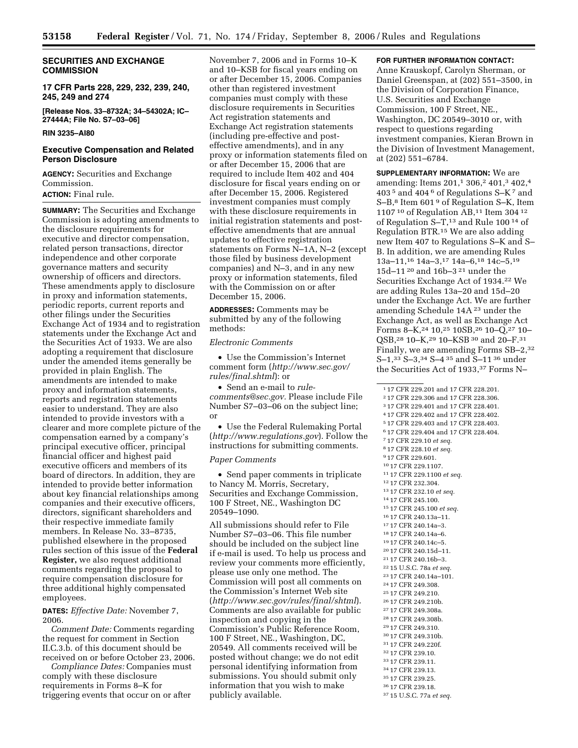## **SECURITIES AND EXCHANGE COMMISSION**

**17 CFR Parts 228, 229, 232, 239, 240, 245, 249 and 274** 

**[Release Nos. 33–8732A; 34–54302A; IC– 27444A; File No. S7–03–06]** 

## **RIN 3235–AI80**

## **Executive Compensation and Related Person Disclosure**

**AGENCY:** Securities and Exchange Commission.

# **ACTION:** Final rule.

**SUMMARY:** The Securities and Exchange Commission is adopting amendments to the disclosure requirements for executive and director compensation, related person transactions, director independence and other corporate governance matters and security ownership of officers and directors. These amendments apply to disclosure in proxy and information statements, periodic reports, current reports and other filings under the Securities Exchange Act of 1934 and to registration statements under the Exchange Act and the Securities Act of 1933. We are also adopting a requirement that disclosure under the amended items generally be provided in plain English. The amendments are intended to make proxy and information statements, reports and registration statements easier to understand. They are also intended to provide investors with a clearer and more complete picture of the compensation earned by a company's principal executive officer, principal financial officer and highest paid executive officers and members of its board of directors. In addition, they are intended to provide better information about key financial relationships among companies and their executive officers, directors, significant shareholders and their respective immediate family members. In Release No. 33–8735, published elsewhere in the proposed rules section of this issue of the **Federal Register,** we also request additional comments regarding the proposal to require compensation disclosure for three additional highly compensated employees.

### **DATES:** *Effective Date:* November 7, 2006.

*Comment Date:* Comments regarding the request for comment in Section II.C.3.b. of this document should be received on or before October 23, 2006.

*Compliance Dates:* Companies must comply with these disclosure requirements in Forms 8–K for triggering events that occur on or after

November 7, 2006 and in Forms 10–K and 10–KSB for fiscal years ending on or after December 15, 2006. Companies other than registered investment companies must comply with these disclosure requirements in Securities Act registration statements and Exchange Act registration statements (including pre-effective and posteffective amendments), and in any proxy or information statements filed on or after December 15, 2006 that are required to include Item 402 and 404 disclosure for fiscal years ending on or after December 15, 2006. Registered investment companies must comply with these disclosure requirements in initial registration statements and posteffective amendments that are annual updates to effective registration statements on Forms N–1A, N–2 (except those filed by business development companies) and N–3, and in any new proxy or information statements, filed with the Commission on or after December 15, 2006.

**ADDRESSES:** Comments may be submitted by any of the following methods:

#### *Electronic Comments*

• Use the Commission's Internet comment form (*http://www.sec.gov/ rules/final.shtml*): or

• Send an e-mail to *rulecomments@sec.gov.* Please include File Number S7–03–06 on the subject line; or

• Use the Federal Rulemaking Portal (*http://www.regulations.gov*). Follow the instructions for submitting comments.

#### *Paper Comments*

• Send paper comments in triplicate to Nancy M. Morris, Secretary, Securities and Exchange Commission, 100 F Street, NE., Washington DC 20549–1090.

All submissions should refer to File Number S7–03–06. This file number should be included on the subject line if e-mail is used. To help us process and review your comments more efficiently, please use only one method. The Commission will post all comments on the Commission's Internet Web site (*http://www.sec.gov/rules/final/shtml*). Comments are also available for public inspection and copying in the Commission's Public Reference Room, 100 F Street, NE., Washington, DC, 20549. All comments received will be posted without change; we do not edit personal identifying information from submissions. You should submit only information that you wish to make publicly available.

## **FOR FURTHER INFORMATION CONTACT:**

Anne Krauskopf, Carolyn Sherman, or Daniel Greenspan, at (202) 551–3500, in the Division of Corporation Finance, U.S. Securities and Exchange Commission, 100 F Street, NE., Washington, DC 20549–3010 or, with respect to questions regarding investment companies, Kieran Brown in the Division of Investment Management, at (202) 551–6784.

**SUPPLEMENTARY INFORMATION:** We are amending: Items 201,<sup>1</sup> 306,<sup>2</sup> 401,<sup>3</sup> 402,<sup>4</sup> 403 5 and 404 6 of Regulations S–K 7 and S–B,8 Item 601 9 of Regulation S–K, Item 1107 10 of Regulation AB,11 Item 304 12 of Regulation S–T,13 and Rule 100 14 of Regulation BTR.15 We are also adding new Item 407 to Regulations S–K and S– B. In addition, we are amending Rules 13a–11,16 14a–3,17 14a–6,18 14c–5,19 15d–11 20 and 16b–3 21 under the Securities Exchange Act of 1934.<sup>22</sup> We are adding Rules 13a–20 and 15d–20 under the Exchange Act. We are further amending Schedule 14A 23 under the Exchange Act, as well as Exchange Act Forms 8–K,24 10,25 10SB,26 10–Q,27 10– QSB,<sup>28</sup> 10-K,<sup>29</sup> 10-KSB<sup>30</sup> and 20-F.<sup>31</sup> Finally, we are amending Forms SB–2,32 S–1,33 S–3,34 S–4 35 and S–11 36 under the Securities Act of 1933,<sup>37</sup> Forms N-

36 17 CFR 239.18. 37 15 U.S.C. 77a *et seq.* 

<sup>1</sup> 17 CFR 229.201 and 17 CFR 228.201. 2 17 CFR 229.306 and 17 CFR 228.306. 3 17 CFR 229.401 and 17 CFR 228.401. 4 17 CFR 229.402 and 17 CFR 228.402. 5 17 CFR 229.403 and 17 CFR 228.403. 6 17 CFR 229.404 and 17 CFR 228.404. 7 17 CFR 229.10 *et seq.*  8 17 CFR 228.10 *et seq.*  9 17 CFR 229.601. 10 17 CFR 229.1107. 11 17 CFR 229.1100 *et seq.*  12 17 CFR 232.304. 13 17 CFR 232.10 *et seq.*  14 17 CFR 245.100. 15 17 CFR 245.100 *et seq.*  16 17 CFR 240.13a–11. 17 17 CFR 240.14a–3. 18 17 CFR 240.14a–6. 19 17 CFR 240.14c–5. 20 17 CFR 240.15d–11. 21 17 CFR 240.16b–3. 22 15 U.S.C. 78a *et seq.*  23 17 CFR 240.14a–101. 24 17 CFR 249.308. 25 17 CFR 249.210. 26 17 CFR 249.210b. 27 17 CFR 249.308a. 28 17 CFR 249.308b. 29 17 CFR 249.310. 30 17 CFR 249.310b. 31 17 CFR 249.220f. 32 17 CFR 239.10. 33 17 CFR 239.11. 34 17 CFR 239.13. 35 17 CFR 239.25.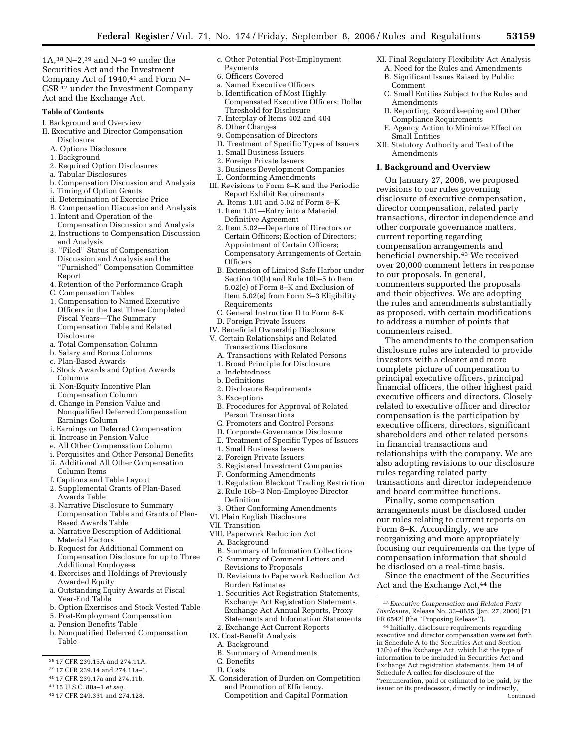1A,38 N–2,39 and N–3 40 under the Securities Act and the Investment Company Act of 1940,<sup>41</sup> and Form N-CSR42 under the Investment Company Act and the Exchange Act.

#### **Table of Contents**

I. Background and Overview

- II. Executive and Director Compensation Disclosure
	- A. Options Disclosure
	- 1. Background
	- 2. Required Option Disclosures
	- a. Tabular Disclosures
	- b. Compensation Discussion and Analysis
	- i. Timing of Option Grants
	- ii. Determination of Exercise Price
	- B. Compensation Discussion and Analysis
	- 1. Intent and Operation of the
	- Compensation Discussion and Analysis 2. Instructions to Compensation Discussion and Analysis
	- 3. ''Filed'' Status of Compensation Discussion and Analysis and the ''Furnished'' Compensation Committee Report
	- 4. Retention of the Performance Graph
	- C. Compensation Tables
	- 1. Compensation to Named Executive Officers in the Last Three Completed Fiscal Years—The Summary Compensation Table and Related Disclosure
	- a. Total Compensation Column
	- b. Salary and Bonus Columns
	- c. Plan-Based Awards
	- i. Stock Awards and Option Awards Columns
	- ii. Non-Equity Incentive Plan Compensation Column
	- d. Change in Pension Value and Nonqualified Deferred Compensation Earnings Column
	- i. Earnings on Deferred Compensation
	- ii. Increase in Pension Value
	- e. All Other Compensation Column
	- i. Perquisites and Other Personal Benefits
	- ii. Additional All Other Compensation Column Items
	- f. Captions and Table Layout
	- 2. Supplemental Grants of Plan-Based Awards Table
	- 3. Narrative Disclosure to Summary Compensation Table and Grants of Plan-Based Awards Table
	- a. Narrative Description of Additional Material Factors
	- b. Request for Additional Comment on Compensation Disclosure for up to Three Additional Employees
	- 4. Exercises and Holdings of Previously Awarded Equity
	- a. Outstanding Equity Awards at Fiscal Year-End Table
	- b. Option Exercises and Stock Vested Table
	- 5. Post-Employment Compensation
	- a. Pension Benefits Table
	- b. Nonqualified Deferred Compensation Table
	- 38 17 CFR 239.15A and 274.11A.
	- 39 17 CFR 239.14 and 274.11a–1.
	- 40 17 CFR 239.17a and 274.11b.
- 41 15 U.S.C. 80a–1 *et seq.*
- 42 17 CFR 249.331 and 274.128.
- c. Other Potential Post-Employment Payments
- 6. Officers Covered
- a. Named Executive Officers
- b. Identification of Most Highly Compensated Executive Officers; Dollar Threshold for Disclosure
- 7. Interplay of Items 402 and 404 8. Other Changes
- 9. Compensation of Directors
- D. Treatment of Specific Types of Issuers
- 1. Small Business Issuers
- 2. Foreign Private Issuers
- 3. Business Development Companies
- E. Conforming Amendments
- III. Revisions to Form 8–K and the Periodic Report Exhibit Requirements
	- A. Items 1.01 and 5.02 of Form 8–K
	- 1. Item 1.01—Entry into a Material Definitive Agreement
	- 2. Item 5.02—Departure of Directors or Certain Officers; Election of Directors; Appointment of Certain Officers; Compensatory Arrangements of Certain **Officers**
	- B. Extension of Limited Safe Harbor under Section 10(b) and Rule 10b–5 to Item 5.02(e) of Form 8–K and Exclusion of Item 5.02(e) from Form S–3 Eligibility Requirements
- C. General Instruction D to Form 8-K D. Foreign Private Issuers
- IV. Beneficial Ownership Disclosure
- V. Certain Relationships and Related
	- Transactions Disclosure
	- A. Transactions with Related Persons
	- 1. Broad Principle for Disclosure
	- a. Indebtedness
- b. Definitions
- 2. Disclosure Requirements
- 3. Exceptions
- B. Procedures for Approval of Related Person Transactions
- C. Promoters and Control Persons
- D. Corporate Governance Disclosure
- E. Treatment of Specific Types of Issuers
- 1. Small Business Issuers
- 2. Foreign Private Issuers
- 3. Registered Investment Companies
- F. Conforming Amendments
- 1. Regulation Blackout Trading Restriction
- 2. Rule 16b–3 Non-Employee Director Definition
- 3. Other Conforming Amendments
- VI. Plain English Disclosure
- 
- VII. Transition
- VIII. Paperwork Reduction Act
	- A. Background
	- B. Summary of Information Collections
	- C. Summary of Comment Letters and Revisions to Proposals
	- D. Revisions to Paperwork Reduction Act Burden Estimates
	- 1. Securities Act Registration Statements, Exchange Act Registration Statements, Exchange Act Annual Reports, Proxy Statements and Information Statements 2. Exchange Act Current Reports
- IX. Cost-Benefit Analysis
- A. Background
- B. Summary of Amendments
- C. Benefits
- D. Costs
- X. Consideration of Burden on Competition and Promotion of Efficiency, Competition and Capital Formation

XI. Final Regulatory Flexibility Act Analysis

C. Small Entities Subject to the Rules and

D. Reporting, Recordkeeping and Other Compliance Requirements E. Agency Action to Minimize Effect on

On January 27, 2006, we proposed revisions to our rules governing disclosure of executive compensation, director compensation, related party transactions, director independence and other corporate governance matters,

XII. Statutory Authority and Text of the

**I. Background and Overview** 

current reporting regarding compensation arrangements and beneficial ownership.43 We received over 20,000 comment letters in response

to our proposals. In general,

in financial transactions and

rules regarding related party

relationships with the company. We are also adopting revisions to our disclosure

transactions and director independence and board committee functions. Finally, some compensation arrangements must be disclosed under our rules relating to current reports on Form 8–K. Accordingly, we are reorganizing and more appropriately focusing our requirements on the type of compensation information that should be disclosed on a real-time basis.

commenters raised.

commenters supported the proposals and their objectives. We are adopting the rules and amendments substantially as proposed, with certain modifications to address a number of points that

The amendments to the compensation disclosure rules are intended to provide investors with a clearer and more complete picture of compensation to principal executive officers, principal financial officers, the other highest paid executive officers and directors. Closely related to executive officer and director compensation is the participation by executive officers, directors, significant shareholders and other related persons

43*Executive Compensation and Related Party Disclosure,* Release No. 33–8655 (Jan. 27, 2006) [71

Since the enactment of the Securities

44 Initially, disclosure requirements regarding executive and director compensation were set forth in Schedule A to the Securities Act and Section 12(b) of the Exchange Act, which list the type of information to be included in Securities Act and Exchange Act registration statements. Item 14 of Schedule A called for disclosure of the

''remuneration, paid or estimated to be paid, by the issuer or its predecessor, directly or indirectly,

Continued

FR 6542] (the ''Proposing Release'').

Act and the Exchange Act,<sup>44</sup> the

A. Need for the Rules and Amendments B. Significant Issues Raised by Public Comment

Amendments

Small Entities

Amendments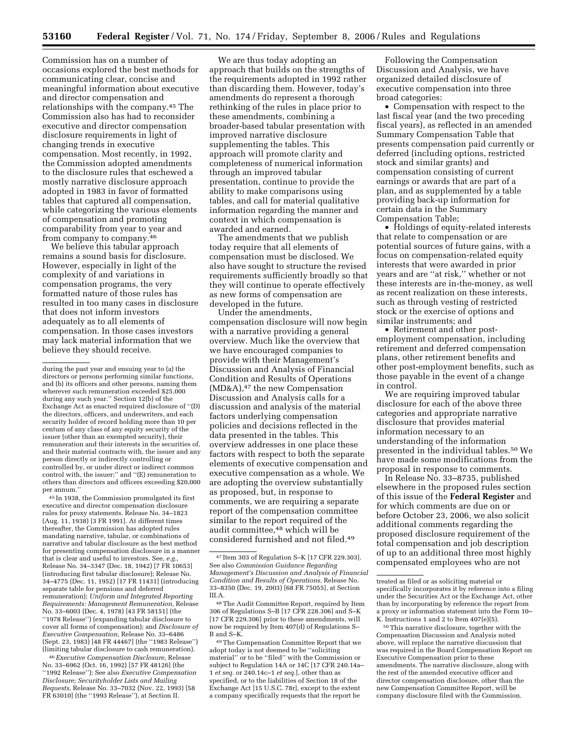Commission has on a number of occasions explored the best methods for communicating clear, concise and meaningful information about executive and director compensation and relationships with the company.45 The Commission also has had to reconsider executive and director compensation disclosure requirements in light of changing trends in executive compensation. Most recently, in 1992, the Commission adopted amendments to the disclosure rules that eschewed a mostly narrative disclosure approach adopted in 1983 in favor of formatted tables that captured all compensation, while categorizing the various elements of compensation and promoting comparability from year to year and from company to company.46

We believe this tabular approach remains a sound basis for disclosure. However, especially in light of the complexity of and variations in compensation programs, the very formatted nature of those rules has resulted in too many cases in disclosure that does not inform investors adequately as to all elements of compensation. In those cases investors may lack material information that we believe they should receive.

45 In 1938, the Commission promulgated its first executive and director compensation disclosure rules for proxy statements. Release No. 34–1823 (Aug. 11, 1938) [3 FR 1991]. At different times thereafter, the Commission has adopted rules mandating narrative, tabular, or combinations of narrative and tabular disclosure as the best method for presenting compensation disclosure in a manner that is clear and useful to investors. See, *e.g.*, Release No. 34–3347 (Dec. 18, 1942) [7 FR 10653] (introducing first tabular disclosure); Release No. 34–4775 (Dec. 11, 1952) [17 FR 11431] (introducing separate table for pensions and deferred remuneration); *Uniform and Integrated Reporting Requirements: Management Remuneration,* Release No. 33–6003 (Dec. 4, 1978) [43 FR 58151] (the ''1978 Release'') (expanding tabular disclosure to cover all forms of compensation); and *Disclosure of Executive Compensation,* Release No. 33–6486 (Sept. 23, 1983) [48 FR 44467] (the ''1983 Release'') (limiting tabular disclosure to cash remuneration).

46*Executive Compensation Disclosure,* Release No. 33–6962 (Oct. 16, 1992) [57 FR 48126] (the ''1992 Release''); See also *Executive Compensation Disclosure; Securityholder Lists and Mailing Requests,* Release No. 33–7032 (Nov. 22, 1993) [58 FR 63010] (the ''1993 Release''), at Section II.

We are thus today adopting an approach that builds on the strengths of the requirements adopted in 1992 rather than discarding them. However, today's amendments do represent a thorough rethinking of the rules in place prior to these amendments, combining a broader-based tabular presentation with improved narrative disclosure supplementing the tables. This approach will promote clarity and completeness of numerical information through an improved tabular presentation, continue to provide the ability to make comparisons using tables, and call for material qualitative information regarding the manner and context in which compensation is awarded and earned.

The amendments that we publish today require that all elements of compensation must be disclosed. We also have sought to structure the revised requirements sufficiently broadly so that they will continue to operate effectively as new forms of compensation are developed in the future.

Under the amendments, compensation disclosure will now begin with a narrative providing a general overview. Much like the overview that we have encouraged companies to provide with their Management's Discussion and Analysis of Financial Condition and Results of Operations (MD&A),47 the new Compensation Discussion and Analysis calls for a discussion and analysis of the material factors underlying compensation policies and decisions reflected in the data presented in the tables. This overview addresses in one place these factors with respect to both the separate elements of executive compensation and executive compensation as a whole. We are adopting the overview substantially as proposed, but, in response to comments, we are requiring a separate report of the compensation committee similar to the report required of the audit committee,48 which will be considered furnished and not filed.49

48The Audit Committee Report, required by Item 306 of Regulations S–B [17 CFR 228.306] and S–K [17 CFR 229.306] prior to these amendments, will now be required by Item 407(d) of Regulations S– B and S–K.

49The Compensation Committee Report that we adopt today is not deemed to be ''soliciting material'' or to be ''filed'' with the Commission or subject to Regulation 14A or 14C [17 CFR 240.14a– 1 *et seq.* or 240.14c–1 *et seq.*], other than as specified, or to the liabilities of Section 18 of the Exchange Act [15 U.S.C. 78r], except to the extent a company specifically requests that the report be

Following the Compensation Discussion and Analysis, we have organized detailed disclosure of executive compensation into three broad categories:

• Compensation with respect to the last fiscal year (and the two preceding fiscal years), as reflected in an amended Summary Compensation Table that presents compensation paid currently or deferred (including options, restricted stock and similar grants) and compensation consisting of current earnings or awards that are part of a plan, and as supplemented by a table providing back-up information for certain data in the Summary Compensation Table;

• Holdings of equity-related interests that relate to compensation or are potential sources of future gains, with a focus on compensation-related equity interests that were awarded in prior years and are ''at risk,'' whether or not these interests are in-the-money, as well as recent realization on these interests, such as through vesting of restricted stock or the exercise of options and similar instruments; and

• Retirement and other postemployment compensation, including retirement and deferred compensation plans, other retirement benefits and other post-employment benefits, such as those payable in the event of a change in control.

We are requiring improved tabular disclosure for each of the above three categories and appropriate narrative disclosure that provides material information necessary to an understanding of the information presented in the individual tables.50 We have made some modifications from the proposal in response to comments.

In Release No. 33–8735, published elsewhere in the proposed rules section of this issue of the **Federal Register** and for which comments are due on or before October 23, 2006, we also solicit additional comments regarding the proposed disclosure requirement of the total compensation and job description of up to an additional three most highly compensated employees who are not

50This narrative disclosure, together with the Compensation Discussion and Analysis noted above, will replace the narrative discussion that was required in the Board Compensation Report on Executive Compensation prior to these amendments. The narrative disclosure, along with the rest of the amended executive officer and director compensation disclosure, other than the new Compensation Committee Report, will be company disclosure filed with the Commission.

during the past year and ensuing year to (a) the directors or persons performing similar functions, and (b) its officers and other persons, naming them wherever such remuneration exceeded \$25,000 during any such year.'' Section 12(b) of the Exchange Act as enacted required disclosure of ''(D) the directors, officers, and underwriters, and each security holder of record holding more than 10 per centum of any class of any equity security of the issuer (other than an exempted security), their remuneration and their interests in the securities of, and their material contracts with, the issuer and any person directly or indirectly controlling or controlled by, or under direct or indirect common control with, the issuer;'' and ''(E) remuneration to others than directors and officers exceeding \$20,000 per annum.''

<sup>47</sup> Item 303 of Regulation S–K [17 CFR 229.303]. See also *Commission Guidance Regarding Management's Discussion and Analysis of Financial Condition and Results of Operations,* Release No. 33–8350 (Dec. 19, 2003) [68 FR 75055], at Section III.A.

treated as filed or as soliciting material or specifically incorporates it by reference into a filing under the Securities Act or the Exchange Act, other than by incorporating by reference the report from a proxy or information statement into the Form 10– K. Instructions 1 and 2 to Item 407(e)(5).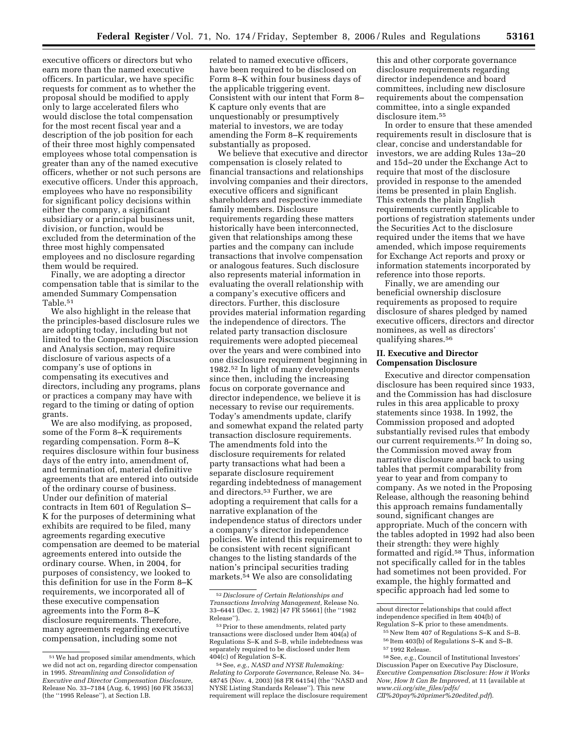executive officers or directors but who earn more than the named executive officers. In particular, we have specific requests for comment as to whether the proposal should be modified to apply only to large accelerated filers who would disclose the total compensation for the most recent fiscal year and a description of the job position for each of their three most highly compensated employees whose total compensation is greater than any of the named executive officers, whether or not such persons are executive officers. Under this approach, employees who have no responsibility for significant policy decisions within either the company, a significant subsidiary or a principal business unit, division, or function, would be excluded from the determination of the three most highly compensated employees and no disclosure regarding them would be required.

Finally, we are adopting a director compensation table that is similar to the amended Summary Compensation  ${\rm Table}.^{51}$ 

We also highlight in the release that the principles-based disclosure rules we are adopting today, including but not limited to the Compensation Discussion and Analysis section, may require disclosure of various aspects of a company's use of options in compensating its executives and directors, including any programs, plans or practices a company may have with regard to the timing or dating of option grants.

We are also modifying, as proposed, some of the Form 8–K requirements regarding compensation. Form 8–K requires disclosure within four business days of the entry into, amendment of, and termination of, material definitive agreements that are entered into outside of the ordinary course of business. Under our definition of material contracts in Item 601 of Regulation S– K for the purposes of determining what exhibits are required to be filed, many agreements regarding executive compensation are deemed to be material agreements entered into outside the ordinary course. When, in 2004, for purposes of consistency, we looked to this definition for use in the Form 8–K requirements, we incorporated all of these executive compensation agreements into the Form 8–K disclosure requirements. Therefore, many agreements regarding executive compensation, including some not

related to named executive officers, have been required to be disclosed on Form 8–K within four business days of the applicable triggering event. Consistent with our intent that Form 8– K capture only events that are unquestionably or presumptively material to investors, we are today amending the Form 8–K requirements substantially as proposed.

We believe that executive and director compensation is closely related to financial transactions and relationships involving companies and their directors, executive officers and significant shareholders and respective immediate family members. Disclosure requirements regarding these matters historically have been interconnected, given that relationships among these parties and the company can include transactions that involve compensation or analogous features. Such disclosure also represents material information in evaluating the overall relationship with a company's executive officers and directors. Further, this disclosure provides material information regarding the independence of directors. The related party transaction disclosure requirements were adopted piecemeal over the years and were combined into one disclosure requirement beginning in 1982.52 In light of many developments since then, including the increasing focus on corporate governance and director independence, we believe it is necessary to revise our requirements. Today's amendments update, clarify and somewhat expand the related party transaction disclosure requirements. The amendments fold into the disclosure requirements for related party transactions what had been a separate disclosure requirement regarding indebtedness of management and directors.53 Further, we are adopting a requirement that calls for a narrative explanation of the independence status of directors under a company's director independence policies. We intend this requirement to be consistent with recent significant changes to the listing standards of the nation's principal securities trading markets.54 We also are consolidating

this and other corporate governance disclosure requirements regarding director independence and board committees, including new disclosure requirements about the compensation committee, into a single expanded disclosure item.55

In order to ensure that these amended requirements result in disclosure that is clear, concise and understandable for investors, we are adding Rules 13a–20 and 15d–20 under the Exchange Act to require that most of the disclosure provided in response to the amended items be presented in plain English. This extends the plain English requirements currently applicable to portions of registration statements under the Securities Act to the disclosure required under the items that we have amended, which impose requirements for Exchange Act reports and proxy or information statements incorporated by reference into those reports.

Finally, we are amending our beneficial ownership disclosure requirements as proposed to require disclosure of shares pledged by named executive officers, directors and director nominees, as well as directors' qualifying shares.56

## **II. Executive and Director Compensation Disclosure**

Executive and director compensation disclosure has been required since 1933, and the Commission has had disclosure rules in this area applicable to proxy statements since 1938. In 1992, the Commission proposed and adopted substantially revised rules that embody our current requirements.57 In doing so, the Commission moved away from narrative disclosure and back to using tables that permit comparability from year to year and from company to company. As we noted in the Proposing Release, although the reasoning behind this approach remains fundamentally sound, significant changes are appropriate. Much of the concern with the tables adopted in 1992 had also been their strength: they were highly formatted and rigid.58 Thus, information not specifically called for in the tables had sometimes not been provided. For example, the highly formatted and specific approach had led some to

<sup>51</sup>We had proposed similar amendments, which we did not act on, regarding director compensation in 1995. *Streamlining and Consolidation of Executive and Director Compensation Disclosure,*  Release No. 33–7184 (Aug. 6, 1995) [60 FR 35633] (the ''1995 Release''), at Section I.B.

<sup>52</sup> *Disclosure of Certain Relationships and Transactions Involving Management,* Release No. 33–6441 (Dec. 2, 1982) [47 FR 55661] (the ''1982 Release'').

<sup>53</sup>Prior to these amendments, related party transactions were disclosed under Item 404(a) of Regulations S–K and S–B, while indebtedness was separately required to be disclosed under Item 404(c) of Regulation S–K.

<sup>54</sup>See, *e.g.*, *NASD and NYSE Rulemaking: Relating to Corporate Governance*, Release No. 34– 48745 (Nov. 4, 2003) [68 FR 64154] (the ''NASD and NYSE Listing Standards Release''). This new requirement will replace the disclosure requirement

about director relationships that could affect independence specified in Item 404(b) of Regulation S–K prior to these amendments.

<sup>55</sup>New Item 407 of Regulations S–K and S–B. 56 Item 403(b) of Regulations S–K and S–B. 57 1992 Release.

<sup>58</sup>See, *e.g.*, Council of Institutional Investors' Discussion Paper on Executive Pay Disclosure, *Executive Compensation Disclosure: How it Works Now, How It Can Be Improved*, at 11 (available at *www.cii.org/site*\_*files/pdfs/ CII%20pay%20primer%20edited.pdf*).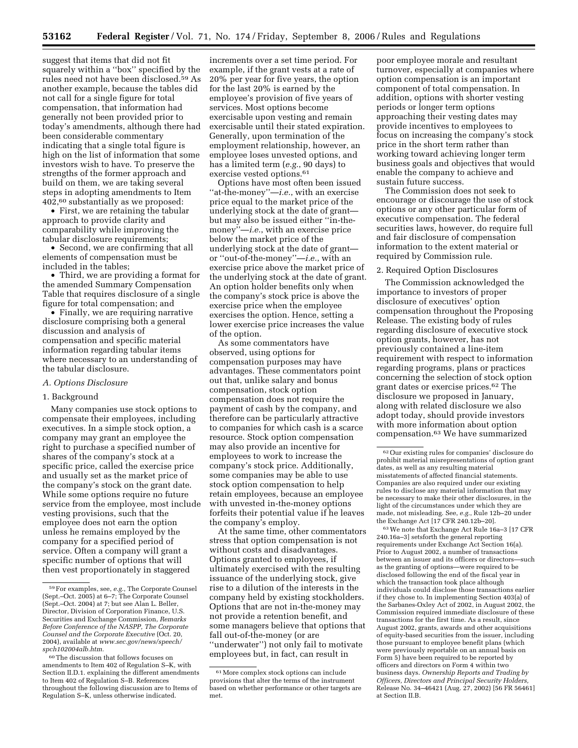suggest that items that did not fit squarely within a ''box'' specified by the rules need not have been disclosed.59 As another example, because the tables did not call for a single figure for total compensation, that information had generally not been provided prior to today's amendments, although there had been considerable commentary indicating that a single total figure is high on the list of information that some investors wish to have. To preserve the strengths of the former approach and build on them, we are taking several steps in adopting amendments to Item 402,60 substantially as we proposed:

• First, we are retaining the tabular approach to provide clarity and comparability while improving the tabular disclosure requirements;

• Second, we are confirming that all elements of compensation must be included in the tables;

• Third, we are providing a format for the amended Summary Compensation Table that requires disclosure of a single figure for total compensation; and

• Finally, we are requiring narrative disclosure comprising both a general discussion and analysis of compensation and specific material information regarding tabular items where necessary to an understanding of the tabular disclosure.

## *A. Options Disclosure*

## 1. Background

Many companies use stock options to compensate their employees, including executives. In a simple stock option, a company may grant an employee the right to purchase a specified number of shares of the company's stock at a specific price, called the exercise price and usually set as the market price of the company's stock on the grant date. While some options require no future service from the employee, most include vesting provisions, such that the employee does not earn the option unless he remains employed by the company for a specified period of service. Often a company will grant a specific number of options that will then vest proportionately in staggered

increments over a set time period. For example, if the grant vests at a rate of 20% per year for five years, the option for the last 20% is earned by the employee's provision of five years of services. Most options become exercisable upon vesting and remain exercisable until their stated expiration. Generally, upon termination of the employment relationship, however, an employee loses unvested options, and has a limited term (*e.g.*, 90 days) to exercise vested options.61

Options have most often been issued ''at-the-money''—*i.e.*, with an exercise price equal to the market price of the underlying stock at the date of grant but may also be issued either ''in-themoney''—*i.e.*, with an exercise price below the market price of the underlying stock at the date of grant or ''out-of-the-money''—*i.e.*, with an exercise price above the market price of the underlying stock at the date of grant. An option holder benefits only when the company's stock price is above the exercise price when the employee exercises the option. Hence, setting a lower exercise price increases the value of the option.

As some commentators have observed, using options for compensation purposes may have advantages. These commentators point out that, unlike salary and bonus compensation, stock option compensation does not require the payment of cash by the company, and therefore can be particularly attractive to companies for which cash is a scarce resource. Stock option compensation may also provide an incentive for employees to work to increase the company's stock price. Additionally, some companies may be able to use stock option compensation to help retain employees, because an employee with unvested in-the-money options forfeits their potential value if he leaves the company's employ.

At the same time, other commentators stress that option compensation is not without costs and disadvantages. Options granted to employees, if ultimately exercised with the resulting issuance of the underlying stock, give rise to a dilution of the interests in the company held by existing stockholders. Options that are not in-the-money may not provide a retention benefit, and some managers believe that options that fall out-of-the-money (or are ''underwater'') not only fail to motivate employees but, in fact, can result in

poor employee morale and resultant turnover, especially at companies where option compensation is an important component of total compensation. In addition, options with shorter vesting periods or longer term options approaching their vesting dates may provide incentives to employees to focus on increasing the company's stock price in the short term rather than working toward achieving longer term business goals and objectives that would enable the company to achieve and sustain future success.

The Commission does not seek to encourage or discourage the use of stock options or any other particular form of executive compensation. The federal securities laws, however, do require full and fair disclosure of compensation information to the extent material or required by Commission rule.

#### 2. Required Option Disclosures

The Commission acknowledged the importance to investors of proper disclosure of executives' option compensation throughout the Proposing Release. The existing body of rules regarding disclosure of executive stock option grants, however, has not previously contained a line-item requirement with respect to information regarding programs, plans or practices concerning the selection of stock option grant dates or exercise prices.62 The disclosure we proposed in January, along with related disclosure we also adopt today, should provide investors with more information about option compensation.63 We have summarized

63We note that Exchange Act Rule 16a–3 [17 CFR 240.16a–3] setsforth the general reporting requirements under Exchange Act Section 16(a). Prior to August 2002, a number of transactions between an issuer and its officers or directors—such as the granting of options—were required to be disclosed following the end of the fiscal year in which the transaction took place although individuals could disclose those transactions earlier if they chose to. In implementing Section 403(a) of the Sarbanes-Oxley Act of 2002, in August 2002, the Commission required immediate disclosure of these transactions for the first time. As a result, since August 2002, grants, awards and other acquisitions of equity-based securities from the issuer, including those pursuant to employee benefit plans (which were previously reportable on an annual basis on Form 5) have been required to be reported by officers and directors on Form 4 within two business days. *Ownership Reports and Trading by Officers, Directors and Principal Security Holders,*  Release No. 34–46421 (Aug. 27, 2002) [56 FR 56461] at Section II.B.

<sup>59</sup>For examples, see, *e.g.*, The Corporate Counsel (Sept.–Oct. 2005) at 6–7; The Corporate Counsel (Sept.–Oct. 2004) at 7; but see Alan L. Beller, Director, Division of Corporation Finance, U.S. Securities and Exchange Commission, *Remarks Before Conference of the NASPP, The Corporate Counsel and the Corporate Executive* (Oct. 20, 2004), available at *www.sec.gov/news/speech/ spch102004alb.htm.* 

<sup>60</sup>The discussion that follows focuses on amendments to Item 402 of Regulation S–K, with Section II.D.1. explaining the different amendments to Item 402 of Regulation S–B. References throughout the following discussion are to Items of Regulation S–K, unless otherwise indicated.

<sup>61</sup>More complex stock options can include provisions that alter the terms of the instrument based on whether performance or other targets are met.

 $\rm ^{62}Our$  existing rules for companies' disclosure do prohibit material misrepresentations of option grant dates, as well as any resulting material misstatements of affected financial statements. Companies are also required under our existing rules to disclose any material information that may be necessary to make their other disclosures, in the light of the circumstances under which they are made, not misleading. See, *e.g.*, Rule 12b–20 under the Exchange Act [17 CFR 240.12b–20].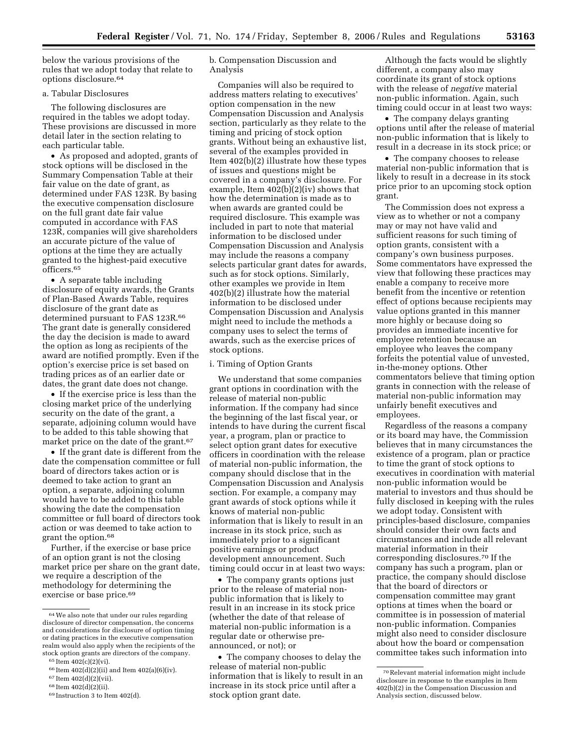below the various provisions of the rules that we adopt today that relate to options disclosure.64

## a. Tabular Disclosures

The following disclosures are required in the tables we adopt today. These provisions are discussed in more detail later in the section relating to each particular table.

• As proposed and adopted, grants of stock options will be disclosed in the Summary Compensation Table at their fair value on the date of grant, as determined under FAS 123R. By basing the executive compensation disclosure on the full grant date fair value computed in accordance with FAS 123R, companies will give shareholders an accurate picture of the value of options at the time they are actually granted to the highest-paid executive officers.65

• A separate table including disclosure of equity awards, the Grants of Plan-Based Awards Table, requires disclosure of the grant date as determined pursuant to FAS 123R.<sup>66</sup> The grant date is generally considered the day the decision is made to award the option as long as recipients of the award are notified promptly. Even if the option's exercise price is set based on trading prices as of an earlier date or dates, the grant date does not change.

• If the exercise price is less than the closing market price of the underlying security on the date of the grant, a separate, adjoining column would have to be added to this table showing that market price on the date of the grant.67

• If the grant date is different from the date the compensation committee or full board of directors takes action or is deemed to take action to grant an option, a separate, adjoining column would have to be added to this table showing the date the compensation committee or full board of directors took action or was deemed to take action to grant the option.68

Further, if the exercise or base price of an option grant is not the closing market price per share on the grant date, we require a description of the methodology for determining the exercise or base price.<sup>69</sup>

68 Item 402(d)(2)(ii).

b. Compensation Discussion and Analysis

Companies will also be required to address matters relating to executives' option compensation in the new Compensation Discussion and Analysis section, particularly as they relate to the timing and pricing of stock option grants. Without being an exhaustive list, several of the examples provided in Item 402(b)(2) illustrate how these types of issues and questions might be covered in a company's disclosure. For example, Item 402(b)(2)(iv) shows that how the determination is made as to when awards are granted could be required disclosure. This example was included in part to note that material information to be disclosed under Compensation Discussion and Analysis may include the reasons a company selects particular grant dates for awards, such as for stock options. Similarly, other examples we provide in Item 402(b)(2) illustrate how the material information to be disclosed under Compensation Discussion and Analysis might need to include the methods a company uses to select the terms of awards, such as the exercise prices of stock options.

#### i. Timing of Option Grants

We understand that some companies grant options in coordination with the release of material non-public information. If the company had since the beginning of the last fiscal year, or intends to have during the current fiscal year, a program, plan or practice to select option grant dates for executive officers in coordination with the release of material non-public information, the company should disclose that in the Compensation Discussion and Analysis section. For example, a company may grant awards of stock options while it knows of material non-public information that is likely to result in an increase in its stock price, such as immediately prior to a significant positive earnings or product development announcement. Such timing could occur in at least two ways:

• The company grants options just prior to the release of material nonpublic information that is likely to result in an increase in its stock price (whether the date of that release of material non-public information is a regular date or otherwise preannounced, or not); or

• The company chooses to delay the release of material non-public information that is likely to result in an increase in its stock price until after a stock option grant date.

Although the facts would be slightly different, a company also may coordinate its grant of stock options with the release of *negative* material non-public information. Again, such timing could occur in at least two ways:

• The company delays granting options until after the release of material non-public information that is likely to result in a decrease in its stock price; or

• The company chooses to release material non-public information that is likely to result in a decrease in its stock price prior to an upcoming stock option grant.

The Commission does not express a view as to whether or not a company may or may not have valid and sufficient reasons for such timing of option grants, consistent with a company's own business purposes. Some commentators have expressed the view that following these practices may enable a company to receive more benefit from the incentive or retention effect of options because recipients may value options granted in this manner more highly or because doing so provides an immediate incentive for employee retention because an employee who leaves the company forfeits the potential value of unvested, in-the-money options. Other commentators believe that timing option grants in connection with the release of material non-public information may unfairly benefit executives and employees.

Regardless of the reasons a company or its board may have, the Commission believes that in many circumstances the existence of a program, plan or practice to time the grant of stock options to executives in coordination with material non-public information would be material to investors and thus should be fully disclosed in keeping with the rules we adopt today. Consistent with principles-based disclosure, companies should consider their own facts and circumstances and include all relevant material information in their corresponding disclosures.70 If the company has such a program, plan or practice, the company should disclose that the board of directors or compensation committee may grant options at times when the board or committee is in possession of material non-public information. Companies might also need to consider disclosure about how the board or compensation committee takes such information into

<sup>64</sup>We also note that under our rules regarding disclosure of director compensation, the concerns and considerations for disclosure of option timing or dating practices in the executive compensation realm would also apply when the recipients of the stock option grants are directors of the company.

<sup>65</sup> Item 402(c)(2)(vi). 66 Item 402(d)(2)(ii) and Item 402(a)(6)(iv).

<sup>67</sup> Item 402(d)(2)(vii).

<sup>69</sup> Instruction 3 to Item 402(d).

<sup>70</sup>Relevant material information might include disclosure in response to the examples in Item 402(b)(2) in the Compensation Discussion and Analysis section, discussed below.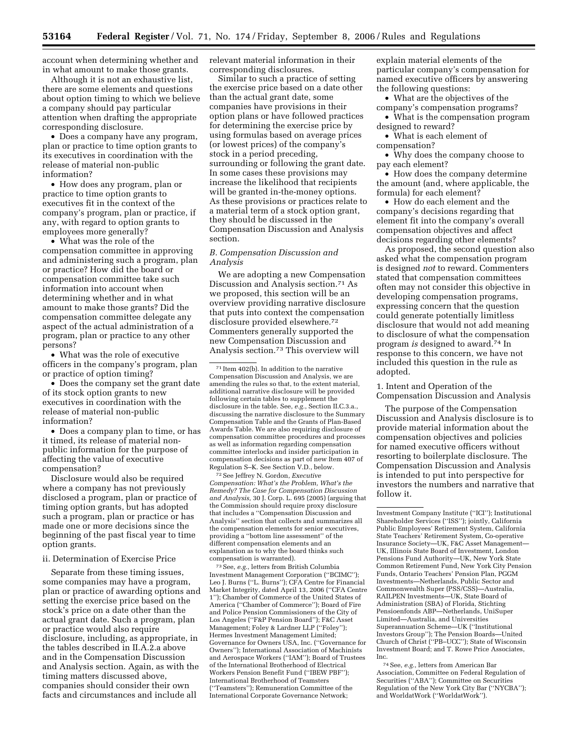account when determining whether and in what amount to make those grants.

Although it is not an exhaustive list, there are some elements and questions about option timing to which we believe a company should pay particular attention when drafting the appropriate corresponding disclosure.

• Does a company have any program, plan or practice to time option grants to its executives in coordination with the release of material non-public information?

• How does any program, plan or practice to time option grants to executives fit in the context of the company's program, plan or practice, if any, with regard to option grants to employees more generally?

• What was the role of the compensation committee in approving and administering such a program, plan or practice? How did the board or compensation committee take such information into account when determining whether and in what amount to make those grants? Did the compensation committee delegate any aspect of the actual administration of a program, plan or practice to any other persons?

• What was the role of executive officers in the company's program, plan or practice of option timing?

• Does the company set the grant date of its stock option grants to new executives in coordination with the release of material non-public information?

• Does a company plan to time, or has it timed, its release of material nonpublic information for the purpose of affecting the value of executive compensation?

Disclosure would also be required where a company has not previously disclosed a program, plan or practice of timing option grants, but has adopted such a program, plan or practice or has made one or more decisions since the beginning of the past fiscal year to time option grants.

#### ii. Determination of Exercise Price

Separate from these timing issues, some companies may have a program, plan or practice of awarding options and setting the exercise price based on the stock's price on a date other than the actual grant date. Such a program, plan or practice would also require disclosure, including, as appropriate, in the tables described in II.A.2.a above and in the Compensation Discussion and Analysis section. Again, as with the timing matters discussed above, companies should consider their own facts and circumstances and include all

relevant material information in their corresponding disclosures.

Similar to such a practice of setting the exercise price based on a date other than the actual grant date, some companies have provisions in their option plans or have followed practices for determining the exercise price by using formulas based on average prices (or lowest prices) of the company's stock in a period preceding, surrounding or following the grant date. In some cases these provisions may increase the likelihood that recipients will be granted in-the-money options. As these provisions or practices relate to a material term of a stock option grant, they should be discussed in the Compensation Discussion and Analysis section.

## *B. Compensation Discussion and Analysis*

We are adopting a new Compensation Discussion and Analysis section.71 As we proposed, this section will be an overview providing narrative disclosure that puts into context the compensation disclosure provided elsewhere.72 Commenters generally supported the new Compensation Discussion and Analysis section.73 This overview will

72See Jeffrey N. Gordon, *Executive Compensation: What's the Problem, What's the Remedy? The Case for Compensation Discussion and Analysis,* 30 J. Corp. L. 695 (2005) (arguing that the Commission should require proxy disclosure that includes a ''Compensation Discussion and Analysis'' section that collects and summarizes all the compensation elements for senior executives, providing a ''bottom line assessment'' of the different compensation elements and an explanation as to why the board thinks such compensation is warranted).

73See, *e.g.*, letters from British Columbia Investment Management Corporation (''BCIMC''); Leo J. Burns (''L. Burns''); CFA Centre for Financial Market Integrity, dated April 13, 2006 (''CFA Centre 1''); Chamber of Commerce of the United States of America (''Chamber of Commerce''); Board of Fire and Police Pension Commissioners of the City of Los Angeles (''F&P Pension Board''); F&C Asset Management; Foley & Lardner LLP (''Foley''); Hermes Investment Management Limited; Governance for Owners USA, Inc. (''Governance for Owners''); International Association of Machinists and Aerospace Workers (''IAM''); Board of Trustees of the International Brotherhood of Electrical Workers Pension Benefit Fund (''IBEW PBF''); International Brotherhood of Teamsters (''Teamsters''); Remuneration Committee of the International Corporate Governance Network;

explain material elements of the particular company's compensation for named executive officers by answering the following questions:

• What are the objectives of the company's compensation programs?

• What is the compensation program designed to reward?

• What is each element of compensation?

• Why does the company choose to pay each element?

• How does the company determine the amount (and, where applicable, the formula) for each element?

• How do each element and the company's decisions regarding that element fit into the company's overall compensation objectives and affect decisions regarding other elements?

As proposed, the second question also asked what the compensation program is designed *not* to reward. Commenters stated that compensation committees often may not consider this objective in developing compensation programs, expressing concern that the question could generate potentially limitless disclosure that would not add meaning to disclosure of what the compensation program *is* designed to award.74 In response to this concern, we have not included this question in the rule as adopted.

1. Intent and Operation of the Compensation Discussion and Analysis

The purpose of the Compensation Discussion and Analysis disclosure is to provide material information about the compensation objectives and policies for named executive officers without resorting to boilerplate disclosure. The Compensation Discussion and Analysis is intended to put into perspective for investors the numbers and narrative that follow it.

74See, *e.g.*, letters from American Bar Association, Committee on Federal Regulation of Securities (''ABA''); Committee on Securities Regulation of the New York City Bar (''NYCBA''); and WorldatWork (''WorldatWork'').

<sup>71</sup> Item 402(b). In addition to the narrative Compensation Discussion and Analysis, we are amending the rules so that, to the extent material, additional narrative disclosure will be provided following certain tables to supplement the disclosure in the table. See, *e.g.*, Section II.C.3.a., discussing the narrative disclosure to the Summary Compensation Table and the Grants of Plan-Based Awards Table. We are also requiring disclosure of compensation committee procedures and processes as well as information regarding compensation committee interlocks and insider participation in compensation decisions as part of new Item 407 of Regulation S–K. See Section V.D., below.

Investment Company Institute (''ICI''); Institutional Shareholder Services (''ISS''); jointly, California Public Employees' Retirement System, California State Teachers' Retirement System, Co-operative Insurance Society—UK, F&C Asset Management— UK, Illinois State Board of Investment, London Pensions Fund Authority—UK, New York State Common Retirement Fund, New York City Pension Funds, Ontario Teachers' Pension Plan, PGGM Investments—Netherlands, Public Sector and Commonwealth Super (PSS/CSS)—Australia, RAILPEN Investments—UK, State Board of Administration (SBA) of Florida, Stichting Pensioenfonds ABP—Netherlands, UniSuper Limited—Australia, and Universities Superannuation Scheme—UK (''Institutional Investors Group''); The Pension Boards—United Church of Christ (''PB–UCC''); State of Wisconsin Investment Board; and T. Rowe Price Associates, Inc.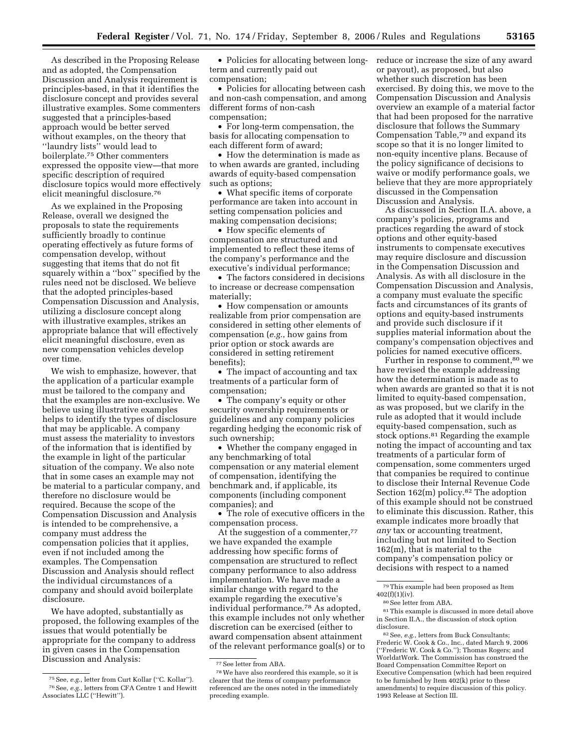As described in the Proposing Release and as adopted, the Compensation Discussion and Analysis requirement is principles-based, in that it identifies the disclosure concept and provides several illustrative examples. Some commenters suggested that a principles-based approach would be better served without examples, on the theory that ''laundry lists'' would lead to boilerplate.75 Other commenters expressed the opposite view—that more specific description of required disclosure topics would more effectively elicit meaningful disclosure.76

As we explained in the Proposing Release, overall we designed the proposals to state the requirements sufficiently broadly to continue operating effectively as future forms of compensation develop, without suggesting that items that do not fit squarely within a ''box'' specified by the rules need not be disclosed. We believe that the adopted principles-based Compensation Discussion and Analysis, utilizing a disclosure concept along with illustrative examples, strikes an appropriate balance that will effectively elicit meaningful disclosure, even as new compensation vehicles develop over time.

We wish to emphasize, however, that the application of a particular example must be tailored to the company and that the examples are non-exclusive. We believe using illustrative examples helps to identify the types of disclosure that may be applicable. A company must assess the materiality to investors of the information that is identified by the example in light of the particular situation of the company. We also note that in some cases an example may not be material to a particular company, and therefore no disclosure would be required. Because the scope of the Compensation Discussion and Analysis is intended to be comprehensive, a company must address the compensation policies that it applies, even if not included among the examples. The Compensation Discussion and Analysis should reflect the individual circumstances of a company and should avoid boilerplate disclosure.

We have adopted, substantially as proposed, the following examples of the issues that would potentially be appropriate for the company to address in given cases in the Compensation Discussion and Analysis:

• Policies for allocating between longterm and currently paid out compensation;

• Policies for allocating between cash and non-cash compensation, and among different forms of non-cash compensation;

• For long-term compensation, the basis for allocating compensation to each different form of award;

• How the determination is made as to when awards are granted, including awards of equity-based compensation such as options;

• What specific items of corporate performance are taken into account in setting compensation policies and making compensation decisions;

• How specific elements of compensation are structured and implemented to reflect these items of the company's performance and the executive's individual performance;

• The factors considered in decisions to increase or decrease compensation materially;

• How compensation or amounts realizable from prior compensation are considered in setting other elements of compensation (*e.g.*, how gains from prior option or stock awards are considered in setting retirement benefits);

• The impact of accounting and tax treatments of a particular form of compensation;

• The company's equity or other security ownership requirements or guidelines and any company policies regarding hedging the economic risk of such ownership;

• Whether the company engaged in any benchmarking of total compensation or any material element of compensation, identifying the benchmark and, if applicable, its components (including component companies); and

• The role of executive officers in the compensation process.

At the suggestion of a commenter,<sup>77</sup> we have expanded the example addressing how specific forms of compensation are structured to reflect company performance to also address implementation. We have made a similar change with regard to the example regarding the executive's individual performance.78 As adopted, this example includes not only whether discretion can be exercised (either to award compensation absent attainment of the relevant performance goal(s) or to reduce or increase the size of any award or payout), as proposed, but also whether such discretion has been exercised. By doing this, we move to the Compensation Discussion and Analysis overview an example of a material factor that had been proposed for the narrative disclosure that follows the Summary Compensation Table,79 and expand its scope so that it is no longer limited to non-equity incentive plans. Because of the policy significance of decisions to waive or modify performance goals, we believe that they are more appropriately discussed in the Compensation Discussion and Analysis.

As discussed in Section II.A. above, a company's policies, programs and practices regarding the award of stock options and other equity-based instruments to compensate executives may require disclosure and discussion in the Compensation Discussion and Analysis. As with all disclosure in the Compensation Discussion and Analysis, a company must evaluate the specific facts and circumstances of its grants of options and equity-based instruments and provide such disclosure if it supplies material information about the company's compensation objectives and policies for named executive officers.

Further in response to comment,<sup>80</sup> we have revised the example addressing how the determination is made as to when awards are granted so that it is not limited to equity-based compensation, as was proposed, but we clarify in the rule as adopted that it would include equity-based compensation, such as stock options.81 Regarding the example noting the impact of accounting and tax treatments of a particular form of compensation, some commenters urged that companies be required to continue to disclose their Internal Revenue Code Section 162(m) policy.<sup>82</sup> The adoption of this example should not be construed to eliminate this discussion. Rather, this example indicates more broadly that *any* tax or accounting treatment, including but not limited to Section 162(m), that is material to the company's compensation policy or decisions with respect to a named

 $^{\rm 79}$  This example had been proposed as Item  $402(f)(1)(iv)$ .

81This example is discussed in more detail above in Section II.A., the discussion of stock option disclosure.

<sup>75</sup>See, *e.g.*, letter from Curt Kollar (''C. Kollar''). 76See, *e.g.*, letters from CFA Centre 1 and Hewitt Associates LLC (''Hewitt'').

<sup>77</sup>See letter from ABA.

<sup>78</sup>We have also reordered this example, so it is clearer that the items of company performance referenced are the ones noted in the immediately preceding example.

<sup>80</sup>See letter from ABA.

<sup>82</sup>See, *e.g.*, letters from Buck Consultants; Frederic W. Cook & Co., Inc., dated March 9, 2006 (''Frederic W. Cook & Co.''); Thomas Rogers; and WorldatWork. The Commission has construed the Board Compensation Committee Report on Executive Compensation (which had been required to be furnished by Item 402(k) prior to these amendments) to require discussion of this policy. 1993 Release at Section III.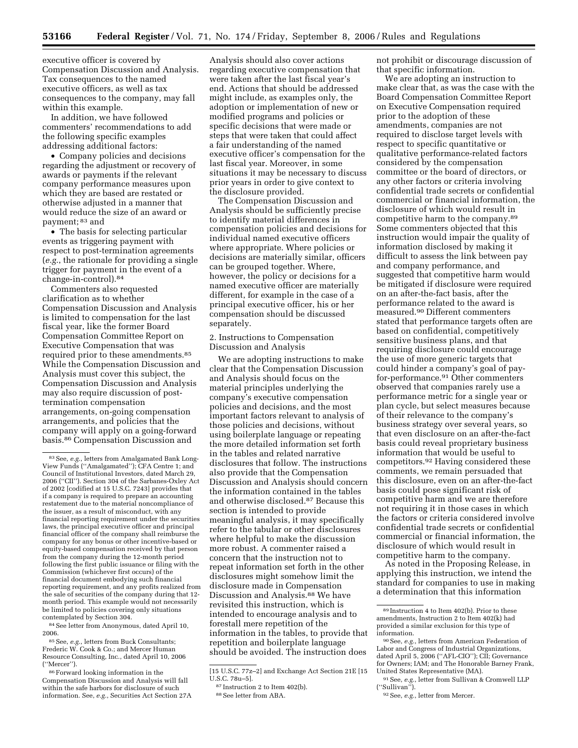executive officer is covered by Compensation Discussion and Analysis. Tax consequences to the named executive officers, as well as tax consequences to the company, may fall within this example.

In addition, we have followed commenters' recommendations to add the following specific examples addressing additional factors:

• Company policies and decisions regarding the adjustment or recovery of awards or payments if the relevant company performance measures upon which they are based are restated or otherwise adjusted in a manner that would reduce the size of an award or payment; 83 and

• The basis for selecting particular events as triggering payment with respect to post-termination agreements (*e.g.*, the rationale for providing a single trigger for payment in the event of a change-in-control).84

Commenters also requested clarification as to whether Compensation Discussion and Analysis is limited to compensation for the last fiscal year, like the former Board Compensation Committee Report on Executive Compensation that was required prior to these amendments.<sup>85</sup> While the Compensation Discussion and Analysis must cover this subject, the Compensation Discussion and Analysis may also require discussion of posttermination compensation arrangements, on-going compensation arrangements, and policies that the company will apply on a going-forward basis.86 Compensation Discussion and

84See letter from Anonymous, dated April 10, 2006.

Analysis should also cover actions regarding executive compensation that were taken after the last fiscal year's end. Actions that should be addressed might include, as examples only, the adoption or implementation of new or modified programs and policies or specific decisions that were made or steps that were taken that could affect a fair understanding of the named executive officer's compensation for the last fiscal year. Moreover, in some situations it may be necessary to discuss prior years in order to give context to the disclosure provided.

The Compensation Discussion and Analysis should be sufficiently precise to identify material differences in compensation policies and decisions for individual named executive officers where appropriate. Where policies or decisions are materially similar, officers can be grouped together. Where, however, the policy or decisions for a named executive officer are materially different, for example in the case of a principal executive officer, his or her compensation should be discussed separately.

## 2. Instructions to Compensation Discussion and Analysis

We are adopting instructions to make clear that the Compensation Discussion and Analysis should focus on the material principles underlying the company's executive compensation policies and decisions, and the most important factors relevant to analysis of those policies and decisions, without using boilerplate language or repeating the more detailed information set forth in the tables and related narrative disclosures that follow. The instructions also provide that the Compensation Discussion and Analysis should concern the information contained in the tables and otherwise disclosed.87 Because this section is intended to provide meaningful analysis, it may specifically refer to the tabular or other disclosures where helpful to make the discussion more robust. A commenter raised a concern that the instruction not to repeat information set forth in the other disclosures might somehow limit the disclosure made in Compensation Discussion and Analysis.88 We have revisited this instruction, which is intended to encourage analysis and to forestall mere repetition of the information in the tables, to provide that repetition and boilerplate language should be avoided. The instruction does

not prohibit or discourage discussion of that specific information.

We are adopting an instruction to make clear that, as was the case with the Board Compensation Committee Report on Executive Compensation required prior to the adoption of these amendments, companies are not required to disclose target levels with respect to specific quantitative or qualitative performance-related factors considered by the compensation committee or the board of directors, or any other factors or criteria involving confidential trade secrets or confidential commercial or financial information, the disclosure of which would result in competitive harm to the company.89 Some commenters objected that this instruction would impair the quality of information disclosed by making it difficult to assess the link between pay and company performance, and suggested that competitive harm would be mitigated if disclosure were required on an after-the-fact basis, after the performance related to the award is measured.90 Different commenters stated that performance targets often are based on confidential, competitively sensitive business plans, and that requiring disclosure could encourage the use of more generic targets that could hinder a company's goal of payfor-performance.91 Other commenters observed that companies rarely use a performance metric for a single year or plan cycle, but select measures because of their relevance to the company's business strategy over several years, so that even disclosure on an after-the-fact basis could reveal proprietary business information that would be useful to competitors.92 Having considered these comments, we remain persuaded that this disclosure, even on an after-the-fact basis could pose significant risk of competitive harm and we are therefore not requiring it in those cases in which the factors or criteria considered involve confidential trade secrets or confidential commercial or financial information, the disclosure of which would result in competitive harm to the company.

As noted in the Proposing Release, in applying this instruction, we intend the standard for companies to use in making a determination that this information

<sup>83</sup>See, *e.g.*, letters from Amalgamated Bank Long-View Funds (''Amalgamated''); CFA Centre 1; and Council of Institutional Investors, dated March 29, 2006 (''CII''). Section 304 of the Sarbanes-Oxley Act of 2002 [codified at 15 U.S.C. 7243] provides that if a company is required to prepare an accounting restatement due to the material noncompliance of the issuer, as a result of misconduct, with any financial reporting requirement under the securities laws, the principal executive officer and principal financial officer of the company shall reimburse the company for any bonus or other incentive-based or equity-based compensation received by that person from the company during the 12-month period following the first public issuance or filing with the Commission (whichever first occurs) of the financial document embodying such financial reporting requirement, and any profits realized from the sale of securities of the company during that 12 month period. This example would not necessarily be limited to policies covering only situations contemplated by Section 304.

<sup>85</sup>See, *e.g.*, letters from Buck Consultants; Frederic W. Cook & Co.; and Mercer Human Resource Consulting, Inc., dated April 10, 2006 (''Mercer'').

<sup>86</sup>Forward looking information in the Compensation Discussion and Analysis will fall within the safe harbors for disclosure of such information. See, *e.g.*, Securities Act Section 27A

<sup>[15</sup> U.S.C. 77z–2] and Exchange Act Section 21E [15 U.S.C. 78u–5].

<sup>87</sup> Instruction 2 to Item 402(b).

<sup>88</sup>See letter from ABA.

<sup>89</sup> Instruction 4 to Item 402(b). Prior to these amendments, Instruction 2 to Item 402(k) had provided a similar exclusion for this type of information.

<sup>90</sup>See, *e.g.*, letters from American Federation of Labor and Congress of Industrial Organizations, dated April 5, 2006 (''AFL-CIO''); CII; Governance for Owners; IAM; and The Honorable Barney Frank, United States Representative (MA).

<sup>91</sup>See, *e.g.*, letter from Sullivan & Cromwell LLP (''Sullivan'').

<sup>92</sup>See, *e.g.*, letter from Mercer.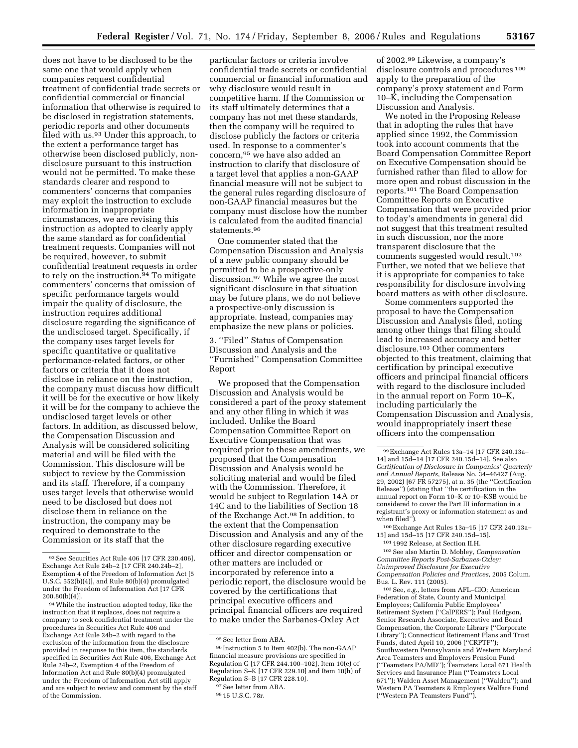does not have to be disclosed to be the same one that would apply when companies request confidential treatment of confidential trade secrets or confidential commercial or financial information that otherwise is required to be disclosed in registration statements, periodic reports and other documents filed with us.<sup>93</sup> Under this approach, to the extent a performance target has otherwise been disclosed publicly, nondisclosure pursuant to this instruction would not be permitted. To make these standards clearer and respond to commenters' concerns that companies may exploit the instruction to exclude information in inappropriate circumstances, we are revising this instruction as adopted to clearly apply the same standard as for confidential treatment requests. Companies will not be required, however, to submit confidential treatment requests in order to rely on the instruction.<sup>94</sup> To mitigate commenters' concerns that omission of specific performance targets would impair the quality of disclosure, the instruction requires additional disclosure regarding the significance of the undisclosed target. Specifically, if the company uses target levels for specific quantitative or qualitative performance-related factors, or other factors or criteria that it does not disclose in reliance on the instruction, the company must discuss how difficult it will be for the executive or how likely it will be for the company to achieve the undisclosed target levels or other factors. In addition, as discussed below, the Compensation Discussion and Analysis will be considered soliciting material and will be filed with the Commission. This disclosure will be subject to review by the Commission and its staff. Therefore, if a company uses target levels that otherwise would need to be disclosed but does not disclose them in reliance on the instruction, the company may be required to demonstrate to the Commission or its staff that the

94While the instruction adopted today, like the instruction that it replaces, does not require a company to seek confidential treatment under the procedures in Securities Act Rule 406 and Exchange Act Rule 24b–2 with regard to the exclusion of the information from the disclosure provided in response to this item, the standards specified in Securities Act Rule 406, Exchange Act Rule 24b–2, Exemption 4 of the Freedom of Information Act and Rule 80(b)(4) promulgated under the Freedom of Information Act still apply and are subject to review and comment by the staff of the Commission.

particular factors or criteria involve confidential trade secrets or confidential commercial or financial information and why disclosure would result in competitive harm. If the Commission or its staff ultimately determines that a company has not met these standards, then the company will be required to disclose publicly the factors or criteria used. In response to a commenter's concern,95 we have also added an instruction to clarify that disclosure of a target level that applies a non-GAAP financial measure will not be subject to the general rules regarding disclosure of non-GAAP financial measures but the company must disclose how the number is calculated from the audited financial statements.96

One commenter stated that the Compensation Discussion and Analysis of a new public company should be permitted to be a prospective-only discussion.97 While we agree the most significant disclosure in that situation may be future plans, we do not believe a prospective-only discussion is appropriate. Instead, companies may emphasize the new plans or policies.

3. ''Filed'' Status of Compensation Discussion and Analysis and the ''Furnished'' Compensation Committee Report

We proposed that the Compensation Discussion and Analysis would be considered a part of the proxy statement and any other filing in which it was included. Unlike the Board Compensation Committee Report on Executive Compensation that was required prior to these amendments, we proposed that the Compensation Discussion and Analysis would be soliciting material and would be filed with the Commission. Therefore, it would be subject to Regulation 14A or 14C and to the liabilities of Section 18 of the Exchange Act.98 In addition, to the extent that the Compensation Discussion and Analysis and any of the other disclosure regarding executive officer and director compensation or other matters are included or incorporated by reference into a periodic report, the disclosure would be covered by the certifications that principal executive officers and principal financial officers are required to make under the Sarbanes-Oxley Act

of 2002.99 Likewise, a company's disclosure controls and procedures 100 apply to the preparation of the company's proxy statement and Form 10–K, including the Compensation Discussion and Analysis.

We noted in the Proposing Release that in adopting the rules that have applied since 1992, the Commission took into account comments that the Board Compensation Committee Report on Executive Compensation should be furnished rather than filed to allow for more open and robust discussion in the reports.101 The Board Compensation Committee Reports on Executive Compensation that were provided prior to today's amendments in general did not suggest that this treatment resulted in such discussion, nor the more transparent disclosure that the comments suggested would result.102 Further, we noted that we believe that it is appropriate for companies to take responsibility for disclosure involving board matters as with other disclosure.

Some commenters supported the proposal to have the Compensation Discussion and Analysis filed, noting among other things that filing should lead to increased accuracy and better disclosure.103 Other commenters objected to this treatment, claiming that certification by principal executive officers and principal financial officers with regard to the disclosure included in the annual report on Form 10–K, including particularly the Compensation Discussion and Analysis, would inappropriately insert these officers into the compensation

101 1992 Release, at Section II.H.

102See also Martin D. Mobley, *Compensation Committee Reports Post-Sarbanes-Oxley:* 

*Unimproved Disclosure for Executive* 

*Compensation Policies and Practices*, 2005 Colum. Bus. L. Rev. 111 (2005).

103See, *e.g.*, letters from AFL–CIO; American Federation of State, County and Municipal Employees; California Public Employees' Retirement System (''CalPERS''); Paul Hodgson, Senior Research Associate, Executive and Board Compensation, the Corporate Library (''Corporate Library''); Connecticut Retirement Plans and Trust Funds, dated April 10, 2006 (''CRPTF''); Southwestern Pennsylvania and Western Maryland Area Teamsters and Employers Pension Fund (''Teamsters PA/MD''); Teamsters Local 671 Health Services and Insurance Plan (''Teamsters Local 671''); Walden Asset Management (''Walden''); and Western PA Teamsters & Employers Welfare Fund (''Western PA Teamsters Fund'').

<sup>93</sup>See Securities Act Rule 406 [17 CFR 230.406], Exchange Act Rule 24b–2 [17 CFR 240.24b–2], Exemption 4 of the Freedom of Information Act [5 U.S.C. 552(b)(4)], and Rule 80(b)(4) promulgated under the Freedom of Information Act [17 CFR 200.80(b)(4)].

<sup>95</sup>See letter from ABA.

<sup>96</sup> Instruction 5 to Item 402(b). The non-GAAP financial measure provisions are specified in Regulation G [17 CFR 244.100–102], Item 10(e) of Regulation S–K [17 CFR 229.10] and Item 10(h) of Regulation S–B [17 CFR 228.10].

<sup>97</sup>See letter from ABA.

<sup>98</sup> 15 U.S.C. 78r.

<sup>99</sup>Exchange Act Rules 13a–14 [17 CFR 240.13a– 14] and 15d–14 [17 CFR 240.15d–14]. See also *Certification of Disclosure in Companies' Quarterly and Annual Reports*, Release No. 34–46427 (Aug. 29, 2002) [67 FR 57275], at n. 35 (the ''Certification Release'') (stating that ''the certification in the annual report on Form 10–K or 10–KSB would be considered to cover the Part III information in a registrant's proxy or information statement as and when filed'').

<sup>100</sup>Exchange Act Rules 13a–15 [17 CFR 240.13a– 15] and 15d–15 [17 CFR 240.15d–15].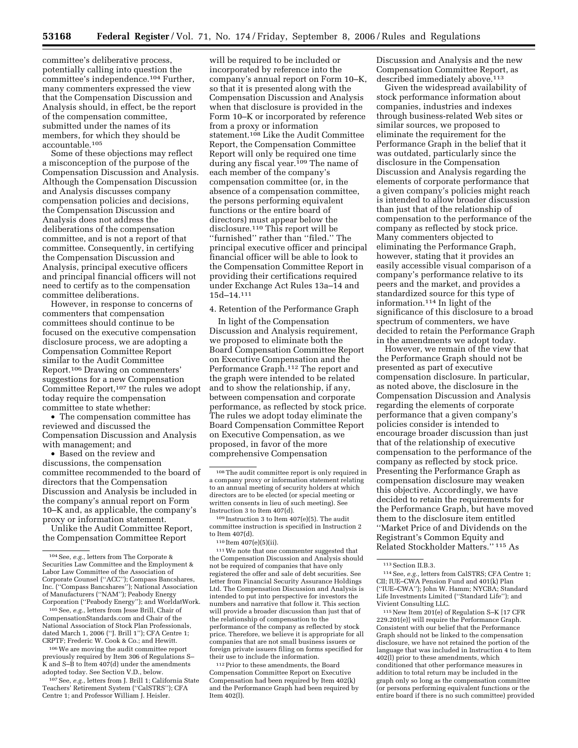committee's deliberative process, potentially calling into question the committee's independence.104 Further, many commenters expressed the view that the Compensation Discussion and Analysis should, in effect, be the report of the compensation committee, submitted under the names of its members, for which they should be accountable.105

Some of these objections may reflect a misconception of the purpose of the Compensation Discussion and Analysis. Although the Compensation Discussion and Analysis discusses company compensation policies and decisions, the Compensation Discussion and Analysis does not address the deliberations of the compensation committee, and is not a report of that committee. Consequently, in certifying the Compensation Discussion and Analysis, principal executive officers and principal financial officers will not need to certify as to the compensation committee deliberations.

However, in response to concerns of commenters that compensation committees should continue to be focused on the executive compensation disclosure process, we are adopting a Compensation Committee Report similar to the Audit Committee Report.106 Drawing on commenters' suggestions for a new Compensation Committee Report,107 the rules we adopt today require the compensation committee to state whether:

• The compensation committee has reviewed and discussed the Compensation Discussion and Analysis with management; and

• Based on the review and discussions, the compensation committee recommended to the board of directors that the Compensation Discussion and Analysis be included in the company's annual report on Form 10–K and, as applicable, the company's proxy or information statement.

Unlike the Audit Committee Report, the Compensation Committee Report

105See, *e.g.*, letters from Jesse Brill, Chair of CompensationStandards.com and Chair of the National Association of Stock Plan Professionals, dated March 1, 2006 (''J. Brill 1''); CFA Centre 1; CRPTF; Frederic W. Cook & Co.; and Hewitt.

106We are moving the audit committee report previously required by Item 306 of Regulations S– K and S–B to Item 407(d) under the amendments adopted today. See Section V.D., below.

107See, *e.g.*, letters from J. Brill 1; California State Teachers' Retirement System (''CalSTRS''); CFA Centre 1; and Professor William J. Heisler.

will be required to be included or incorporated by reference into the company's annual report on Form 10–K, so that it is presented along with the Compensation Discussion and Analysis when that disclosure is provided in the Form 10–K or incorporated by reference from a proxy or information statement.108 Like the Audit Committee Report, the Compensation Committee Report will only be required one time during any fiscal year.<sup>109</sup> The name of each member of the company's compensation committee (or, in the absence of a compensation committee, the persons performing equivalent functions or the entire board of directors) must appear below the disclosure.110 This report will be ''furnished'' rather than ''filed.'' The principal executive officer and principal financial officer will be able to look to the Compensation Committee Report in providing their certifications required under Exchange Act Rules 13a–14 and 15d–14.111

4. Retention of the Performance Graph

In light of the Compensation Discussion and Analysis requirement, we proposed to eliminate both the Board Compensation Committee Report on Executive Compensation and the Performance Graph.112 The report and the graph were intended to be related and to show the relationship, if any, between compensation and corporate performance, as reflected by stock price. The rules we adopt today eliminate the Board Compensation Committee Report on Executive Compensation, as we proposed, in favor of the more comprehensive Compensation

109 Instruction 3 to Item 407(e)(5). The audit committee instruction is specified in Instruction 2 to Item 407(d).

111We note that one commenter suggested that the Compensation Discussion and Analysis should not be required of companies that have only registered the offer and sale of debt securities. See letter from Financial Security Assurance Holdings Ltd. The Compensation Discussion and Analysis is intended to put into perspective for investors the numbers and narrative that follow it. This section will provide a broader discussion than just that of the relationship of compensation to the performance of the company as reflected by stock price. Therefore, we believe it is appropriate for all companies that are not small business issuers or foreign private issuers filing on forms specified for their use to include the information.

112Prior to these amendments, the Board Compensation Committee Report on Executive Compensation had been required by Item 402(k) and the Performance Graph had been required by Item 402(l).

Discussion and Analysis and the new Compensation Committee Report, as described immediately above.<sup>113</sup>

Given the widespread availability of stock performance information about companies, industries and indexes through business-related Web sites or similar sources, we proposed to eliminate the requirement for the Performance Graph in the belief that it was outdated, particularly since the disclosure in the Compensation Discussion and Analysis regarding the elements of corporate performance that a given company's policies might reach is intended to allow broader discussion than just that of the relationship of compensation to the performance of the company as reflected by stock price. Many commenters objected to eliminating the Performance Graph, however, stating that it provides an easily accessible visual comparison of a company's performance relative to its peers and the market, and provides a standardized source for this type of information.114 In light of the significance of this disclosure to a broad spectrum of commenters, we have decided to retain the Performance Graph in the amendments we adopt today.

However, we remain of the view that the Performance Graph should not be presented as part of executive compensation disclosure. In particular, as noted above, the disclosure in the Compensation Discussion and Analysis regarding the elements of corporate performance that a given company's policies consider is intended to encourage broader discussion than just that of the relationship of executive compensation to the performance of the company as reflected by stock price. Presenting the Performance Graph as compensation disclosure may weaken this objective. Accordingly, we have decided to retain the requirements for the Performance Graph, but have moved them to the disclosure item entitled ''Market Price of and Dividends on the Registrant's Common Equity and Related Stockholder Matters.'' 115 As

115New Item 201(e) of Regulation S–K [17 CFR 229.201(e)] will require the Performance Graph. Consistent with our belief that the Performance Graph should not be linked to the compensation disclosure, we have not retained the portion of the language that was included in Instruction 4 to Item 402(l) prior to these amendments, which conditioned that other performance measures in addition to total return may be included in the graph only so long as the compensation committee (or persons performing equivalent functions or the entire board if there is no such committee) provided

<sup>104</sup>See, *e.g.*, letters from The Corporate & Securities Law Committee and the Employment & Labor Law Committee of the Association of Corporate Counsel (''ACC''); Compass Bancshares, Inc. (''Compass Bancshares''); National Association of Manufacturers (''NAM''); Peabody Energy Corporation (''Peabody Energy''); and WorldatWork.

<sup>108</sup>The audit committee report is only required in a company proxy or information statement relating to an annual meeting of security holders at which directors are to be elected (or special meeting or written consents in lieu of such meeting). See Instruction 3 to Item 407(d).

<sup>110</sup> Item 407(e)(5)(ii).

<sup>113</sup>Section II.B.3.

<sup>114</sup>See, *e.g.*, letters from CalSTRS; CFA Centre 1; CII; IUE–CWA Pension Fund and 401(k) Plan (''IUE–CWA''); John W. Hamm; NYCBA; Standard Life Investments Limited (''Standard Life''); and Vivient Consulting LLC.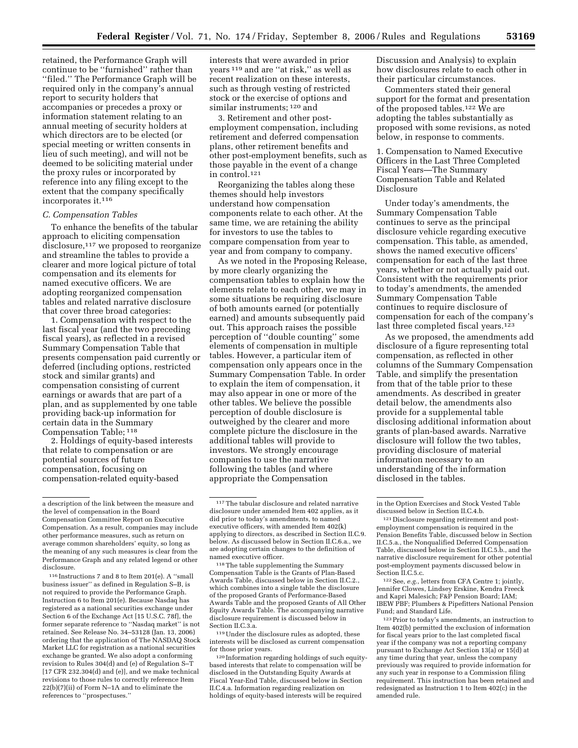retained, the Performance Graph will continue to be ''furnished'' rather than ''filed.'' The Performance Graph will be required only in the company's annual report to security holders that accompanies or precedes a proxy or information statement relating to an annual meeting of security holders at which directors are to be elected (or special meeting or written consents in lieu of such meeting), and will not be deemed to be soliciting material under the proxy rules or incorporated by reference into any filing except to the extent that the company specifically incorporates it.116

#### *C. Compensation Tables*

To enhance the benefits of the tabular approach to eliciting compensation disclosure,<sup>117</sup> we proposed to reorganize and streamline the tables to provide a clearer and more logical picture of total compensation and its elements for named executive officers. We are adopting reorganized compensation tables and related narrative disclosure that cover three broad categories:

1. Compensation with respect to the last fiscal year (and the two preceding fiscal years), as reflected in a revised Summary Compensation Table that presents compensation paid currently or deferred (including options, restricted stock and similar grants) and compensation consisting of current earnings or awards that are part of a plan, and as supplemented by one table providing back-up information for certain data in the Summary Compensation Table; 118

2. Holdings of equity-based interests that relate to compensation or are potential sources of future compensation, focusing on compensation-related equity-based

116 Instructions 7 and 8 to Item 201(e). A ''small business issuer'' as defined in Regulation S–B, is not required to provide the Performance Graph. Instruction 6 to Item 201(e). Because Nasdaq has registered as a national securities exchange under Section 6 of the Exchange Act [15 U.S.C. 78f], the former separate reference to ''Nasdaq market'' is not retained. See Release No. 34–53128 (Jan. 13, 2006) ordering that the application of The NASDAQ Stock Market LLC for registration as a national securities exchange be granted. We also adopt a conforming revision to Rules 304(d) and (e) of Regulation S–T [17 CFR 232.304(d) and (e)], and we make technical revisions to those rules to correctly reference Item 22(b)(7)(ii) of Form N–1A and to eliminate the references to ''prospectuses.''

interests that were awarded in prior years 119 and are ''at risk,'' as well as recent realization on these interests, such as through vesting of restricted stock or the exercise of options and similar instruments; 120 and

3. Retirement and other postemployment compensation, including retirement and deferred compensation plans, other retirement benefits and other post-employment benefits, such as those payable in the event of a change in control.121

Reorganizing the tables along these themes should help investors understand how compensation components relate to each other. At the same time, we are retaining the ability for investors to use the tables to compare compensation from year to year and from company to company.

As we noted in the Proposing Release, by more clearly organizing the compensation tables to explain how the elements relate to each other, we may in some situations be requiring disclosure of both amounts earned (or potentially earned) and amounts subsequently paid out. This approach raises the possible perception of ''double counting'' some elements of compensation in multiple tables. However, a particular item of compensation only appears once in the Summary Compensation Table. In order to explain the item of compensation, it may also appear in one or more of the other tables. We believe the possible perception of double disclosure is outweighed by the clearer and more complete picture the disclosure in the additional tables will provide to investors. We strongly encourage companies to use the narrative following the tables (and where appropriate the Compensation

118The table supplementing the Summary Compensation Table is the Grants of Plan-Based Awards Table, discussed below in Section II.C.2., which combines into a single table the disclosure of the proposed Grants of Performance-Based Awards Table and the proposed Grants of All Other Equity Awards Table. The accompanying narrative disclosure requirement is discussed below in Section II.C.3.a.

119Under the disclosure rules as adopted, these interests will be disclosed as current compensation for those prior years.

120 Information regarding holdings of such equitybased interests that relate to compensation will be disclosed in the Outstanding Equity Awards at Fiscal Year-End Table, discussed below in Section II.C.4.a. Information regarding realization on holdings of equity-based interests will be required

Discussion and Analysis) to explain how disclosures relate to each other in their particular circumstances.

Commenters stated their general support for the format and presentation of the proposed tables.122 We are adopting the tables substantially as proposed with some revisions, as noted below, in response to comments.

1. Compensation to Named Executive Officers in the Last Three Completed Fiscal Years—The Summary Compensation Table and Related Disclosure

Under today's amendments, the Summary Compensation Table continues to serve as the principal disclosure vehicle regarding executive compensation. This table, as amended, shows the named executive officers' compensation for each of the last three years, whether or not actually paid out. Consistent with the requirements prior to today's amendments, the amended Summary Compensation Table continues to require disclosure of compensation for each of the company's last three completed fiscal years.123

As we proposed, the amendments add disclosure of a figure representing total compensation, as reflected in other columns of the Summary Compensation Table, and simplify the presentation from that of the table prior to these amendments. As described in greater detail below, the amendments also provide for a supplemental table disclosing additional information about grants of plan-based awards. Narrative disclosure will follow the two tables, providing disclosure of material information necessary to an understanding of the information disclosed in the tables.

123Prior to today's amendments, an instruction to Item 402(b) permitted the exclusion of information for fiscal years prior to the last completed fiscal year if the company was not a reporting company pursuant to Exchange Act Section 13(a) or 15(d) at any time during that year, unless the company previously was required to provide information for any such year in response to a Commission filing requirement. This instruction has been retained and redesignated as Instruction 1 to Item 402(c) in the amended rule.

a description of the link between the measure and the level of compensation in the Board Compensation Committee Report on Executive Compensation. As a result, companies may include other performance measures, such as return on average common shareholders' equity, so long as the meaning of any such measures is clear from the Performance Graph and any related legend or other disclosure.

<sup>117</sup>The tabular disclosure and related narrative disclosure under amended Item 402 applies, as it did prior to today's amendments, to named executive officers, with amended Item 402(k) applying to directors, as described in Section II.C.9. below. As discussed below in Section II.C.6.a., we are adopting certain changes to the definition of named executive officer.

in the Option Exercises and Stock Vested Table discussed below in Section II.C.4.b.

<sup>121</sup> Disclosure regarding retirement and postemployment compensation is required in the Pension Benefits Table, discussed below in Section II.C.5.a., the Nonqualified Deferred Compensation Table, discussed below in Section II.C.5.b., and the narrative disclosure requirement for other potential post-employment payments discussed below in Section II.C.5.c.

<sup>122</sup>See, *e.g.*, letters from CFA Centre 1; jointly, Jennifer Clowes, Lindsey Erskine, Kendra Freeck and Kapri Malesich; F&P Pension Board; IAM; IBEW PBF; Plumbers & Pipefitters National Pension Fund; and Standard Life.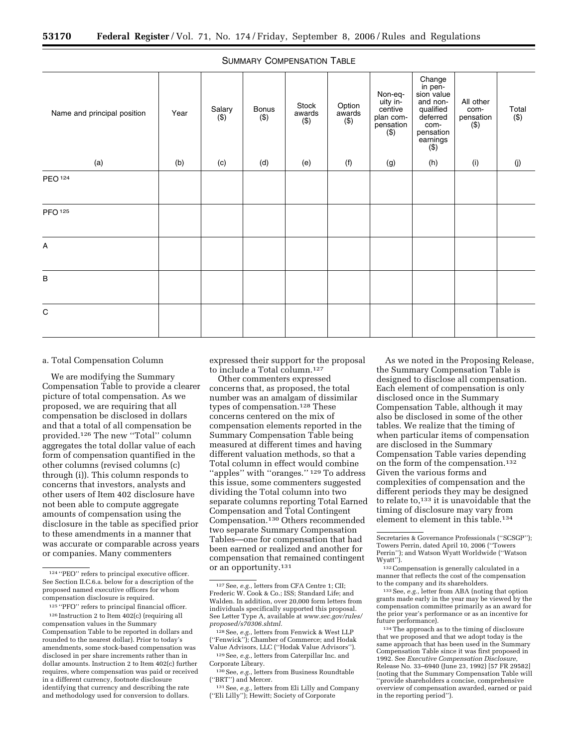| Name and principal position | Year | Salary<br>(\$) | Bonus<br>(\$) | Stock<br>awards<br>$(\$)$ | Option<br>awards<br>(\$) | Non-eq-<br>uity in-<br>centive<br>plan com-<br>pensation<br>(\$) | Change<br>in pen-<br>sion value<br>and non-<br>qualified<br>deferred<br>com-<br>pensation<br>earnings<br>(\$) | All other                  | $\operatorname*{Total}(\$)$ |
|-----------------------------|------|----------------|---------------|---------------------------|--------------------------|------------------------------------------------------------------|---------------------------------------------------------------------------------------------------------------|----------------------------|-----------------------------|
| (a)                         | (b)  | (c)            | (d)           | (e)                       | (f)                      | (g)                                                              | (h)                                                                                                           | $\left( \mathsf{i}\right)$ | (j)                         |
| PEO <sup>124</sup>          |      |                |               |                           |                          |                                                                  |                                                                                                               |                            |                             |
| PFO <sup>125</sup>          |      |                |               |                           |                          |                                                                  |                                                                                                               |                            |                             |
| A                           |      |                |               |                           |                          |                                                                  |                                                                                                               |                            |                             |
| B                           |      |                |               |                           |                          |                                                                  |                                                                                                               |                            |                             |
| C                           |      |                |               |                           |                          |                                                                  |                                                                                                               |                            |                             |
|                             |      |                |               |                           |                          |                                                                  |                                                                                                               |                            |                             |

SUMMARY COMPENSATION TABLE

#### a. Total Compensation Column

We are modifying the Summary Compensation Table to provide a clearer picture of total compensation. As we proposed, we are requiring that all compensation be disclosed in dollars and that a total of all compensation be provided.126 The new ''Total'' column aggregates the total dollar value of each form of compensation quantified in the other columns (revised columns (c) through (i)). This column responds to concerns that investors, analysts and other users of Item 402 disclosure have not been able to compute aggregate amounts of compensation using the disclosure in the table as specified prior to these amendments in a manner that was accurate or comparable across years or companies. Many commenters

expressed their support for the proposal to include a Total column.127

Other commenters expressed concerns that, as proposed, the total number was an amalgam of dissimilar types of compensation.<sup>128</sup> These concerns centered on the mix of compensation elements reported in the Summary Compensation Table being measured at different times and having different valuation methods, so that a Total column in effect would combine "apples" with "oranges." <sup>129</sup> To address this issue, some commenters suggested dividing the Total column into two separate columns reporting Total Earned Compensation and Total Contingent Compensation.130 Others recommended two separate Summary Compensation Tables—one for compensation that had been earned or realized and another for compensation that remained contingent or an opportunity.131

128See, *e.g.*, letters from Fenwick & West LLP (''Fenwick''); Chamber of Commerce; and Hodak Value Advisors, LLC (''Hodak Value Advisors'').

129See, *e.g.*, letters from Caterpillar Inc. and Corporate Library.

131See, *e.g.*, letters from Eli Lilly and Company (''Eli Lilly''); Hewitt; Society of Corporate

As we noted in the Proposing Release, the Summary Compensation Table is designed to disclose all compensation. Each element of compensation is only disclosed once in the Summary Compensation Table, although it may also be disclosed in some of the other tables. We realize that the timing of when particular items of compensation are disclosed in the Summary Compensation Table varies depending on the form of the compensation.132 Given the various forms and complexities of compensation and the different periods they may be designed to relate to,133 it is unavoidable that the timing of disclosure may vary from element to element in this table.<sup>134</sup>

<sup>124</sup> ''PEO'' refers to principal executive officer. See Section II.C.6.a. below for a description of the proposed named executive officers for whom compensation disclosure is required.

<sup>125</sup> ''PFO'' refers to principal financial officer. 126 Instruction 2 to Item 402(c) (requiring all compensation values in the Summary Compensation Table to be reported in dollars and rounded to the nearest dollar). Prior to today's amendments, some stock-based compensation was disclosed in per share increments rather than in dollar amounts. Instruction 2 to Item 402(c) further requires, where compensation was paid or received in a different currency, footnote disclosure identifying that currency and describing the rate and methodology used for conversion to dollars.

<sup>127</sup>See, *e.g.*, letters from CFA Centre 1; CII; Frederic W. Cook & Co.; ISS; Standard Life; and Walden. In addition, over 20,000 form letters from individuals specifically supported this proposal. See Letter Type A, available at *www.sec.gov/rules/ proposed/s70306.shtml.* 

<sup>130</sup>See, *e.g.*, letters from Business Roundtable (''BRT'') and Mercer.

Secretaries & Governance Professionals (''SCSGP''); Towers Perrin, dated April 10, 2006 (''Towers Perrin''); and Watson Wyatt Worldwide (''Watson

<sup>132</sup> Compensation is generally calculated in a manner that reflects the cost of the compensation<br>to the company and its shareholders.

<sup>&</sup>lt;sup>133</sup> See, *e.g.*, letter from ABA (noting that option grants made early in the year may be viewed by the compensation committee primarily as an award for the prior year's performance or as an incentive for

 $^{134}\mathrm{The}$  approach as to the timing of disclosure that we proposed and that we adopt today is the same approach that has been used in the Summary Compensation Table since it was first proposed in 1992. See *Executive Compensation Disclosure,*  Release No. 33–6940 (June 23, 1992) [57 FR 29582] (noting that the Summary Compensation Table will 'provide shareholders a concise, comprehensive overview of compensation awarded, earned or paid in the reporting period'').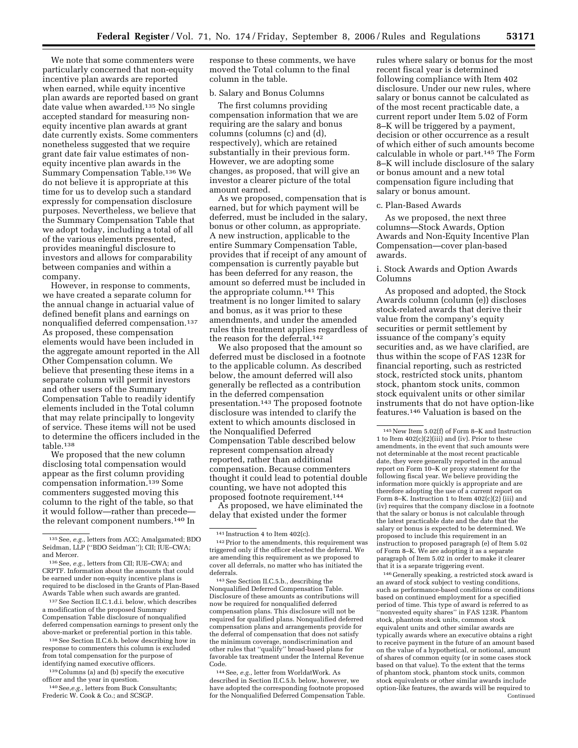We note that some commenters were particularly concerned that non-equity incentive plan awards are reported when earned, while equity incentive plan awards are reported based on grant date value when awarded.<sup>135</sup> No single accepted standard for measuring nonequity incentive plan awards at grant date currently exists. Some commenters nonetheless suggested that we require grant date fair value estimates of nonequity incentive plan awards in the Summary Compensation Table.136 We do not believe it is appropriate at this time for us to develop such a standard expressly for compensation disclosure purposes. Nevertheless, we believe that the Summary Compensation Table that we adopt today, including a total of all of the various elements presented, provides meaningful disclosure to investors and allows for comparability between companies and within a company.

However, in response to comments, we have created a separate column for the annual change in actuarial value of defined benefit plans and earnings on nonqualified deferred compensation.137 As proposed, these compensation elements would have been included in the aggregate amount reported in the All Other Compensation column. We believe that presenting these items in a separate column will permit investors and other users of the Summary Compensation Table to readily identify elements included in the Total column that may relate principally to longevity of service. These items will not be used to determine the officers included in the table.138

We proposed that the new column disclosing total compensation would appear as the first column providing compensation information.139 Some commenters suggested moving this column to the right of the table, so that it would follow—rather than precede the relevant component numbers.140 In

136See, *e.g.*, letters from CII; IUE–CWA; and CRPTF. Information about the amounts that could be earned under non-equity incentive plans is required to be disclosed in the Grants of Plan-Based Awards Table when such awards are granted.

137See Section II.C.1.d.i. below, which describes a modification of the proposed Summary Compensation Table disclosure of nonqualified deferred compensation earnings to present only the above-market or preferential portion in this table.

138See Section II.C.6.b. below describing how in response to commenters this column is excluded from total compensation for the purpose of identifying named executive officers.

139Columns (a) and (b) specify the executive officer and the year in question.

140See,*e.g.*, letters from Buck Consultants; Frederic W. Cook & Co.; and SCSGP.

response to these comments, we have moved the Total column to the final column in the table.

# b. Salary and Bonus Columns

The first columns providing compensation information that we are requiring are the salary and bonus columns (columns (c) and (d), respectively), which are retained substantially in their previous form. However, we are adopting some changes, as proposed, that will give an investor a clearer picture of the total amount earned.

As we proposed, compensation that is earned, but for which payment will be deferred, must be included in the salary, bonus or other column, as appropriate. A new instruction, applicable to the entire Summary Compensation Table, provides that if receipt of any amount of compensation is currently payable but has been deferred for any reason, the amount so deferred must be included in the appropriate column.141 This treatment is no longer limited to salary and bonus, as it was prior to these amendments, and under the amended rules this treatment applies regardless of the reason for the deferral.142

We also proposed that the amount so deferred must be disclosed in a footnote to the applicable column. As described below, the amount deferred will also generally be reflected as a contribution in the deferred compensation presentation.143 The proposed footnote disclosure was intended to clarify the extent to which amounts disclosed in the Nonqualified Deferred Compensation Table described below represent compensation already reported, rather than additional compensation. Because commenters thought it could lead to potential double counting, we have not adopted this proposed footnote requirement.144

As proposed, we have eliminated the delay that existed under the former

143See Section II.C.5.b., describing the Nonqualified Deferred Compensation Table. Disclosure of these amounts as contributions will now be required for nonqualified deferred compensation plans. This disclosure will not be required for qualified plans. Nonqualified deferred compensation plans and arrangements provide for the deferral of compensation that does not satisfy the minimum coverage, nondiscrimination and other rules that ''qualify'' broad-based plans for favorable tax treatment under the Internal Revenue Code.

144See, *e.g.*, letter from WorldatWork. As described in Section II.C.5.b. below, however, we have adopted the corresponding footnote proposed for the Nonqualified Deferred Compensation Table. rules where salary or bonus for the most recent fiscal year is determined following compliance with Item 402 disclosure. Under our new rules, where salary or bonus cannot be calculated as of the most recent practicable date, a current report under Item 5.02 of Form 8–K will be triggered by a payment, decision or other occurrence as a result of which either of such amounts become calculable in whole or part.145 The Form 8–K will include disclosure of the salary or bonus amount and a new total compensation figure including that salary or bonus amount.

#### c. Plan-Based Awards

As we proposed, the next three columns—Stock Awards, Option Awards and Non-Equity Incentive Plan Compensation—cover plan-based awards.

## i. Stock Awards and Option Awards Columns

As proposed and adopted, the Stock Awards column (column (e)) discloses stock-related awards that derive their value from the company's equity securities or permit settlement by issuance of the company's equity securities and, as we have clarified, are thus within the scope of FAS 123R for financial reporting, such as restricted stock, restricted stock units, phantom stock, phantom stock units, common stock equivalent units or other similar instruments that do not have option-like features.146 Valuation is based on the

146 Generally speaking, a restricted stock award is an award of stock subject to vesting conditions, such as performance-based conditions or conditions based on continued employment for a specified period of time. This type of award is referred to as ''nonvested equity shares'' in FAS 123R. Phantom stock, phantom stock units, common stock equivalent units and other similar awards are typically awards where an executive obtains a right to receive payment in the future of an amount based on the value of a hypothetical, or notional, amount of shares of common equity (or in some cases stock based on that value). To the extent that the terms of phantom stock, phantom stock units, common stock equivalents or other similar awards include option-like features, the awards will be required to Continued

<sup>135</sup>See, *e.g.*, letters from ACC; Amalgamated; BDO Seidman, LLP (''BDO Seidman''); CII; IUE–CWA; and Mercer.

<sup>141</sup> Instruction 4 to Item 402(c).

<sup>142</sup>Prior to the amendments, this requirement was triggered only if the officer elected the deferral. We are amending this requirement as we proposed to cover all deferrals, no matter who has initiated the deferrals.

<sup>145</sup>New Item 5.02(f) of Form 8–K and Instruction 1 to Item  $402(c)(2)(iii)$  and (iv). Prior to these amendments, in the event that such amounts were not determinable at the most recent practicable date, they were generally reported in the annual report on Form 10–K or proxy statement for the following fiscal year. We believe providing the information more quickly is appropriate and are therefore adopting the use of a current report on Form 8–K. Instruction 1 to Item  $402(c)(2)$  (iii) and (iv) requires that the company disclose in a footnote that the salary or bonus is not calculable through the latest practicable date and the date that the salary or bonus is expected to be determined. We proposed to include this requirement in an instruction to proposed paragraph (e) of Item 5.02 of Form 8–K. We are adopting it as a separate paragraph of Item 5.02 in order to make it clearer that it is a separate triggering event.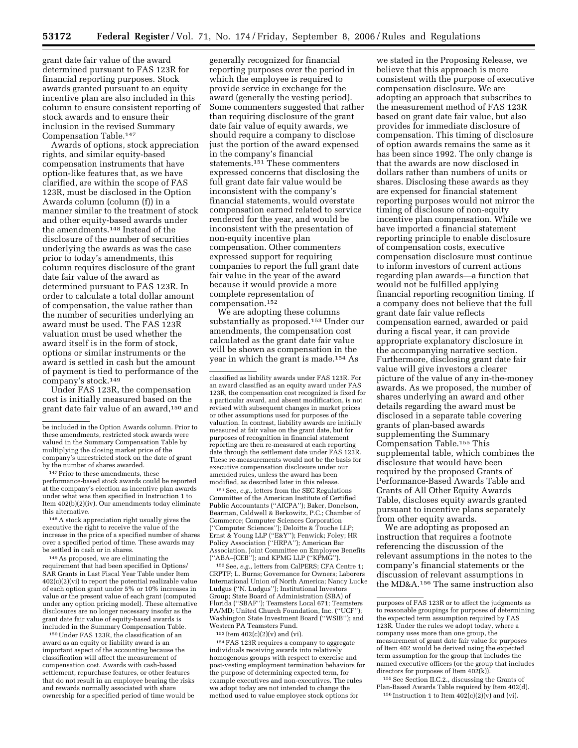grant date fair value of the award determined pursuant to FAS 123R for financial reporting purposes. Stock awards granted pursuant to an equity incentive plan are also included in this column to ensure consistent reporting of stock awards and to ensure their inclusion in the revised Summary Compensation Table.147

Awards of options, stock appreciation rights, and similar equity-based compensation instruments that have option-like features that, as we have clarified, are within the scope of FAS 123R, must be disclosed in the Option Awards column (column (f)) in a manner similar to the treatment of stock and other equity-based awards under the amendments.148 Instead of the disclosure of the number of securities underlying the awards as was the case prior to today's amendments, this column requires disclosure of the grant date fair value of the award as determined pursuant to FAS 123R. In order to calculate a total dollar amount of compensation, the value rather than the number of securities underlying an award must be used. The FAS 123R valuation must be used whether the award itself is in the form of stock, options or similar instruments or the award is settled in cash but the amount of payment is tied to performance of the company's stock.149

Under FAS 123R, the compensation cost is initially measured based on the grant date fair value of an award,150 and

<sup>147</sup> Prior to these amendments, these performance-based stock awards could be reported at the company's election as incentive plan awards under what was then specified in Instruction 1 to Item 402(b)(2)(iv). Our amendments today eliminate this alternative.

148A stock appreciation right usually gives the executive the right to receive the value of the increase in the price of a specified number of shares over a specified period of time. These awards may be settled in cash or in shares.

149As proposed, we are eliminating the requirement that had been specified in Options/ SAR Grants in Last Fiscal Year Table under Item 402(c)(2)(vi) to report the potential realizable value of each option grant under 5% or 10% increases in value or the present value of each grant (computed under any option pricing model). These alternative disclosures are no longer necessary insofar as the grant date fair value of equity-based awards is included in the Summary Compensation Table.

150Under FAS 123R, the classification of an award as an equity or liability award is an important aspect of the accounting because the classification will affect the measurement of compensation cost. Awards with cash-based settlement, repurchase features, or other features that do not result in an employee bearing the risks and rewards normally associated with share ownership for a specified period of time would be

generally recognized for financial reporting purposes over the period in which the employee is required to provide service in exchange for the award (generally the vesting period). Some commenters suggested that rather than requiring disclosure of the grant date fair value of equity awards, we should require a company to disclose just the portion of the award expensed in the company's financial statements.151 These commenters expressed concerns that disclosing the full grant date fair value would be inconsistent with the company's financial statements, would overstate compensation earned related to service rendered for the year, and would be inconsistent with the presentation of non-equity incentive plan compensation. Other commenters expressed support for requiring companies to report the full grant date fair value in the year of the award because it would provide a more complete representation of compensation.152

We are adopting these columns substantially as proposed.153 Under our amendments, the compensation cost calculated as the grant date fair value will be shown as compensation in the year in which the grant is made.154 As

151See, *e.g.*, letters from the SEC Regulations Committee of the American Institute of Certified Public Accountants (''AICPA''); Baker, Donelson, Bearman, Caldwell & Berkowitz, P.C.; Chamber of Commerce; Computer Sciences Corporation (''Computer Sciences''); Deloitte & Touche LLP; Ernst & Young LLP (''E&Y''); Fenwick; Foley; HR Policy Association (''HRPA''); American Bar Association, Joint Committee on Employee Benefits (''ABA–JCEB''); and KPMG LLP (''KPMG'').

152See, *e.g.*, letters from CalPERS; CFA Centre 1; CRPTF; L. Burns; Governance for Owners; Laborers International Union of North America; Nancy Lucke Ludgus (''N. Ludgus''); Institutional Investors Group; State Board of Administration (SBA) of Florida (''SBAF''); Teamsters Local 671; Teamsters PA/MD; United Church Foundation, Inc. (''UCF''); Washington State Investment Board (''WSIB''); and Western PA Teamsters Fund.

153 Item 402(c)(2)(v) and (vi).

154FAS 123R requires a company to aggregate individuals receiving awards into relatively homogenous groups with respect to exercise and post-vesting employment termination behaviors for the purpose of determining expected term, for example executives and non-executives. The rules we adopt today are not intended to change the method used to value employee stock options for

we stated in the Proposing Release, we believe that this approach is more consistent with the purpose of executive compensation disclosure. We are adopting an approach that subscribes to the measurement method of FAS 123R based on grant date fair value, but also provides for immediate disclosure of compensation. This timing of disclosure of option awards remains the same as it has been since 1992. The only change is that the awards are now disclosed in dollars rather than numbers of units or shares. Disclosing these awards as they are expensed for financial statement reporting purposes would not mirror the timing of disclosure of non-equity incentive plan compensation. While we have imported a financial statement reporting principle to enable disclosure of compensation costs, executive compensation disclosure must continue to inform investors of current actions regarding plan awards—a function that would not be fulfilled applying financial reporting recognition timing. If a company does not believe that the full grant date fair value reflects compensation earned, awarded or paid during a fiscal year, it can provide appropriate explanatory disclosure in the accompanying narrative section. Furthermore, disclosing grant date fair value will give investors a clearer picture of the value of any in-the-money awards. As we proposed, the number of shares underlying an award and other details regarding the award must be disclosed in a separate table covering grants of plan-based awards supplementing the Summary Compensation Table.155 This supplemental table, which combines the disclosure that would have been required by the proposed Grants of Performance-Based Awards Table and Grants of All Other Equity Awards Table, discloses equity awards granted pursuant to incentive plans separately from other equity awards.

We are adopting as proposed an instruction that requires a footnote referencing the discussion of the relevant assumptions in the notes to the company's financial statements or the discussion of relevant assumptions in the MD&A.156 The same instruction also

be included in the Option Awards column. Prior to these amendments, restricted stock awards were valued in the Summary Compensation Table by multiplying the closing market price of the company's unrestricted stock on the date of grant by the number of shares awarded.

classified as liability awards under FAS 123R. For an award classified as an equity award under FAS 123R, the compensation cost recognized is fixed for a particular award, and absent modification, is not revised with subsequent changes in market prices or other assumptions used for purposes of the valuation. In contrast, liability awards are initially measured at fair value on the grant date, but for purposes of recognition in financial statement reporting are then re-measured at each reporting date through the settlement date under FAS 123R. These re-measurements would not be the basis for executive compensation disclosure under our amended rules, unless the award has been modified, as described later in this release.

purposes of FAS 123R or to affect the judgments as to reasonable groupings for purposes of determining the expected term assumption required by FAS 123R. Under the rules we adopt today, where a company uses more than one group, the measurement of grant date fair value for purposes of Item 402 would be derived using the expected term assumption for the group that includes the named executive officers (or the group that includes directors for purposes of Item 402(k)).

<sup>155</sup>See Section II.C.2., discussing the Grants of Plan-Based Awards Table required by Item 402(d).  $156$  Instruction 1 to Item  $402(c)(2)(v)$  and (vi).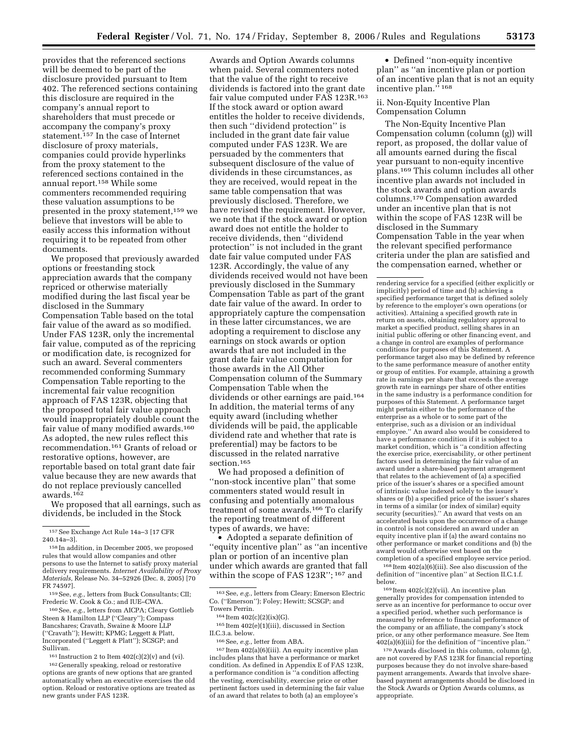provides that the referenced sections will be deemed to be part of the disclosure provided pursuant to Item 402. The referenced sections containing this disclosure are required in the company's annual report to shareholders that must precede or accompany the company's proxy statement.157 In the case of Internet disclosure of proxy materials, companies could provide hyperlinks from the proxy statement to the referenced sections contained in the annual report.158 While some commenters recommended requiring these valuation assumptions to be presented in the proxy statement,159 we believe that investors will be able to easily access this information without requiring it to be repeated from other documents.

We proposed that previously awarded options or freestanding stock appreciation awards that the company repriced or otherwise materially modified during the last fiscal year be disclosed in the Summary Compensation Table based on the total fair value of the award as so modified. Under FAS 123R, only the incremental fair value, computed as of the repricing or modification date, is recognized for such an award. Several commenters recommended conforming Summary Compensation Table reporting to the incremental fair value recognition approach of FAS 123R, objecting that the proposed total fair value approach would inappropriately double count the fair value of many modified awards.<sup>160</sup> As adopted, the new rules reflect this recommendation.161 Grants of reload or restorative options, however, are reportable based on total grant date fair value because they are new awards that do not replace previously cancelled awards.162

We proposed that all earnings, such as dividends, be included in the Stock

158 In addition, in December 2005, we proposed rules that would allow companies and other persons to use the Internet to satisfy proxy material delivery requirements. *Internet Availability of Proxy Materials,* Release No. 34–52926 (Dec. 8, 2005) [70 FR 74597].

159See, *e.g.*, letters from Buck Consultants; CII; Frederic W. Cook & Co.; and IUE–CWA.

160See, *e.g.*, letters from AICPA; Cleary Gottlieb Steen & Hamilton LLP (''Cleary''); Compass Bancshares; Cravath, Swaine & Moore LLP (''Cravath''); Hewitt; KPMG; Leggett & Platt, Incorporated (''Leggett & Platt''); SCSGP; and Sullivan.

 $^{161}$  Instruction 2 to Item  $402 ( {\rm c}) (2) {\rm (v)}$  and (vi).

162 Generally speaking, reload or restorative options are grants of new options that are granted automatically when an executive exercises the old option. Reload or restorative options are treated as new grants under FAS 123R.

Awards and Option Awards columns when paid. Several commenters noted that the value of the right to receive dividends is factored into the grant date fair value computed under FAS 123R.163 If the stock award or option award entitles the holder to receive dividends, then such ''dividend protection'' is included in the grant date fair value computed under FAS 123R. We are persuaded by the commenters that subsequent disclosure of the value of dividends in these circumstances, as they are received, would repeat in the same table compensation that was previously disclosed. Therefore, we have revised the requirement. However, we note that if the stock award or option award does not entitle the holder to receive dividends, then ''dividend protection'' is not included in the grant date fair value computed under FAS 123R. Accordingly, the value of any dividends received would not have been previously disclosed in the Summary Compensation Table as part of the grant date fair value of the award. In order to appropriately capture the compensation in these latter circumstances, we are adopting a requirement to disclose any earnings on stock awards or option awards that are not included in the grant date fair value computation for those awards in the All Other Compensation column of the Summary Compensation Table when the dividends or other earnings are paid.<sup>164</sup> In addition, the material terms of any equity award (including whether dividends will be paid, the applicable dividend rate and whether that rate is preferential) may be factors to be discussed in the related narrative section.165

We had proposed a definition of ''non-stock incentive plan'' that some commenters stated would result in confusing and potentially anomalous treatment of some awards.166 To clarify the reporting treatment of different types of awards, we have:

• Adopted a separate definition of ''equity incentive plan'' as ''an incentive plan or portion of an incentive plan under which awards are granted that fall within the scope of FAS 123R''; 167 and

165 Item 402(e)(1)(iii), discussed in Section II.C.3.a. below.

• Defined ''non-equity incentive plan'' as ''an incentive plan or portion of an incentive plan that is not an equity incentive plan.'' 168

ii. Non-Equity Incentive Plan Compensation Column

The Non-Equity Incentive Plan Compensation column (column (g)) will report, as proposed, the dollar value of all amounts earned during the fiscal year pursuant to non-equity incentive plans.169 This column includes all other incentive plan awards not included in the stock awards and option awards columns.170 Compensation awarded under an incentive plan that is not within the scope of FAS 123R will be disclosed in the Summary Compensation Table in the year when the relevant specified performance criteria under the plan are satisfied and the compensation earned, whether or

rendering service for a specified (either explicitly or implicitly) period of time and (b) achieving a specified performance target that is defined solely by reference to the employer's own operations (or activities). Attaining a specified growth rate in return on assets, obtaining regulatory approval to market a specified product, selling shares in an initial public offering or other financing event, and a change in control are examples of performance conditions for purposes of this Statement. A performance target also may be defined by reference to the same performance measure of another entity or group of entities. For example, attaining a growth rate in earnings per share that exceeds the average growth rate in earnings per share of other entities in the same industry is a performance condition for purposes of this Statement. A performance target might pertain either to the performance of the enterprise as a whole or to some part of the enterprise, such as a division or an individual employee.'' An award also would be considered to have a performance condition if it is subject to a market condition, which is ''a condition affecting the exercise price, exercisability, or other pertinent factors used in determining the fair value of an award under a share-based payment arrangement that relates to the achievement of (a) a specified price of the issuer's shares or a specified amount of intrinsic value indexed solely to the issuer's shares or (b) a specified price of the issuer's shares in terms of a similar (or index of similar) equity security (securities)." An award that vests on an accelerated basis upon the occurrence of a change in control is not considered an award under an equity incentive plan if (a) the award contains no other performance or market conditions and (b) the award would otherwise vest based on the completion of a specified employee service period.

168 Item 402(a)(6)(iii). See also discussion of the definition of ''incentive plan'' at Section II.C.1.f. below.

169 Item 402(c)(2)(vii). An incentive plan generally provides for compensation intended to serve as an incentive for performance to occur over a specified period, whether such performance is measured by reference to financial performance of the company or an affiliate, the company's stock price, or any other performance measure. See Item 402(a)(6)(iii) for the definition of ''incentive plan.''

170Awards disclosed in this column, column (g), are not covered by FAS 123R for financial reporting purposes because they do not involve share-based payment arrangements. Awards that involve sharebased payment arrangements should be disclosed in the Stock Awards or Option Awards columns, as appropriate.

<sup>157</sup>See Exchange Act Rule 14a–3 [17 CFR 240.14a–3].

<sup>163</sup>See, *e.g.*, letters from Cleary; Emerson Electric Co. (''Emerson''); Foley; Hewitt; SCSGP; and Towers Perrin.

 $164$  Item  $402(c)(2)(ix)(G)$ .

<sup>166</sup>See, *e.g.*, letter from ABA.

<sup>167</sup> Item 402(a)(6)(iii). An equity incentive plan includes plans that have a performance or market condition. As defined in Appendix E of FAS 123R, a performance condition is ''a condition affecting the vesting, exercisability, exercise price or other pertinent factors used in determining the fair value of an award that relates to both (a) an employee's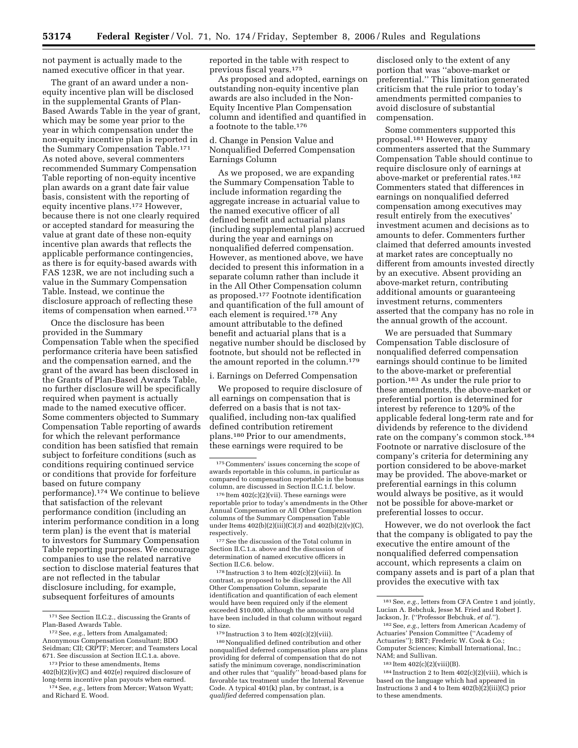not payment is actually made to the named executive officer in that year.

The grant of an award under a nonequity incentive plan will be disclosed in the supplemental Grants of Plan-Based Awards Table in the year of grant, which may be some year prior to the year in which compensation under the non-equity incentive plan is reported in the Summary Compensation Table.171 As noted above, several commenters recommended Summary Compensation Table reporting of non-equity incentive plan awards on a grant date fair value basis, consistent with the reporting of equity incentive plans.172 However, because there is not one clearly required or accepted standard for measuring the value at grant date of these non-equity incentive plan awards that reflects the applicable performance contingencies, as there is for equity-based awards with FAS 123R, we are not including such a value in the Summary Compensation Table. Instead, we continue the disclosure approach of reflecting these items of compensation when earned.173

Once the disclosure has been provided in the Summary Compensation Table when the specified performance criteria have been satisfied and the compensation earned, and the grant of the award has been disclosed in the Grants of Plan-Based Awards Table, no further disclosure will be specifically required when payment is actually made to the named executive officer. Some commenters objected to Summary Compensation Table reporting of awards for which the relevant performance condition has been satisfied that remain subject to forfeiture conditions (such as conditions requiring continued service or conditions that provide for forfeiture based on future company performance).174 We continue to believe that satisfaction of the relevant performance condition (including an interim performance condition in a long term plan) is the event that is material to investors for Summary Compensation Table reporting purposes. We encourage companies to use the related narrative section to disclose material features that are not reflected in the tabular disclosure including, for example, subsequent forfeitures of amounts

reported in the table with respect to previous fiscal years.175

As proposed and adopted, earnings on outstanding non-equity incentive plan awards are also included in the Non-Equity Incentive Plan Compensation column and identified and quantified in a footnote to the table.176

## d. Change in Pension Value and Nonqualified Deferred Compensation Earnings Column

As we proposed, we are expanding the Summary Compensation Table to include information regarding the aggregate increase in actuarial value to the named executive officer of all defined benefit and actuarial plans (including supplemental plans) accrued during the year and earnings on nonqualified deferred compensation. However, as mentioned above, we have decided to present this information in a separate column rather than include it in the All Other Compensation column as proposed.177 Footnote identification and quantification of the full amount of each element is required.178 Any amount attributable to the defined benefit and actuarial plans that is a negative number should be disclosed by footnote, but should not be reflected in the amount reported in the column.179

i. Earnings on Deferred Compensation

We proposed to require disclosure of all earnings on compensation that is deferred on a basis that is not taxqualified, including non-tax qualified defined contribution retirement plans.180 Prior to our amendments, these earnings were required to be

<sup>177</sup> See the discussion of the Total column in Section II.C.1.a. above and the discussion of determination of named executive officers in Section II.C.6. below.

 $178$  Instruction 3 to Item  $402(c)(2)(viii)$ . In contrast, as proposed to be disclosed in the All Other Compensation Column, separate identification and quantification of each element would have been required only if the element exceeded \$10,000, although the amounts would have been included in that column without regard to size.

 $^{179}\rm~Instruction$  3 to Item  $402(c)(2)(viii).$ 

180Nonqualified defined contribution and other nonqualified deferred compensation plans are plans providing for deferral of compensation that do not satisfy the minimum coverage, nondiscrimination and other rules that ''qualify'' broad-based plans for favorable tax treatment under the Internal Revenue Code. A typical 401(k) plan, by contrast, is a *qualified* deferred compensation plan.

disclosed only to the extent of any portion that was ''above-market or preferential.'' This limitation generated criticism that the rule prior to today's amendments permitted companies to avoid disclosure of substantial compensation.

Some commenters supported this proposal.181 However, many commenters asserted that the Summary Compensation Table should continue to require disclosure only of earnings at above-market or preferential rates.182 Commenters stated that differences in earnings on nonqualified deferred compensation among executives may result entirely from the executives' investment acumen and decisions as to amounts to defer. Commenters further claimed that deferred amounts invested at market rates are conceptually no different from amounts invested directly by an executive. Absent providing an above-market return, contributing additional amounts or guaranteeing investment returns, commenters asserted that the company has no role in the annual growth of the account.

We are persuaded that Summary Compensation Table disclosure of nonqualified deferred compensation earnings should continue to be limited to the above-market or preferential portion.183 As under the rule prior to these amendments, the above-market or preferential portion is determined for interest by reference to 120% of the applicable federal long-term rate and for dividends by reference to the dividend rate on the company's common stock.184 Footnote or narrative disclosure of the company's criteria for determining any portion considered to be above-market may be provided. The above-market or preferential earnings in this column would always be positive, as it would not be possible for above-market or preferential losses to occur.

However, we do not overlook the fact that the company is obligated to pay the executive the entire amount of the nonqualified deferred compensation account, which represents a claim on company assets and is part of a plan that provides the executive with tax

<sup>171</sup>See Section II.C.2., discussing the Grants of Plan-Based Awards Table.

<sup>172</sup>See, *e.g.*, letters from Amalgamated; Anonymous Compensation Consultant; BDO Seidman; CII; CRPTF; Mercer; and Teamsters Local 671. See discussion at Section II.C.1.a. above.

<sup>173</sup>Prior to these amendments, Items  $402(b)(2)(iv)(C)$  and  $402(e)$  required disclosure of long-term incentive plan payouts when earned.

<sup>&</sup>lt;sup>174</sup> See, *e.g.*, letters from Mercer; Watson Wyatt; and Richard E. Wood.

<sup>175</sup>Commenters' issues concerning the scope of awards reportable in this column, in particular as compared to compensation reportable in the bonus column, are discussed in Section II.C.1.f. below.

 $176$  Item  $402(c)(2)(vii)$ . These earnings were reportable prior to today's amendments in the Other Annual Compensation or All Other Compensation columns of the Summary Compensation Table under Items 402(b)(2)(iii)(C)(*3*) and 402(b)(2)(v)(C), respectively.

<sup>181</sup>See, *e.g.*, letters from CFA Centre 1 and jointly, Lucian A. Bebchuk, Jesse M. Fried and Robert J. Jackson, Jr. (''Professor Bebchuk, *et al.*'').

<sup>182</sup>See, *e.g.*, letters from American Academy of Actuaries' Pension Committee (''Academy of Actuaries''); BRT; Frederic W. Cook & Co.; Computer Sciences; Kimball International, Inc.; NAM; and Sullivan.

<sup>183</sup> Item 402(c)(2)(viii)(B).

 $184$  Instruction 2 to Item  $402(c)(2)(viii)$ , which is based on the language which had appeared in Instructions 3 and 4 to Item  $402(b)(2)(iii)(C)$  prior to these amendments.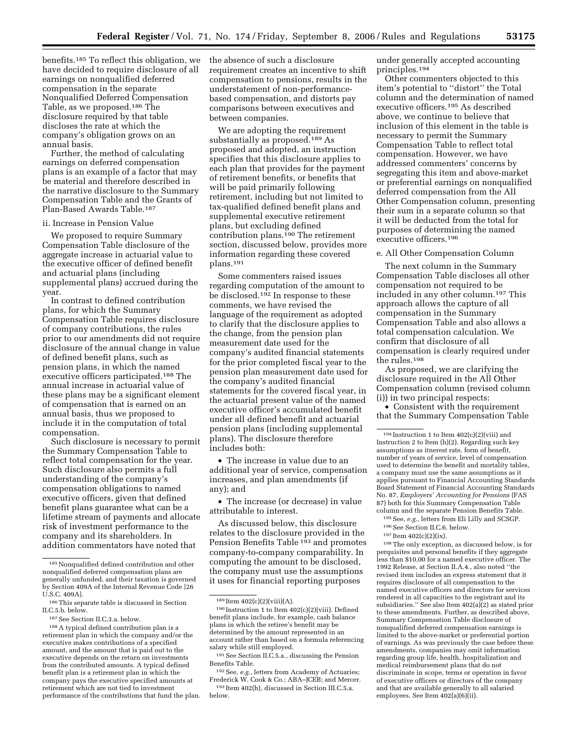benefits.185 To reflect this obligation, we have decided to require disclosure of all earnings on nonqualified deferred compensation in the separate Nonqualified Deferred Compensation Table, as we proposed.186 The disclosure required by that table discloses the rate at which the company's obligation grows on an annual basis.

Further, the method of calculating earnings on deferred compensation plans is an example of a factor that may be material and therefore described in the narrative disclosure to the Summary Compensation Table and the Grants of Plan-Based Awards Table.187

#### ii. Increase in Pension Value

We proposed to require Summary Compensation Table disclosure of the aggregate increase in actuarial value to the executive officer of defined benefit and actuarial plans (including supplemental plans) accrued during the year.

In contrast to defined contribution plans, for which the Summary Compensation Table requires disclosure of company contributions, the rules prior to our amendments did not require disclosure of the annual change in value of defined benefit plans, such as pension plans, in which the named executive officers participated.188 The annual increase in actuarial value of these plans may be a significant element of compensation that is earned on an annual basis, thus we proposed to include it in the computation of total compensation.

Such disclosure is necessary to permit the Summary Compensation Table to reflect total compensation for the year. Such disclosure also permits a full understanding of the company's compensation obligations to named executive officers, given that defined benefit plans guarantee what can be a lifetime stream of payments and allocate risk of investment performance to the company and its shareholders. In addition commentators have noted that

the absence of such a disclosure requirement creates an incentive to shift compensation to pensions, results in the understatement of non-performancebased compensation, and distorts pay comparisons between executives and between companies.

We are adopting the requirement substantially as proposed.<sup>189</sup> As proposed and adopted, an instruction specifies that this disclosure applies to each plan that provides for the payment of retirement benefits, or benefits that will be paid primarily following retirement, including but not limited to tax-qualified defined benefit plans and supplemental executive retirement plans, but excluding defined contribution plans.<sup>190</sup> The retirement section, discussed below, provides more information regarding these covered plans.191

Some commenters raised issues regarding computation of the amount to be disclosed.<sup>192</sup> In response to these comments, we have revised the language of the requirement as adopted to clarify that the disclosure applies to the change, from the pension plan measurement date used for the company's audited financial statements for the prior completed fiscal year to the pension plan measurement date used for the company's audited financial statements for the covered fiscal year, in the actuarial present value of the named executive officer's accumulated benefit under all defined benefit and actuarial pension plans (including supplemental plans). The disclosure therefore includes both:

• The increase in value due to an additional year of service, compensation increases, and plan amendments (if any); and

• The increase (or decrease) in value attributable to interest.

As discussed below, this disclosure relates to the disclosure provided in the Pension Benefits Table 193 and promotes company-to-company comparability. In computing the amount to be disclosed, the company must use the assumptions it uses for financial reporting purposes

192See, *e.g.,* letters from Academy of Actuaries; Frederick W. Cook & Co.; ABA–JCEB; and Mercer.

under generally accepted accounting principles.194

Other commenters objected to this item's potential to ''distort'' the Total column and the determination of named executive officers.195 As described above, we continue to believe that inclusion of this element in the table is necessary to permit the Summary Compensation Table to reflect total compensation. However, we have addressed commenters' concerns by segregating this item and above-market or preferential earnings on nonqualified deferred compensation from the All Other Compensation column, presenting their sum in a separate column so that it will be deducted from the total for purposes of determining the named executive officers.196

### e. All Other Compensation Column

The next column in the Summary Compensation Table discloses all other compensation not required to be included in any other column.197 This approach allows the capture of all compensation in the Summary Compensation Table and also allows a total compensation calculation. We confirm that disclosure of all compensation is clearly required under the rules.198

As proposed, we are clarifying the disclosure required in the All Other Compensation column (revised column (i)) in two principal respects:

• Consistent with the requirement that the Summary Compensation Table

198The only exception, as discussed below, is for perquisites and personal benefits if they aggregate less than \$10,00 for a named executive officer. The 1992 Release, at Section II.A.4., also noted ''the revised item includes an express statement that it requires disclosure of all compensation to the named executive officers and directors for services rendered in all capacities to the registrant and its subsidiaries.'' See also Item 402(a)(2) as stated prior to these amendments. Further, as described above, Summary Compensation Table disclosure of nonqualified deferred compensation earnings is limited to the above-market or preferential portion of earnings. As was previously the case before these amendments, companies may omit information regarding group life, health, hospitalization and medical reimbursement plans that do not discriminate in scope, terms or operation in favor of executive officers or directors of the company and that are available generally to all salaried employees. See Item 402(a)(6)(ii).

<sup>185</sup>Nonqualified defined contribution and other nonqualified deferred compensation plans are generally unfunded, and their taxation is governed by Section 409A of the Internal Revenue Code [26 U.S.C. 409A].

<sup>186</sup>This separate table is discussed in Section II.C.5.b. below.

<sup>187</sup>See Section II.C.3.a. below.

<sup>188</sup>A typical defined contribution plan is a retirement plan in which the company and/or the executive makes contributions of a specified amount, and the amount that is paid out to the executive depends on the return on investments from the contributed amounts. A typical defined benefit plan is a retirement plan in which the company pays the executive specified amounts at retirement which are not tied to investment performance of the contributions that fund the plan.

 $189$  Item  $402(c)(2)(viii)(A)$ .

<sup>190</sup> Instruction 1 to Item 402(c)(2)(viii). Defined benefit plans include, for example, cash balance plans in which the retiree's benefit may be determined by the amount represented in an account rather than based on a formula referencing salary while still employed.

<sup>191</sup>See Section II.C.5.a., discussing the Pension Benefits Table.

<sup>193</sup> Item 402(h), discussed in Section III.C.5.a. below.

 $194$  Instruction 1 to Item  $402(c)(2)(viii)$  and Instruction 2 to Item (h)(2). Regarding such key assumptions as itnerest rate, form of benefit, number of years of service, level of compensation used to determine the benefit and mortality tables, a company must use the same assumptions as it applies pursuant to Financial Accounting Standards Board Statement of Financial Accounting Standards No. 87, *Employers' Accounting for Pensions* (FAS 87) both for this Summary Compensation Table column and the separate Pension Benefits Table.

<sup>195</sup>See, *e.g.,* letters from Eli Lilly and SCSGP. 196See Section II.C.6. below.

<sup>197</sup> Item 402(c)(2)(ix).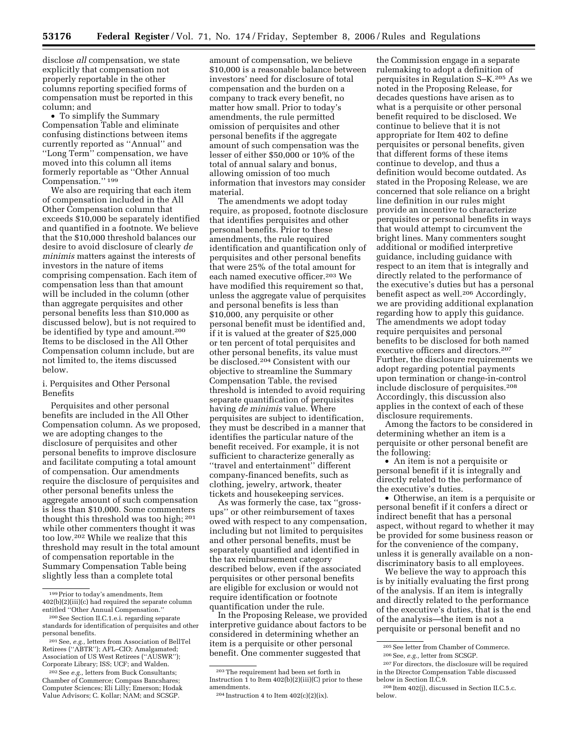disclose *all* compensation, we state explicitly that compensation not properly reportable in the other columns reporting specified forms of compensation must be reported in this column; and

• To simplify the Summary Compensation Table and eliminate confusing distinctions between items currently reported as ''Annual'' and ''Long Term'' compensation, we have moved into this column all items formerly reportable as ''Other Annual Compensation.'' 199

We also are requiring that each item of compensation included in the All Other Compensation column that exceeds \$10,000 be separately identified and quantified in a footnote. We believe that the \$10,000 threshold balances our desire to avoid disclosure of clearly *de minimis* matters against the interests of investors in the nature of items comprising compensation. Each item of compensation less than that amount will be included in the column (other than aggregate perquisites and other personal benefits less than \$10,000 as discussed below), but is not required to be identified by type and amount.<sup>200</sup> Items to be disclosed in the All Other Compensation column include, but are not limited to, the items discussed below.

i. Perquisites and Other Personal Benefits

Perquisites and other personal benefits are included in the All Other Compensation column. As we proposed, we are adopting changes to the disclosure of perquisites and other personal benefits to improve disclosure and facilitate computing a total amount of compensation. Our amendments require the disclosure of perquisites and other personal benefits unless the aggregate amount of such compensation is less than \$10,000. Some commenters thought this threshold was too high; 201 while other commenters thought it was too low.202 While we realize that this threshold may result in the total amount of compensation reportable in the Summary Compensation Table being slightly less than a complete total

amount of compensation, we believe \$10,000 is a reasonable balance between investors' need for disclosure of total compensation and the burden on a company to track every benefit, no matter how small. Prior to today's amendments, the rule permitted omission of perquisites and other personal benefits if the aggregate amount of such compensation was the lesser of either \$50,000 or 10% of the total of annual salary and bonus, allowing omission of too much information that investors may consider material.

The amendments we adopt today require, as proposed, footnote disclosure that identifies perquisites and other personal benefits. Prior to these amendments, the rule required identification and quantification only of perquisites and other personal benefits that were 25% of the total amount for each named executive officer.<sup>203</sup> We have modified this requirement so that, unless the aggregate value of perquisites and personal benefits is less than \$10,000, any perquisite or other personal benefit must be identified and, if it is valued at the greater of \$25,000 or ten percent of total perquisites and other personal benefits, its value must be disclosed.204 Consistent with our objective to streamline the Summary Compensation Table, the revised threshold is intended to avoid requiring separate quantification of perquisites having *de minimis* value. Where perquisites are subject to identification, they must be described in a manner that identifies the particular nature of the benefit received. For example, it is not sufficient to characterize generally as ''travel and entertainment'' different company-financed benefits, such as clothing, jewelry, artwork, theater tickets and housekeeping services.

As was formerly the case, tax ''grossups'' or other reimbursement of taxes owed with respect to any compensation, including but not limited to perquisites and other personal benefits, must be separately quantified and identified in the tax reimbursement category described below, even if the associated perquisites or other personal benefits are eligible for exclusion or would not require identification or footnote quantification under the rule.

In the Proposing Release, we provided interpretive guidance about factors to be considered in determining whether an item is a perquisite or other personal benefit. One commenter suggested that

the Commission engage in a separate rulemaking to adopt a definition of perquisites in Regulation S–K.205 As we noted in the Proposing Release, for decades questions have arisen as to what is a perquisite or other personal benefit required to be disclosed. We continue to believe that it is not appropriate for Item 402 to define perquisites or personal benefits, given that different forms of these items continue to develop, and thus a definition would become outdated. As stated in the Proposing Release, we are concerned that sole reliance on a bright line definition in our rules might provide an incentive to characterize perquisites or personal benefits in ways that would attempt to circumvent the bright lines. Many commenters sought additional or modified interpretive guidance, including guidance with respect to an item that is integrally and directly related to the performance of the executive's duties but has a personal benefit aspect as well.<sup>206</sup> Accordingly, we are providing additional explanation regarding how to apply this guidance. The amendments we adopt today require perquisites and personal benefits to be disclosed for both named executive officers and directors.207 Further, the disclosure requirements we adopt regarding potential payments upon termination or change-in-control include disclosure of perquisites.208 Accordingly, this discussion also applies in the context of each of these disclosure requirements.

Among the factors to be considered in determining whether an item is a perquisite or other personal benefit are the following:

• An item is not a perquisite or personal benefit if it is integrally and directly related to the performance of the executive's duties.

• Otherwise, an item is a perquisite or personal benefit if it confers a direct or indirect benefit that has a personal aspect, without regard to whether it may be provided for some business reason or for the convenience of the company, unless it is generally available on a nondiscriminatory basis to all employees.

We believe the way to approach this is by initially evaluating the first prong of the analysis. If an item is integrally and directly related to the performance of the executive's duties, that is the end of the analysis—the item is not a perquisite or personal benefit and no

<sup>199</sup>Prior to today's amendments, Item 402(b)(2)(iii)(c) had required the separate column entitled ''Other Annual Compensation.''

<sup>200</sup>See Section II.C.1.e.i. regarding separate standards for identification of perquisites and other personal benefits.

<sup>201</sup>See, *e.g.,* letters from Association of BellTel Retirees (''ABTR''); AFL–CIO; Amalgamated; Association of US West Retirees (''AUSWR''); Corporate Library; ISS; UCF; and Walden.

<sup>202</sup>See *e.g.,* letters from Buck Consultants; Chamber of Commerce; Compass Bancshares; Computer Sciences; Eli Lilly; Emerson; Hodak Value Advisors; C. Kollar; NAM; and SCSGP.

<sup>203</sup>The requirement had been set forth in Instruction 1 to Item 402(b)(2)(iii)(C) prior to these amendments.

 $204$  Instruction 4 to Item  $402(c)(2)(ix)$ .

<sup>205</sup>See letter from Chamber of Commerce. 206See, *e.g.,* letter from SCSGP.

<sup>207</sup>For directors, the disclosure will be required in the Director Compensation Table discussed below in Section II.C.9.

<sup>208</sup> Item 402(j), discussed in Section II.C.5.c. below.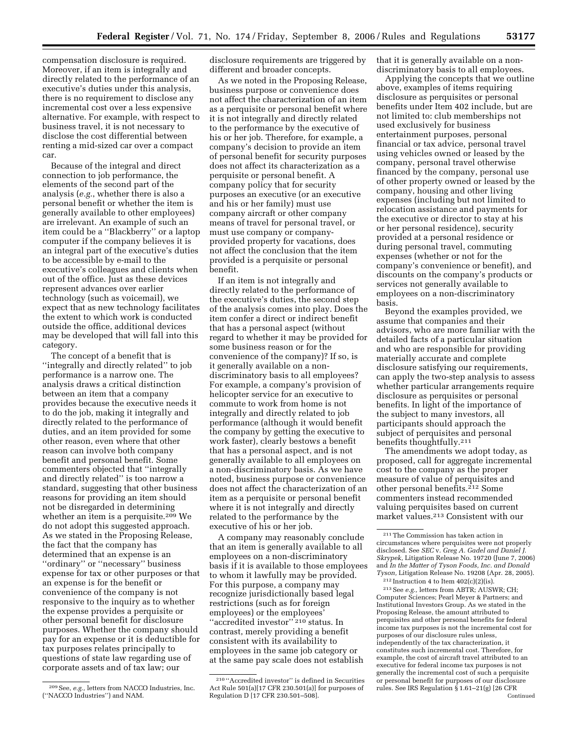compensation disclosure is required. Moreover, if an item is integrally and directly related to the performance of an executive's duties under this analysis, there is no requirement to disclose any incremental cost over a less expensive alternative. For example, with respect to business travel, it is not necessary to disclose the cost differential between renting a mid-sized car over a compact car.

Because of the integral and direct connection to job performance, the elements of the second part of the analysis (*e.g.*, whether there is also a personal benefit or whether the item is generally available to other employees) are irrelevant. An example of such an item could be a ''Blackberry'' or a laptop computer if the company believes it is an integral part of the executive's duties to be accessible by e-mail to the executive's colleagues and clients when out of the office. Just as these devices represent advances over earlier technology (such as voicemail), we expect that as new technology facilitates the extent to which work is conducted outside the office, additional devices may be developed that will fall into this category.

The concept of a benefit that is "integrally and directly related" to job performance is a narrow one. The analysis draws a critical distinction between an item that a company provides because the executive needs it to do the job, making it integrally and directly related to the performance of duties, and an item provided for some other reason, even where that other reason can involve both company benefit and personal benefit. Some commenters objected that ''integrally and directly related'' is too narrow a standard, suggesting that other business reasons for providing an item should not be disregarded in determining whether an item is a perquisite.<sup>209</sup> We do not adopt this suggested approach. As we stated in the Proposing Release, the fact that the company has determined that an expense is an ''ordinary'' or ''necessary'' business expense for tax or other purposes or that an expense is for the benefit or convenience of the company is not responsive to the inquiry as to whether the expense provides a perquisite or other personal benefit for disclosure purposes. Whether the company should pay for an expense or it is deductible for tax purposes relates principally to questions of state law regarding use of corporate assets and of tax law; our

disclosure requirements are triggered by different and broader concepts.

As we noted in the Proposing Release, business purpose or convenience does not affect the characterization of an item as a perquisite or personal benefit where it is not integrally and directly related to the performance by the executive of his or her job. Therefore, for example, a company's decision to provide an item of personal benefit for security purposes does not affect its characterization as a perquisite or personal benefit. A company policy that for security purposes an executive (or an executive and his or her family) must use company aircraft or other company means of travel for personal travel, or must use company or companyprovided property for vacations, does not affect the conclusion that the item provided is a perquisite or personal benefit.

If an item is not integrally and directly related to the performance of the executive's duties, the second step of the analysis comes into play. Does the item confer a direct or indirect benefit that has a personal aspect (without regard to whether it may be provided for some business reason or for the convenience of the company)? If so, is it generally available on a nondiscriminatory basis to all employees? For example, a company's provision of helicopter service for an executive to commute to work from home is not integrally and directly related to job performance (although it would benefit the company by getting the executive to work faster), clearly bestows a benefit that has a personal aspect, and is not generally available to all employees on a non-discriminatory basis. As we have noted, business purpose or convenience does not affect the characterization of an item as a perquisite or personal benefit where it is not integrally and directly related to the performance by the executive of his or her job.

A company may reasonably conclude that an item is generally available to all employees on a non-discriminatory basis if it is available to those employees to whom it lawfully may be provided. For this purpose, a company may recognize jurisdictionally based legal restrictions (such as for foreign employees) or the employees' "accredited investor"<sup>210</sup> status. In contrast, merely providing a benefit consistent with its availability to employees in the same job category or at the same pay scale does not establish

that it is generally available on a nondiscriminatory basis to all employees.

Applying the concepts that we outline above, examples of items requiring disclosure as perquisites or personal benefits under Item 402 include, but are not limited to: club memberships not used exclusively for business entertainment purposes, personal financial or tax advice, personal travel using vehicles owned or leased by the company, personal travel otherwise financed by the company, personal use of other property owned or leased by the company, housing and other living expenses (including but not limited to relocation assistance and payments for the executive or director to stay at his or her personal residence), security provided at a personal residence or during personal travel, commuting expenses (whether or not for the company's convenience or benefit), and discounts on the company's products or services not generally available to employees on a non-discriminatory basis.

Beyond the examples provided, we assume that companies and their advisors, who are more familiar with the detailed facts of a particular situation and who are responsible for providing materially accurate and complete disclosure satisfying our requirements, can apply the two-step analysis to assess whether particular arrangements require disclosure as perquisites or personal benefits. In light of the importance of the subject to many investors, all participants should approach the subject of perquisites and personal benefits thoughtfully.211

The amendments we adopt today, as proposed, call for aggregate incremental cost to the company as the proper measure of value of perquisites and other personal benefits.212 Some commenters instead recommended valuing perquisites based on current market values.213 Consistent with our

<sup>212</sup> Instruction 4 to Item  $402(c)(2)(is)$ .

213See *e.g.,* letters from ABTR; AUSWR; CH; Computer Sciences; Pearl Meyer & Partners; and Institutional Investors Group. As we stated in the Proposing Release, the amount attributed to perquisites and other personal benefits for federal income tax purposes is not the incremental cost for purposes of our disclosure rules unless, independently of the tax characterization, it constitutes such incremental cost. Therefore, for example, the cost of aircraft travel attributed to an executive for federal income tax purposes is not generally the incremental cost of such a perquisite or personal benefit for purposes of our disclosure rules. See IRS Regulation § 1.61–21(g) [26 CFR Continued

<sup>209</sup>See, *e.g.,* letters from NACCO Industries, Inc. (''NACCO Industries'') and NAM.

<sup>210</sup> ''Accredited investor'' is defined in Securities Act Rule 501(a)[17 CFR 230.501(a)] for purposes of Regulation D [17 CFR 230.501–508].

<sup>211</sup>The Commission has taken action in circumstances where perquisites were not properly disclosed. See *SEC* v. *Greg A. Gadel and Daniel J. Skrypek,* Litigation Release No. 19720 (June 7, 2006) and *In the Matter of Tyson Foods, Inc. and Donald Tyson,* Litigation Release No. 19208 (Apr. 28, 2005).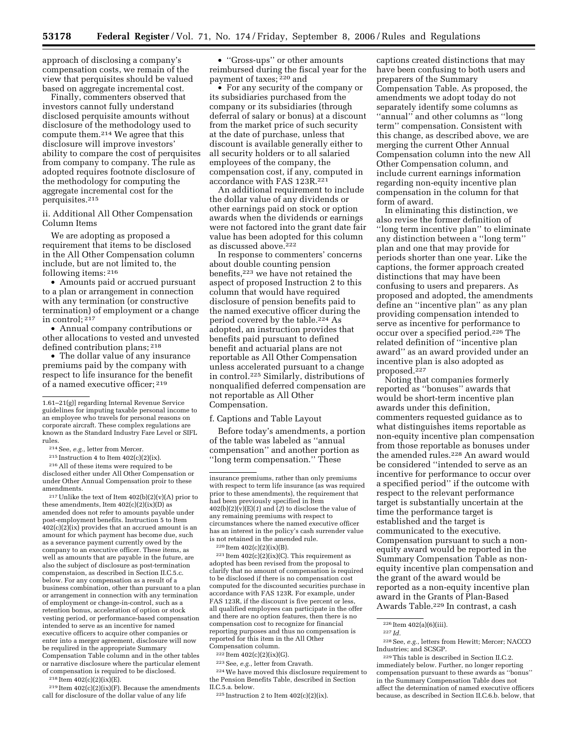approach of disclosing a company's compensation costs, we remain of the view that perquisites should be valued based on aggregate incremental cost.

Finally, commenters observed that investors cannot fully understand disclosed perquisite amounts without disclosure of the methodology used to compute them.214 We agree that this disclosure will improve investors' ability to compare the cost of perquisites from company to company. The rule as adopted requires footnote disclosure of the methodology for computing the aggregate incremental cost for the perquisites.215

ii. Additional All Other Compensation Column Items

We are adopting as proposed a requirement that items to be disclosed in the All Other Compensation column include, but are not limited to, the following items: 216

• Amounts paid or accrued pursuant to a plan or arrangement in connection with any termination (or constructive termination) of employment or a change in control; 217

• Annual company contributions or other allocations to vested and unvested defined contribution plans; 218

• The dollar value of any insurance premiums paid by the company with respect to life insurance for the benefit of a named executive officer; 219

214See, *e.g.,* letter from Mercer.

 $215$  Instruction 4 to Item  $402(c)(2)(ix)$ .

216All of these items were required to be disclosed either under All Other Compensation or under Other Annual Compensation proir to these amendments.

<sup>217</sup> Unlike the text of Item  $402(b)(2)(v)(A)$  prior to these amendments, Item  $402(c)(2)(ix)(D)$  as amended does not refer to amounts payable under post-employment benefits. Instruction 5 to Item  $402(c)(2)(ix)$  provides that an accrued amount is an amount for which payment has become due, such as a severance payment currently owed by the company to an executive officer. These items, as well as amounts that are payable in the future, are also the subject of disclosure as post-termination compenstaion, as described in Section II.C.5.c. below. For any compensation as a result of a business combination, other than pursuant to a plan or arrangement in connection with any termination of employment or change-in-control, such as a retention bonus, acceleration of option or stock vesting period, or performance-based compensation intended to serve as an incentive for named executive officers to acquire other companies or enter into a merger agreement, disclosure will now be requlired in the appropriate Summary Compensation Table column and in the other tables or narrative disclosure where the particular element of compensation is required to be disclosed.

218 Item 402(c)(2)(ix)(E).

 $219$  Item  $402(c)(2)(ix)(F)$ . Because the amendments call for disclosure of the dollar value of any life

• ''Gross-ups'' or other amounts reimbursed during the fiscal year for the payment of taxes; 220 and

• For any security of the company or its subsidiaries purchased from the company or its subsidiaries (through deferral of salary or bonus) at a discount from the market price of such security at the date of purchase, unless that discount is available generally either to all security holders or to all salaried employees of the company, the compensation cost, if any, computed in accordance with FAS 123R.<sup>221</sup>

An additional requirement to include the dollar value of any dividends or other earnings paid on stock or option awards when the dividends or earnings were not factored into the grant date fair value has been adopted for this column as discussed above.222

In response to commenters' concerns about double counting pension benefits,223 we have not retained the aspect of proposed Instruction 2 to this column that would have required disclosure of pension benefits paid to the named executive officer during the period covered by the table.224 As adopted, an instruction provides that benefits paid pursuant to defined benefit and actuarial plans are not reportable as All Other Compensation unless accelerated pursuant to a change in control.225 Similarly, distributions of nonqualified deferred compensation are not reportable as All Other Compensation.

# f. Captions and Table Layout

Before today's amendments, a portion of the table was labeled as ''annual compensation'' and another portion as ''long term compensation.'' These

220 Item 402(c)(2)(ix)(B).

 $221$  Item  $402(c)(2)(ix)(C)$ . This requirement as adopted has been revised from the proposal to clarify that no amount of compensation is required to be disclosed if there is no compensation cost computed for the discounted securities purchase in accordance with FAS 123R. For example, under FAS 123R, if the discount is five percent or less, all qualified employees can participate in the offer and there are no option features, then there is no compensation cost to recognize for financial reporting purposes and thus no compensation is reported for this item in the All Other Compensation column.

222 Item 402(c)(2)(ix)(G).

223See, *e.g.*, letter from Cravath.

224We have moved this disclosure requirement to the Pension Benefits Table, described in Section II.C.5.a. below.

captions created distinctions that may have been confusing to both users and preparers of the Summary Compensation Table. As proposed, the amendments we adopt today do not separately identify some columns as ''annual'' and other columns as ''long term'' compensation. Consistent with this change, as described above, we are merging the current Other Annual Compensation column into the new All Other Compensation column, and include current earnings information regarding non-equity incentive plan compensation in the column for that form of award.

In eliminating this distinction, we also revise the former definition of ''long term incentive plan'' to eliminate any distinction between a ''long term'' plan and one that may provide for periods shorter than one year. Like the captions, the former approach created distinctions that may have been confusing to users and preparers. As proposed and adopted, the amendments define an ''incentive plan'' as any plan providing compensation intended to serve as incentive for performance to occur over a specified period.226 The related definition of ''incentive plan award'' as an award provided under an incentive plan is also adopted as proposed.<sup>227</sup>

Noting that companies formerly reported as ''bonuses'' awards that would be short-term incentive plan awards under this definition, commenters requested guidance as to what distinguishes items reportable as non-equity incentive plan compensation from those reportable as bonuses under the amended rules.228 An award would be considered ''intended to serve as an incentive for performance to occur over a specified period'' if the outcome with respect to the relevant performance target is substantially uncertain at the time the performance target is established and the target is communicated to the executive. Compensation pursuant to such a nonequity award would be reported in the Summary Compensation Table as nonequity incentive plan compensation and the grant of the award would be reported as a non-equity incentive plan award in the Grants of Plan-Based Awards Table.229 In contrast, a cash

229This table is described in Section II.C.2. immediately below. Further, no longer reporting compensation pursuant to these awards as ''bonus'' in the Summary Compensation Table does not affect the determination of named executive officers because, as described in Section II.C.6.b. below, that

<sup>1.61–21(</sup>g)] regarding Internal Revenue Service guidelines for imputing taxable personal income to an employee who travels for personal reasons on corporate aircraft. These complex regulations are known as the Standard Industry Fare Level or SIFL rules.

insurance premiums, rather than only premiums with respect to term life insurance (as was required prior to these amendments), the requirement that had been previously specified in Item  $402(b)(2)(v)(E)(1)$  and (2) to disclose the value of any remaining premiums with respect to circumstances where the named executive officer has an interest in the policy's cash surrender value is not retained in the amended rule.

 $225$  Instruction 2 to Item  $402(c)(2)(ix)$ .

<sup>226</sup> Item 402(a)(6)(iii).

<sup>227</sup> *Id.* 

<sup>228</sup>See, *e.g.*, letters from Hewitt; Mercer; NACCO Industries; and SCSGP.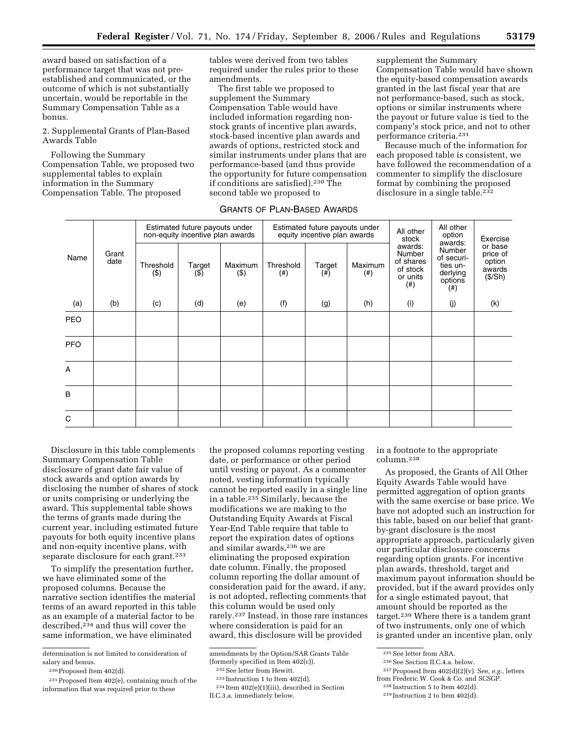award based on satisfaction of a performance target that was not preestablished and communicated, or the outcome of which is not substantially uncertain, would be reportable in the Summary Compensation Table as a bonus.

2. Supplemental Grants of Plan-Based Awards Table

Following the Summary Compensation Table, we proposed two supplemental tables to explain information in the Summary Compensation Table. The proposed

tables were derived from two tables required under the rules prior to these amendments.

The first table we proposed to supplement the Summary Compensation Table would have included information regarding nonstock grants of incentive plan awards, stock-based incentive plan awards and awards of options, restricted stock and similar instruments under plans that are performance-based (and thus provide the opportunity for future compensation if conditions are satisfied).230 The second table we proposed to

## GRANTS OF PLAN-BASED AWARDS

supplement the Summary Compensation Table would have shown the equity-based compensation awards granted in the last fiscal year that are not performance-based, such as stock, options or similar instruments where the payout or future value is tied to the company's stock price, and not to other performance criteria.231

Because much of the information for each proposed table is consistent, we have followed the recommendation of a commenter to simplify the disclosure format by combining the proposed disclosure in a single table.<sup>232</sup>

|                       |                    | Estimated future payouts under<br>non-equity incentive plan awards |                    |                   |                      | Estimated future payouts under<br>equity incentive plan awards |                                                                  | All other<br>stock                                                | All other<br>option<br>awards:                     | Exercise |
|-----------------------|--------------------|--------------------------------------------------------------------|--------------------|-------------------|----------------------|----------------------------------------------------------------|------------------------------------------------------------------|-------------------------------------------------------------------|----------------------------------------------------|----------|
| Grant<br>Name<br>date | Threshold<br>( \$) | Target<br>$($ \$)                                                  | Maximum<br>$($ \$) | Threshold<br>(# ) | Target<br>$(\sharp)$ | Maximum<br>$^{(+)}$                                            | awards:<br>Number<br>of shares<br>of stock<br>or units<br>$(\#)$ | Number<br>of securi-<br>ties un-<br>derlying<br>options<br>$(\#)$ | or base<br>price of<br>option<br>awards<br>(\$/Sh) |          |
| (a)                   | (b)                | (c)                                                                | (d)                | (e)               | (f)                  | (g)                                                            | (h)                                                              | (i)                                                               | (j)                                                | (k)      |
| <b>PEO</b>            |                    |                                                                    |                    |                   |                      |                                                                |                                                                  |                                                                   |                                                    |          |
| <b>PFO</b>            |                    |                                                                    |                    |                   |                      |                                                                |                                                                  |                                                                   |                                                    |          |
| Α                     |                    |                                                                    |                    |                   |                      |                                                                |                                                                  |                                                                   |                                                    |          |
| B                     |                    |                                                                    |                    |                   |                      |                                                                |                                                                  |                                                                   |                                                    |          |
| C                     |                    |                                                                    |                    |                   |                      |                                                                |                                                                  |                                                                   |                                                    |          |

Disclosure in this table complements Summary Compensation Table disclosure of grant date fair value of stock awards and option awards by disclosing the number of shares of stock or units comprising or underlying the award. This supplemental table shows the terms of grants made during the current year, including estimated future payouts for both equity incentive plans and non-equity incentive plans, with separate disclosure for each grant.<sup>233</sup>

To simplify the presentation further, we have eliminated some of the proposed columns. Because the narrative section identifies the material terms of an award reported in this table as an example of a material factor to be described,<sup>234</sup> and thus will cover the same information, we have eliminated

the proposed columns reporting vesting date, or performance or other period until vesting or payout. As a commenter noted, vesting information typically cannot be reported easily in a single line in a table.235 Similarly, because the modifications we are making to the Outstanding Equity Awards at Fiscal Year-End Table require that table to report the expiration dates of options and similar awards,236 we are eliminating the proposed expiration date column. Finally, the proposed column reporting the dollar amount of consideration paid for the award, if any, is not adopted, reflecting comments that this column would be used only rarely.237 Instead, in those rare instances where consideration is paid for an award, this disclosure will be provided

233 Instruction 1 to Item 402(d).

in a footnote to the appropriate column.238

As proposed, the Grants of All Other Equity Awards Table would have permitted aggregation of option grants with the same exercise or base price. We have not adopted such an instruction for this table, based on our belief that grantby-grant disclosure is the most appropriate approach, particularly given our particular disclosure concerns regarding option grants. For incentive plan awards, threshold, target and maximum payout information should be provided, but if the award provides only for a single estimated payout, that amount should be reported as the target.239 Where there is a tandem grant of two instruments, only one of which is granted under an incentive plan, only

determination is not limited to consideration of salary and bonus.

<sup>230</sup>Proposed Item 402(d).

<sup>231</sup>Proposed Item 402(e), containing much of the information that was required prior to these

amendments by the Option/SAR Grants Table (formerly specified in Item 402(c)).

<sup>232</sup>See letter from Hewitt.

<sup>234</sup> Item 402(e)(1)(iii), described in Section II.C.3.a. immediately below.

<sup>235</sup>See letter from ABA.

<sup>236</sup>See Section II.C.4.a. below.

<sup>237</sup>Proposed Item 402(d)(2)(v). See, *e.g.*, letters

from Frederic W. Cook & Co. and SCSGP.

 $238$  Instruction 5 to Item  $402(d)$ .

<sup>239</sup> Instruction 2 to Item 402(d).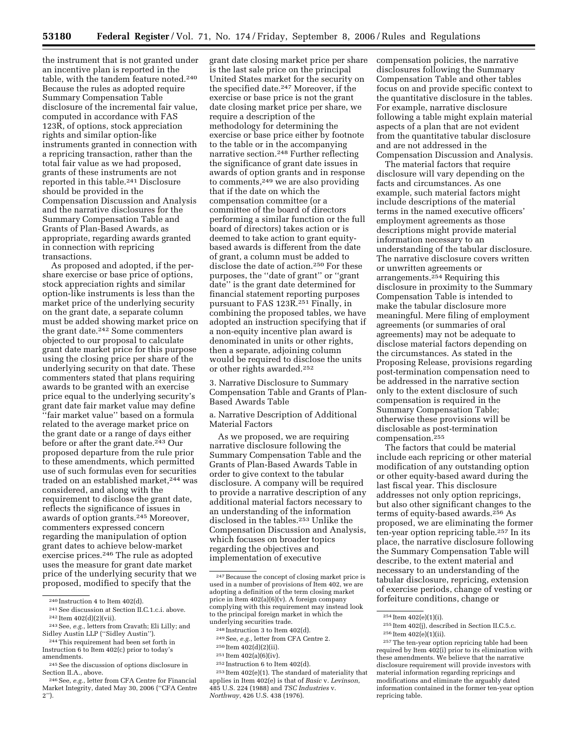the instrument that is not granted under an incentive plan is reported in the table, with the tandem feature noted.240 Because the rules as adopted require Summary Compensation Table disclosure of the incremental fair value, computed in accordance with FAS 123R, of options, stock appreciation rights and similar option-like instruments granted in connection with a repricing transaction, rather than the total fair value as we had proposed, grants of these instruments are not reported in this table.241 Disclosure should be provided in the Compensation Discussion and Analysis and the narrative disclosures for the Summary Compensation Table and Grants of Plan-Based Awards, as appropriate, regarding awards granted in connection with repricing transactions.

As proposed and adopted, if the pershare exercise or base price of options, stock appreciation rights and similar option-like instruments is less than the market price of the underlying security on the grant date, a separate column must be added showing market price on the grant date.242 Some commenters objected to our proposal to calculate grant date market price for this purpose using the closing price per share of the underlying security on that date. These commenters stated that plans requiring awards to be granted with an exercise price equal to the underlying security's grant date fair market value may define ''fair market value'' based on a formula related to the average market price on the grant date or a range of days either before or after the grant date.<sup>243</sup> Our proposed departure from the rule prior to these amendments, which permitted use of such formulas even for securities traded on an established market,244 was considered, and along with the requirement to disclose the grant date, reflects the significance of issues in awards of option grants.245 Moreover, commenters expressed concern regarding the manipulation of option grant dates to achieve below-market exercise prices.246 The rule as adopted uses the measure for grant date market price of the underlying security that we proposed, modified to specify that the

<sup>244</sup> This requirement had been set forth in Instruction 6 to Item 402(c) prior to today's

grant date closing market price per share is the last sale price on the principal United States market for the security on the specified date.247 Moreover, if the exercise or base price is not the grant date closing market price per share, we require a description of the methodology for determining the exercise or base price either by footnote to the table or in the accompanying narrative section.248 Further reflecting the significance of grant date issues in awards of option grants and in response to comments,249 we are also providing that if the date on which the compensation committee (or a committee of the board of directors performing a similar function or the full board of directors) takes action or is deemed to take action to grant equitybased awards is different from the date of grant, a column must be added to disclose the date of action.250 For these purposes, the ''date of grant'' or ''grant date'' is the grant date determined for financial statement reporting purposes pursuant to FAS 123R.251 Finally, in combining the proposed tables, we have adopted an instruction specifying that if a non-equity incentive plan award is denominated in units or other rights, then a separate, adjoining column would be required to disclose the units or other rights awarded.252

3. Narrative Disclosure to Summary Compensation Table and Grants of Plan-Based Awards Table

a. Narrative Description of Additional Material Factors

As we proposed, we are requiring narrative disclosure following the Summary Compensation Table and the Grants of Plan-Based Awards Table in order to give context to the tabular disclosure. A company will be required to provide a narrative description of any additional material factors necessary to an understanding of the information disclosed in the tables.253 Unlike the Compensation Discussion and Analysis, which focuses on broader topics regarding the objectives and implementation of executive

- 250 Item 402(d)(2)(ii).
- 251 Item 402(a)(6)(iv).
- 252 Instruction 6 to Item 402(d).

253 Item 402(e)(1). The standard of materiality that applies in Item 402(e) is that of *Basic* v. *Levinson*, 485 U.S. 224 (1988) and *TSC Industries* v. *Northway*, 426 U.S. 438 (1976).

compensation policies, the narrative disclosures following the Summary Compensation Table and other tables focus on and provide specific context to the quantitative disclosure in the tables. For example, narrative disclosure following a table might explain material aspects of a plan that are not evident from the quantitative tabular disclosure and are not addressed in the Compensation Discussion and Analysis.

The material factors that require disclosure will vary depending on the facts and circumstances. As one example, such material factors might include descriptions of the material terms in the named executive officers' employment agreements as those descriptions might provide material information necessary to an understanding of the tabular disclosure. The narrative disclosure covers written or unwritten agreements or arrangements.<sup>254</sup> Requiring this disclosure in proximity to the Summary Compensation Table is intended to make the tabular disclosure more meaningful. Mere filing of employment agreements (or summaries of oral agreements) may not be adequate to disclose material factors depending on the circumstances. As stated in the Proposing Release, provisions regarding post-termination compensation need to be addressed in the narrative section only to the extent disclosure of such compensation is required in the Summary Compensation Table; otherwise these provisions will be disclosable as post-termination compensation.255

The factors that could be material include each repricing or other material modification of any outstanding option or other equity-based award during the last fiscal year. This disclosure addresses not only option repricings, but also other significant changes to the terms of equity-based awards.256 As proposed, we are eliminating the former ten-year option repricing table.257 In its place, the narrative disclosure following the Summary Compensation Table will describe, to the extent material and necessary to an understanding of the tabular disclosure, repricing, extension of exercise periods, change of vesting or forfeiture conditions, change or

- 255 Item 402(j), described in Section II.C.5.c.
- $256$  Item  $402(e)(1)(ii)$ .

257The ten-year option repricing table had been required by Item 402(i) prior to its elimination with these amendments. We believe that the narrative disclosure requirement will provide investors with material information regarding repricings and modifications and eliminate the arguably dated information contained in the former ten-year option repricing table.

<sup>&</sup>lt;sup>240</sup> Instruction 4 to Item 402(d).<br><sup>241</sup> See discussion at Section II.C.1.c.i. above.<br><sup>242</sup> Item 402(d)(2)(vii).<br><sup>243</sup> See, *e.g.*, letters from Cravath; Eli Lilly; and<br>Sidley Austin LLP ("Sidley Austin").

amendments.<br><sup>245</sup> See the discussion of options disclosure in

Section II.A., above.<br><sup>246</sup> See, *e.g.*, letter from CFA Centre for Financial Market Integrity, dated May 30, 2006 (''CFA Centre  $2'$ <sup>''</sup>).

<sup>247</sup>Because the concept of closing market price is used in a number of provisions of Item 402, we are adopting a definition of the term closing market price in Item 402(a)(6)(v). A foreign company complying with this requirement may instead look to the principal foreign market in which the underlying securities trade.

<sup>248</sup> Instruction 3 to Item 402(d).

<sup>249</sup>See, *e.g.*, letter from CFA Centre 2.

<sup>254</sup> Item 402(e)(1)(i).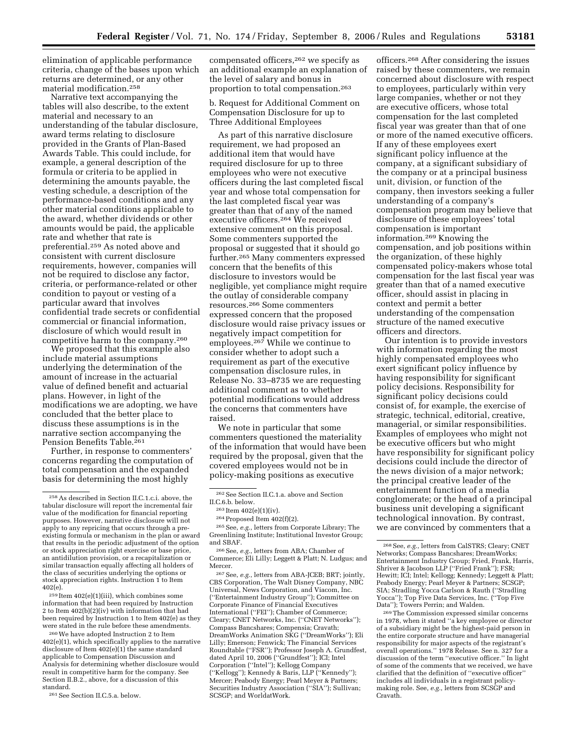elimination of applicable performance criteria, change of the bases upon which returns are determined, or any other material modification.258

Narrative text accompanying the tables will also describe, to the extent material and necessary to an understanding of the tabular disclosure, award terms relating to disclosure provided in the Grants of Plan-Based Awards Table. This could include, for example, a general description of the formula or criteria to be applied in determining the amounts payable, the vesting schedule, a description of the performance-based conditions and any other material conditions applicable to the award, whether dividends or other amounts would be paid, the applicable rate and whether that rate is preferential.259 As noted above and consistent with current disclosure requirements, however, companies will not be required to disclose any factor, criteria, or performance-related or other condition to payout or vesting of a particular award that involves confidential trade secrets or confidential commercial or financial information, disclosure of which would result in competitive harm to the company.260

We proposed that this example also include material assumptions underlying the determination of the amount of increase in the actuarial value of defined benefit and actuarial plans. However, in light of the modifications we are adopting, we have concluded that the better place to discuss these assumptions is in the narrative section accompanying the Pension Benefits Table.<sup>261</sup>

Further, in response to commenters' concerns regarding the computation of total compensation and the expanded basis for determining the most highly

259 Item 402(e)(1)(iii), which combines some information that had been required by Instruction 2 to Item 402(b)(2)(iv) with information that had been required by Instruction 1 to Item 402(e) as they were stated in the rule before these amendments.

260We have adopted Instruction 2 to Item 402(e)(1), which specifically applies to the narrative disclosure of Item 402(e)(1) the same standard applicable to Compensation Discussion and Analysis for determining whether disclosure would result in competitive harm for the company. See Section II.B.2., above, for a discussion of this standard.

261See Section II.C.5.a. below.

compensated officers,262 we specify as an additional example an explanation of the level of salary and bonus in proportion to total compensation.263

b. Request for Additional Comment on Compensation Disclosure for up to Three Additional Employees

As part of this narrative disclosure requirement, we had proposed an additional item that would have required disclosure for up to three employees who were not executive officers during the last completed fiscal year and whose total compensation for the last completed fiscal year was greater than that of any of the named executive officers.264 We received extensive comment on this proposal. Some commenters supported the proposal or suggested that it should go further.265 Many commenters expressed concern that the benefits of this disclosure to investors would be negligible, yet compliance might require the outlay of considerable company resources.266 Some commenters expressed concern that the proposed disclosure would raise privacy issues or negatively impact competition for employees.267 While we continue to consider whether to adopt such a requirement as part of the executive compensation disclosure rules, in Release No. 33–8735 we are requesting additional comment as to whether potential modifications would address the concerns that commenters have raised.

We note in particular that some commenters questioned the materiality of the information that would have been required by the proposal, given that the covered employees would not be in policy-making positions as executive

 $264$  Proposed Item  $402(f)(2)$ .

265See, *e.g.*, letters from Corporate Library; The Greenlining Institute; Institutional Investor Group; and SBAF.

266See, *e.g.*, letters from ABA; Chamber of Commerce; Eli Lilly; Leggett & Platt; N. Ludgus; and Mercer.

267See, *e.g.*, letters from ABA-JCEB; BRT; jointly, CBS Corporation, The Walt Disney Company, NBC Universal, News Corporation, and Viacom, Inc. (''Entertainment Industry Group''); Committee on Corporate Finance of Financial Executives International (''FEI''); Chamber of Commerce; Cleary; CNET Networks, Inc. (''CNET Networks''); Compass Bancshares; Compensia; Cravath; DreamWorks Animation SKG (''DreamWorks''); Eli Lilly; Emerson; Fenwick; The Financial Services Roundtable (''FSR''); Professor Joseph A. Grundfest, dated April 10, 2006 (''Grundfest''); ICI; Intel Corporation (''Intel''); Kellogg Company (''Kellogg''); Kennedy & Baris, LLP (''Kennedy''); Mercer; Peabody Energy; Pearl Meyer & Partners; Securities Industry Association (''SIA''); Sullivan; SCSGP; and WorldatWork.

officers.268 After considering the issues raised by these commenters, we remain concerned about disclosure with respect to employees, particularly within very large companies, whether or not they are executive officers, whose total compensation for the last completed fiscal year was greater than that of one or more of the named executive officers. If any of these employees exert significant policy influence at the company, at a significant subsidiary of the company or at a principal business unit, division, or function of the company, then investors seeking a fuller understanding of a company's compensation program may believe that disclosure of these employees' total compensation is important information.269 Knowing the compensation, and job positions within the organization, of these highly compensated policy-makers whose total compensation for the last fiscal year was greater than that of a named executive officer, should assist in placing in context and permit a better understanding of the compensation structure of the named executive officers and directors.

Our intention is to provide investors with information regarding the most highly compensated employees who exert significant policy influence by having responsibility for significant policy decisions. Responsibility for significant policy decisions could consist of, for example, the exercise of strategic, technical, editorial, creative, managerial, or similar responsibilities. Examples of employees who might not be executive officers but who might have responsibility for significant policy decisions could include the director of the news division of a major network; the principal creative leader of the entertainment function of a media conglomerate; or the head of a principal business unit developing a significant technological innovation. By contrast, we are convinced by commenters that a

269The Commission expressed similar concerns in 1978, when it stated ''a key employee or director of a subsidiary might be the highest-paid person in the entire corporate structure and have managerial responsibility for major aspects of the registrant's overall operations.'' 1978 Release. See n. 327 for a discussion of the term ''executive officer.'' In light of some of the comments that we received, we have clarified that the definition of ''executive officer'' includes all individuals in a registrant policymaking role. See, *e.g.*, letters from SCSGP and Cravath.

<sup>258</sup>As described in Section II.C.1.c.i. above, the tabular disclosure will report the incremental fair value of the modification for financial reporting purposes. However, narrative disclosure will not apply to any repricing that occurs through a preexisting formula or mechanism in the plan or award that results in the periodic adjustment of the option or stock appreciation right exercise or base price, an antidilution provision, or a recapitalization or similar transaction equally affecting all holders of the class of securities underlying the options or stock appreciation rights. Instruction 1 to Item 402(e).

<sup>262</sup>See Section II.C.1.a. above and Section II.C.6.b. below.

<sup>263</sup> Item 402(e)(1)(iv).

<sup>268</sup>See, *e.g.*, letters from CalSTRS; Cleary; CNET Networks; Compass Bancshares; DreamWorks; Entertainment Industry Group; Fried, Frank, Harris, Shriver & Jacobson LLP (''Fried Frank''); FSR; Hewitt; ICI; Intel; Kellogg; Kennedy; Leggett & Platt; Peabody Energy; Pearl Meyer & Partners; SCSGP; SIA; Stradling Yocca Carlson & Rauth (''Stradling Yocca''); Top Five Data Services, Inc. (''Top Five Data''); Towers Perrin; and Walden.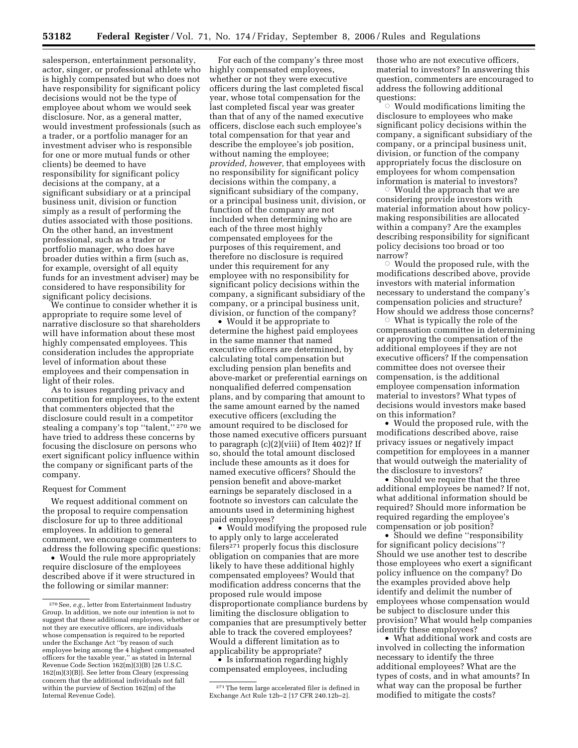salesperson, entertainment personality, actor, singer, or professional athlete who is highly compensated but who does not have responsibility for significant policy decisions would not be the type of employee about whom we would seek disclosure. Nor, as a general matter, would investment professionals (such as a trader, or a portfolio manager for an investment adviser who is responsible for one or more mutual funds or other clients) be deemed to have responsibility for significant policy decisions at the company, at a significant subsidiary or at a principal business unit, division or function simply as a result of performing the duties associated with those positions. On the other hand, an investment professional, such as a trader or portfolio manager, who does have broader duties within a firm (such as, for example, oversight of all equity funds for an investment adviser) may be considered to have responsibility for significant policy decisions.

We continue to consider whether it is appropriate to require some level of narrative disclosure so that shareholders will have information about these most highly compensated employees. This consideration includes the appropriate level of information about these employees and their compensation in light of their roles.

As to issues regarding privacy and competition for employees, to the extent that commenters objected that the disclosure could result in a competitor stealing a company's top "talent,"<sup>270</sup> we have tried to address these concerns by focusing the disclosure on persons who exert significant policy influence within the company or significant parts of the company.

#### Request for Comment

We request additional comment on the proposal to require compensation disclosure for up to three additional employees. In addition to general comment, we encourage commenters to address the following specific questions:

• Would the rule more appropriately require disclosure of the employees described above if it were structured in the following or similar manner:

For each of the company's three most highly compensated employees, whether or not they were executive officers during the last completed fiscal year, whose total compensation for the last completed fiscal year was greater than that of any of the named executive officers, disclose each such employee's total compensation for that year and describe the employee's job position, without naming the employee; *provided, however,* that employees with no responsibility for significant policy decisions within the company, a significant subsidiary of the company, or a principal business unit, division, or function of the company are not included when determining who are each of the three most highly compensated employees for the purposes of this requirement, and therefore no disclosure is required under this requirement for any employee with no responsibility for significant policy decisions within the company, a significant subsidiary of the company, or a principal business unit, division, or function of the company?

• Would it be appropriate to determine the highest paid employees in the same manner that named executive officers are determined, by calculating total compensation but excluding pension plan benefits and above-market or preferential earnings on nonqualified deferred compensation plans, and by comparing that amount to the same amount earned by the named executive officers (excluding the amount required to be disclosed for those named executive officers pursuant to paragraph (c)(2)(viii) of Item 402)? If so, should the total amount disclosed include these amounts as it does for named executive officers? Should the pension benefit and above-market earnings be separately disclosed in a footnote so investors can calculate the amounts used in determining highest paid employees?

• Would modifying the proposed rule to apply only to large accelerated filers271 properly focus this disclosure obligation on companies that are more likely to have these additional highly compensated employees? Would that modification address concerns that the proposed rule would impose disproportionate compliance burdens by limiting the disclosure obligation to companies that are presumptively better able to track the covered employees? Would a different limitation as to applicability be appropriate?

• Is information regarding highly compensated employees, including

those who are not executive officers, material to investors? In answering this question, commenters are encouraged to address the following additional questions:

 $\circ$  Would modifications limiting the disclosure to employees who make significant policy decisions within the company, a significant subsidiary of the company, or a principal business unit, division, or function of the company appropriately focus the disclosure on employees for whom compensation information is material to investors?

 $\circ$  Would the approach that we are considering provide investors with material information about how policymaking responsibilities are allocated within a company? Are the examples describing responsibility for significant policy decisions too broad or too narrow?

 $\circ$  Would the proposed rule, with the modifications described above, provide investors with material information necessary to understand the company's compensation policies and structure? How should we address those concerns?

 $\circ$  What is typically the role of the compensation committee in determining or approving the compensation of the additional employees if they are not executive officers? If the compensation committee does not oversee their compensation, is the additional employee compensation information material to investors? What types of decisions would investors make based on this information?

• Would the proposed rule, with the modifications described above, raise privacy issues or negatively impact competition for employees in a manner that would outweigh the materiality of the disclosure to investors?

• Should we require that the three additional employees be named? If not, what additional information should be required? Should more information be required regarding the employee's compensation or job position?

• Should we define "responsibility" for significant policy decisions''? Should we use another test to describe those employees who exert a significant policy influence on the company? Do the examples provided above help identify and delimit the number of employees whose compensation would be subject to disclosure under this provision? What would help companies identify these employees?

• What additional work and costs are involved in collecting the information necessary to identify the three additional employees? What are the types of costs, and in what amounts? In what way can the proposal be further modified to mitigate the costs?

<sup>270</sup>See, *e.g.*, letter from Entertainment Industry Group. In addition, we note our intention is not to suggest that these additional employees, whether or not they are executive officers, are individuals whose compensation is required to be reported under the Exchange Act ''by reason of such employee being among the 4 highest compensated officers for the taxable year,'' as stated in Internal Revenue Code Section 162(m)(3)(B) [26 U.S.C. 162(m)(3)(B)]. See letter from Cleary (expressing concern that the additional individuals not fall within the purview of Section 162(m) of the Internal Revenue Code).

<sup>271</sup>The term large accelerated filer is defined in Exchange Act Rule 12b–2 [17 CFR 240.12b–2].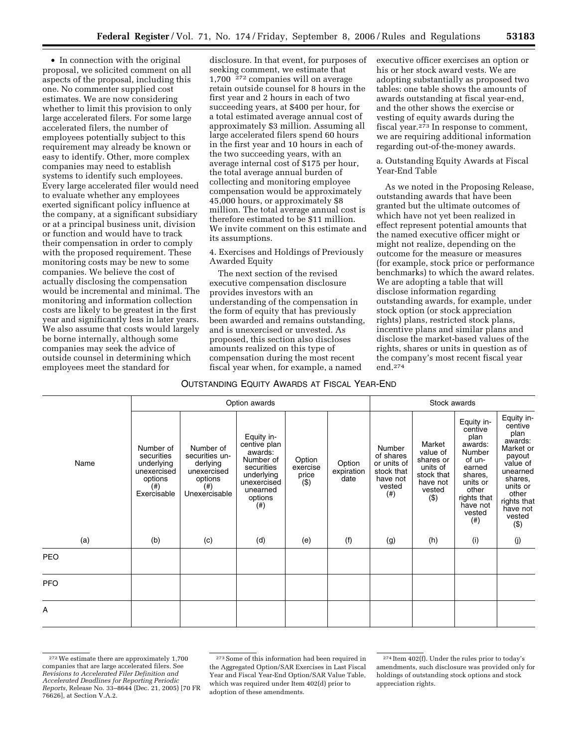• In connection with the original proposal, we solicited comment on all aspects of the proposal, including this one. No commenter supplied cost estimates. We are now considering whether to limit this provision to only large accelerated filers. For some large accelerated filers, the number of employees potentially subject to this requirement may already be known or easy to identify. Other, more complex companies may need to establish systems to identify such employees. Every large accelerated filer would need to evaluate whether any employees exerted significant policy influence at the company, at a significant subsidiary or at a principal business unit, division or function and would have to track their compensation in order to comply with the proposed requirement. These monitoring costs may be new to some companies. We believe the cost of actually disclosing the compensation would be incremental and minimal. The monitoring and information collection costs are likely to be greatest in the first year and significantly less in later years. We also assume that costs would largely be borne internally, although some companies may seek the advice of outside counsel in determining which employees meet the standard for

disclosure. In that event, for purposes of seeking comment, we estimate that 1,700 272 companies will on average retain outside counsel for 8 hours in the first year and 2 hours in each of two succeeding years, at \$400 per hour, for a total estimated average annual cost of approximately \$3 million. Assuming all large accelerated filers spend 60 hours in the first year and 10 hours in each of the two succeeding years, with an average internal cost of \$175 per hour, the total average annual burden of collecting and monitoring employee compensation would be approximately 45,000 hours, or approximately \$8 million. The total average annual cost is therefore estimated to be \$11 million. We invite comment on this estimate and its assumptions.

4. Exercises and Holdings of Previously Awarded Equity

The next section of the revised executive compensation disclosure provides investors with an understanding of the compensation in the form of equity that has previously been awarded and remains outstanding, and is unexercised or unvested. As proposed, this section also discloses amounts realized on this type of compensation during the most recent fiscal year when, for example, a named

#### OUTSTANDING EQUITY AWARDS AT FISCAL YEAR-END

executive officer exercises an option or his or her stock award vests. We are adopting substantially as proposed two tables: one table shows the amounts of awards outstanding at fiscal year-end, and the other shows the exercise or vesting of equity awards during the fiscal year.273 In response to comment, we are requiring additional information regarding out-of-the-money awards.

a. Outstanding Equity Awards at Fiscal Year-End Table

As we noted in the Proposing Release, outstanding awards that have been granted but the ultimate outcomes of which have not yet been realized in effect represent potential amounts that the named executive officer might or might not realize, depending on the outcome for the measure or measures (for example, stock price or performance benchmarks) to which the award relates. We are adopting a table that will disclose information regarding outstanding awards, for example, under stock option (or stock appreciation rights) plans, restricted stock plans, incentive plans and similar plans and disclose the market-based values of the rights, shares or units in question as of the company's most recent fiscal year end.274

|            |                                                                                             | Option awards                                                                                  |                                                                                                                                  |                                    |                              |                                                                                |                                                                                            | Stock awards                                                                                                                                             |                                                                                                                                                                         |  |  |
|------------|---------------------------------------------------------------------------------------------|------------------------------------------------------------------------------------------------|----------------------------------------------------------------------------------------------------------------------------------|------------------------------------|------------------------------|--------------------------------------------------------------------------------|--------------------------------------------------------------------------------------------|----------------------------------------------------------------------------------------------------------------------------------------------------------|-------------------------------------------------------------------------------------------------------------------------------------------------------------------------|--|--|
| Name       | Number of<br>securities<br>underlying<br>unexercised<br>options<br>$($ # $)$<br>Exercisable | Number of<br>securities un-<br>derlying<br>unexercised<br>options<br>$^{(+)}$<br>Unexercisable | Equity in-<br>centive plan<br>awards:<br>Number of<br>securities<br>underlying<br>unexercised<br>unearned<br>options<br>$^{(+)}$ | Option<br>exercise<br>price<br>(3) | Option<br>expiration<br>date | Number<br>of shares<br>or units of<br>stock that<br>have not<br>vested<br>(# ) | Market<br>value of<br>shares or<br>units of<br>stock that<br>have not<br>vested<br>$($ \$) | Equity in-<br>centive<br>plan<br>awards:<br>Number<br>of un-<br>earned<br>shares,<br>units or<br>other<br>rights that<br>have not<br>vested<br>$($ # $)$ | Equity in-<br>centive<br>plan<br>awards:<br>Market or<br>payout<br>value of<br>unearned<br>shares,<br>units or<br>other<br>rights that<br>have not<br>vested<br>$($ \$) |  |  |
| (a)        | (b)                                                                                         | (c)                                                                                            | (d)                                                                                                                              | (e)                                | (f)                          | (g)                                                                            | (h)                                                                                        | (i)                                                                                                                                                      | (j)                                                                                                                                                                     |  |  |
| <b>PEO</b> |                                                                                             |                                                                                                |                                                                                                                                  |                                    |                              |                                                                                |                                                                                            |                                                                                                                                                          |                                                                                                                                                                         |  |  |
| <b>PFO</b> |                                                                                             |                                                                                                |                                                                                                                                  |                                    |                              |                                                                                |                                                                                            |                                                                                                                                                          |                                                                                                                                                                         |  |  |
| Α          |                                                                                             |                                                                                                |                                                                                                                                  |                                    |                              |                                                                                |                                                                                            |                                                                                                                                                          |                                                                                                                                                                         |  |  |

<sup>272</sup>We estimate there are approximately 1,700 companies that are large accelerated filers. See *Revisions to Accelerated Filer Definition and Accelerated Deadlines for Reporting Periodic Reports,* Release No. 33–8644 (Dec. 21, 2005) [70 FR 76626], at Section V.A.2.

<sup>273</sup>Some of this information had been required in the Aggregated Option/SAR Exercises in Last Fiscal Year and Fiscal Year-End Option/SAR Value Table, which was required under Item 402(d) prior to adoption of these amendments.

<sup>274</sup> Item 402(f). Under the rules prior to today's amendments, such disclosure was provided only for holdings of outstanding stock options and stock appreciation rights.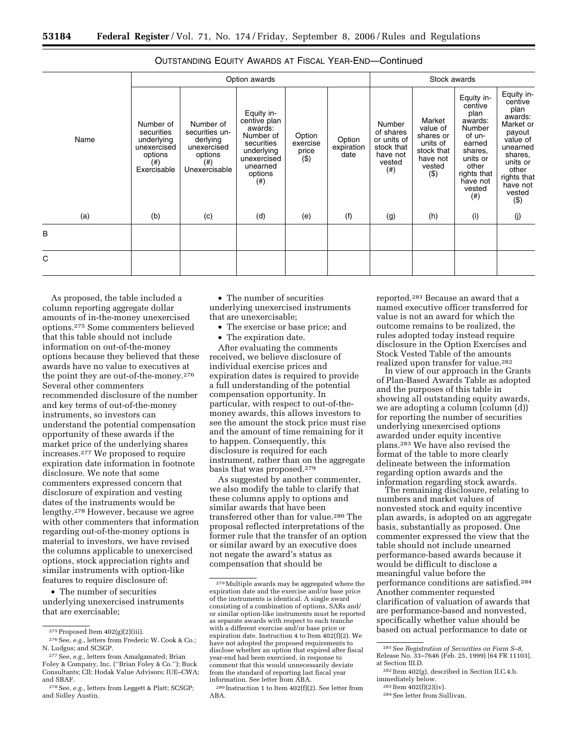|      |                                                                                        |                                                                                                | Option awards                                                                                                                    | Stock awards                           |                              |                                                                                |                                                                                            |                                                                                                                                                     |                                                                                                                                                                         |
|------|----------------------------------------------------------------------------------------|------------------------------------------------------------------------------------------------|----------------------------------------------------------------------------------------------------------------------------------|----------------------------------------|------------------------------|--------------------------------------------------------------------------------|--------------------------------------------------------------------------------------------|-----------------------------------------------------------------------------------------------------------------------------------------------------|-------------------------------------------------------------------------------------------------------------------------------------------------------------------------|
| Name | Number of<br>securities<br>underlying<br>unexercised<br>options<br>(# )<br>Exercisable | Number of<br>securities un-<br>derlying<br>unexercised<br>options<br>$^{(+)}$<br>Unexercisable | Equity in-<br>centive plan<br>awards:<br>Number of<br>securities<br>underlying<br>unexercised<br>unearned<br>options<br>$^{(#)}$ | Option<br>exercise<br>price<br>$($ \$) | Option<br>expiration<br>date | Number<br>of shares<br>or units of<br>stock that<br>have not<br>vested<br>(# ) | Market<br>value of<br>shares or<br>units of<br>stock that<br>have not<br>vested<br>$($ \$) | Equity in-<br>centive<br>plan<br>awards:<br>Number<br>of un-<br>earned<br>shares,<br>units or<br>other<br>rights that<br>have not<br>vested<br>(# ) | Equity in-<br>centive<br>plan<br>awards:<br>Market or<br>payout<br>value of<br>unearned<br>shares,<br>units or<br>other<br>rights that<br>have not<br>vested<br>$($ \$) |
| (a)  | (b)                                                                                    | (c)                                                                                            | (d)                                                                                                                              | (e)                                    | (f)                          | (g)                                                                            | (h)                                                                                        | (i)                                                                                                                                                 | (j)                                                                                                                                                                     |
| B    |                                                                                        |                                                                                                |                                                                                                                                  |                                        |                              |                                                                                |                                                                                            |                                                                                                                                                     |                                                                                                                                                                         |
| С    |                                                                                        |                                                                                                |                                                                                                                                  |                                        |                              |                                                                                |                                                                                            |                                                                                                                                                     |                                                                                                                                                                         |

OUTSTANDING EQUITY AWARDS AT FISCAL YEAR-END—Continued

As proposed, the table included a column reporting aggregate dollar amounts of in-the-money unexercised options.275 Some commenters believed that this table should not include information on out-of-the-money options because they believed that these awards have no value to executives at the point they are out-of-the-money.276 Several other commenters recommended disclosure of the number and key terms of out-of-the-money instruments, so investors can understand the potential compensation opportunity of these awards if the market price of the underlying shares increases.277 We proposed to require expiration date information in footnote disclosure. We note that some commenters expressed concern that disclosure of expiration and vesting dates of the instruments would be lengthy.278 However, because we agree with other commenters that information regarding out-of-the-money options is material to investors, we have revised the columns applicable to unexercised options, stock appreciation rights and similar instruments with option-like features to require disclosure of:

• The number of securities underlying unexercised instruments that are exercisable;

• The number of securities underlying unexercised instruments that are unexercisable;

- The exercise or base price; and
- The expiration date.

After evaluating the comments received, we believe disclosure of individual exercise prices and expiration dates is required to provide a full understanding of the potential compensation opportunity. In particular, with respect to out-of-themoney awards, this allows investors to see the amount the stock price must rise and the amount of time remaining for it to happen. Consequently, this disclosure is required for each instrument, rather than on the aggregate basis that was proposed.279

As suggested by another commenter, we also modify the table to clarify that these columns apply to options and similar awards that have been transferred other than for value.280 The proposal reflected interpretations of the former rule that the transfer of an option or similar award by an executive does not negate the award's status as compensation that should be

reported.281 Because an award that a named executive officer transferred for value is not an award for which the outcome remains to be realized, the rules adopted today instead require disclosure in the Option Exercises and Stock Vested Table of the amounts realized upon transfer for value.282

In view of our approach in the Grants of Plan-Based Awards Table as adopted and the purposes of this table in showing all outstanding equity awards, we are adopting a column (column (d)) for reporting the number of securities underlying unexercised options awarded under equity incentive plans.283 We have also revised the format of the table to more clearly delineate between the information regarding option awards and the

information regarding stock awards. The remaining disclosure, relating to numbers and market values of nonvested stock and equity incentive plan awards, is adopted on an aggregate basis, substantially as proposed. One commenter expressed the view that the table should not include unearned performance-based awards because it would be difficult to disclose a meaningful value before the performance conditions are satisfied.284 Another commenter requested clarification of valuation of awards that are performance-based and nonvested, specifically whether value should be based on actual performance to date or

 $275$  Proposed Item  $402(g)(2)(iii)$ .

<sup>276</sup>See, *e.g.*, letters from Frederic W. Cook & Co.; N. Ludgus; and SCSGP.

<sup>277</sup>See, *e.g.*, letters from Amalgamated; Brian Foley & Company, Inc. (''Brian Foley & Co.''); Buck Consultants; CII; Hodak Value Advisors; IUE–CWA; and SBAF.

<sup>278</sup>See, *e.g.*, letters from Leggett & Platt; SCSGP; and Sidley Austin.

<sup>279</sup>Multiple awards may be aggregated where the expiration date and the exercise and/or base price of the instruments is identical. A single award consisting of a combination of options, SARs and/ or similar option-like instruments must be reported as separate awards with respect to each tranche with a different exercise and/or base price or expiration date. Instruction 4 to Item 402(f)(2). We have not adopted the proposed requirements to disclose whether an option that expired after fiscal year-end had been exercised, in response to comment that this would unnecessarily deviate from the standard of reporting last fiscal year<br>information. See letter from ABA.

 $280$  Instruction 1 to Item 402(f)(2). See letter from ABA.

<sup>281</sup>See *Registration of Securities on Form S–8*, Release No. 33–7646 (Feb. 25, 1999) [64 FR 11103],

 $^{282}$  Item 402(g), described in Section II.C.4.b. immediately below.

 $\frac{283 \text{Item } 402(f)(2)(iv)}{284 \text{ See letter from Sullivan}}$ .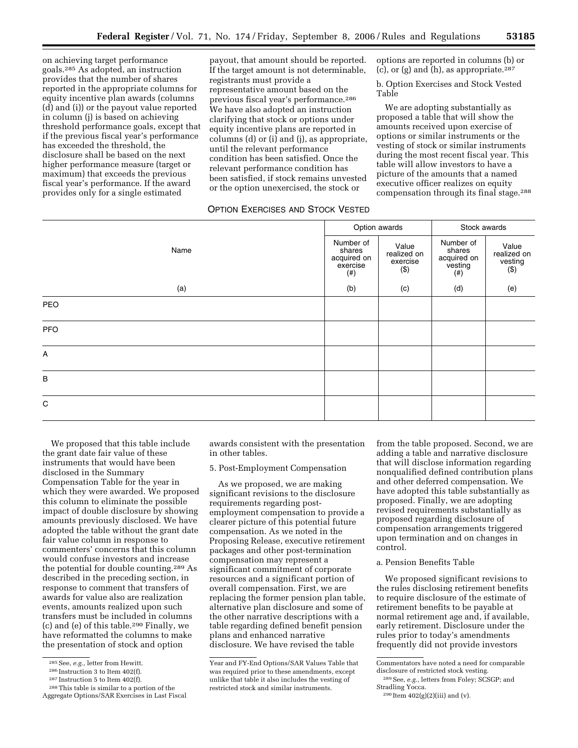on achieving target performance goals.285 As adopted, an instruction provides that the number of shares reported in the appropriate columns for equity incentive plan awards (columns (d) and (i)) or the payout value reported in column (j) is based on achieving threshold performance goals, except that if the previous fiscal year's performance has exceeded the threshold, the disclosure shall be based on the next higher performance measure (target or maximum) that exceeds the previous fiscal year's performance. If the award provides only for a single estimated

payout, that amount should be reported. If the target amount is not determinable, registrants must provide a representative amount based on the previous fiscal year's performance.286 We have also adopted an instruction clarifying that stock or options under equity incentive plans are reported in columns (d) or (i) and (j), as appropriate, until the relevant performance condition has been satisfied. Once the relevant performance condition has been satisfied, if stock remains unvested or the option unexercised, the stock or

# OPTION EXERCISES AND STOCK VESTED

options are reported in columns (b) or (c), or (g) and (h), as appropriate. $287$ 

b. Option Exercises and Stock Vested Table

We are adopting substantially as proposed a table that will show the amounts received upon exercise of options or similar instruments or the vesting of stock or similar instruments during the most recent fiscal year. This table will allow investors to have a picture of the amounts that a named executive officer realizes on equity compensation through its final stage.288

|            | Option awards                                               |                                            | Stock awards                                            |                                                                                   |  |
|------------|-------------------------------------------------------------|--------------------------------------------|---------------------------------------------------------|-----------------------------------------------------------------------------------|--|
| Name       | Number of<br>shares<br>acquired on<br>exercise<br>$($ # $)$ | Value<br>realized on<br>exercise<br>$(\$)$ | Number of<br>shares<br>acquired on<br>vesting<br>$(\#)$ | Value<br>realized on<br>$\begin{array}{c}\n \text{vesting} \\ (\$)\n \end{array}$ |  |
| (a)        | (b)                                                         | (c)                                        | (d)                                                     | (e)                                                                               |  |
| PEO        |                                                             |                                            |                                                         |                                                                                   |  |
| <b>PFO</b> |                                                             |                                            |                                                         |                                                                                   |  |
| А          |                                                             |                                            |                                                         |                                                                                   |  |
| В          |                                                             |                                            |                                                         |                                                                                   |  |
| C          |                                                             |                                            |                                                         |                                                                                   |  |

We proposed that this table include the grant date fair value of these instruments that would have been disclosed in the Summary Compensation Table for the year in which they were awarded. We proposed this column to eliminate the possible impact of double disclosure by showing amounts previously disclosed. We have adopted the table without the grant date fair value column in response to commenters' concerns that this column would confuse investors and increase the potential for double counting.289 As described in the preceding section, in response to comment that transfers of awards for value also are realization events, amounts realized upon such transfers must be included in columns (c) and (e) of this table.290 Finally, we have reformatted the columns to make the presentation of stock and option

awards consistent with the presentation in other tables.

5. Post-Employment Compensation

As we proposed, we are making significant revisions to the disclosure requirements regarding postemployment compensation to provide a clearer picture of this potential future compensation. As we noted in the Proposing Release, executive retirement packages and other post-termination compensation may represent a significant commitment of corporate resources and a significant portion of overall compensation. First, we are replacing the former pension plan table, alternative plan disclosure and some of the other narrative descriptions with a table regarding defined benefit pension plans and enhanced narrative disclosure. We have revised the table

from the table proposed. Second, we are adding a table and narrative disclosure that will disclose information regarding nonqualified defined contribution plans and other deferred compensation. We have adopted this table substantially as proposed. Finally, we are adopting revised requirements substantially as proposed regarding disclosure of compensation arrangements triggered upon termination and on changes in control.

## a. Pension Benefits Table

We proposed significant revisions to the rules disclosing retirement benefits to require disclosure of the estimate of retirement benefits to be payable at normal retirement age and, if available, early retirement. Disclosure under the rules prior to today's amendments frequently did not provide investors

<sup>&</sup>lt;sup>285</sup> See, *e.g.*, letter from Hewitt.<br><sup>286</sup> Instruction 3 to Item 402(f).<br><sup>287</sup> Instruction 5 to Item 402(f).<br><sup>288</sup> This table is similar to a portion of the

Aggregate Options/SAR Exercises in Last Fiscal

Year and FY-End Options/SAR Values Table that was required prior to these amendments, except unlike that table it also includes the vesting of restricted stock and similar instruments.

Commentators have noted a need for comparable disclosure of restricted stock vesting.

<sup>289</sup>See, *e.g.*, letters from Foley; SCSGP; and Stradling Yocca.

 $290$  Item  $402(g)(2)(iii)$  and (v).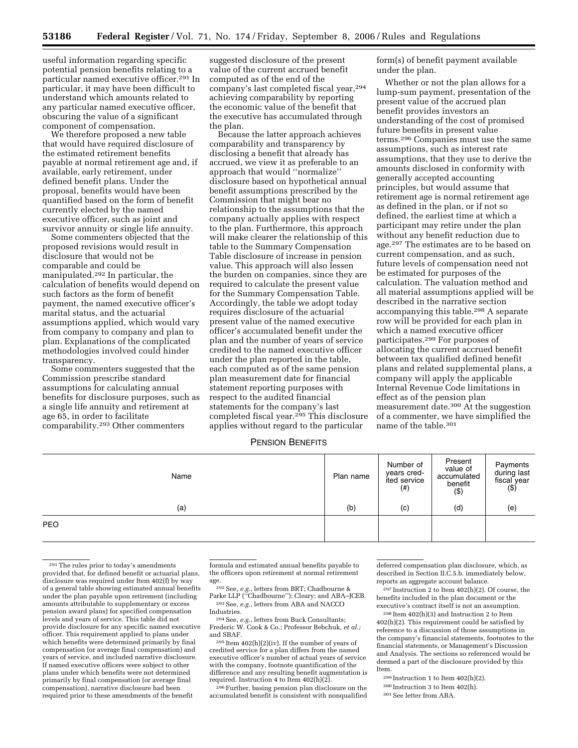useful information regarding specific potential pension benefits relating to a particular named executive officer.291 In particular, it may have been difficult to understand which amounts related to any particular named executive officer, obscuring the value of a significant component of compensation.

We therefore proposed a new table that would have required disclosure of the estimated retirement benefits payable at normal retirement age and, if available, early retirement, under defined benefit plans. Under the proposal, benefits would have been quantified based on the form of benefit currently elected by the named executive officer, such as joint and survivor annuity or single life annuity.

Some commenters objected that the proposed revisions would result in disclosure that would not be comparable and could be manipulated.292 In particular, the calculation of benefits would depend on such factors as the form of benefit payment, the named executive officer's marital status, and the actuarial assumptions applied, which would vary from company to company and plan to plan. Explanations of the complicated methodologies involved could hinder transparency.

Some commenters suggested that the Commission prescribe standard assumptions for calculating annual benefits for disclosure purposes, such as a single life annuity and retirement at age 65, in order to facilitate comparability.293 Other commenters

suggested disclosure of the present value of the current accrued benefit computed as of the end of the company's last completed fiscal year,294 achieving comparability by reporting the economic value of the benefit that the executive has accumulated through the plan.

Because the latter approach achieves comparability and transparency by disclosing a benefit that already has accrued, we view it as preferable to an approach that would ''normalize'' disclosure based on hypothetical annual benefit assumptions prescribed by the Commission that might bear no relationship to the assumptions that the company actually applies with respect to the plan. Furthermore, this approach will make clearer the relationship of this table to the Summary Compensation Table disclosure of increase in pension value. This approach will also lessen the burden on companies, since they are required to calculate the present value for the Summary Compensation Table. Accordingly, the table we adopt today requires disclosure of the actuarial present value of the named executive officer's accumulated benefit under the plan and the number of years of service credited to the named executive officer under the plan reported in the table, each computed as of the same pension plan measurement date for financial statement reporting purposes with respect to the audited financial statements for the company's last completed fiscal year.295 This disclosure applies without regard to the particular

form(s) of benefit payment available under the plan.

Whether or not the plan allows for a lump-sum payment, presentation of the present value of the accrued plan benefit provides investors an understanding of the cost of promised future benefits in present value terms.296 Companies must use the same assumptions, such as interest rate assumptions, that they use to derive the amounts disclosed in conformity with generally accepted accounting principles, but would assume that retirement age is normal retirement age as defined in the plan, or if not so defined, the earliest time at which a participant may retire under the plan without any benefit reduction due to age.297 The estimates are to be based on current compensation, and as such, future levels of compensation need not be estimated for purposes of the calculation. The valuation method and all material assumptions applied will be described in the narrative section accompanying this table.298 A separate row will be provided for each plan in which a named executive officer participates.299 For purposes of allocating the current accrued benefit between tax qualified defined benefit plans and related supplemental plans, a company will apply the applicable Internal Revenue Code limitations in effect as of the pension plan measurement date.300 At the suggestion of a commenter, we have simplified the name of the table.301

## PENSION BENEFITS

| Name       | Plan name | Number of<br>years cred-<br>ited service<br>$(\#)$ | Present<br>value of<br>accumulated<br>benefit<br>(3) | Payments<br>during last<br>fiscal year<br>$\overline{\text{}}$ (\$) |
|------------|-----------|----------------------------------------------------|------------------------------------------------------|---------------------------------------------------------------------|
| (a)        | (b)       | (c)                                                | (d)                                                  | (e)                                                                 |
| <b>PEO</b> |           |                                                    |                                                      |                                                                     |

291The rules prior to today's amendments provided that, for defined benefit or actuarial plans, disclosure was required under Item 402(f) by way of a general table showing estimated annual benefits under the plan payable upon retirement (including amounts attributable to supplementary or excess pension award plans) for specified compensation levels and years of service. This table did not provide disclosure for any specific named executive officer. This requirement applied to plans under which benefits were determined primarily by final compensation (or average final compensation) and years of service, and included narrative disclosure. If named executive officers were subject to other plans under which benefits were not determined primarily by final compensation (or average final compensation), narrative disclosure had been required prior to these amendments of the benefit

formula and estimated annual benefits payable to the officers upon retirement at normal retirement

age.<br><sup>292</sup> See, *e.g.*, letters from BRT; Chadbourne &<br>Parke LLP (''Chadbourne''); Cleary; and ABA–JCEB.

<sup>293</sup> See, *e.g.*, letters from ABA and NACCO<br>Industries

<sup>294</sup> See, *e.g.*, letters from Buck Consultants; Frederic W. Cook & Co.; Professor Bebchuk, *et al.;* 

 $295$  Item  $402(h)(2)(iv)$ . If the number of years of credited service for a plan differs from the named executive officer's number of actual years of service with the company, footnote quantification of the difference and any resulting benefit augmentation is<br>required. Instruction 4 to Item 402(h)(2).

required. Instruction 4 to Item 402(h)(2).<br><sup>296</sup> Further, basing pension plan disclosure on the<br>accumulated benefit is consistent with nonqualified

deferred compensation plan disclosure, which, as described in Section II.C.5.b. immediately below, reports an aggregate account balance.

297 Instruction 2 to Item 402(h)(2). Of course, the benefits included in the plan document or the executive's contract itself is not an assumption.

 $298$  Item  $402(h)(3)$  and Instruction 2 to Item 402(h)(2). This requirement could be satisfied by reference to a discussion of those assumptions in the company's financial statements, footnotes to the financial statements, or Management's Discussion and Analysis. The sections so referenced would be deemed a part of the disclosure provided by this Item.

- $299$  Instruction 1 to Item  $402(h)(2)$ .
- 300 Instruction 3 to Item 402(h).
- 301See letter from ABA.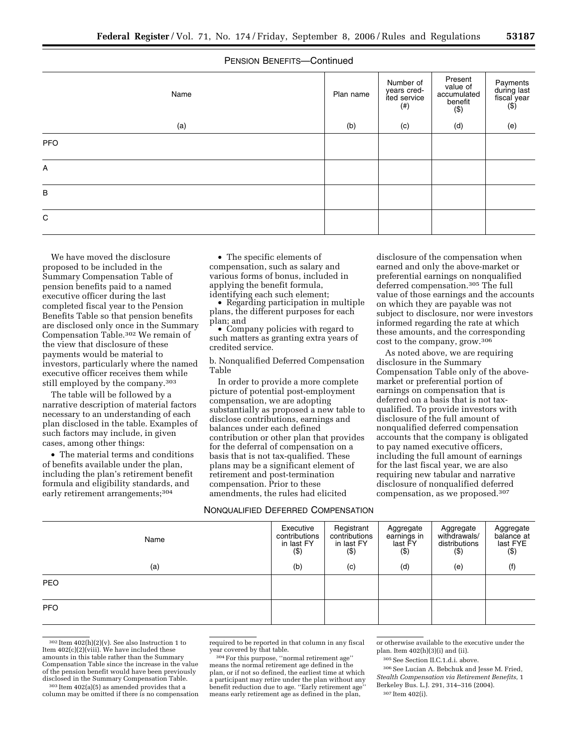| <b>PENSION BENEFITS-Continued</b> |  |
|-----------------------------------|--|
|-----------------------------------|--|

| Name       | Plan name | Number of<br>years cred-<br>ited service<br>$(\#)$ | Present<br>value of<br>accumulated<br>benefit<br>(3) | Payments<br>during last<br>fiscal year<br>(\$) |
|------------|-----------|----------------------------------------------------|------------------------------------------------------|------------------------------------------------|
| (a)        | (b)       | (c)                                                | (d)                                                  | (e)                                            |
| <b>PFO</b> |           |                                                    |                                                      |                                                |
| Α          |           |                                                    |                                                      |                                                |
| В          |           |                                                    |                                                      |                                                |
| C          |           |                                                    |                                                      |                                                |
|            |           |                                                    |                                                      |                                                |

We have moved the disclosure proposed to be included in the Summary Compensation Table of pension benefits paid to a named executive officer during the last completed fiscal year to the Pension Benefits Table so that pension benefits are disclosed only once in the Summary Compensation Table.302 We remain of the view that disclosure of these payments would be material to investors, particularly where the named executive officer receives them while still employed by the company.303

The table will be followed by a narrative description of material factors necessary to an understanding of each plan disclosed in the table. Examples of such factors may include, in given cases, among other things:

• The material terms and conditions of benefits available under the plan, including the plan's retirement benefit formula and eligibility standards, and early retirement arrangements;<sup>304</sup>

• The specific elements of compensation, such as salary and various forms of bonus, included in applying the benefit formula,

Regarding participation in multiple plans, the different purposes for each

• Company policies with regard to such matters as granting extra years of credited service.

b. Nonqualified Deferred Compensation Table

In order to provide a more complete picture of potential post-employment compensation, we are adopting substantially as proposed a new table to disclose contributions, earnings and balances under each defined contribution or other plan that provides for the deferral of compensation on a basis that is not tax-qualified. These plans may be a significant element of retirement and post-termination compensation. Prior to these amendments, the rules had elicited

disclosure of the compensation when earned and only the above-market or preferential earnings on nonqualified deferred compensation.305 The full value of those earnings and the accounts on which they are payable was not subject to disclosure, nor were investors informed regarding the rate at which these amounts, and the corresponding cost to the company, grow.306

As noted above, we are requiring disclosure in the Summary Compensation Table only of the abovemarket or preferential portion of earnings on compensation that is deferred on a basis that is not taxqualified. To provide investors with disclosure of the full amount of nonqualified deferred compensation accounts that the company is obligated to pay named executive officers, including the full amount of earnings for the last fiscal year, we are also requiring new tabular and narrative disclosure of nonqualified deferred compensation, as we proposed.307

| Name       | Executive<br>contributions<br>in last FY<br>$($ \$) | Registrant<br>contributions<br>in last FY<br>$($ \$) | Aggregate<br>earnings in<br>last FY<br>(3) | Aggregate<br>withdrawals/<br>distributions<br>$($ \$) | Aggregate<br>balance at<br>last FYE<br>(3) |
|------------|-----------------------------------------------------|------------------------------------------------------|--------------------------------------------|-------------------------------------------------------|--------------------------------------------|
| (a)        | (b)                                                 | (c)                                                  | (d)                                        | (e)                                                   | (f)                                        |
| <b>PEO</b> |                                                     |                                                      |                                            |                                                       |                                            |
| <b>PFO</b> |                                                     |                                                      |                                            |                                                       |                                            |

### NONQUALIFIED DEFERRED COMPENSATION

302 Item 402(h)(2)(v). See also Instruction 1 to Item 402(c)(2)(viii). We have included these amounts in this table rather than the Summary Compensation Table since the increase in the value of the pension benefit would have been previously

 $303$  Item  $402(a)(5)$  as amended provides that a column may be omitted if there is no compensation required to be reported in that column in any fiscal

304 For this purpose, "normal retirement age means the normal retirement age defined in the plan, or if not so defined, the earliest time at which a participant may retire under the plan without any benefit reduction due to age. ''Early retirement age'' means early retirement age as defined in the plan,

or otherwise available to the executive under the plan. Item 402(h)(3)(i) and (ii).

305See Section II.C.1.d.i. above.

306See Lucian A. Bebchuk and Jesse M. Fried, *Stealth Compensation via Retirement Benefits*, 1 Berkeley Bus. L.J. 291, 314–316 (2004). 307 Item 402(i).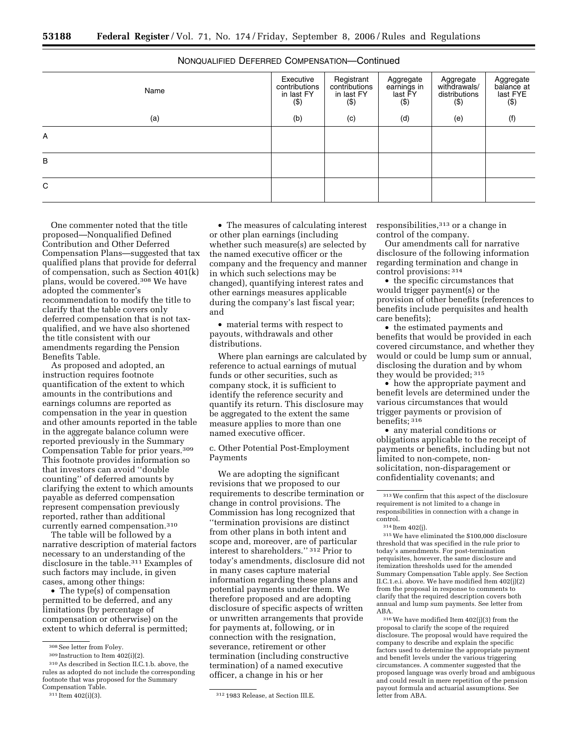| Name | Executive<br>contributions<br>in last FY<br>$($ \$) | Registrant<br>contributions<br>in last FY<br>$($ \$) | Aggregate<br>earnings in<br>last FY<br>( \$) | Aggregate<br>withdrawals/<br>distributions<br>$($ \$) | Aggregate<br>balance at<br>last FYE<br>(3) |
|------|-----------------------------------------------------|------------------------------------------------------|----------------------------------------------|-------------------------------------------------------|--------------------------------------------|
| (a)  | (b)                                                 | (c)                                                  | (d)                                          | (e)                                                   | (f)                                        |
| Α    |                                                     |                                                      |                                              |                                                       |                                            |
| B    |                                                     |                                                      |                                              |                                                       |                                            |
| C    |                                                     |                                                      |                                              |                                                       |                                            |

## NONQUALIFIED DEFERRED COMPENSATION—Continued

One commenter noted that the title proposed—Nonqualified Defined Contribution and Other Deferred Compensation Plans—suggested that tax qualified plans that provide for deferral of compensation, such as Section 401(k) plans, would be covered.308 We have adopted the commenter's recommendation to modify the title to clarify that the table covers only deferred compensation that is not taxqualified, and we have also shortened the title consistent with our amendments regarding the Pension Benefits Table.

As proposed and adopted, an instruction requires footnote quantification of the extent to which amounts in the contributions and earnings columns are reported as compensation in the year in question and other amounts reported in the table in the aggregate balance column were reported previously in the Summary Compensation Table for prior years.309 This footnote provides information so that investors can avoid ''double counting'' of deferred amounts by clarifying the extent to which amounts payable as deferred compensation represent compensation previously reported, rather than additional currently earned compensation.310

The table will be followed by a narrative description of material factors necessary to an understanding of the disclosure in the table.311 Examples of such factors may include, in given cases, among other things:

• The type(s) of compensation permitted to be deferred, and any limitations (by percentage of compensation or otherwise) on the extent to which deferral is permitted;

• The measures of calculating interest or other plan earnings (including whether such measure(s) are selected by the named executive officer or the company and the frequency and manner in which such selections may be changed), quantifying interest rates and other earnings measures applicable during the company's last fiscal year; and

• material terms with respect to payouts, withdrawals and other distributions.

Where plan earnings are calculated by reference to actual earnings of mutual funds or other securities, such as company stock, it is sufficient to identify the reference security and quantify its return. This disclosure may be aggregated to the extent the same measure applies to more than one named executive officer.

c. Other Potential Post-Employment Payments

We are adopting the significant revisions that we proposed to our requirements to describe termination or change in control provisions. The Commission has long recognized that ''termination provisions are distinct from other plans in both intent and scope and, moreover, are of particular interest to shareholders.'' 312 Prior to today's amendments, disclosure did not in many cases capture material information regarding these plans and potential payments under them. We therefore proposed and are adopting disclosure of specific aspects of written or unwritten arrangements that provide for payments at, following, or in connection with the resignation, severance, retirement or other termination (including constructive termination) of a named executive officer, a change in his or her

responsibilities,313 or a change in control of the company.

Our amendments call for narrative disclosure of the following information regarding termination and change in control provisions: 314

• the specific circumstances that would trigger payment(s) or the provision of other benefits (references to benefits include perquisites and health care benefits);

• the estimated payments and benefits that would be provided in each covered circumstance, and whether they would or could be lump sum or annual, disclosing the duration and by whom they would be provided; 315

• how the appropriate payment and benefit levels are determined under the various circumstances that would trigger payments or provision of benefits;  $316$ 

• any material conditions or obligations applicable to the receipt of payments or benefits, including but not limited to non-compete, nonsolicitation, non-disparagement or confidentiality covenants; and

315We have eliminated the \$100,000 disclosure threshold that was specified in the rule prior to today's amendments. For post-termination perquisites, however, the same disclosure and itemization thresholds used for the amended Summary Compensation Table apply. See Section II.C.1.e.i. above. We have modified Item 402(j)(2) from the proposal in response to comments to clarify that the required description covers both annual and lump sum payments. See letter from ABA.

316We have modified Item 402(j)(3) from the proposal to clarify the scope of the required disclosure. The proposal would have required the company to describe and explain the specific factors used to determine the appropriate payment and benefit levels under the various triggering circumstances. A commenter suggested that the proposed language was overly broad and ambiguous and could result in mere repetition of the pension payout formula and actuarial assumptions. See letter from ABA.

<sup>308</sup>See letter from Foley.

<sup>309</sup> Instruction to Item 402(i)(2).

<sup>310</sup>As described in Section II.C.1.b. above, the rules as adopted do not include the corresponding footnote that was proposed for the Summary Compensation Table.<br> $311$  Item  $402(i)(3)$ .

<sup>312 1983</sup> Release, at Section III.E.

<sup>313</sup>We confirm that this aspect of the disclosure requirement is not limited to a change in responsibilities in connection with a change in control.

<sup>314</sup> Item 402(j).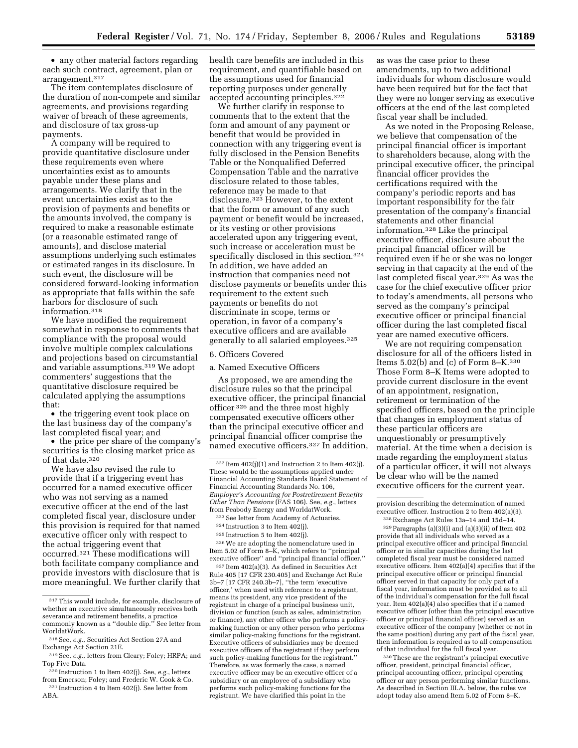• any other material factors regarding each such contract, agreement, plan or arrangement.317

The item contemplates disclosure of the duration of non-compete and similar agreements, and provisions regarding waiver of breach of these agreements, and disclosure of tax gross-up payments.

A company will be required to provide quantitative disclosure under these requirements even where uncertainties exist as to amounts payable under these plans and arrangements. We clarify that in the event uncertainties exist as to the provision of payments and benefits or the amounts involved, the company is required to make a reasonable estimate (or a reasonable estimated range of amounts), and disclose material assumptions underlying such estimates or estimated ranges in its disclosure. In such event, the disclosure will be considered forward-looking information as appropriate that falls within the safe harbors for disclosure of such information.318

We have modified the requirement somewhat in response to comments that compliance with the proposal would involve multiple complex calculations and projections based on circumstantial and variable assumptions.319 We adopt commenters' suggestions that the quantitative disclosure required be calculated applying the assumptions that:

• the triggering event took place on the last business day of the company's last completed fiscal year; and

• the price per share of the company's securities is the closing market price as of that date.320

We have also revised the rule to provide that if a triggering event has occurred for a named executive officer who was not serving as a named executive officer at the end of the last completed fiscal year, disclosure under this provision is required for that named executive officer only with respect to the actual triggering event that occurred.321 These modifications will both facilitate company compliance and provide investors with disclosure that is more meaningful. We further clarify that

320 Instruction 1 to Item 402(j). See, *e.g.*, letters from Emerson; Foley; and Frederic W. Cook & Co. 321 Instruction 4 to Item 402(j). See letter from ABA.

health care benefits are included in this requirement, and quantifiable based on the assumptions used for financial reporting purposes under generally accepted accounting principles.322

We further clarify in response to comments that to the extent that the form and amount of any payment or benefit that would be provided in connection with any triggering event is fully disclosed in the Pension Benefits Table or the Nonqualified Deferred Compensation Table and the narrative disclosure related to those tables, reference may be made to that disclosure.323 However, to the extent that the form or amount of any such payment or benefit would be increased, or its vesting or other provisions accelerated upon any triggering event, such increase or acceleration must be specifically disclosed in this section.324 In addition, we have added an instruction that companies need not disclose payments or benefits under this requirement to the extent such payments or benefits do not discriminate in scope, terms or operation, in favor of a company's executive officers and are available generally to all salaried employees.325

#### 6. Officers Covered

a. Named Executive Officers

As proposed, we are amending the disclosure rules so that the principal executive officer, the principal financial officer 326 and the three most highly compensated executive officers other than the principal executive officer and principal financial officer comprise the named executive officers.327 In addition,

323See letter from Academy of Actuaries.

- 324 Instruction 3 to Item 402(j).
- 325 Instruction 5 to Item 402(j).

326We are adopting the nomenclature used in Item 5.02 of Form 8–K, which refers to ''principal executive officer'' and ''principal financial officer.''

327 Item 402(a)(3). As defined in Securities Act Rule 405 [17 CFR 230.405] and Exchange Act Rule 3b–7 [17 CFR 240.3b–7], ''the term 'executive officer,' when used with reference to a registrant, means its president, any vice president of the registrant in charge of a principal business unit, division or function (such as sales, administration or finance), any other officer who performs a policymaking function or any other person who performs similar policy-making functions for the registrant. Executive officers of subsidiaries may be deemed executive officers of the registrant if they perform such policy-making functions for the registrant.'' Therefore, as was formerly the case, a named executive officer may be an executive officer of a subsidiary or an employee of a subsidiary who performs such policy-making functions for the registrant. We have clarified this point in the

as was the case prior to these amendments, up to two additional individuals for whom disclosure would have been required but for the fact that they were no longer serving as executive officers at the end of the last completed fiscal year shall be included.

As we noted in the Proposing Release, we believe that compensation of the principal financial officer is important to shareholders because, along with the principal executive officer, the principal financial officer provides the certifications required with the company's periodic reports and has important responsibility for the fair presentation of the company's financial statements and other financial information.328 Like the principal executive officer, disclosure about the principal financial officer will be required even if he or she was no longer serving in that capacity at the end of the last completed fiscal year.329 As was the case for the chief executive officer prior to today's amendments, all persons who served as the company's principal executive officer or principal financial officer during the last completed fiscal year are named executive officers.

We are not requiring compensation disclosure for all of the officers listed in Items 5.02(b) and (c) of Form 8–K.330 Those Form 8–K Items were adopted to provide current disclosure in the event of an appointment, resignation, retirement or termination of the specified officers, based on the principle that changes in employment status of these particular officers are unquestionably or presumptively material. At the time when a decision is made regarding the employment status of a particular officer, it will not always be clear who will be the named executive officers for the current year.

provision describing the determination of named executive officer. Instruction 2 to Item 402(a)(3).

328Exchange Act Rules 13a–14 and 15d–14. 329Paragraphs (a)(3)(i) and (a)(3)(ii) of Item 402 provide that all individuals who served as a principal executive officer and principal financial officer or in similar capacities during the last completed fiscal year must be considered named executive officers. Item 402(a)(4) specifies that if the principal executive officer or principal financial officer served in that capacity for only part of a fiscal year, information must be provided as to all of the individual's compensation for the full fiscal year. Item 402(a)(4) also specifies that if a named executive officer (other than the principal executive officer or principal financial officer) served as an executive officer of the company (whether or not in the same position) during any part of the fiscal year, then information is required as to all compensation of that individual for the full fiscal year.

330These are the registrant's principal executive officer, president, principal financial officer, principal accounting officer, principal operating officer or any person performing similar functions. As described in Section III.A. below, the rules we adopt today also amend Item 5.02 of Form 8–K.

<sup>317</sup>This would include, for example, disclosure of whether an executive simultaneously receives both severance and retirement benefits, a practice commonly known as a ''double dip.'' See letter from WorldatWork.

<sup>318</sup>See, *e.g.*, Securities Act Section 27A and Exchange Act Section 21E.

<sup>319</sup>See, *e.g.*, letters from Cleary; Foley; HRPA; and Top Five Data.

<sup>322</sup> Item 402(j)(1) and Instruction 2 to Item 402(j). These would be the assumptions applied under Financial Accounting Standards Board Statement of Financial Accounting Standards No. 106, *Employer's Accounting for Postretirement Benefits Other Than Pensions* (FAS 106). See, *e.g.*, letters from Peabody Energy and WorldatWork.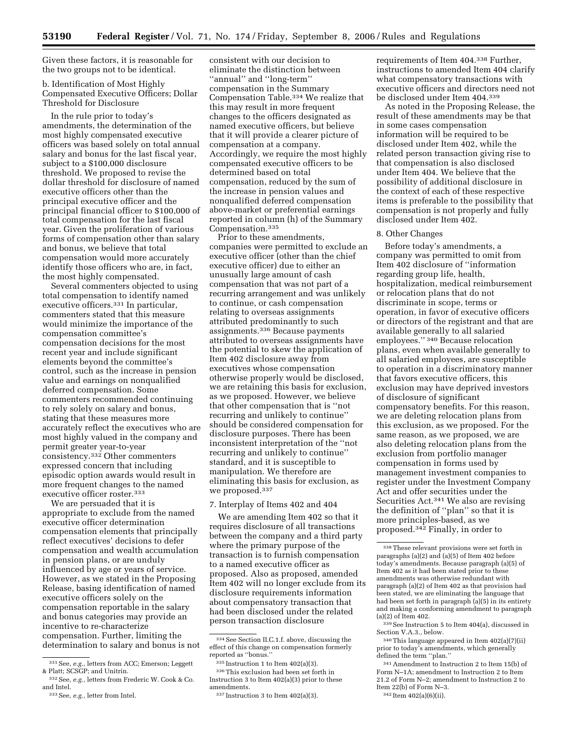Given these factors, it is reasonable for the two groups not to be identical.

### b. Identification of Most Highly Compensated Executive Officers; Dollar Threshold for Disclosure

In the rule prior to today's amendments, the determination of the most highly compensated executive officers was based solely on total annual salary and bonus for the last fiscal year, subject to a \$100,000 disclosure threshold. We proposed to revise the dollar threshold for disclosure of named executive officers other than the principal executive officer and the principal financial officer to \$100,000 of total compensation for the last fiscal year. Given the proliferation of various forms of compensation other than salary and bonus, we believe that total compensation would more accurately identify those officers who are, in fact, the most highly compensated.

Several commenters objected to using total compensation to identify named executive officers.331 In particular, commenters stated that this measure would minimize the importance of the compensation committee's compensation decisions for the most recent year and include significant elements beyond the committee's control, such as the increase in pension value and earnings on nonqualified deferred compensation. Some commenters recommended continuing to rely solely on salary and bonus, stating that these measures more accurately reflect the executives who are most highly valued in the company and permit greater year-to-year consistency.332 Other commenters expressed concern that including episodic option awards would result in more frequent changes to the named executive officer roster.<sup>333</sup>

We are persuaded that it is appropriate to exclude from the named executive officer determination compensation elements that principally reflect executives' decisions to defer compensation and wealth accumulation in pension plans, or are unduly influenced by age or years of service. However, as we stated in the Proposing Release, basing identification of named executive officers solely on the compensation reportable in the salary and bonus categories may provide an incentive to re-characterize compensation. Further, limiting the determination to salary and bonus is not

consistent with our decision to eliminate the distinction between ''annual'' and ''long-term'' compensation in the Summary Compensation Table.334 We realize that this may result in more frequent changes to the officers designated as named executive officers, but believe that it will provide a clearer picture of compensation at a company. Accordingly, we require the most highly compensated executive officers to be determined based on total compensation, reduced by the sum of the increase in pension values and nonqualified deferred compensation above-market or preferential earnings reported in column (h) of the Summary Compensation.335

Prior to these amendments, companies were permitted to exclude an executive officer (other than the chief executive officer) due to either an unusually large amount of cash compensation that was not part of a recurring arrangement and was unlikely to continue, or cash compensation relating to overseas assignments attributed predominantly to such assignments.336 Because payments attributed to overseas assignments have the potential to skew the application of Item 402 disclosure away from executives whose compensation otherwise properly would be disclosed, we are retaining this basis for exclusion, as we proposed. However, we believe that other compensation that is ''not recurring and unlikely to continue'' should be considered compensation for disclosure purposes. There has been inconsistent interpretation of the ''not recurring and unlikely to continue'' standard, and it is susceptible to manipulation. We therefore are eliminating this basis for exclusion, as we proposed.337

7. Interplay of Items 402 and 404

We are amending Item 402 so that it requires disclosure of all transactions between the company and a third party where the primary purpose of the transaction is to furnish compensation to a named executive officer as proposed. Also as proposed, amended Item 402 will no longer exclude from its disclosure requirements information about compensatory transaction that had been disclosed under the related person transaction disclosure

336This exclusion had been set forth in Instruction 3 to Item 402(a)(3) prior to these amendments.

requirements of Item 404.338 Further, instructions to amended Item 404 clarify what compensatory transactions with executive officers and directors need not be disclosed under Item 404.339

As noted in the Proposing Release, the result of these amendments may be that in some cases compensation information will be required to be disclosed under Item 402, while the related person transaction giving rise to that compensation is also disclosed under Item 404. We believe that the possibility of additional disclosure in the context of each of these respective items is preferable to the possibility that compensation is not properly and fully disclosed under Item 402.

## 8. Other Changes

Before today's amendments, a company was permitted to omit from Item 402 disclosure of ''information regarding group life, health, hospitalization, medical reimbursement or relocation plans that do not discriminate in scope, terms or operation, in favor of executive officers or directors of the registrant and that are available generally to all salaried employees.'' 340 Because relocation plans, even when available generally to all salaried employees, are susceptible to operation in a discriminatory manner that favors executive officers, this exclusion may have deprived investors of disclosure of significant compensatory benefits. For this reason, we are deleting relocation plans from this exclusion, as we proposed. For the same reason, as we proposed, we are also deleting relocation plans from the exclusion from portfolio manager compensation in forms used by management investment companies to register under the Investment Company Act and offer securities under the Securities Act.341 We also are revising the definition of ''plan'' so that it is more principles-based, as we proposed.342 Finally, in order to

339See Instruction 5 to Item 404(a), discussed in Section V.A.3., below.

340This language appeared in Item 402(a)(7)(ii) prior to today's amendments, which generally defined the term ''plan.''

341Amendment to Instruction 2 to Item 15(b) of Form N–1A; amendment to Instruction 2 to Item 21.2 of Form N–2; amendment to Instruction 2 to Item 22(b) of Form N–3. 342 Item 402(a)(6)(ii).

<sup>331</sup>See, *e.g.*, letters from ACC; Emerson; Leggett & Platt; SCSGP; and Unitrin.

 $\ensuremath{^{332}}$  See,  $e.g.,$  <br>letters from Frederic W. Cook & Co. and Intel.

<sup>333</sup>See, *e.g.*, letter from Intel.

<sup>334</sup>See Section II.C.1.f. above, discussing the effect of this change on compensation formerly reported as ''bonus.''

 $335$  Instruction 1 to Item 402(a)(3).

<sup>337</sup> Instruction 3 to Item 402(a)(3).

<sup>338</sup>These relevant provisions were set forth in paragraphs (a)(2) and (a)(5) of Item 402 before today's amendments. Because paragraph (a)(5) of Item 402 as it had been stated prior to these amendments was otherwise redundant with paragraph (a)(2) of Item 402 as that provision had been stated, we are eliminating the language that had been set forth in paragraph (a)(5) in its entirety and making a conforming amendment to paragraph (a)(2) of Item 402.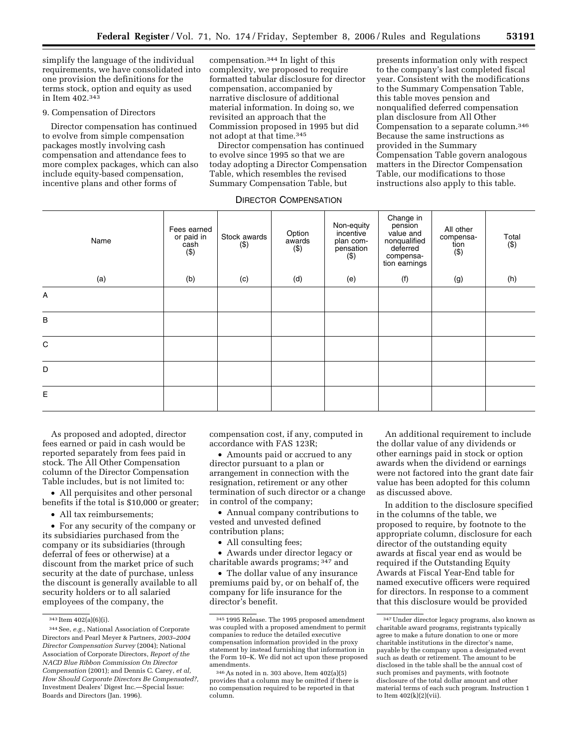simplify the language of the individual requirements, we have consolidated into one provision the definitions for the terms stock, option and equity as used in Item 402.343

### 9. Compensation of Directors

Director compensation has continued to evolve from simple compensation packages mostly involving cash compensation and attendance fees to more complex packages, which can also include equity-based compensation, incentive plans and other forms of

compensation.344 In light of this complexity, we proposed to require formatted tabular disclosure for director compensation, accompanied by narrative disclosure of additional material information. In doing so, we revisited an approach that the Commission proposed in 1995 but did not adopt at that time.345

Director compensation has continued to evolve since 1995 so that we are today adopting a Director Compensation Table, which resembles the revised Summary Compensation Table, but

presents information only with respect to the company's last completed fiscal year. Consistent with the modifications to the Summary Compensation Table, this table moves pension and nonqualified deferred compensation plan disclosure from All Other Compensation to a separate column.346 Because the same instructions as provided in the Summary Compensation Table govern analogous matters in the Director Compensation Table, our modifications to those instructions also apply to this table.

## DIRECTOR COMPENSATION

| Name        | Fees earned<br>or paid in<br>$\begin{array}{c}\n \text{cash} \\ (\$)\n\end{array}$ | Stock awards<br>$(\$)$ | Option<br>awards<br>$($ \$) | Non-equity<br>incentive<br>plan com-<br>pensation<br>(\$) | Change in<br>pension<br>value and<br>nonqualified<br>deferred<br>compensa-<br>tion earnings | All other<br>compensa-<br>tion<br>(\$) | $\operatorname*{Total} (\$)$ |
|-------------|------------------------------------------------------------------------------------|------------------------|-----------------------------|-----------------------------------------------------------|---------------------------------------------------------------------------------------------|----------------------------------------|------------------------------|
| (a)         | (b)                                                                                | (c)                    | (d)                         | (e)                                                       | (f)                                                                                         | (g)                                    | (h)                          |
| A           |                                                                                    |                        |                             |                                                           |                                                                                             |                                        |                              |
| B           |                                                                                    |                        |                             |                                                           |                                                                                             |                                        |                              |
| $\mathsf C$ |                                                                                    |                        |                             |                                                           |                                                                                             |                                        |                              |
| D           |                                                                                    |                        |                             |                                                           |                                                                                             |                                        |                              |
| Е           |                                                                                    |                        |                             |                                                           |                                                                                             |                                        |                              |

As proposed and adopted, director fees earned or paid in cash would be reported separately from fees paid in stock. The All Other Compensation column of the Director Compensation Table includes, but is not limited to:

• All perquisites and other personal benefits if the total is \$10,000 or greater;

• All tax reimbursements;

• For any security of the company or its subsidiaries purchased from the company or its subsidiaries (through deferral of fees or otherwise) at a discount from the market price of such security at the date of purchase, unless the discount is generally available to all security holders or to all salaried employees of the company, the

compensation cost, if any, computed in accordance with FAS 123R;

• Amounts paid or accrued to any director pursuant to a plan or arrangement in connection with the resignation, retirement or any other termination of such director or a change in control of the company;

• Annual company contributions to vested and unvested defined contribution plans;

• All consulting fees;

• Awards under director legacy or charitable awards programs; 347 and

• The dollar value of any insurance premiums paid by, or on behalf of, the company for life insurance for the director's benefit.

An additional requirement to include the dollar value of any dividends or other earnings paid in stock or option awards when the dividend or earnings were not factored into the grant date fair value has been adopted for this column as discussed above.

In addition to the disclosure specified in the columns of the table, we proposed to require, by footnote to the appropriate column, disclosure for each director of the outstanding equity awards at fiscal year end as would be required if the Outstanding Equity Awards at Fiscal Year-End table for named executive officers were required for directors. In response to a comment that this disclosure would be provided

<sup>343</sup> Item 402(a)(6)(i).

<sup>344</sup>See, *e.g.*, National Association of Corporate Directors and Pearl Meyer & Partners, *2003–2004 Director Compensation Survey* (2004); National Association of Corporate Directors, *Report of the NACD Blue Ribbon Commission On Director Compensation* (2001); and Dennis C. Carey, *et al, How Should Corporate Directors Be Compensated?,*  Investment Dealers' Digest Inc.—Special Issue: Boards and Directors (Jan. 1996).

<sup>345</sup> 1995 Release. The 1995 proposed amendment was coupled with a proposed amendment to permit companies to reduce the detailed executive compensation information provided in the proxy statement by instead furnishing that information in the Form 10–K. We did not act upon these proposed amendments.

<sup>346</sup>As noted in n. 303 above, Item 402(a)(5) provides that a column may be omitted if there is no compensation required to be reported in that column.

<sup>347</sup>Under director legacy programs, also known as charitable award programs, registrants typically agree to make a future donation to one or more charitable institutions in the director's name, payable by the company upon a designated event such as death or retirement. The amount to be disclosed in the table shall be the annual cost of such promises and payments, with footnote disclosure of the total dollar amount and other material terms of each such program. Instruction 1 to Item 402(k)(2)(vii).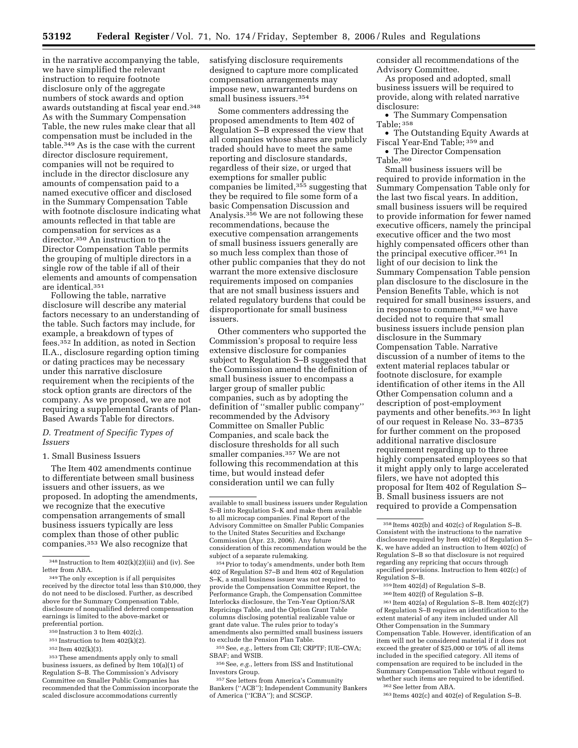in the narrative accompanying the table, we have simplified the relevant instruction to require footnote disclosure only of the aggregate numbers of stock awards and option awards outstanding at fiscal year end.348 As with the Summary Compensation Table, the new rules make clear that all compensation must be included in the table.349 As is the case with the current director disclosure requirement, companies will not be required to include in the director disclosure any amounts of compensation paid to a named executive officer and disclosed in the Summary Compensation Table with footnote disclosure indicating what amounts reflected in that table are compensation for services as a director.350 An instruction to the Director Compensation Table permits the grouping of multiple directors in a single row of the table if all of their elements and amounts of compensation are identical.351

Following the table, narrative disclosure will describe any material factors necessary to an understanding of the table. Such factors may include, for example, a breakdown of types of fees.352 In addition, as noted in Section II.A., disclosure regarding option timing or dating practices may be necessary under this narrative disclosure requirement when the recipients of the stock option grants are directors of the company. As we proposed, we are not requiring a supplemental Grants of Plan-Based Awards Table for directors.

## *D. Treatment of Specific Types of Issuers*

#### 1. Small Business Issuers

The Item 402 amendments continue to differentiate between small business issuers and other issuers, as we proposed. In adopting the amendments, we recognize that the executive compensation arrangements of small business issuers typically are less complex than those of other public companies.353 We also recognize that

353These amendments apply only to small business issuers, as defined by Item 10(a)(1) of Regulation S–B. The Commission's Advisory Committee on Smaller Public Companies has recommended that the Commission incorporate the scaled disclosure accommodations currently

satisfying disclosure requirements designed to capture more complicated compensation arrangements may impose new, unwarranted burdens on small business issuers.354

Some commenters addressing the proposed amendments to Item 402 of Regulation S–B expressed the view that all companies whose shares are publicly traded should have to meet the same reporting and disclosure standards, regardless of their size, or urged that exemptions for smaller public companies be limited,355 suggesting that they be required to file some form of a basic Compensation Discussion and Analysis.356 We are not following these recommendations, because the executive compensation arrangements of small business issuers generally are so much less complex than those of other public companies that they do not warrant the more extensive disclosure requirements imposed on companies that are not small business issuers and related regulatory burdens that could be disproportionate for small business issuers.

Other commenters who supported the Commission's proposal to require less extensive disclosure for companies subject to Regulation S–B suggested that the Commission amend the definition of small business issuer to encompass a larger group of smaller public companies, such as by adopting the definition of ''smaller public company'' recommended by the Advisory Committee on Smaller Public Companies, and scale back the disclosure thresholds for all such smaller companies.357 We are not following this recommendation at this time, but would instead defer consideration until we can fully

354Prior to today's amendments, under both Item 402 of Regulation S7–B and Item 402 of Regulation S–K, a small business issuer was not required to provide the Compensation Committee Report, the Performance Graph, the Compensation Committee Interlocks disclosure, the Ten-Year Option/SAR Repricings Table, and the Option Grant Table columns disclosing potential realizable value or grant date value. The rules prior to today's amendments also permitted small business issuers to exclude the Pension Plan Table.

355See, *e.g.*, letters from CII; CRPTF; IUE–CWA; SBAF; and WSIB.

 $^{\rm 356}\!$  See,  $e.g.,$  letters from ISS and Institutional Investors Group.

357See letters from America's Community Bankers (''ACB''); Independent Community Bankers of America (''ICBA''); and SCSGP.

consider all recommendations of the Advisory Committee.

As proposed and adopted, small business issuers will be required to provide, along with related narrative disclosure:

• The Summary Compensation Table; 358

• The Outstanding Equity Awards at Fiscal Year-End Table; 359 and

• The Director Compensation Table.360

Small business issuers will be required to provide information in the Summary Compensation Table only for the last two fiscal years. In addition, small business issuers will be required to provide information for fewer named executive officers, namely the principal executive officer and the two most highly compensated officers other than the principal executive officer.361 In light of our decision to link the Summary Compensation Table pension plan disclosure to the disclosure in the Pension Benefits Table, which is not required for small business issuers, and in response to comment,362 we have decided not to require that small business issuers include pension plan disclosure in the Summary Compensation Table. Narrative discussion of a number of items to the extent material replaces tabular or footnote disclosure, for example identification of other items in the All Other Compensation column and a description of post-employment payments and other benefits.363 In light of our request in Release No. 33–8735 for further comment on the proposed additional narrative disclosure requirement regarding up to three highly compensated employees so that it might apply only to large accelerated filers, we have not adopted this proposal for Item 402 of Regulation S– B. Small business issuers are not required to provide a Compensation

361 Item 402(a) of Regulation S–B. Item 402(c)(7) of Regulation S–B requires an identification to the extent material of any item included under All Other Compensation in the Summary Compensation Table. However, identification of an item will not be considered material if it does not exceed the greater of \$25,000 or 10% of all items included in the specified category. All items of compensation are required to be included in the Summary Compensation Table without regard to whether such items are required to be identified. 362See letter from ABA.

363 Items 402(c) and 402(e) of Regulation S–B.

 $^{348}\!$  Instruction to Item  $402(k)(2)(iii)$  and (iv). See letter from ABA.

<sup>349</sup>The only exception is if all perquisites received by the director total less than \$10,000, they do not need to be disclosed. Further, as described above for the Summary Compensation Table, disclosure of nonqualified deferred compensation earnings is limited to the above-market or preferential portion.

<sup>350</sup> Instruction 3 to Item 402(c).

<sup>351</sup> Instruction to Item 402(k)(2).

<sup>352</sup> Item 402(k)(3).

available to small business issuers under Regulation S–B into Regulation S–K and make them available to all microcap companies. Final Report of the Advisory Committee on Smaller Public Companies to the United States Securities and Exchange Commission (Apr. 23, 2006). Any future consideration of this recommendation would be the subject of a separate rulemaking.

<sup>358</sup> Items 402(b) and 402(c) of Regulation S–B. Consistent with the instructions to the narrative disclosure required by Item 402(e) of Regulation S– K, we have added an instruction to Item 402(c) of Regulation S–B so that disclosure is not required regarding any repricing that occurs through specified provisions. Instruction to Item 402(c) of Regulation S–B.

<sup>359</sup> Item 402(d) of Regulation S–B.

<sup>360</sup> Item 402(f) of Regulation S–B.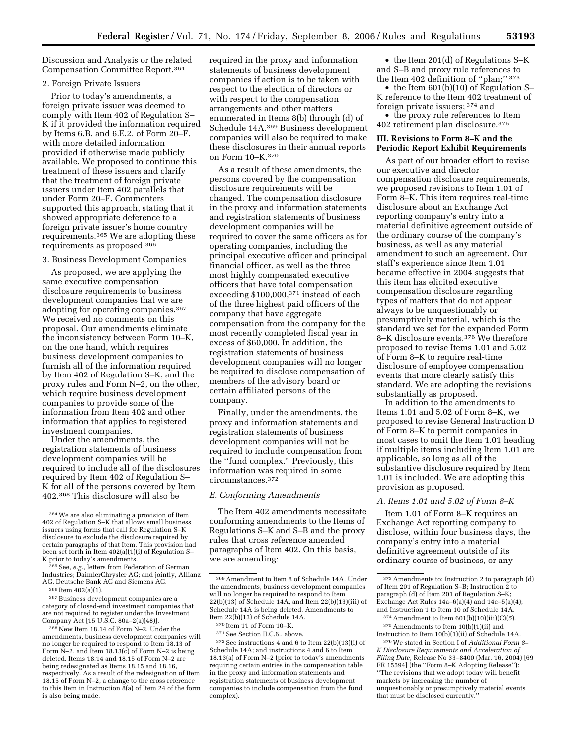Discussion and Analysis or the related Compensation Committee Report.364

### 2. Foreign Private Issuers

Prior to today's amendments, a foreign private issuer was deemed to comply with Item 402 of Regulation S– K if it provided the information required by Items 6.B. and 6.E.2. of Form 20–F, with more detailed information provided if otherwise made publicly available. We proposed to continue this treatment of these issuers and clarify that the treatment of foreign private issuers under Item 402 parallels that under Form 20–F. Commenters supported this approach, stating that it showed appropriate deference to a foreign private issuer's home country requirements.365 We are adopting these requirements as proposed.366

### 3. Business Development Companies

As proposed, we are applying the same executive compensation disclosure requirements to business development companies that we are adopting for operating companies.367 We received no comments on this proposal. Our amendments eliminate the inconsistency between Form 10–K, on the one hand, which requires business development companies to furnish all of the information required by Item 402 of Regulation S–K, and the proxy rules and Form N–2, on the other, which require business development companies to provide some of the information from Item 402 and other information that applies to registered investment companies.

Under the amendments, the registration statements of business development companies will be required to include all of the disclosures required by Item 402 of Regulation S– K for all of the persons covered by Item 402.368 This disclosure will also be

<sup>366</sup> Item 402(a)(1).<br><sup>367</sup> Business development companies are a category of closed-end investment companies that are not required to register under the Investment<br>Company Act [15 U.S.C. 80a-2(a)(48)].

368 New Item 18.14 of Form N–2. Under the amendments, business development companies will no longer be required to respond to Item 18.13 of Form  $\tilde{N}-2$ , and Item 18.13(c) of Form  $N-2$  is being deleted. Items 18.14 and 18.15 of Form N–2 are being redesignated as Items 18.15 and 18.16, respectively. As a result of the redesignation of Item 18.15 of Form N–2, a change to the cross reference to this Item in Instruction  $\tilde{8}$ (a) of Item 24 of the form is also being made.

required in the proxy and information statements of business development companies if action is to be taken with respect to the election of directors or with respect to the compensation arrangements and other matters enumerated in Items 8(b) through (d) of Schedule 14A.369 Business development companies will also be required to make these disclosures in their annual reports on Form 10–K.370

As a result of these amendments, the persons covered by the compensation disclosure requirements will be changed. The compensation disclosure in the proxy and information statements and registration statements of business development companies will be required to cover the same officers as for operating companies, including the principal executive officer and principal financial officer, as well as the three most highly compensated executive officers that have total compensation exceeding \$100,000,371 instead of each of the three highest paid officers of the company that have aggregate compensation from the company for the most recently completed fiscal year in excess of \$60,000. In addition, the registration statements of business development companies will no longer be required to disclose compensation of members of the advisory board or certain affiliated persons of the company.

Finally, under the amendments, the proxy and information statements and registration statements of business development companies will not be required to include compensation from the ''fund complex.'' Previously, this information was required in some circumstances.372

#### *E. Conforming Amendments*

The Item 402 amendments necessitate conforming amendments to the Items of Regulations S–K and S–B and the proxy rules that cross reference amended paragraphs of Item 402. On this basis, we are amending:

371See Section II.C.6., above.

372See instructions 4 and 6 to Item 22(b)(13)(i) of Schedule 14A; and instructions 4 and 6 to Item 18.13(a) of Form N–2 (prior to today's amendments requiring certain entries in the compensation table in the proxy and information statements and registration statements of business development companies to include compensation from the fund complex).

• the Item 201(d) of Regulations S–K and S–B and proxy rule references to the Item 402 definition of ''plan;'' 373

• the Item 601(b)(10) of Regulation S– K reference to the Item 402 treatment of foreign private issuers; 374 and

• the proxy rule references to Item 402 retirement plan disclosure.375

# **III. Revisions to Form 8–K and the Periodic Report Exhibit Requirements**

As part of our broader effort to revise our executive and director compensation disclosure requirements, we proposed revisions to Item 1.01 of Form 8–K. This item requires real-time disclosure about an Exchange Act reporting company's entry into a material definitive agreement outside of the ordinary course of the company's business, as well as any material amendment to such an agreement. Our staff's experience since Item 1.01 became effective in 2004 suggests that this item has elicited executive compensation disclosure regarding types of matters that do not appear always to be unquestionably or presumptively material, which is the standard we set for the expanded Form 8–K disclosure events.376 We therefore proposed to revise Items 1.01 and 5.02 of Form 8–K to require real-time disclosure of employee compensation events that more clearly satisfy this standard. We are adopting the revisions substantially as proposed.

In addition to the amendments to Items 1.01 and 5.02 of Form 8–K, we proposed to revise General Instruction D of Form 8–K to permit companies in most cases to omit the Item 1.01 heading if multiple items including Item 1.01 are applicable, so long as all of the substantive disclosure required by Item 1.01 is included. We are adopting this provision as proposed.

### *A. Items 1.01 and 5.02 of Form 8–K*

Item 1.01 of Form 8–K requires an Exchange Act reporting company to disclose, within four business days, the company's entry into a material definitive agreement outside of its ordinary course of business, or any

374Amendment to Item 601(b)(10)(iii)(C)(*5*). 375Amendments to Item 10(b)(1)(ii) and

Instruction to Item 10(b)(1)(ii) of Schedule 14A. 376We stated in Section I of *Additional Form 8– K Disclosure Requirements and Acceleration of Filing Date,* Release No 33–8400 (Mar. 16, 2004) [69 FR 15594] (the ''Form 8–K Adopting Release''): ''The revisions that we adopt today will benefit markets by increasing the number of unquestionably or presumptively material events that must be disclosed currently.''

<sup>364</sup>We are also eliminating a provision of Item 402 of Regulation S–K that allows small business issuers using forms that call for Regulation S–K disclosure to exclude the disclosure required by certain paragraphs of that Item. This provision had been set forth in Item 402(a)(1)(i) of Regulation S–

<sup>365</sup> See, *e.g.*, letters from Federation of German Industries; DaimlerChrysler AG; and jointly, Allianz

<sup>369</sup>Amendment to Item 8 of Schedule 14A. Under the amendments, business development companies will no longer be required to respond to Item 22(b)(13) of Schedule 14A, and Item 22(b)(13)(iii) of Schedule 14A is being deleted. Amendments to Item 22(b)(13) of Schedule 14A.

<sup>370</sup> Item 11 of Form 10–K.

<sup>373</sup>Amendments to: Instruction 2 to paragraph (d) of Item 201 of Regulation S–B; Instruction 2 to paragraph (d) of Item 201 of Regulation S–K; Exchange Act Rules 14a–6(a)(4) and 14c–5(a)(4); and Instruction 1 to Item 10 of Schedule 14A.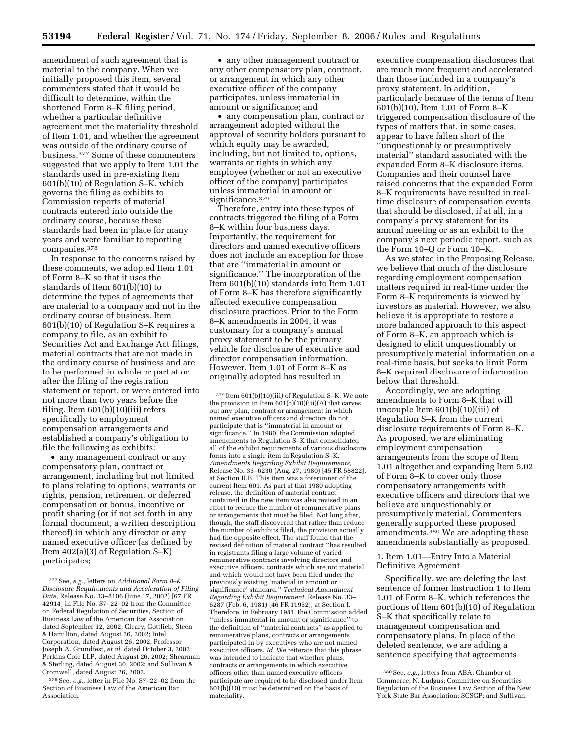amendment of such agreement that is material to the company. When we initially proposed this item, several commenters stated that it would be difficult to determine, within the shortened Form 8–K filing period, whether a particular definitive agreement met the materiality threshold of Item 1.01, and whether the agreement was outside of the ordinary course of business.377 Some of these commenters suggested that we apply to Item 1.01 the standards used in pre-existing Item 601(b)(10) of Regulation S–K, which governs the filing as exhibits to Commission reports of material contracts entered into outside the ordinary course, because these standards had been in place for many years and were familiar to reporting companies.378

In response to the concerns raised by these comments, we adopted Item 1.01 of Form 8–K so that it uses the standards of Item 601(b)(10) to determine the types of agreements that are material to a company and not in the ordinary course of business. Item 601(b)(10) of Regulation S–K requires a company to file, as an exhibit to Securities Act and Exchange Act filings, material contracts that are not made in the ordinary course of business and are to be performed in whole or part at or after the filing of the registration statement or report, or were entered into not more than two years before the filing. Item 601(b)(10)(iii) refers specifically to employment compensation arrangements and established a company's obligation to file the following as exhibits:

• any management contract or any compensatory plan, contract or arrangement, including but not limited to plans relating to options, warrants or rights, pension, retirement or deferred compensation or bonus, incentive or profit sharing (or if not set forth in any formal document, a written description thereof) in which any director or any named executive officer (as defined by Item 402(a)(3) of Regulation S–K) participates;

• any other management contract or any other compensatory plan, contract, or arrangement in which any other executive officer of the company participates, unless immaterial in amount or significance; and

• any compensation plan, contract or arrangement adopted without the approval of security holders pursuant to which equity may be awarded, including, but not limited to, options, warrants or rights in which any employee (whether or not an executive officer of the company) participates unless immaterial in amount or significance.<sup>379</sup>

Therefore, entry into these types of contracts triggered the filing of a Form 8–K within four business days. Importantly, the requirement for directors and named executive officers does not include an exception for those that are ''immaterial in amount or significance.'' The incorporation of the Item 601(b)(10) standards into Item 1.01 of Form 8–K has therefore significantly affected executive compensation disclosure practices. Prior to the Form 8–K amendments in 2004, it was customary for a company's annual proxy statement to be the primary vehicle for disclosure of executive and director compensation information. However, Item 1.01 of Form 8–K as originally adopted has resulted in

379 Item 601(b)(10)(iii) of Regulation S–K. We note the provision in Item  $601(b)(10)(iii)(A)$  that carves out any plan, contract or arrangement in which named executive officers and directors do not participate that is ''immaterial in amount or significance.'' In 1980, the Commission adopted amendments to Regulation S–K that consolidated all of the exhibit requirements of various disclosure forms into a single item in Regulation S–K. *Amendments Regarding Exhibit Requirements,*  Release No. 33–6230 (Aug. 27, 1980) [45 FR 58822], at Section II.B. This item was a forerunner of the current Item 601. As part of that 1980 adopting release, the definition of material contract contained in the new item was also revised in an effort to reduce the number of remunerative plans or arrangements that must be filed. Not long after, though, the staff discovered that rather than reduce the number of exhibits filed, the provision actually had the opposite effect. The staff found that the revised definition of material contract ''has resulted in registrants filing a large volume of varied remunerative contracts involving directors and executive officers, contracts which are not material and which would not have been filed under the previously existing 'material in amount or significance' standard.'' *Technical Amendment Regarding Exhibit Requirement,* Release No. 33– 6287 (Feb. 6, 1981) [46 FR 11952], at Section I. Therefore, in February 1981, the Commission added ''unless immaterial in amount or significance'' to the definition of ''material contracts'' as applied to remunerative plans, contracts or arrangements participated in by executives who are not named executive officers. *Id.* We reiterate that this phrase was intended to indicate that whether plans, contracts or arrangements in which executive officers other than named executive officers participate are required to be disclosed under Item  $601(b)(10)$  must be determined on the basis of materiality.

executive compensation disclosures that are much more frequent and accelerated than those included in a company's proxy statement. In addition, particularly because of the terms of Item 601(b)(10), Item 1.01 of Form 8–K triggered compensation disclosure of the types of matters that, in some cases, appear to have fallen short of the ''unquestionably or presumptively material'' standard associated with the expanded Form 8–K disclosure items. Companies and their counsel have raised concerns that the expanded Form 8–K requirements have resulted in realtime disclosure of compensation events that should be disclosed, if at all, in a company's proxy statement for its annual meeting or as an exhibit to the company's next periodic report, such as the Form 10–Q or Form 10–K.

As we stated in the Proposing Release, we believe that much of the disclosure regarding employment compensation matters required in real-time under the Form 8–K requirements is viewed by investors as material. However, we also believe it is appropriate to restore a more balanced approach to this aspect of Form 8–K, an approach which is designed to elicit unquestionably or presumptively material information on a real-time basis, but seeks to limit Form 8–K required disclosure of information below that threshold.

Accordingly, we are adopting amendments to Form 8–K that will uncouple Item 601(b)(10)(iii) of Regulation S–K from the current disclosure requirements of Form 8–K. As proposed, we are eliminating employment compensation arrangements from the scope of Item 1.01 altogether and expanding Item 5.02 of Form 8–K to cover only those compensatory arrangements with executive officers and directors that we believe are unquestionably or presumptively material. Commenters generally supported these proposed amendments.380 We are adopting these amendments substantially as proposed.

1. Item 1.01—Entry Into a Material Definitive Agreement

Specifically, we are deleting the last sentence of former Instruction 1 to Item 1.01 of Form 8–K, which references the portions of Item 601(b)(10) of Regulation S–K that specifically relate to management compensation and compensatory plans. In place of the deleted sentence, we are adding a sentence specifying that agreements

<sup>377</sup>See, *e.g.,* letters on *Additional Form 8–K Disclosure Requirements and Acceleration of Filing Date,* Release No. 33–8106 (June 17, 2002) [67 FR 42914] in File No. S7–22–02 from the Committee on Federal Regulation of Securities, Section of Business Law of the American Bar Association, dated September 12, 2002; Cleary, Gottlieb, Steen & Hamilton, dated August 26, 2002; Intel Corporation, dated August 26, 2002; Professor Joseph A. Grundfest, *et al.* dated October 3, 2002; Perkins Coie LLP, dated August 26, 2002; Shearman & Sterling, dated August 30, 2002; and Sullivan & Cromwell, dated August 26, 2002.

<sup>378</sup>See, *e.g.,* letter in File No. S7–22–02 from the Section of Business Law of the American Bar Association.

<sup>380</sup>See, *e.g.*, letters from ABA; Chamber of Commerce; N. Ludgus; Committee on Securities Regulation of the Business Law Section of the New York State Bar Association; SCSGP; and Sullivan.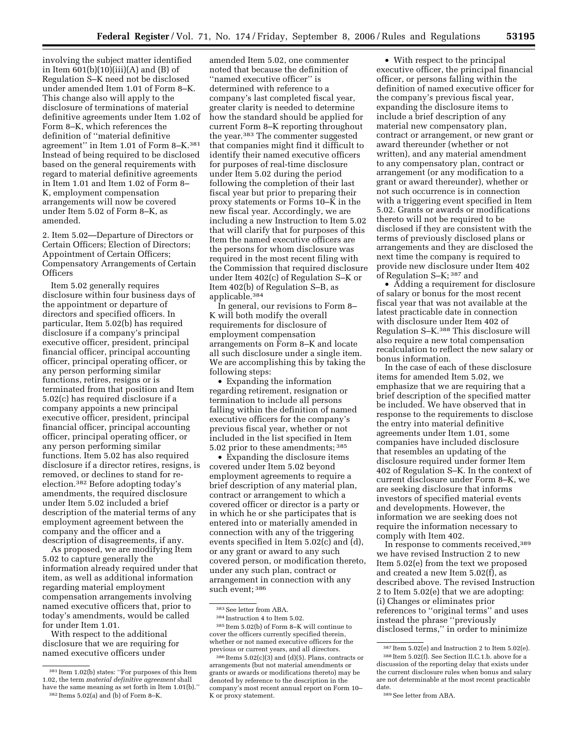involving the subject matter identified in Item  $601(b)(10)(iii)(A)$  and  $(B)$  of Regulation S–K need not be disclosed under amended Item 1.01 of Form 8–K. This change also will apply to the disclosure of terminations of material definitive agreements under Item 1.02 of Form 8–K, which references the definition of ''material definitive agreement'' in Item 1.01 of Form 8–K.381 Instead of being required to be disclosed based on the general requirements with regard to material definitive agreements in Item 1.01 and Item 1.02 of Form 8– K, employment compensation arrangements will now be covered under Item 5.02 of Form 8–K, as amended.

2. Item 5.02—Departure of Directors or Certain Officers; Election of Directors; Appointment of Certain Officers; Compensatory Arrangements of Certain Officers

Item 5.02 generally requires disclosure within four business days of the appointment or departure of directors and specified officers. In particular, Item 5.02(b) has required disclosure if a company's principal executive officer, president, principal financial officer, principal accounting officer, principal operating officer, or any person performing similar functions, retires, resigns or is terminated from that position and Item 5.02(c) has required disclosure if a company appoints a new principal executive officer, president, principal financial officer, principal accounting officer, principal operating officer, or any person performing similar functions. Item 5.02 has also required disclosure if a director retires, resigns, is removed, or declines to stand for reelection.382 Before adopting today's amendments, the required disclosure under Item 5.02 included a brief description of the material terms of any employment agreement between the company and the officer and a description of disagreements, if any.

As proposed, we are modifying Item 5.02 to capture generally the information already required under that item, as well as additional information regarding material employment compensation arrangements involving named executive officers that, prior to today's amendments, would be called for under Item 1.01.

With respect to the additional disclosure that we are requiring for named executive officers under

amended Item 5.02, one commenter noted that because the definition of ''named executive officer'' is determined with reference to a company's last completed fiscal year, greater clarity is needed to determine how the standard should be applied for current Form 8–K reporting throughout the year.383 The commenter suggested that companies might find it difficult to identify their named executive officers for purposes of real-time disclosure under Item 5.02 during the period following the completion of their last fiscal year but prior to preparing their proxy statements or Forms 10–K in the new fiscal year. Accordingly, we are including a new Instruction to Item 5.02 that will clarify that for purposes of this Item the named executive officers are the persons for whom disclosure was required in the most recent filing with the Commission that required disclosure under Item 402(c) of Regulation S–K or Item 402(b) of Regulation S–B, as applicable.384

In general, our revisions to Form 8– K will both modify the overall requirements for disclosure of employment compensation arrangements on Form 8–K and locate all such disclosure under a single item. We are accomplishing this by taking the following steps:

• Expanding the information regarding retirement, resignation or termination to include all persons falling within the definition of named executive officers for the company's previous fiscal year, whether or not included in the list specified in Item 5.02 prior to these amendments; 385

• Expanding the disclosure items covered under Item 5.02 beyond employment agreements to require a brief description of any material plan, contract or arrangement to which a covered officer or director is a party or in which he or she participates that is entered into or materially amended in connection with any of the triggering events specified in Item 5.02(c) and (d), or any grant or award to any such covered person, or modification thereto, under any such plan, contract or arrangement in connection with any such event; 386

385 Item 5.02(b) of Form 8–K will continue to cover the officers currently specified therein, whether or not named executive officers for the previous or current years, and all directors.

• With respect to the principal executive officer, the principal financial officer, or persons falling within the definition of named executive officer for the company's previous fiscal year, expanding the disclosure items to include a brief description of any material new compensatory plan, contract or arrangement, or new grant or award thereunder (whether or not written), and any material amendment to any compensatory plan, contract or arrangement (or any modification to a grant or award thereunder), whether or not such occurrence is in connection with a triggering event specified in Item 5.02. Grants or awards or modifications thereto will not be required to be disclosed if they are consistent with the terms of previously disclosed plans or arrangements and they are disclosed the next time the company is required to provide new disclosure under Item 402 of Regulation S–K; 387 and

• Adding a requirement for disclosure of salary or bonus for the most recent fiscal year that was not available at the latest practicable date in connection with disclosure under Item 402 of Regulation S–K.388 This disclosure will also require a new total compensation recalculation to reflect the new salary or bonus information.

In the case of each of these disclosure items for amended Item 5.02, we emphasize that we are requiring that a brief description of the specified matter be included. We have observed that in response to the requirements to disclose the entry into material definitive agreements under Item 1.01, some companies have included disclosure that resembles an updating of the disclosure required under former Item 402 of Regulation S–K. In the context of current disclosure under Form 8–K, we are seeking disclosure that informs investors of specified material events and developments. However, the information we are seeking does not require the information necessary to comply with Item 402.

In response to comments received,389 we have revised Instruction 2 to new Item 5.02(e) from the text we proposed and created a new Item 5.02(f), as described above. The revised Instruction 2 to Item 5.02(e) that we are adopting: (i) Changes or eliminates prior references to ''original terms'' and uses instead the phrase ''previously disclosed terms,'' in order to minimize

<sup>381</sup> Item 1.02(b) states: ''For purposes of this Item 1.02, the term *material definitive agreement* shall have the same meaning as set forth in Item 1.01(b).''

<sup>382</sup> Items 5.02(a) and (b) of Form 8–K.

<sup>383</sup>See letter from ABA.

<sup>384</sup> Instruction 4 to Item 5.02.

 $386$  Items  $5.02(c)(3)$  and  $(d)(5)$ . Plans, contracts or arrangements (but not material amendments or grants or awards or modifications thereto) may be denoted by reference to the description in the company's most recent annual report on Form 10– K or proxy statement.

<sup>387</sup> Item 5.02(e) and Instruction 2 to Item 5.02(e). 388 Item 5.02(f). See Section II.C.1.b. above for a discussion of the reporting delay that exists under the current disclosure rules when bonus and salary are not determinable at the most recent practicable date.

<sup>389</sup>See letter from ABA.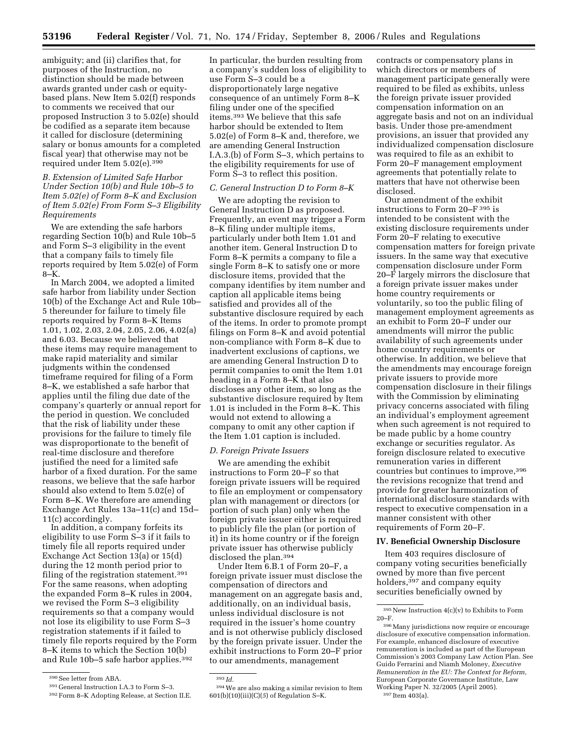ambiguity; and (ii) clarifies that, for purposes of the Instruction, no distinction should be made between awards granted under cash or equitybased plans. New Item 5.02(f) responds to comments we received that our proposed Instruction 3 to 5.02(e) should be codified as a separate item because it called for disclosure (determining salary or bonus amounts for a completed fiscal year) that otherwise may not be required under Item 5.02(e).390

## *B. Extension of Limited Safe Harbor Under Section 10(b) and Rule 10b–5 to Item 5.02(e) of Form 8–K and Exclusion of Item 5.02(e) From Form S–3 Eligibility Requirements*

We are extending the safe harbors regarding Section 10(b) and Rule 10b–5 and Form S–3 eligibility in the event that a company fails to timely file reports required by Item 5.02(e) of Form 8–K.

In March 2004, we adopted a limited safe harbor from liability under Section 10(b) of the Exchange Act and Rule 10b– 5 thereunder for failure to timely file reports required by Form 8–K Items 1.01, 1.02, 2.03, 2.04, 2.05, 2.06, 4.02(a) and 6.03. Because we believed that these items may require management to make rapid materiality and similar judgments within the condensed timeframe required for filing of a Form 8–K, we established a safe harbor that applies until the filing due date of the company's quarterly or annual report for the period in question. We concluded that the risk of liability under these provisions for the failure to timely file was disproportionate to the benefit of real-time disclosure and therefore justified the need for a limited safe harbor of a fixed duration. For the same reasons, we believe that the safe harbor should also extend to Item 5.02(e) of Form 8–K. We therefore are amending Exchange Act Rules 13a–11(c) and 15d– 11(c) accordingly.

In addition, a company forfeits its eligibility to use Form S–3 if it fails to timely file all reports required under Exchange Act Section 13(a) or 15(d) during the 12 month period prior to filing of the registration statement.<sup>391</sup> For the same reasons, when adopting the expanded Form 8–K rules in 2004, we revised the Form S–3 eligibility requirements so that a company would not lose its eligibility to use Form S–3 registration statements if it failed to timely file reports required by the Form 8–K items to which the Section 10(b) and Rule 10b–5 safe harbor applies.392

In particular, the burden resulting from a company's sudden loss of eligibility to use Form S–3 could be a disproportionately large negative consequence of an untimely Form 8–K filing under one of the specified items.393 We believe that this safe harbor should be extended to Item 5.02(e) of Form 8–K and, therefore, we are amending General Instruction I.A.3.(b) of Form S–3, which pertains to the eligibility requirements for use of Form S–3 to reflect this position.

### *C. General Instruction D to Form 8–K*

We are adopting the revision to General Instruction D as proposed. Frequently, an event may trigger a Form 8–K filing under multiple items, particularly under both Item 1.01 and another item. General Instruction D to Form 8–K permits a company to file a single Form 8–K to satisfy one or more disclosure items, provided that the company identifies by item number and caption all applicable items being satisfied and provides all of the substantive disclosure required by each of the items. In order to promote prompt filings on Form 8–K and avoid potential non-compliance with Form 8–K due to inadvertent exclusions of captions, we are amending General Instruction D to permit companies to omit the Item 1.01 heading in a Form 8–K that also discloses any other item, so long as the substantive disclosure required by Item 1.01 is included in the Form 8–K. This would not extend to allowing a company to omit any other caption if the Item 1.01 caption is included.

## *D. Foreign Private Issuers*

We are amending the exhibit instructions to Form 20–F so that foreign private issuers will be required to file an employment or compensatory plan with management or directors (or portion of such plan) only when the foreign private issuer either is required to publicly file the plan (or portion of it) in its home country or if the foreign private issuer has otherwise publicly disclosed the plan.394

Under Item 6.B.1 of Form 20–F, a foreign private issuer must disclose the compensation of directors and management on an aggregate basis and, additionally, on an individual basis, unless individual disclosure is not required in the issuer's home country and is not otherwise publicly disclosed by the foreign private issuer. Under the exhibit instructions to Form 20–F prior to our amendments, management

contracts or compensatory plans in which directors or members of management participate generally were required to be filed as exhibits, unless the foreign private issuer provided compensation information on an aggregate basis and not on an individual basis. Under those pre-amendment provisions, an issuer that provided any individualized compensation disclosure was required to file as an exhibit to Form 20–F management employment agreements that potentially relate to matters that have not otherwise been disclosed.

Our amendment of the exhibit instructions to Form 20–F 395 is intended to be consistent with the existing disclosure requirements under Form 20–F relating to executive compensation matters for foreign private issuers. In the same way that executive compensation disclosure under Form 20–F largely mirrors the disclosure that a foreign private issuer makes under home country requirements or voluntarily, so too the public filing of management employment agreements as an exhibit to Form 20–F under our amendments will mirror the public availability of such agreements under home country requirements or otherwise. In addition, we believe that the amendments may encourage foreign private issuers to provide more compensation disclosure in their filings with the Commission by eliminating privacy concerns associated with filing an individual's employment agreement when such agreement is not required to be made public by a home country exchange or securities regulator. As foreign disclosure related to executive remuneration varies in different countries but continues to improve,396 the revisions recognize that trend and provide for greater harmonization of international disclosure standards with respect to executive compensation in a manner consistent with other requirements of Form 20–F.

### **IV. Beneficial Ownership Disclosure**

Item 403 requires disclosure of company voting securities beneficially owned by more than five percent holders,397 and company equity securities beneficially owned by

<sup>390</sup>See letter from ABA.

<sup>391</sup> General Instruction I.A.3 to Form S–3.

<sup>392</sup>Form 8–K Adopting Release, at Section II.E.

<sup>393</sup> *Id.* 

<sup>394</sup>We are also making a similar revision to Item 601(b)(10)(iii)(C)(*5*) of Regulation S–K.

 $395$  New Instruction  $4(c)(v)$  to Exhibits to Form 20–F.

<sup>396</sup>Many jurisdictions now require or encourage disclosure of executive compensation information. For example, enhanced disclosure of executive remuneration is included as part of the European Commission's 2003 Company Law Action Plan. See Guido Ferrarini and Niamh Moloney, *Executive Remuneration in the EU: The Context for Reform,*  European Corporate Governance Institute, Law Working Paper N. 32/2005 (April 2005). 397 Item 403(a).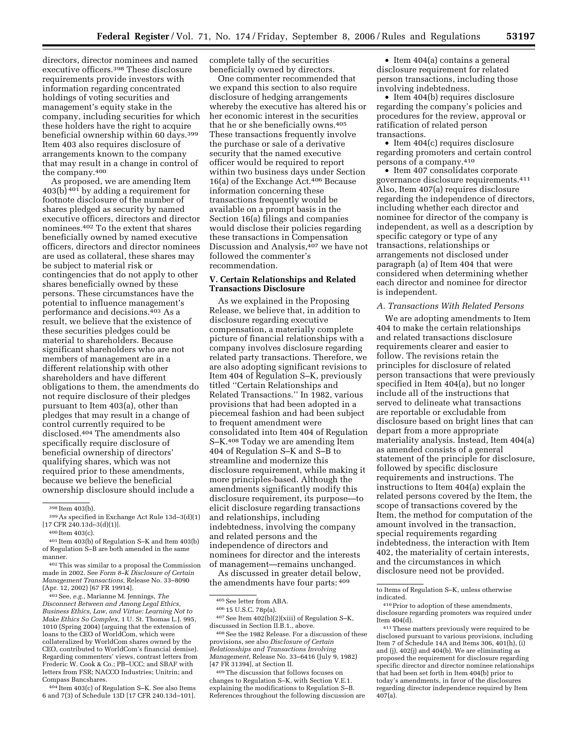directors, director nominees and named executive officers.398 These disclosure requirements provide investors with information regarding concentrated holdings of voting securities and management's equity stake in the company, including securities for which these holders have the right to acquire beneficial ownership within 60 days.399 Item 403 also requires disclosure of arrangements known to the company that may result in a change in control of the company.400

As proposed, we are amending Item  $403(b)$   $40\overline{1}$  by adding a requirement for footnote disclosure of the number of shares pledged as security by named executive officers, directors and director nominees.402 To the extent that shares beneficially owned by named executive officers, directors and director nominees are used as collateral, these shares may be subject to material risk or contingencies that do not apply to other shares beneficially owned by these persons. These circumstances have the potential to influence management's performance and decisions.<sup>403</sup> As a result, we believe that the existence of these securities pledges could be material to shareholders. Because significant shareholders who are not members of management are in a different relationship with other shareholders and have different obligations to them, the amendments do not require disclosure of their pledges pursuant to Item 403(a), other than pledges that may result in a change of control currently required to be disclosed.404 The amendments also specifically require disclosure of beneficial ownership of directors' qualifying shares, which was not required prior to these amendments, because we believe the beneficial ownership disclosure should include a

403See, *e.g.*, Marianne M. Jennings, *The Disconnect Between and Among Legal Ethics, Business Ethics, Law, and Virtue: Learning Not to Make Ethics So Complex,* 1 U. St. Thomas L.J. 995, 1010 (Spring 2004) (arguing that the extension of loans to the CEO of WorldCom, which were collateralized by WorldCom shares owned by the CEO, contributed to WorldCom's financial demise). Regarding commenters' views, contrast letters from Frederic W. Cook & Co.; PB–UCC; and SBAF with letters from FSR; NACCO Industries; Unitrin; and Compass Bancshares.

404 Item 403(c) of Regulation S–K. See also Items 6 and 7(3) of Schedule 13D [17 CFR 240.13d–101]. complete tally of the securities beneficially owned by directors.

One commenter recommended that we expand this section to also require disclosure of hedging arrangements whereby the executive has altered his or her economic interest in the securities that he or she beneficially owns.<sup>405</sup> These transactions frequently involve the purchase or sale of a derivative security that the named executive officer would be required to report within two business days under Section 16(a) of the Exchange Act.406 Because information concerning these transactions frequently would be available on a prompt basis in the Section 16(a) filings and companies would disclose their policies regarding these transactions in Compensation Discussion and Analysis, 407 we have not followed the commenter's recommendation.

## **V. Certain Relationships and Related Transactions Disclosure**

As we explained in the Proposing Release, we believe that, in addition to disclosure regarding executive compensation, a materially complete picture of financial relationships with a company involves disclosure regarding related party transactions. Therefore, we are also adopting significant revisions to Item 404 of Regulation S–K, previously titled ''Certain Relationships and Related Transactions.'' In 1982, various provisions that had been adopted in a piecemeal fashion and had been subject to frequent amendment were consolidated into Item 404 of Regulation S–K.408 Today we are amending Item 404 of Regulation S–K and S–B to streamline and modernize this disclosure requirement, while making it more principles-based. Although the amendments significantly modify this disclosure requirement, its purpose—to elicit disclosure regarding transactions and relationships, including indebtedness, involving the company and related persons and the independence of directors and nominees for director and the interests of management—remains unchanged.

As discussed in greater detail below, the amendments have four parts: 409

408See the 1982 Release. For a discussion of these provisions, see also *Disclosure of Certain Relationships and Transactions Involving Management,* Release No. 33–6416 (July 9, 1982) [47 FR 31394], at Section II.

409The discussion that follows focuses on changes to Regulation S–K, with Section V.E.1. explaining the modifications to Regulation S–B. References throughout the following discussion are

• Item 404(a) contains a general disclosure requirement for related person transactions, including those involving indebtedness.

• Item 404(b) requires disclosure regarding the company's policies and procedures for the review, approval or ratification of related person transactions.

• Item 404(c) requires disclosure regarding promoters and certain control persons of a company.410

• Item 407 consolidates corporate governance disclosure requirements.411 Also, Item 407(a) requires disclosure regarding the independence of directors, including whether each director and nominee for director of the company is independent, as well as a description by specific category or type of any transactions, relationships or arrangements not disclosed under paragraph (a) of Item 404 that were considered when determining whether each director and nominee for director is independent.

### *A. Transactions With Related Persons*

We are adopting amendments to Item 404 to make the certain relationships and related transactions disclosure requirements clearer and easier to follow. The revisions retain the principles for disclosure of related person transactions that were previously specified in Item 404(a), but no longer include all of the instructions that served to delineate what transactions are reportable or excludable from disclosure based on bright lines that can depart from a more appropriate materiality analysis. Instead, Item 404(a) as amended consists of a general statement of the principle for disclosure, followed by specific disclosure requirements and instructions. The instructions to Item 404(a) explain the related persons covered by the Item, the scope of transactions covered by the Item, the method for computation of the amount involved in the transaction, special requirements regarding indebtedness, the interaction with Item 402, the materiality of certain interests, and the circumstances in which disclosure need not be provided.

<sup>398</sup> Item 403(b).

<sup>399</sup>As specified in Exchange Act Rule 13d–3(d)(1) [17 CFR 240.13d–3(d)(1)].

<sup>400</sup> Item 403(c).

<sup>401</sup> Item 403(b) of Regulation S–K and Item 403(b) of Regulation S–B are both amended in the same manner.

<sup>402</sup>This was similar to a proposal the Commission made in 2002. See *Form 8–K Disclosure of Certain Management Transactions,* Release No. 33–8090 (Apr. 12, 2002) [67 FR 19914].

<sup>405</sup>See letter from ABA.

<sup>406</sup> 15 U.S.C. 78p(a).

<sup>407</sup>See Item 402(b)(2)(xiii) of Regulation S–K, discussed in Section II.B.1., above.

to Items of Regulation S–K, unless otherwise

<sup>410</sup> Prior to adoption of these amendments, disclosure regarding promoters was required under

<sup>&</sup>lt;sup>411</sup> These matters previously were required to be disclosed pursuant to various provisions, including Item 7 of Schedule 14A and Items 306, 401(h), (i) and (j), 402(j) and 404(b). We are eliminating as proposed the requirement for disclosure regarding specific director and director nominee relationships that had been set forth in Item 404(b) prior to today's amendments, in favor of the disclosures regarding director independence required by Item  $407(a)$ .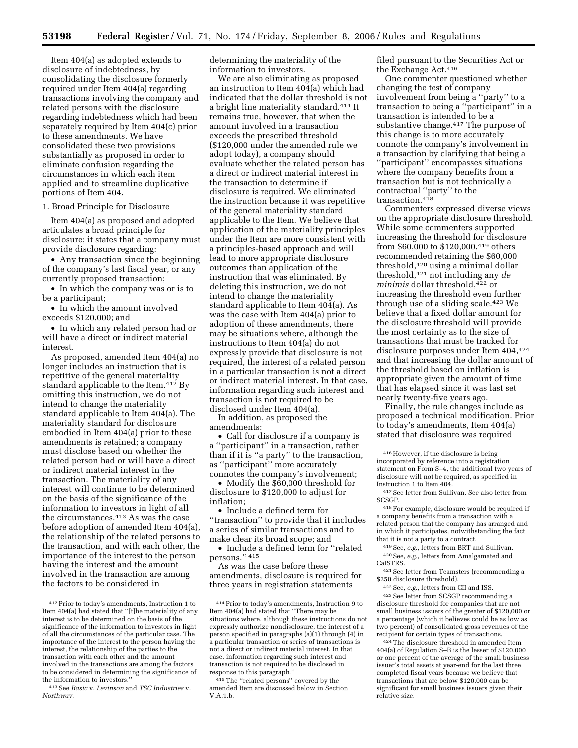Item 404(a) as adopted extends to disclosure of indebtedness, by consolidating the disclosure formerly required under Item 404(a) regarding transactions involving the company and related persons with the disclosure regarding indebtedness which had been separately required by Item 404(c) prior to these amendments. We have consolidated these two provisions substantially as proposed in order to eliminate confusion regarding the circumstances in which each item applied and to streamline duplicative portions of Item 404.

1. Broad Principle for Disclosure

Item 404(a) as proposed and adopted articulates a broad principle for disclosure; it states that a company must provide disclosure regarding:

• Any transaction since the beginning of the company's last fiscal year, or any currently proposed transaction;

• In which the company was or is to be a participant;

• In which the amount involved exceeds \$120,000; and

• In which any related person had or will have a direct or indirect material interest.

As proposed, amended Item 404(a) no longer includes an instruction that is repetitive of the general materiality standard applicable to the Item.412 By omitting this instruction, we do not intend to change the materiality standard applicable to Item 404(a). The materiality standard for disclosure embodied in Item 404(a) prior to these amendments is retained; a company must disclose based on whether the related person had or will have a direct or indirect material interest in the transaction. The materiality of any interest will continue to be determined on the basis of the significance of the information to investors in light of all the circumstances.413 As was the case before adoption of amended Item 404(a), the relationship of the related persons to the transaction, and with each other, the importance of the interest to the person having the interest and the amount involved in the transaction are among the factors to be considered in

determining the materiality of the information to investors.

We are also eliminating as proposed an instruction to Item 404(a) which had indicated that the dollar threshold is not a bright line materiality standard.414 It remains true, however, that when the amount involved in a transaction exceeds the prescribed threshold (\$120,000 under the amended rule we adopt today), a company should evaluate whether the related person has a direct or indirect material interest in the transaction to determine if disclosure is required. We eliminated the instruction because it was repetitive of the general materiality standard applicable to the Item. We believe that application of the materiality principles under the Item are more consistent with a principles-based approach and will lead to more appropriate disclosure outcomes than application of the instruction that was eliminated. By deleting this instruction, we do not intend to change the materiality standard applicable to Item 404(a). As was the case with Item 404(a) prior to adoption of these amendments, there may be situations where, although the instructions to Item 404(a) do not expressly provide that disclosure is not required, the interest of a related person in a particular transaction is not a direct or indirect material interest. In that case, information regarding such interest and transaction is not required to be disclosed under Item 404(a).

In addition, as proposed the amendments:

• Call for disclosure if a company is a ''participant'' in a transaction, rather than if it is ''a party'' to the transaction, as ''participant'' more accurately connotes the company's involvement;

• Modify the \$60,000 threshold for disclosure to \$120,000 to adjust for inflation;

• Include a defined term for ''transaction'' to provide that it includes a series of similar transactions and to make clear its broad scope; and

• Include a defined term for ''related persons.'' 415

As was the case before these amendments, disclosure is required for three years in registration statements

filed pursuant to the Securities Act or the Exchange Act.416

One commenter questioned whether changing the test of company involvement from being a ''party'' to a transaction to being a ''participant'' in a transaction is intended to be a substantive change.417 The purpose of this change is to more accurately connote the company's involvement in a transaction by clarifying that being a ''participant'' encompasses situations where the company benefits from a transaction but is not technically a contractual ''party'' to the transaction.418

Commenters expressed diverse views on the appropriate disclosure threshold. While some commenters supported increasing the threshold for disclosure from \$60,000 to \$120,000,419 others recommended retaining the \$60,000 threshold,420 using a minimal dollar threshold,421 not including any *de minimis* dollar threshold,422 or increasing the threshold even further through use of a sliding scale.423 We believe that a fixed dollar amount for the disclosure threshold will provide the most certainty as to the size of transactions that must be tracked for disclosure purposes under Item 404,424 and that increasing the dollar amount of the threshold based on inflation is appropriate given the amount of time that has elapsed since it was last set nearly twenty-five years ago.

Finally, the rule changes include as proposed a technical modification. Prior to today's amendments, Item 404(a) stated that disclosure was required

418For example, disclosure would be required if a company benefits from a transaction with a related person that the company has arranged and in which it participates, notwithstanding the fact that it is not a party to a contract.

419See, *e.g.*, letters from BRT and Sullivan.

420See, *e.g.*, letters from Amalgamated and CalSTRS.

 $^\mathrm{421}$  See letter from Teamsters (recommending a \$250 disclosure threshold).

422See, *e.g.*, letters from CII and ISS.

423See letter from SCSGP recommending a disclosure threshold for companies that are not small business issuers of the greater of \$120,000 or a percentage (which it believes could be as low as two percent) of consolidated gross revenues of the recipient for certain types of transactions.

<sup>412</sup>Prior to today's amendments, Instruction 1 to Item 404(a) had stated that ''[t]he materiality of any interest is to be determined on the basis of the significance of the information to investors in light of all the circumstances of the particular case. The importance of the interest to the person having the interest, the relationship of the parties to the transaction with each other and the amount involved in the transactions are among the factors to be considered in determining the significance of the information to investors.''

<sup>413</sup>See *Basic* v. *Levinson* and *TSC Industries* v. *Northway.* 

<sup>414</sup>Prior to today's amendments, Instruction 9 to Item 404(a) had stated that ''There may be situations where, although these instructions do not expressly authorize nondisclosure, the interest of a person specified in paragraphs (a)(1) through (4) in a particular transaction or series of transactions is not a direct or indirect material interest. In that case, information regarding such interest and transaction is not required to be disclosed in response to this paragraph.''

<sup>415</sup>The ''related persons'' covered by the amended Item are discussed below in Section V.A.1.b.

<sup>416</sup>However, if the disclosure is being incorporated by reference into a registration statement on Form S–4, the additional two years of disclosure will not be required, as specified in Instruction 1 to Item 404.

<sup>417</sup>See letter from Sullivan. See also letter from SCSGP.

<sup>424</sup>The disclosure threshold in amended Item 404(a) of Regulation S–B is the lesser of \$120,000 or one percent of the average of the small business issuer's total assets at year-end for the last three completed fiscal years because we believe that transactions that are below \$120,000 can be significant for small business issuers given their relative size.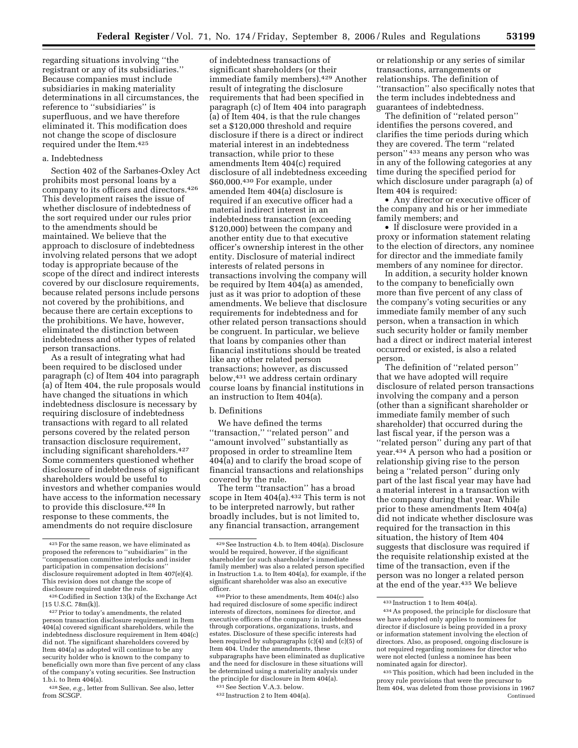regarding situations involving ''the registrant or any of its subsidiaries.'' Because companies must include subsidiaries in making materiality determinations in all circumstances, the reference to ''subsidiaries'' is superfluous, and we have therefore eliminated it. This modification does not change the scope of disclosure required under the Item.425

#### a. Indebtedness

Section 402 of the Sarbanes-Oxley Act prohibits most personal loans by a company to its officers and directors.426 This development raises the issue of whether disclosure of indebtedness of the sort required under our rules prior to the amendments should be maintained. We believe that the approach to disclosure of indebtedness involving related persons that we adopt today is appropriate because of the scope of the direct and indirect interests covered by our disclosure requirements, because related persons include persons not covered by the prohibitions, and because there are certain exceptions to the prohibitions. We have, however, eliminated the distinction between indebtedness and other types of related person transactions.

As a result of integrating what had been required to be disclosed under paragraph (c) of Item 404 into paragraph (a) of Item 404, the rule proposals would have changed the situations in which indebtedness disclosure is necessary by requiring disclosure of indebtedness transactions with regard to all related persons covered by the related person transaction disclosure requirement, including significant shareholders.427 Some commenters questioned whether disclosure of indebtedness of significant shareholders would be useful to investors and whether companies would have access to the information necessary to provide this disclosure.428 In response to these comments, the amendments do not require disclosure

person transaction disclosure requirement in Item 404(a) covered significant shareholders, while the indebtedness disclosure requirement in Item 404(c) did not. The significant shareholders covered by Item 404(a) as adopted will continue to be any security holder who is known to the company to beneficially own more than five percent of any class of the company's voting securities. See Instruction 1.b.i. to Item 404(a).

428See, *e.g.*, letter from Sullivan. See also, letter from SCSGP.

of indebtedness transactions of significant shareholders (or their immediate family members).429 Another result of integrating the disclosure requirements that had been specified in paragraph (c) of Item 404 into paragraph (a) of Item 404, is that the rule changes set a \$120,000 threshold and require disclosure if there is a direct or indirect material interest in an indebtedness transaction, while prior to these amendments Item 404(c) required disclosure of all indebtedness exceeding \$60,000.430 For example, under amended Item 404(a) disclosure is required if an executive officer had a material indirect interest in an indebtedness transaction (exceeding \$120,000) between the company and another entity due to that executive officer's ownership interest in the other entity. Disclosure of material indirect interests of related persons in transactions involving the company will be required by Item 404(a) as amended, just as it was prior to adoption of these amendments. We believe that disclosure requirements for indebtedness and for other related person transactions should be congruent. In particular, we believe that loans by companies other than financial institutions should be treated like any other related person transactions; however, as discussed below,431 we address certain ordinary course loans by financial institutions in an instruction to Item 404(a).

### b. Definitions

We have defined the terms ''transaction,'' ''related person'' and ''amount involved'' substantially as proposed in order to streamline Item 404(a) and to clarify the broad scope of financial transactions and relationships covered by the rule.

The term "transaction" has a broad scope in Item 404(a).432 This term is not to be interpreted narrowly, but rather broadly includes, but is not limited to, any financial transaction, arrangement

or relationship or any series of similar transactions, arrangements or relationships. The definition of ''transaction'' also specifically notes that the term includes indebtedness and guarantees of indebtedness.

The definition of ''related person'' identifies the persons covered, and clarifies the time periods during which they are covered. The term ''related person'' 433 means any person who was in any of the following categories at any time during the specified period for which disclosure under paragraph (a) of Item 404 is required:

• Any director or executive officer of the company and his or her immediate family members; and

• If disclosure were provided in a proxy or information statement relating to the election of directors, any nominee for director and the immediate family members of any nominee for director.

In addition, a security holder known to the company to beneficially own more than five percent of any class of the company's voting securities or any immediate family member of any such person, when a transaction in which such security holder or family member had a direct or indirect material interest occurred or existed, is also a related person.

The definition of ''related person'' that we have adopted will require disclosure of related person transactions involving the company and a person (other than a significant shareholder or immediate family member of such shareholder) that occurred during the last fiscal year, if the person was a ''related person'' during any part of that year.434 A person who had a position or relationship giving rise to the person being a ''related person'' during only part of the last fiscal year may have had a material interest in a transaction with the company during that year. While prior to these amendments Item 404(a) did not indicate whether disclosure was required for the transaction in this situation, the history of Item 404 suggests that disclosure was required if the requisite relationship existed at the time of the transaction, even if the person was no longer a related person at the end of the year.435 We believe

<sup>425</sup>For the same reason, we have eliminated as proposed the references to ''subsidiaries'' in the ''compensation committee interlocks and insider participation in compensation decisions'' disclosure requirement adopted in Item 407(e)(4). This revision does not change the scope of<br>disclosure required under the rule.

 $^{426}\rm{Codified}$  in Section 13(k) of the Exchange Act [15 U.S.C. 78m(k)]. 427Prior to today's amendments, the related

<sup>429</sup>See Instruction 4.b. to Item 404(a). Disclosure would be required, however, if the significant shareholder (or such shareholder's immediate family member) was also a related person specified in Instruction 1.a. to Item 404(a), for example, if the significant shareholder was also an executive<br>officer.

 $430$  Prior to these amendments, Item  $404(c)$  also had required disclosure of some specific indirect interests of directors, nominees for director, and executive officers of the company in indebtedness through corporations, organizations, trusts, and estates. Disclosure of these specific interests had been required by subparagraphs (c)(4) and (c)(5) of Item 404. Under the amendments, these subparagraphs have been eliminated as duplicative and the need for disclosure in these situations will be determined using a materiality analysis under the principle for disclosure in Item  $404(a)$ .

<sup>431</sup>See Section V.A.3. below.

<sup>432</sup> Instruction 2 to Item 404(a).

<sup>433</sup> Instruction 1 to Item 404(a).

<sup>434</sup>As proposed, the principle for disclosure that we have adopted only applies to nominees for director if disclosure is being provided in a proxy or information statement involving the election of directors. Also, as proposed, ongoing disclosure is not required regarding nominees for director who were not elected (unless a nominee has been nominated again for director).

<sup>435</sup>This position, which had been included in the proxy rule provisions that were the precursor to Item 404, was deleted from those provisions in 1967 Continued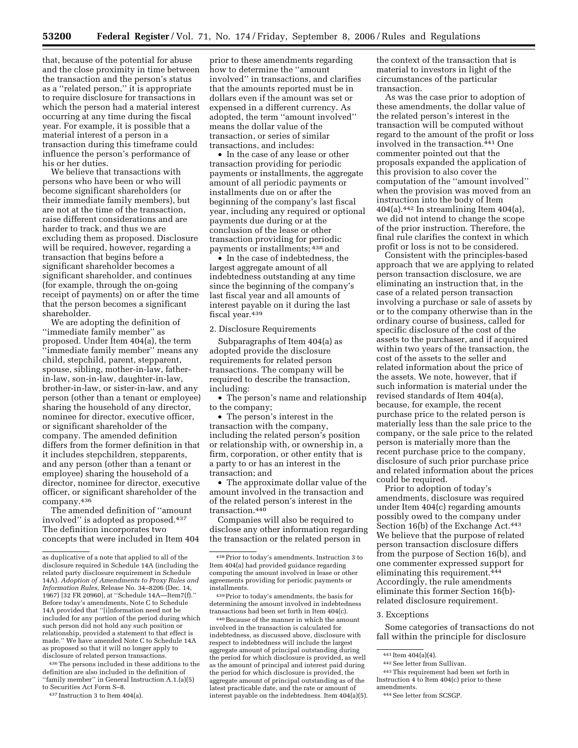that, because of the potential for abuse and the close proximity in time between the transaction and the person's status as a ''related person,'' it is appropriate to require disclosure for transactions in which the person had a material interest occurring at any time during the fiscal year. For example, it is possible that a material interest of a person in a transaction during this timeframe could influence the person's performance of his or her duties.

We believe that transactions with persons who have been or who will become significant shareholders (or their immediate family members), but are not at the time of the transaction, raise different considerations and are harder to track, and thus we are excluding them as proposed. Disclosure will be required, however, regarding a transaction that begins before a significant shareholder becomes a significant shareholder, and continues (for example, through the on-going receipt of payments) on or after the time that the person becomes a significant shareholder.

We are adopting the definition of ''immediate family member'' as proposed. Under Item 404(a), the term ''immediate family member'' means any child, stepchild, parent, stepparent, spouse, sibling, mother-in-law, fatherin-law, son-in-law, daughter-in-law, brother-in-law, or sister-in-law, and any person (other than a tenant or employee) sharing the household of any director, nominee for director, executive officer, or significant shareholder of the company. The amended definition differs from the former definition in that it includes stepchildren, stepparents, and any person (other than a tenant or employee) sharing the household of a director, nominee for director, executive officer, or significant shareholder of the company.436

The amended definition of ''amount involved'' is adopted as proposed.437 The definition incorporates two concepts that were included in Item 404

436The persons included in these additions to the definition are also included in the definition of ''family member'' in General Instruction A.1.(a)(5) to Securities Act Form S–8.

437 Instruction 3 to Item 404(a).

prior to these amendments regarding how to determine the ''amount involved'' in transactions, and clarifies that the amounts reported must be in dollars even if the amount was set or expensed in a different currency. As adopted, the term ''amount involved'' means the dollar value of the transaction, or series of similar transactions, and includes:

• In the case of any lease or other transaction providing for periodic payments or installments, the aggregate amount of all periodic payments or installments due on or after the beginning of the company's last fiscal year, including any required or optional payments due during or at the conclusion of the lease or other transaction providing for periodic payments or installments; 438 and

• In the case of indebtedness, the largest aggregate amount of all indebtedness outstanding at any time since the beginning of the company's last fiscal year and all amounts of interest payable on it during the last fiscal year.<sup>439</sup>

#### 2. Disclosure Requirements

Subparagraphs of Item 404(a) as adopted provide the disclosure requirements for related person transactions. The company will be required to describe the transaction, including:

• The person's name and relationship to the company;

• The person's interest in the transaction with the company, including the related person's position or relationship with, or ownership in, a firm, corporation, or other entity that is a party to or has an interest in the transaction; and

• The approximate dollar value of the amount involved in the transaction and of the related person's interest in the transaction.440

Companies will also be required to disclose any other information regarding the transaction or the related person in

439Prior to today's amendments, the basis for determining the amount involved in indebtedness transactions had been set forth in Item 404(c).

440Because of the manner in which the amount involved in the transaction is calculated for indebtedness, as discussed above, disclosure with respect to indebtedness will include the largest aggregate amount of principal outstanding during the period for which disclosure is provided, as well as the amount of principal and interest paid during the period for which disclosure is provided, the aggregate amount of principal outstanding as of the latest practicable date, and the rate or amount of interest payable on the indebtedness. Item 404(a)(5).

the context of the transaction that is material to investors in light of the circumstances of the particular transaction.

As was the case prior to adoption of these amendments, the dollar value of the related person's interest in the transaction will be computed without regard to the amount of the profit or loss involved in the transaction.441 One commenter pointed out that the proposals expanded the application of this provision to also cover the computation of the ''amount involved'' when the provision was moved from an instruction into the body of Item  $404(a).442$  In streamlining Item  $404(a).$ we did not intend to change the scope of the prior instruction. Therefore, the final rule clarifies the context in which profit or loss is not to be considered.

Consistent with the principles-based approach that we are applying to related person transaction disclosure, we are eliminating an instruction that, in the case of a related person transaction involving a purchase or sale of assets by or to the company otherwise than in the ordinary course of business, called for specific disclosure of the cost of the assets to the purchaser, and if acquired within two years of the transaction, the cost of the assets to the seller and related information about the price of the assets. We note, however, that if such information is material under the revised standards of Item 404(a), because, for example, the recent purchase price to the related person is materially less than the sale price to the company, or the sale price to the related person is materially more than the recent purchase price to the company, disclosure of such prior purchase price and related information about the prices could be required.

Prior to adoption of today's amendments, disclosure was required under Item 404(c) regarding amounts possibly owed to the company under Section 16(b) of the Exchange Act.<sup>443</sup> We believe that the purpose of related person transaction disclosure differs from the purpose of Section 16(b), and one commenter expressed support for eliminating this requirement.444 Accordingly, the rule amendments eliminate this former Section 16(b) related disclosure requirement.

### 3. Exceptions

Some categories of transactions do not fall within the principle for disclosure

443This requirement had been set forth in Instruction 4 to Item 404(c) prior to these amendments.

as duplicative of a note that applied to all of the disclosure required in Schedule 14A (including the related party disclosure requirement in Schedule 14A). *Adoption of Amendments to Proxy Rules and Information Rules,* Release No. 34–8206 (Dec. 14, 1967) [32 FR 20960], at ''Schedule 14A—Item7(f).'' Before today's amendments, Note C to Schedule 14A provided that ''[i]nformation need not be included for any portion of the period during which such person did not hold any such position or relationship, provided a statement to that effect is made.'' We have amended Note C to Schedule 14A as proposed so that it will no longer apply to disclosure of related person transactions.

<sup>438</sup>Prior to today's amendments, Instruction 3 to Item 404(a) had provided guidance regarding computing the amount involved in lease or other agreements providing for periodic payments or installments.

<sup>441</sup> Item 404(a)(4).

<sup>442</sup>See letter from Sullivan.

<sup>444</sup>See letter from SCSGP.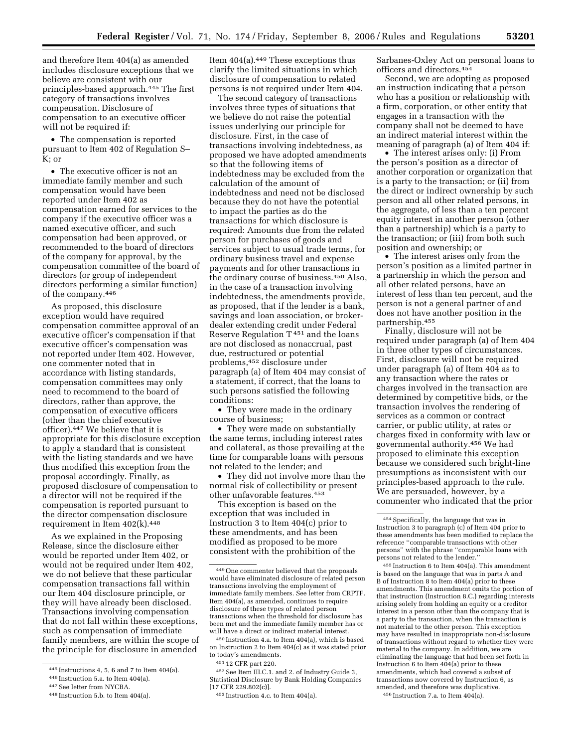and therefore Item 404(a) as amended includes disclosure exceptions that we believe are consistent with our principles-based approach.445 The first category of transactions involves compensation. Disclosure of compensation to an executive officer will not be required if:

• The compensation is reported pursuant to Item 402 of Regulation S– K; or

• The executive officer is not an immediate family member and such compensation would have been reported under Item 402 as compensation earned for services to the company if the executive officer was a named executive officer, and such compensation had been approved, or recommended to the board of directors of the company for approval, by the compensation committee of the board of directors (or group of independent directors performing a similar function) of the company.446

As proposed, this disclosure exception would have required compensation committee approval of an executive officer's compensation if that executive officer's compensation was not reported under Item 402. However, one commenter noted that in accordance with listing standards, compensation committees may only need to recommend to the board of directors, rather than approve, the compensation of executive officers (other than the chief executive officer).447 We believe that it is appropriate for this disclosure exception to apply a standard that is consistent with the listing standards and we have thus modified this exception from the proposal accordingly. Finally, as proposed disclosure of compensation to a director will not be required if the compensation is reported pursuant to the director compensation disclosure requirement in Item  $402(k).448$ 

As we explained in the Proposing Release, since the disclosure either would be reported under Item 402, or would not be required under Item 402, we do not believe that these particular compensation transactions fall within our Item 404 disclosure principle, or they will have already been disclosed. Transactions involving compensation that do not fall within these exceptions, such as compensation of immediate family members, are within the scope of the principle for disclosure in amended

Item  $404(a)$ .<sup>449</sup> These exceptions thus clarify the limited situations in which disclosure of compensation to related persons is not required under Item 404.

The second category of transactions involves three types of situations that we believe do not raise the potential issues underlying our principle for disclosure. First, in the case of transactions involving indebtedness, as proposed we have adopted amendments so that the following items of indebtedness may be excluded from the calculation of the amount of indebtedness and need not be disclosed because they do not have the potential to impact the parties as do the transactions for which disclosure is required: Amounts due from the related person for purchases of goods and services subject to usual trade terms, for ordinary business travel and expense payments and for other transactions in the ordinary course of business.450 Also, in the case of a transaction involving indebtedness, the amendments provide, as proposed, that if the lender is a bank, savings and loan association, or brokerdealer extending credit under Federal Reserve Regulation  $T^{451}$  and the loans are not disclosed as nonaccrual, past due, restructured or potential problems,452 disclosure under paragraph (a) of Item 404 may consist of a statement, if correct, that the loans to such persons satisfied the following conditions:

• They were made in the ordinary course of business;

• They were made on substantially the same terms, including interest rates and collateral, as those prevailing at the time for comparable loans with persons not related to the lender; and

• They did not involve more than the normal risk of collectibility or present other unfavorable features.453

This exception is based on the exception that was included in Instruction 3 to Item 404(c) prior to these amendments, and has been modified as proposed to be more consistent with the prohibition of the

450 Instruction 4.a. to Item 404(a), which is based on Instruction 2 to Item 404(c) as it was stated prior to today's amendments.

452See Item III.C.1. and 2. of Industry Guide 3, Statistical Disclosure by Bank Holding Companies [17 CFR 229.802(c)].

Sarbanes-Oxley Act on personal loans to officers and directors.454

Second, we are adopting as proposed an instruction indicating that a person who has a position or relationship with a firm, corporation, or other entity that engages in a transaction with the company shall not be deemed to have an indirect material interest within the meaning of paragraph (a) of Item 404 if:

• The interest arises only: (i) From the person's position as a director of another corporation or organization that is a party to the transaction; or (ii) from the direct or indirect ownership by such person and all other related persons, in the aggregate, of less than a ten percent equity interest in another person (other than a partnership) which is a party to the transaction; or (iii) from both such position and ownership; or

• The interest arises only from the person's position as a limited partner in a partnership in which the person and all other related persons, have an interest of less than ten percent, and the person is not a general partner of and does not have another position in the partnership.455

Finally, disclosure will not be required under paragraph (a) of Item 404 in three other types of circumstances. First, disclosure will not be required under paragraph (a) of Item 404 as to any transaction where the rates or charges involved in the transaction are determined by competitive bids, or the transaction involves the rendering of services as a common or contract carrier, or public utility, at rates or charges fixed in conformity with law or governmental authority.456 We had proposed to eliminate this exception because we considered such bright-line presumptions as inconsistent with our principles-based approach to the rule. We are persuaded, however, by a commenter who indicated that the prior

455 Instruction 6 to Item 404(a). This amendment is based on the language that was in parts A and B of Instruction 8 to Item 404(a) prior to these amendments. This amendment omits the portion of that instruction (Instruction 8.C.) regarding interests arising solely from holding an equity or a creditor interest in a person other than the company that is a party to the transaction, when the transaction is not material to the other person. This exception may have resulted in inappropriate non-disclosure of transactions without regard to whether they were material to the company. In addition, we are eliminating the language that had been set forth in Instruction 6 to Item 404(a) prior to these amendments, which had covered a subset of transactions now covered by Instruction 6, as amended, and therefore was duplicative. 456 Instruction 7.a. to Item 404(a).

<sup>445</sup> Instructions 4, 5, 6 and 7 to Item 404(a).

<sup>446</sup> Instruction 5.a. to Item 404(a).

<sup>447</sup>See letter from NYCBA.

<sup>448</sup> Instruction 5.b. to Item 404(a).

<sup>449</sup>One commenter believed that the proposals would have eliminated disclosure of related person transactions involving the employment of immediate family members. See letter from CRPTF. Item 404(a), as amended, continues to require disclosure of these types of related person transactions when the threshold for disclosure has been met and the immediate family member has or will have a direct or indirect material interest.

<sup>451</sup> 12 CFR part 220.

<sup>453</sup> Instruction 4.c. to Item 404(a).

<sup>454</sup>Specifically, the language that was in Instruction 3 to paragraph (c) of Item 404 prior to these amendments has been modified to replace the reference ''comparable transactions with other persons'' with the phrase ''comparable loans with persons not related to the lender.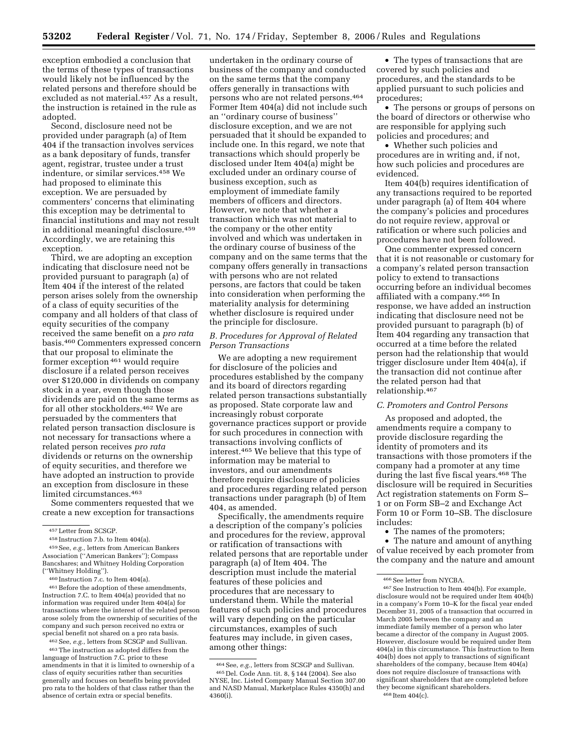exception embodied a conclusion that the terms of these types of transactions would likely not be influenced by the related persons and therefore should be excluded as not material.457 As a result, the instruction is retained in the rule as adopted.

Second, disclosure need not be provided under paragraph (a) of Item 404 if the transaction involves services as a bank depositary of funds, transfer agent, registrar, trustee under a trust indenture, or similar services.458 We had proposed to eliminate this exception. We are persuaded by commenters' concerns that eliminating this exception may be detrimental to financial institutions and may not result in additional meaningful disclosure.459 Accordingly, we are retaining this exception.

Third, we are adopting an exception indicating that disclosure need not be provided pursuant to paragraph (a) of Item 404 if the interest of the related person arises solely from the ownership of a class of equity securities of the company and all holders of that class of equity securities of the company received the same benefit on a *pro rata*  basis.460 Commenters expressed concern that our proposal to eliminate the former exception 461 would require disclosure if a related person receives over \$120,000 in dividends on company stock in a year, even though those dividends are paid on the same terms as for all other stockholders.462 We are persuaded by the commenters that related person transaction disclosure is not necessary for transactions where a related person receives *pro rata*  dividends or returns on the ownership of equity securities, and therefore we have adopted an instruction to provide an exception from disclosure in these limited circumstances.463

Some commenters requested that we create a new exception for transactions

458 Instruction 7.b. to Item 404(a).

459See, *e.g.*, letters from American Bankers Association (''American Bankers''); Compass Bancshares; and Whitney Holding Corporation (''Whitney Holding'').

460 Instruction 7.c. to Item 404(a).

461Before the adoption of these amendments, Instruction 7.C. to Item 404(a) provided that no information was required under Item 404(a) for transactions where the interest of the related person arose solely from the ownership of securities of the company and such person received no extra or special benefit not shared on a pro rata basis.

462See, *e.g.*, letters from SCSGP and Sullivan.

463The instruction as adopted differs from the language of Instruction 7.C. prior to these amendments in that it is limited to ownership of a class of equity securities rather than securities generally and focuses on benefits being provided pro rata to the holders of that class rather than the absence of certain extra or special benefits.

undertaken in the ordinary course of business of the company and conducted on the same terms that the company offers generally in transactions with persons who are not related persons.464 Former Item 404(a) did not include such an ''ordinary course of business'' disclosure exception, and we are not persuaded that it should be expanded to include one. In this regard, we note that transactions which should properly be disclosed under Item 404(a) might be excluded under an ordinary course of business exception, such as employment of immediate family members of officers and directors. However, we note that whether a transaction which was not material to the company or the other entity involved and which was undertaken in the ordinary course of business of the company and on the same terms that the company offers generally in transactions with persons who are not related persons, are factors that could be taken into consideration when performing the materiality analysis for determining whether disclosure is required under the principle for disclosure.

## *B. Procedures for Approval of Related Person Transactions*

We are adopting a new requirement for disclosure of the policies and procedures established by the company and its board of directors regarding related person transactions substantially as proposed. State corporate law and increasingly robust corporate governance practices support or provide for such procedures in connection with transactions involving conflicts of interest.465 We believe that this type of information may be material to investors, and our amendments therefore require disclosure of policies and procedures regarding related person transactions under paragraph (b) of Item 404, as amended.

Specifically, the amendments require a description of the company's policies and procedures for the review, approval or ratification of transactions with related persons that are reportable under paragraph (a) of Item 404. The description must include the material features of these policies and procedures that are necessary to understand them. While the material features of such policies and procedures will vary depending on the particular circumstances, examples of such features may include, in given cases, among other things:

• The types of transactions that are covered by such policies and procedures, and the standards to be applied pursuant to such policies and procedures;

• The persons or groups of persons on the board of directors or otherwise who are responsible for applying such policies and procedures; and

• Whether such policies and procedures are in writing and, if not, how such policies and procedures are evidenced.

Item 404(b) requires identification of any transactions required to be reported under paragraph (a) of Item 404 where the company's policies and procedures do not require review, approval or ratification or where such policies and procedures have not been followed.

One commenter expressed concern that it is not reasonable or customary for a company's related person transaction policy to extend to transactions occurring before an individual becomes affiliated with a company.466 In response, we have added an instruction indicating that disclosure need not be provided pursuant to paragraph (b) of Item 404 regarding any transaction that occurred at a time before the related person had the relationship that would trigger disclosure under Item 404(a), if the transaction did not continue after the related person had that relationship.467

## *C. Promoters and Control Persons*

As proposed and adopted, the amendments require a company to provide disclosure regarding the identity of promoters and its transactions with those promoters if the company had a promoter at any time during the last five fiscal years.468 The disclosure will be required in Securities Act registration statements on Form S– 1 or on Form SB–2 and Exchange Act Form 10 or Form 10–SB. The disclosure includes:

• The nature and amount of anything of value received by each promoter from the company and the nature and amount

<sup>457</sup>Letter from SCSGP.

<sup>464</sup>See, *e.g.*, letters from SCSGP and Sullivan. 465 Del. Code Ann. tit. 8, § 144 (2004). See also NYSE, Inc. Listed Company Manual Section 307.00 and NASD Manual, Marketplace Rules 4350(h) and 4360(i).

<sup>•</sup> The names of the promoters;

<sup>466</sup>See letter from NYCBA.

<sup>467</sup>See Instruction to Item 404(b). For example, disclosure would not be required under Item 404(b) in a company's Form 10–K for the fiscal year ended December 31, 2005 of a transaction that occurred in March 2005 between the company and an immediate family member of a person who later became a director of the company in August 2005. However, disclosure would be required under Item 404(a) in this circumstance. This Instruction to Item 404(b) does not apply to transactions of significant shareholders of the company, because Item 404(a) does not require disclosure of transactions with significant shareholders that are completed before they become significant shareholders. 468 Item 404(c).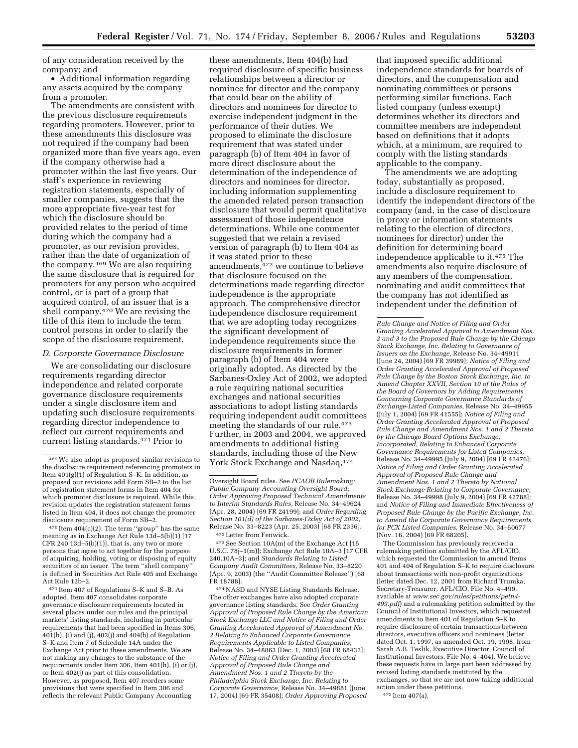of any consideration received by the company; and

• Additional information regarding any assets acquired by the company from a promoter.

The amendments are consistent with the previous disclosure requirements regarding promoters. However, prior to these amendments this disclosure was not required if the company had been organized more than five years ago, even if the company otherwise had a promoter within the last five years. Our staff's experience in reviewing registration statements, especially of smaller companies, suggests that the more appropriate five-year test for which the disclosure should be provided relates to the period of time during which the company had a promoter, as our revision provides, rather than the date of organization of the company.469 We are also requiring the same disclosure that is required for promoters for any person who acquired control, or is part of a group that acquired control, of an issuer that is a shell company.470 We are revising the title of this item to include the term control persons in order to clarify the scope of the disclosure requirement.

### *D. Corporate Governance Disclosure*

We are consolidating our disclosure requirements regarding director independence and related corporate governance disclosure requirements under a single disclosure item and updating such disclosure requirements regarding director independence to reflect our current requirements and current listing standards.471 Prior to

 $470$  Item  $404(c)(2)$ . The term "group" has the same meaning as in Exchange Act Rule 13d–5(b)(1) [17 CFR 240.13d $-5(b)(1)$ ], that is, any two or more persons that agree to act together for the purpose of acquiring, holding, voting or disposing of equity securities of an issuer. The term ''shell company'' is defined in Securities Act Rule 405 and Exchange Act Rule 12b–2.

471 Item 407 of Regulations S–K and S–B. As adopted, Item 407 consolidates corporate governance disclosure requirements located in several places under our rules and the principal markets' listing standards, including in particular requirements that had been specified in Items 306, 401(h), (i) and (j), 402(j) and 404(b) of Regulation S–K and Item 7 of Schedule 14A under the Exchange Act prior to these amendments. We are not making any changes to the substance of the requirements under Item 306, Item 401(h), (i) or (j), or Item 402(j) as part of this consolidation. However, as proposed, Item 407 reorders some provisions that were specified in Item 306 and reflects the relevant Public Company Accounting

these amendments, Item 404(b) had required disclosure of specific business relationships between a director or nominee for director and the company that could bear on the ability of directors and nominees for director to exercise independent judgment in the performance of their duties. We proposed to eliminate the disclosure requirement that was stated under paragraph (b) of Item 404 in favor of more direct disclosure about the determination of the independence of directors and nominees for director, including information supplementing the amended related person transaction disclosure that would permit qualitative assessment of those independence determinations. While one commenter suggested that we retain a revised version of paragraph (b) to Item 404 as it was stated prior to these amendments,472 we continue to believe that disclosure focused on the determinations made regarding director independence is the appropriate approach. The comprehensive director independence disclosure requirement that we are adopting today recognizes the significant development of independence requirements since the disclosure requirements in former paragraph (b) of Item 404 were originally adopted. As directed by the Sarbanes-Oxley Act of 2002, we adopted a rule requiring national securities exchanges and national securities associations to adopt listing standards requiring independent audit committees meeting the standards of our rule.473 Further, in 2003 and 2004, we approved amendments to additional listing standards, including those of the New York Stock Exchange and Nasdaq, 474

474NASD and NYSE Listing Standards Release. The other exchanges have also adopted corporate governance listing standards. See *Order Granting Approval of Proposed Rule Change by the American Stock Exchange LLC and Notice of Filing and Order Granting Accelerated Approval of Amendment No. 2 Relating to Enhanced Corporate Governance Requirements Applicable to Listed Companies,*  Release No. 34–48863 (Dec. 1, 2003) [68 FR 68432]; *Notice of Filing and Order Granting Accelerated Approval of Proposed Rule Change and Amendment Nos. 1 and 2 Thereto by the Philadelphia Stock Exchange, Inc. Relating to Corporate Governance,* Release No. 34–49881 (June 17, 2004) [69 FR 35408]; *Order Approving Proposed* 

that imposed specific additional independence standards for boards of directors, and the compensation and nominating committees or persons performing similar functions. Each listed company (unless exempt) determines whether its directors and committee members are independent based on definitions that it adopts which, at a minimum, are required to comply with the listing standards applicable to the company.

The amendments we are adopting today, substantially as proposed, include a disclosure requirement to identify the independent directors of the company (and, in the case of disclosure in proxy or information statements relating to the election of directors, nominees for director) under the definition for determining board independence applicable to it.475 The amendments also require disclosure of any members of the compensation, nominating and audit committees that the company has not identified as independent under the definition of

The Commission has previously received a rulemaking petition submitted by the AFL/CIO, which requested the Commission to amend Items 401 and 404 of Regulation S–K to require disclosure about transactions with non-profit organizations (letter dated Dec. 12, 2001 from Richard Trumka, Secretary-Treasurer, AFL/CIO, File No. 4–499, available at *www.sec.gov/rules/petitions/petn4- 499.pdf*) and a rulemaking petition submitted by the Council of Institutional Investors, which requested amendments to Item 401 of Regulation S–K to require disclosure of certain transactions between directors, executive officers and nominees (letter dated Oct. 1, 1997, as amended Oct. 19, 1998, from Sarah A.B. Teslik, Executive Director, Council of Institutional Investors, File No. 4–404). We believe these requests have in large part been addressed by revised listing standards instituted by the exchanges, so that we are not now taking additional action under these petitions.

475 Item 407(a).

<sup>469</sup>We also adopt as proposed similar revisions to the disclosure requirement referencing promoters in Item 401(g)(1) of Regulation S–K. In addition, as proposed our revisions add Form SB–2 to the list of registration statement forms in Item 404 for which promoter disclosure is required. While this revision updates the registration statement forms listed in Item 404, it does not change the promoter disclosure requirement of Form SB–2.

Oversight Board rules. See *PCAOB Rulemaking: Public Company Accounting Oversight Board; Order Approving Proposed Technical Amendments to Interim Standards Rules,* Release No. 34–49624 (Apr. 28, 2004) [69 FR 24199]; and *Order Regarding Section 101(d) of the Sarbanes-Oxley Act of 2002,*  Release No. 33–8223 (Apr. 25, 2003) [68 FR 2336]. 472Letter from Fenwick.

<sup>473</sup>See Section 10A(m) of the Exchange Act [15 U.S.C. 78j–1(m)]; Exchange Act Rule 10A–3 [17 CFR 240.10A–3]; and *Standards Relating to Listed Company Audit Committees,* Release No. 33–8220 (Apr. 9, 2003) (the ''Audit Committee Release'') [68 FR 18788].

*Rule Change and Notice of Filing and Order Granting Accelerated Approval to Amendment Nos. 2 and 3 to the Proposed Rule Change by the Chicago Stock Exchange, Inc. Relating to Governance of Issuers on the Exchange,* Release No. 34–49911 (June 24, 2004) [69 FR 39989]; *Notice of Filing and Order Granting Accelerated Approval of Proposed Rule Change by the Boston Stock Exchange, Inc. to Amend Chapter XXVII, Section 10 of the Rules of the Board of Governors by Adding Requirements Concerning Corporate Governance Standards of Exchange-Listed Companies,* Release No. 34–49955 (July 1, 2004) [69 FR 41555]; *Notice of Filing and Order Granting Accelerated Approval of Proposed Rule Change and Amendment Nos. 1 and 2 Thereto by the Chicago Board Options Exchange, Incorporated, Relating to Enhanced Corporate Governance Requirements for Listed Companies,*  Release No. 34–49995 (July 9, 2004) [69 FR 42476]; *Notice of Filing and Order Granting Accelerated Approval of Proposed Rule Change and Amendment Nos. 1 and 2 Thereto by National Stock Exchange Relating to Corporate Governance,*  Release No. 34–49998 (July 9, 2004) [69 FR 42788]; and *Notice of Filing and Immediate Effectiveness of Proposed Rule Change by the Pacific Exchange, Inc. to Amend the Corporate Governance Requirements for PCX Listed Companies,* Release No. 34–50677 (Nov. 16, 2004) [69 FR 68205].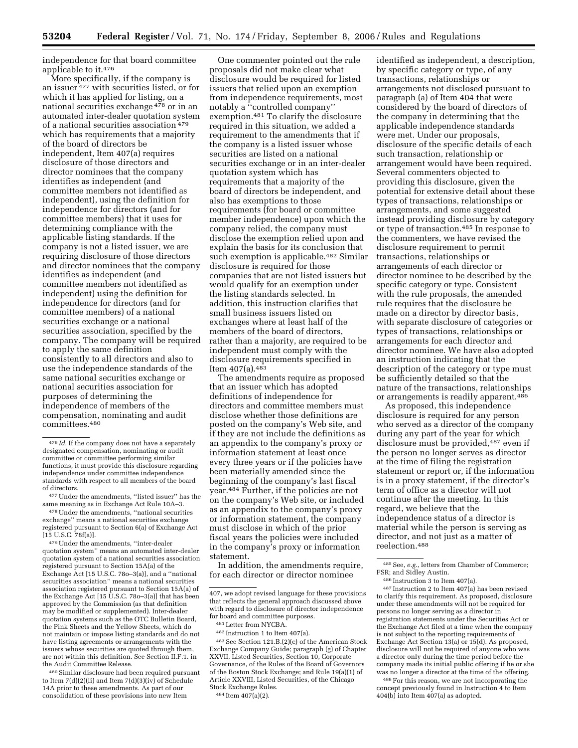independence for that board committee applicable to it.476

More specifically, if the company is an issuer 477 with securities listed, or for which it has applied for listing, on a national securities exchange 478 or in an automated inter-dealer quotation system of a national securities association 479 which has requirements that a majority of the board of directors be independent, Item 407(a) requires disclosure of those directors and director nominees that the company identifies as independent (and committee members not identified as independent), using the definition for independence for directors (and for committee members) that it uses for determining compliance with the applicable listing standards. If the company is not a listed issuer, we are requiring disclosure of those directors and director nominees that the company identifies as independent (and committee members not identified as independent) using the definition for independence for directors (and for committee members) of a national securities exchange or a national securities association, specified by the company. The company will be required to apply the same definition consistently to all directors and also to use the independence standards of the same national securities exchange or national securities association for purposes of determining the independence of members of the compensation, nominating and audit committees.480

477Under the amendments, ''listed issuer'' has the same meaning as in Exchange Act Rule 10A–3.

478Under the amendments, ''national securities exchange'' means a national securities exchange registered pursuant to Section 6(a) of Exchange Act [15 U.S.C. 78f(a)].

479Under the amendments, ''inter-dealer quotation system'' means an automated inter-dealer quotation system of a national securities association registered pursuant to Section 15A(a) of the Exchange Act [15 U.S.C. 78o–3(a)], and a ''national securities association'' means a national securities association registered pursuant to Section 15A(a) of the Exchange Act [15 U.S.C. 78o–3(a)] that has been approved by the Commission (as that definition may be modified or supplemented). Inter-dealer quotation systems such as the OTC Bulletin Board, the Pink Sheets and the Yellow Sheets, which do not maintain or impose listing standards and do not have listing agreements or arrangements with the issuers whose securities are quoted through them, are not within this definition. See Section II.F.1. in the Audit Committee Release.

480Similar disclosure had been required pursuant to Item 7(d)(2)(ii) and Item 7(d)(3)(iv) of Schedule 14A prior to these amendments. As part of our consolidation of these provisions into new Item

One commenter pointed out the rule proposals did not make clear what disclosure would be required for listed issuers that relied upon an exemption from independence requirements, most notably a ''controlled company'' exemption.481 To clarify the disclosure required in this situation, we added a requirement to the amendments that if the company is a listed issuer whose securities are listed on a national securities exchange or in an inter-dealer quotation system which has requirements that a majority of the board of directors be independent, and also has exemptions to those requirements (for board or committee member independence) upon which the company relied, the company must disclose the exemption relied upon and explain the basis for its conclusion that such exemption is applicable.482 Similar disclosure is required for those companies that are not listed issuers but would qualify for an exemption under the listing standards selected. In addition, this instruction clarifies that small business issuers listed on exchanges where at least half of the members of the board of directors, rather than a majority, are required to be independent must comply with the disclosure requirements specified in Item 407(a).483

The amendments require as proposed that an issuer which has adopted definitions of independence for directors and committee members must disclose whether those definitions are posted on the company's Web site, and if they are not include the definitions as an appendix to the company's proxy or information statement at least once every three years or if the policies have been materially amended since the beginning of the company's last fiscal year.484 Further, if the policies are not on the company's Web site, or included as an appendix to the company's proxy or information statement, the company must disclose in which of the prior fiscal years the policies were included in the company's proxy or information statement.

In addition, the amendments require, for each director or director nominee

483See Section 121.B.(2)(c) of the American Stock Exchange Company Guide; paragraph (g) of Chapter XXVII, Listed Securities, Section 10, Corporate Governance, of the Rules of the Board of Governors of the Boston Stock Exchange; and Rule 19(a)(1) of Article XXVIII, Listed Securities, of the Chicago Stock Exchange Rules.

484 Item 407(a)(2).

identified as independent, a description, by specific category or type, of any transactions, relationships or arrangements not disclosed pursuant to paragraph (a) of Item 404 that were considered by the board of directors of the company in determining that the applicable independence standards were met. Under our proposals, disclosure of the specific details of each such transaction, relationship or arrangement would have been required. Several commenters objected to providing this disclosure, given the potential for extensive detail about these types of transactions, relationships or arrangements, and some suggested instead providing disclosure by category or type of transaction.485 In response to the commenters, we have revised the disclosure requirement to permit transactions, relationships or arrangements of each director or director nominee to be described by the specific category or type. Consistent with the rule proposals, the amended rule requires that the disclosure be made on a director by director basis, with separate disclosure of categories or types of transactions, relationships or arrangements for each director and director nominee. We have also adopted an instruction indicating that the description of the category or type must be sufficiently detailed so that the nature of the transactions, relationships or arrangements is readily apparent.486

As proposed, this independence disclosure is required for any person who served as a director of the company during any part of the year for which disclosure must be provided, 487 even if the person no longer serves as director at the time of filing the registration statement or report or, if the information is in a proxy statement, if the director's term of office as a director will not continue after the meeting. In this regard, we believe that the independence status of a director is material while the person is serving as director, and not just as a matter of reelection.488

487 Instruction 2 to Item 407(a) has been revised to clarify this requirement. As proposed, disclosure under these amendments will not be required for persons no longer serving as a director in registration statements under the Securities Act or the Exchange Act filed at a time when the company is not subject to the reporting requirements of Exchange Act Section 13(a) or 15(d). As proposed, disclosure will not be required of anyone who was a director only during the time period before the company made its initial public offering if he or she was no longer a director at the time of the offering.

488For this reason, we are not incorporating the concept previously found in Instruction 4 to Item 404(b) into Item 407(a) as adopted.

<sup>476</sup> *Id.* If the company does not have a separately designated compensation, nominating or audit committee or committee performing similar functions, it must provide this disclosure regarding independence under committee independence standards with respect to all members of the board of directors.

<sup>407,</sup> we adopt revised language for these provisions that reflects the general approach discussed above with regard to disclosure of director independence for board and committee purposes.

<sup>481</sup>Letter from NYCBA.

<sup>482</sup> Instruction 1 to Item 407(a).

 $^{\rm 485}$  See,  $e.g.,$  letters from Chamber of Commerce; FSR; and Sidley Austin.

<sup>486</sup> Instruction 3 to Item 407(a).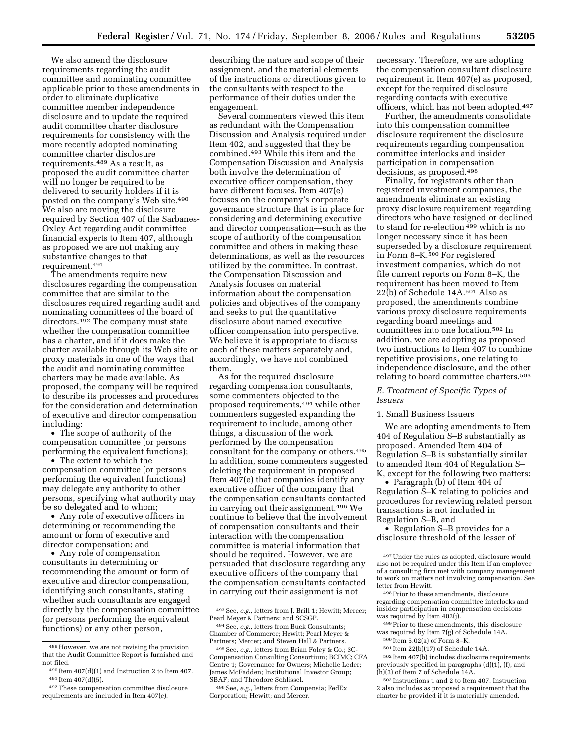We also amend the disclosure requirements regarding the audit committee and nominating committee applicable prior to these amendments in order to eliminate duplicative committee member independence disclosure and to update the required audit committee charter disclosure requirements for consistency with the more recently adopted nominating committee charter disclosure requirements.489 As a result, as proposed the audit committee charter will no longer be required to be delivered to security holders if it is posted on the company's Web site.490 We also are moving the disclosure required by Section 407 of the Sarbanes-Oxley Act regarding audit committee financial experts to Item 407, although as proposed we are not making any substantive changes to that requirement.491

The amendments require new disclosures regarding the compensation committee that are similar to the disclosures required regarding audit and nominating committees of the board of directors.<sup>492</sup> The company must state whether the compensation committee has a charter, and if it does make the charter available through its Web site or proxy materials in one of the ways that the audit and nominating committee charters may be made available. As proposed, the company will be required to describe its processes and procedures for the consideration and determination of executive and director compensation including:

• The scope of authority of the compensation committee (or persons performing the equivalent functions);

• The extent to which the compensation committee (or persons performing the equivalent functions) may delegate any authority to other persons, specifying what authority may be so delegated and to whom;

• Any role of executive officers in determining or recommending the amount or form of executive and director compensation; and

• Any role of compensation consultants in determining or recommending the amount or form of executive and director compensation, identifying such consultants, stating whether such consultants are engaged directly by the compensation committee (or persons performing the equivalent functions) or any other person,

describing the nature and scope of their assignment, and the material elements of the instructions or directions given to the consultants with respect to the performance of their duties under the engagement.

Several commenters viewed this item as redundant with the Compensation Discussion and Analysis required under Item 402, and suggested that they be combined.493 While this item and the Compensation Discussion and Analysis both involve the determination of executive officer compensation, they have different focuses. Item 407(e) focuses on the company's corporate governance structure that is in place for considering and determining executive and director compensation—such as the scope of authority of the compensation committee and others in making these determinations, as well as the resources utilized by the committee. In contrast, the Compensation Discussion and Analysis focuses on material information about the compensation policies and objectives of the company and seeks to put the quantitative disclosure about named executive officer compensation into perspective. We believe it is appropriate to discuss each of these matters separately and, accordingly, we have not combined them.

As for the required disclosure regarding compensation consultants, some commenters objected to the proposed requirements,494 while other commenters suggested expanding the requirement to include, among other things, a discussion of the work performed by the compensation consultant for the company or others.495 In addition, some commenters suggested deleting the requirement in proposed Item 407(e) that companies identify any executive officer of the company that the compensation consultants contacted in carrying out their assignment.496 We continue to believe that the involvement of compensation consultants and their interaction with the compensation committee is material information that should be required. However, we are persuaded that disclosure regarding any executive officers of the company that the compensation consultants contacted in carrying out their assignment is not

necessary. Therefore, we are adopting the compensation consultant disclosure requirement in Item 407(e) as proposed, except for the required disclosure regarding contacts with executive officers, which has not been adopted.497

Further, the amendments consolidate into this compensation committee disclosure requirement the disclosure requirements regarding compensation committee interlocks and insider participation in compensation decisions, as proposed.498

Finally, for registrants other than registered investment companies, the amendments eliminate an existing proxy disclosure requirement regarding directors who have resigned or declined to stand for re-election 499 which is no longer necessary since it has been superseded by a disclosure requirement in Form 8–K.500 For registered investment companies, which do not file current reports on Form 8–K, the requirement has been moved to Item 22(b) of Schedule 14A.501 Also as proposed, the amendments combine various proxy disclosure requirements regarding board meetings and committees into one location.502 In addition, we are adopting as proposed two instructions to Item 407 to combine repetitive provisions, one relating to independence disclosure, and the other relating to board committee charters.503

### *E. Treatment of Specific Types of Issuers*

# 1. Small Business Issuers

We are adopting amendments to Item 404 of Regulation S–B substantially as proposed. Amended Item 404 of Regulation S–B is substantially similar to amended Item 404 of Regulation S– K, except for the following two matters:

• Paragraph (b) of Item 404 of Regulation S–K relating to policies and procedures for reviewing related person transactions is not included in Regulation S–B, and

• Regulation S–B provides for a disclosure threshold of the lesser of

<sup>489</sup>However, we are not revising the provision that the Audit Committee Report is furnished and not filed.

 $490$  Item  $407(d)(1)$  and Instruction 2 to Item  $407$ . 491 Item 407(d)(5).

<sup>492</sup>These compensation committee disclosure requirements are included in Item 407(e).

<sup>&</sup>lt;sup>493</sup> See, *e.g.*, letters from J. Brill 1; Hewitt; Mercer; Pearl Meyer & Partners; and SCSGP.

<sup>&</sup>lt;sup>494</sup> See, *e.g.*, letters from Buck Consultants; Chamber of Commerce; Hewitt; Pearl Meyer & Partners; Mercer; and Steven Hall & Partners.

<sup>495</sup>See, *e.g.*, letters from Brian Foley & Co.; 3C-Compensation Consulting Consortium; BCIMC; CFA Centre 1; Governance for Owners; Michelle Leder; James McFadden; Institutional Investor Group; SBAF; and Theodore Schlissel.

<sup>496</sup>See, *e.g.*, letters from Compensia; FedEx Corporation; Hewitt; and Mercer.

<sup>497</sup>Under the rules as adopted, disclosure would also not be required under this Item if an employee of a consulting firm met with company management to work on matters not involving compensation. See

<sup>498</sup> Prior to these amendments, disclosure regarding compensation committee interlocks and insider participation in compensation decisions

<sup>499</sup> Prior to these amendments, this disclosure was required by Item 7(g) of Schedule 14A.

<sup>500</sup> Item 5.02(a) of Form 8–K.

<sup>501</sup> Item 22(b)(17) of Schedule 14A.

<sup>502</sup> Item 407(b) includes disclosure requirements previously specified in paragraphs (d)(1), (f), and (h)(3) of Item 7 of Schedule 14A.

<sup>503</sup> Instructions 1 and 2 to Item 407. Instruction 2 also includes as proposed a requirement that the charter be provided if it is materially amended.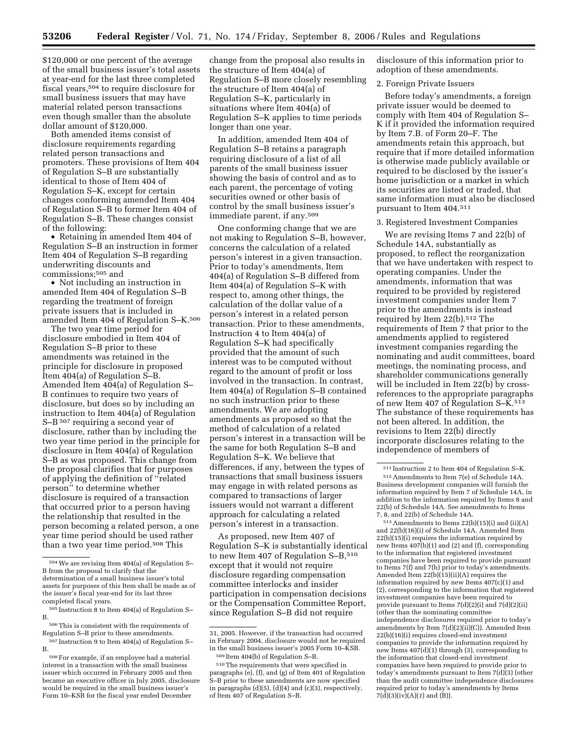\$120,000 or one percent of the average of the small business issuer's total assets at year-end for the last three completed fiscal years,504 to require disclosure for small business issuers that may have material related person transactions even though smaller than the absolute dollar amount of \$120,000.

Both amended items consist of disclosure requirements regarding related person transactions and promoters. These provisions of Item 404 of Regulation S–B are substantially identical to those of Item 404 of Regulation S–K, except for certain changes conforming amended Item 404 of Regulation S–B to former Item 404 of Regulation S–B. These changes consist of the following:

• Retaining in amended Item 404 of Regulation S–B an instruction in former Item 404 of Regulation S–B regarding underwriting discounts and commissions;505 and

• Not including an instruction in amended Item 404 of Regulation S–B regarding the treatment of foreign private issuers that is included in amended Item 404 of Regulation S–K.506

The two year time period for disclosure embodied in Item 404 of Regulation S–B prior to these amendments was retained in the principle for disclosure in proposed Item 404(a) of Regulation S–B. Amended Item 404(a) of Regulation S– B continues to require two years of disclosure, but does so by including an instruction to Item 404(a) of Regulation S–B 507 requiring a second year of disclosure, rather than by including the two year time period in the principle for disclosure in Item 404(a) of Regulation S–B as was proposed. This change from the proposal clarifies that for purposes of applying the definition of ''related person'' to determine whether disclosure is required of a transaction that occurred prior to a person having the relationship that resulted in the person becoming a related person, a one year time period should be used rather than a two year time period.<sup>508</sup> This

506This is consistent with the requirements of Regulation S–B prior to these amendments.

change from the proposal also results in the structure of Item 404(a) of Regulation S–B more closely resembling the structure of Item 404(a) of Regulation S–K, particularly in situations where Item 404(a) of Regulation S–K applies to time periods longer than one year.

In addition, amended Item 404 of Regulation S–B retains a paragraph requiring disclosure of a list of all parents of the small business issuer showing the basis of control and as to each parent, the percentage of voting securities owned or other basis of control by the small business issuer's immediate parent, if any.509

One conforming change that we are not making to Regulation S–B, however, concerns the calculation of a related person's interest in a given transaction. Prior to today's amendments, Item 404(a) of Regulation S–B differed from Item 404(a) of Regulation S–K with respect to, among other things, the calculation of the dollar value of a person's interest in a related person transaction. Prior to these amendments, Instruction 4 to Item 404(a) of Regulation S–K had specifically provided that the amount of such interest was to be computed without regard to the amount of profit or loss involved in the transaction. In contrast, Item 404(a) of Regulation S–B contained no such instruction prior to these amendments. We are adopting amendments as proposed so that the method of calculation of a related person's interest in a transaction will be the same for both Regulation S–B and Regulation S–K. We believe that differences, if any, between the types of transactions that small business issuers may engage in with related persons as compared to transactions of larger issuers would not warrant a different approach for calculating a related person's interest in a transaction.

As proposed, new Item 407 of Regulation S–K is substantially identical to new Item 407 of Regulation S–B,<sup>510</sup> except that it would not require disclosure regarding compensation committee interlocks and insider participation in compensation decisions or the Compensation Committee Report, since Regulation S–B did not require

disclosure of this information prior to adoption of these amendments.

### 2. Foreign Private Issuers

Before today's amendments, a foreign private issuer would be deemed to comply with Item 404 of Regulation S– K if it provided the information required by Item 7.B. of Form 20–F. The amendments retain this approach, but require that if more detailed information is otherwise made publicly available or required to be disclosed by the issuer's home jurisdiction or a market in which its securities are listed or traded, that same information must also be disclosed pursuant to Item 404.511

### 3. Registered Investment Companies

We are revising Items 7 and 22(b) of Schedule 14A, substantially as proposed, to reflect the reorganization that we have undertaken with respect to operating companies. Under the amendments, information that was required to be provided by registered investment companies under Item 7 prior to the amendments is instead required by Item 22(b).512 The requirements of Item 7 that prior to the amendments applied to registered investment companies regarding the nominating and audit committees, board meetings, the nominating process, and shareholder communications generally will be included in Item 22(b) by crossreferences to the appropriate paragraphs of new Item 407 of Regulation S–K.513 The substance of these requirements has not been altered. In addition, the revisions to Item 22(b) directly incorporate disclosures relating to the independence of members of

513Amendments to Items 22(b)(15)(i) and (ii)(A) and 22(b)(16)(i) of Schedule 14A. Amended Item 22(b)(15)(i) requires the information required by new Items 407(b)(1) and (2) and (f), corresponding to the information that registered investment companies have been required to provide pursuant to Items 7(f) and 7(h) prior to today's amendments. Amended Item  $22(b)(15)(ii)(A)$  requires the information required by new Items 407(c)(1) and (2), corresponding to the information that registered investment companies have been required to provide pursuant to Items 7(d)(2)(i) and 7(d)(2)(ii) (other than the nominating committee independence disclosures required prior to today's amendments by Item 7(d)(2)(ii)(C)). Amended Item 22(b)(16)(i) requires closed-end investment companies to provide the information required by new Items 407(d)(1) through (3), corresponding to the information that closed-end investment companies have been required to provide prior to today's amendments pursuant to Item  $7(d)(3)$  (other than the audit committee independence disclosures required prior to today's amendments by Items  $7(d)(3)(iv)(A)(1)$  and (B)).

<sup>504</sup>We are revising Item 404(a) of Regulation S– B from the proposal to clarify that the determination of a small business issuer's total assets for purposes of this Item shall be made as of the issuer's fiscal year-end for its last three completed fiscal years.

<sup>505</sup> Instruction 8 to Item 404(a) of Regulation S– B.

<sup>507</sup> Instruction 9 to Item 404(a) of Regulation S– B.

<sup>508</sup>For example, if an employee had a material interest in a transaction with the small business issuer which occurred in February 2005 and then became an executive officer in July 2005, disclosure would be required in the small business issuer's Form 10–KSB for the fiscal year ended December

<sup>31, 2005.</sup> However, if the transaction had occurred in February 2004, disclosure would not be required in the small business issuer's 2005 Form 10–KSB. 509 Item 404(b) of Regulation S–B.

<sup>510</sup>The requirements that were specified in paragraphs (e), (f), and (g) of Item 401 of Regulation S–B prior to these amendments are now specified in paragraphs  $(d)(5)$ ,  $(d)(4)$  and  $(c)(3)$ , respectively, of Item 407 of Regulation S–B.

<sup>511</sup> Instruction 2 to Item 404 of Regulation S–K. 512Amendments to Item 7(e) of Schedule 14A. Business development companies will furnish the information required by Item 7 of Schedule 14A, in addition to the information required by Items 8 and 22(b) of Schedule 14A. See amendments to Items 7, 8, and 22(b) of Schedule 14A.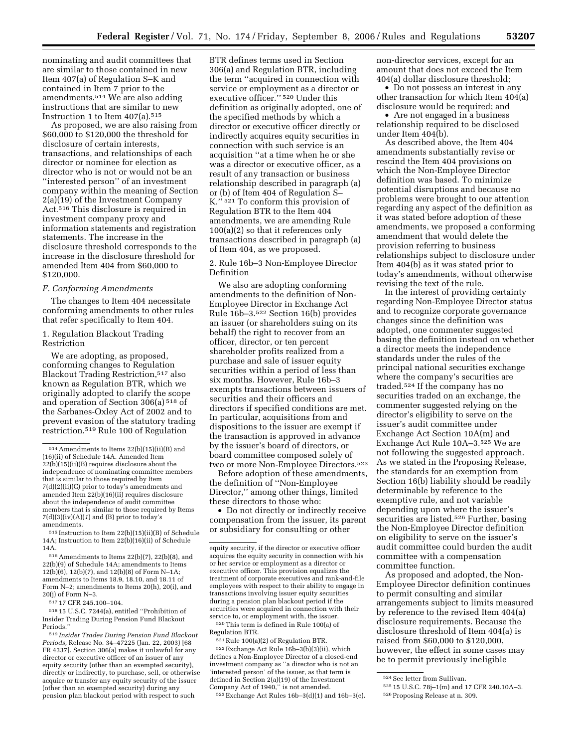nominating and audit committees that are similar to those contained in new Item 407(a) of Regulation S–K and contained in Item 7 prior to the amendments.514 We are also adding instructions that are similar to new Instruction 1 to Item  $407(a)$ .<sup>515</sup>

As proposed, we are also raising from \$60,000 to \$120,000 the threshold for disclosure of certain interests, transactions, and relationships of each director or nominee for election as director who is not or would not be an ''interested person'' of an investment company within the meaning of Section 2(a)(19) of the Investment Company Act.516 This disclosure is required in investment company proxy and information statements and registration statements. The increase in the disclosure threshold corresponds to the increase in the disclosure threshold for amended Item 404 from \$60,000 to \$120,000.

### *F. Conforming Amendments*

The changes to Item 404 necessitate conforming amendments to other rules that refer specifically to Item 404.

# 1. Regulation Blackout Trading Restriction

We are adopting, as proposed, conforming changes to Regulation Blackout Trading Restriction,517 also known as Regulation BTR, which we originally adopted to clarify the scope and operation of Section 306(a) 518 of the Sarbanes-Oxley Act of 2002 and to prevent evasion of the statutory trading restriction.519 Rule 100 of Regulation

515 Instruction to Item 22(b)(15)(ii)(B) of Schedule 14A; Instruction to Item 22(b)(16)(ii) of Schedule 14A.

516Amendments to Items 22(b)(7), 22(b)(8), and 22(b)(9) of Schedule 14A; amendments to Items 12(b)(6), 12(b)(7), and 12(b)(8) of Form N–1A; amendments to Items 18.9, 18.10, and 18.11 of Form N–2; amendments to Items 20(h), 20(i), and 20(j) of Form N–3.

517 17 CFR 245.100–104.

518 15 U.S.C. 7244(a), entitled ''Prohibition of Insider Trading During Pension Fund Blackout Periods.''

519 *Insider Trades During Pension Fund Blackout Periods,* Release No. 34–47225 (Jan. 22, 2003) [68 FR 4337]. Section 306(a) makes it unlawful for any director or executive officer of an issuer of any equity security (other than an exempted security), directly or indirectly, to purchase, sell, or otherwise acquire or transfer any equity security of the issuer (other than an exempted security) during any pension plan blackout period with respect to such

BTR defines terms used in Section 306(a) and Regulation BTR, including the term ''acquired in connection with service or employment as a director or executive officer.'' 520 Under this definition as originally adopted, one of the specified methods by which a director or executive officer directly or indirectly acquires equity securities in connection with such service is an acquisition ''at a time when he or she was a director or executive officer, as a result of any transaction or business relationship described in paragraph (a) or (b) of Item 404 of Regulation S– K.'' 521 To conform this provision of Regulation BTR to the Item 404 amendments, we are amending Rule 100(a)(2) so that it references only transactions described in paragraph (a) of Item 404, as we proposed.

2. Rule 16b–3 Non-Employee Director Definition

We also are adopting conforming amendments to the definition of Non-Employee Director in Exchange Act Rule 16b–3.522 Section 16(b) provides an issuer (or shareholders suing on its behalf) the right to recover from an officer, director, or ten percent shareholder profits realized from a purchase and sale of issuer equity securities within a period of less than six months. However, Rule 16b–3 exempts transactions between issuers of securities and their officers and directors if specified conditions are met. In particular, acquisitions from and dispositions to the issuer are exempt if the transaction is approved in advance by the issuer's board of directors, or board committee composed solely of two or more Non-Employee Directors.523

Before adoption of these amendments, the definition of ''Non-Employee Director,'' among other things, limited these directors to those who:

• Do not directly or indirectly receive compensation from the issuer, its parent or subsidiary for consulting or other

Regulation BTR. 521Rule 100(a)(2) of Regulation BTR.

522Exchange Act Rule 16b–3(b)(3)(ii), which defines a Non-Employee Director of a closed-end investment company as ''a director who is not an 'interested person' of the issuer, as that term is defined in Section 2(a)(19) of the Investment Company Act of 1940,'' is not amended.

523Exchange Act Rules 16b–3(d)(1) and 16b–3(e).

non-director services, except for an amount that does not exceed the Item 404(a) dollar disclosure threshold;

• Do not possess an interest in any other transaction for which Item 404(a) disclosure would be required; and

• Are not engaged in a business relationship required to be disclosed under Item 404(b).

As described above, the Item 404 amendments substantially revise or rescind the Item 404 provisions on which the Non-Employee Director definition was based. To minimize potential disruptions and because no problems were brought to our attention regarding any aspect of the definition as it was stated before adoption of these amendments, we proposed a conforming amendment that would delete the provision referring to business relationships subject to disclosure under Item 404(b) as it was stated prior to today's amendments, without otherwise revising the text of the rule.

In the interest of providing certainty regarding Non-Employee Director status and to recognize corporate governance changes since the definition was adopted, one commenter suggested basing the definition instead on whether a director meets the independence standards under the rules of the principal national securities exchange where the company's securities are traded.524 If the company has no securities traded on an exchange, the commenter suggested relying on the director's eligibility to serve on the issuer's audit committee under Exchange Act Section 10A(m) and Exchange Act Rule 10A–3.525 We are not following the suggested approach. As we stated in the Proposing Release, the standards for an exemption from Section 16(b) liability should be readily determinable by reference to the exemptive rule, and not variable depending upon where the issuer's securities are listed.526 Further, basing the Non-Employee Director definition on eligibility to serve on the issuer's audit committee could burden the audit committee with a compensation committee function.

As proposed and adopted, the Non-Employee Director definition continues to permit consulting and similar arrangements subject to limits measured by reference to the revised Item 404(a) disclosure requirements. Because the disclosure threshold of Item 404(a) is raised from \$60,000 to \$120,000, however, the effect in some cases may be to permit previously ineligible

<sup>514</sup>Amendments to Items 22(b)(15)(ii)(B) and (16)(ii) of Schedule 14A. Amended Item 22(b)(15)(ii)(B) requires disclosure about the independence of nominating committee members that is similar to those required by Item 7(d)(2)(ii)(C) prior to today's amendments and amended Item 22(b)(16)(ii) requires disclosure about the independence of audit committee members that is similar to those required by Items 7(d)(3)(iv)(A)(*1*) and (B) prior to today's amendments.

equity security, if the director or executive officer acquires the equity security in connection with his or her service or employment as a director or executive officer. This provision equalizes the treatment of corporate executives and rank-and-file employees with respect to their ability to engage in transactions involving issuer equity securities during a pension plan blackout period if the securities were acquired in connection with their service to, or employment with, the issuer. 520This term is defined in Rule 100(a) of

<sup>524</sup>See letter from Sullivan.

<sup>525</sup> 15 U.S.C. 78j–1(m) and 17 CFR 240.10A–3.

<sup>526</sup>Proposing Release at n. 309.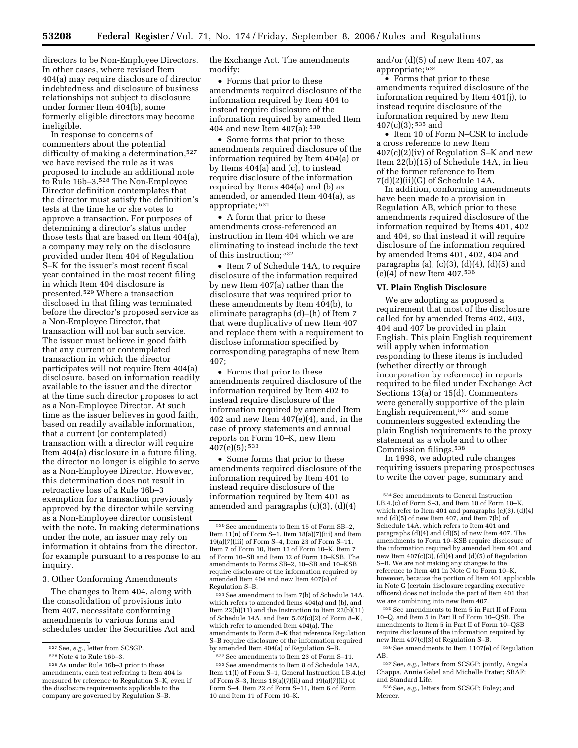directors to be Non-Employee Directors. In other cases, where revised Item 404(a) may require disclosure of director indebtedness and disclosure of business relationships not subject to disclosure under former Item 404(b), some formerly eligible directors may become ineligible.

In response to concerns of commenters about the potential difficulty of making a determination,<sup>527</sup> we have revised the rule as it was proposed to include an additional note to Rule 16b–3.528 The Non-Employee Director definition contemplates that the director must satisfy the definition's tests at the time he or she votes to approve a transaction. For purposes of determining a director's status under those tests that are based on Item 404(a), a company may rely on the disclosure provided under Item 404 of Regulation S–K for the issuer's most recent fiscal year contained in the most recent filing in which Item 404 disclosure is presented.529 Where a transaction disclosed in that filing was terminated before the director's proposed service as a Non-Employee Director, that transaction will not bar such service. The issuer must believe in good faith that any current or contemplated transaction in which the director participates will not require Item 404(a) disclosure, based on information readily available to the issuer and the director at the time such director proposes to act as a Non-Employee Director. At such time as the issuer believes in good faith, based on readily available information, that a current (or contemplated) transaction with a director will require Item 404(a) disclosure in a future filing, the director no longer is eligible to serve as a Non-Employee Director. However, this determination does not result in retroactive loss of a Rule 16b–3 exemption for a transaction previously approved by the director while serving as a Non-Employee director consistent with the note. In making determinations under the note, an issuer may rely on information it obtains from the director, for example pursuant to a response to an inquiry.

#### 3. Other Conforming Amendments

The changes to Item 404, along with the consolidation of provisions into Item 407, necessitate conforming amendments to various forms and schedules under the Securities Act and the Exchange Act. The amendments modify:

• Forms that prior to these amendments required disclosure of the information required by Item 404 to instead require disclosure of the information required by amended Item 404 and new Item 407(a); 530

• Some forms that prior to these amendments required disclosure of the information required by Item 404(a) or by Items 404(a) and (c), to instead require disclosure of the information required by Items 404(a) and (b) as amended, or amended Item 404(a), as appropriate; 531

• A form that prior to these amendments cross-referenced an instruction in Item 404 which we are eliminating to instead include the text of this instruction; 532

• Item 7 of Schedule 14A, to require disclosure of the information required by new Item 407(a) rather than the disclosure that was required prior to these amendments by Item 404(b), to eliminate paragraphs (d)–(h) of Item 7 that were duplicative of new Item 407 and replace them with a requirement to disclose information specified by corresponding paragraphs of new Item 407;

• Forms that prior to these amendments required disclosure of the information required by Item 402 to instead require disclosure of the information required by amended Item 402 and new Item 407(e)(4), and, in the case of proxy statements and annual reports on Form 10–K, new Item 407(e)(5); 533

• Some forms that prior to these amendments required disclosure of the information required by Item 401 to instead require disclosure of the information required by Item 401 as amended and paragraphs (c)(3), (d)(4)

531See amendment to Item 7(b) of Schedule 14A, which refers to amended Items 404(a) and (b), and Item 22(b)(11) and the Instruction to Item 22(b)(11) of Schedule 14A, and Item 5.02(c)(2) of Form 8–K, which refer to amended Item 404(a). The amendments to Form 8–K that reference Regulation S–B require disclosure of the information required by amended Item 404(a) of Regulation S–B.

532See amendments to Item 23 of Form S–11.

533See amendments to Item 8 of Schedule 14A, Item 11(l) of Form S–1, General Instruction I.B.4.(c) of Form S–3, Items 18(a)(7)(ii) and 19(a)(7)(ii) of Form S–4, Item 22 of Form S–11, Item 6 of Form 10 and Item 11 of Form 10–K.

and/or  $(d)(5)$  of new Item 407, as appropriate; 534

• Forms that prior to these amendments required disclosure of the information required by Item 401(j), to instead require disclosure of the information required by new Item  $407(c)(3);$ <sup>535</sup> and

• Item 10 of Form N–CSR to include a cross reference to new Item 407(c)(2)(iv) of Regulation S–K and new Item 22(b)(15) of Schedule 14A, in lieu of the former reference to Item 7(d)(2)(ii)(G) of Schedule 14A.

In addition, conforming amendments have been made to a provision in Regulation AB, which prior to these amendments required disclosure of the information required by Items 401, 402 and 404, so that instead it will require disclosure of the information required by amended Items 401, 402, 404 and paragraphs (a),  $(c)(3)$ ,  $(d)(4)$ ,  $(d)(5)$  and (e)(4) of new Item 407.536

#### **VI. Plain English Disclosure**

We are adopting as proposed a requirement that most of the disclosure called for by amended Items 402, 403, 404 and 407 be provided in plain English. This plain English requirement will apply when information responding to these items is included (whether directly or through incorporation by reference) in reports required to be filed under Exchange Act Sections 13(a) or 15(d). Commenters were generally supportive of the plain English requirement,537 and some commenters suggested extending the plain English requirements to the proxy statement as a whole and to other Commission filings.538

In 1998, we adopted rule changes requiring issuers preparing prospectuses to write the cover page, summary and

 $^{535}\!\, {\rm See}$  amendments to Item 5 in Part II of Form 10–Q, and Item 5 in Part II of Form 10–QSB. The amendments to Item 5 in Part II of Form 10–QSB require disclosure of the information required by new Item 407(c)(3) of Regulation S–B.

536See amendments to Item 1107(e) of Regulation AB.

537See, *e.g.*, letters from SCSGP; jointly, Angela Chappa, Annie Gabel and Michelle Prater; SBAF; and Standard Life.

538See, *e.g.*, letters from SCSGP; Foley; and Mercer.

<sup>527</sup>See, *e.g.*, letter from SCSGP.

<sup>528</sup>Note 4 to Rule 16b–3.

<sup>529</sup>As under Rule 16b–3 prior to these amendments, each test referring to Item 404 is measured by reference to Regulation S–K, even if the disclosure requirements applicable to the company are governed by Regulation S–B.

<sup>530</sup>See amendments to Item 15 of Form SB–2, Item 11(n) of Form S–1, Item 18(a)(7)(iii) and Item 19(a)(7)(iii) of Form S–4, Item 23 of Form S–11, Item 7 of Form 10, Item 13 of Form 10–K, Item 7 of Form 10–SB and Item 12 of Form 10–KSB. The amendments to Forms SB–2, 10–SB and 10–KSB require disclosure of the information required by amended Item 404 and new Item 407(a) of Regulation S–B.

<sup>534</sup>See amendments to General Instruction I.B.4.(c) of Form S–3, and Item 10 of Form 10–K, which refer to Item 401 and paragraphs (c)(3), (d)(4) and (d)(5) of new Item 407, and Item 7(b) of Schedule 14A, which refers to Item 401 and paragraphs (d)(4) and (d)(5) of new Item 407. The amendments to Form 10–KSB require disclosure of the information required by amended Item 401 and new Item  $407(c)(3)$ , (d)(4) and (d)(5) of Regulation S–B. We are not making any changes to the reference to Item 401 in Note G to Form 10–K, however, because the portion of Item 401 applicable in Note G (certain disclosure regarding executive officers) does not include the part of Item 401 that we are combining into new Item 407.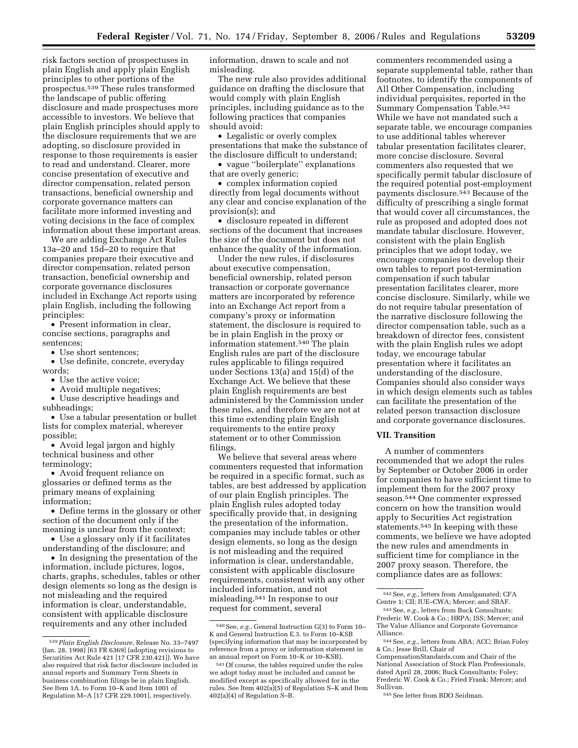risk factors section of prospectuses in plain English and apply plain English principles to other portions of the prospectus.539 These rules transformed the landscape of public offering disclosure and made prospectuses more accessible to investors. We believe that plain English principles should apply to the disclosure requirements that we are adopting, so disclosure provided in response to those requirements is easier to read and understand. Clearer, more concise presentation of executive and director compensation, related person transactions, beneficial ownership and corporate governance matters can facilitate more informed investing and voting decisions in the face of complex information about these important areas.

We are adding Exchange Act Rules 13a–20 and 15d–20 to require that companies prepare their executive and director compensation, related person transaction, beneficial ownership and corporate governance disclosures included in Exchange Act reports using plain English, including the following principles:

• Present information in clear, concise sections, paragraphs and sentences;

• Use short sentences;

• Use definite, concrete, everyday words;

- Use the active voice;
- Avoid multiple negatives;

• Uuse descriptive headings and subheadings;

• Use a tabular presentation or bullet lists for complex material, wherever possible;

• Avoid legal jargon and highly technical business and other terminology;

• Avoid frequent reliance on glossaries or defined terms as the primary means of explaining information;

• Define terms in the glossary or other section of the document only if the meaning is unclear from the context;

• Use a glossary only if it facilitates understanding of the disclosure; and

• In designing the presentation of the information, include pictures, logos, charts, graphs, schedules, tables or other design elements so long as the design is not misleading and the required information is clear, understandable, consistent with applicable disclosure requirements and any other included

information, drawn to scale and not misleading.

The new rule also provides additional guidance on drafting the disclosure that would comply with plain English principles, including guidance as to the following practices that companies should avoid:

• Legalistic or overly complex presentations that make the substance of the disclosure difficult to understand;

• vague ''boilerplate'' explanations that are overly generic;

• complex information copied directly from legal documents without any clear and concise explanation of the provision(s); and

• disclosure repeated in different sections of the document that increases the size of the document but does not enhance the quality of the information.

Under the new rules, if disclosures about executive compensation, beneficial ownership, related person transaction or corporate governance matters are incorporated by reference into an Exchange Act report from a company's proxy or information statement, the disclosure is required to be in plain English in the proxy or information statement.540 The plain English rules are part of the disclosure rules applicable to filings required under Sections 13(a) and 15(d) of the Exchange Act. We believe that these plain English requirements are best administered by the Commission under these rules, and therefore we are not at this time extending plain English requirements to the entire proxy statement or to other Commission filings.

We believe that several areas where commenters requested that information be required in a specific format, such as tables, are best addressed by application of our plain English principles. The plain English rules adopted today specifically provide that, in designing the presentation of the information, companies may include tables or other design elements, so long as the design is not misleading and the required information is clear, understandable, consistent with applicable disclosure requirements, consistent with any other included information, and not misleading.541 In response to our request for comment, several

commenters recommended using a separate supplemental table, rather than footnotes, to identify the components of All Other Compensation, including individual perquisites, reported in the Summary Compensation Table.542 While we have not mandated such a separate table, we encourage companies to use additional tables wherever tabular presentation facilitates clearer, more concise disclosure. Several commenters also requested that we specifically permit tabular disclosure of the required potential post-employment payments disclosure.543 Because of the difficulty of prescribing a single format that would cover all circumstances, the rule as proposed and adopted does not mandate tabular disclosure. However, consistent with the plain English principles that we adopt today, we encourage companies to develop their own tables to report post-termination compensation if such tabular presentation facilitates clearer, more concise disclosure. Similarly, while we do not require tabular presentation of the narrative disclosure following the director compensation table, such as a breakdown of director fees, consistent with the plain English rules we adopt today, we encourage tabular presentation where it facilitates an understanding of the disclosure. Companies should also consider ways in which design elements such as tables can facilitate the presentation of the related person transaction disclosure and corporate governance disclosures.

### **VII. Transition**

A number of commenters recommended that we adopt the rules by September or October 2006 in order for companies to have sufficient time to implement them for the 2007 proxy season.544 One commenter expressed concern on how the transition would apply to Securities Act registration statements.545 In keeping with these comments, we believe we have adopted the new rules and amendments in sufficient time for compliance in the 2007 proxy season. Therefore, the compliance dates are as follows:

545See letter from BDO Seidman.

<sup>539</sup>*Plain English Disclosure*, Release No. 33–7497 (Jan. 28, 1998) [63 FR 6369] (adopting revisions to Securities Act Rule 421 [17 CFR 230.421]). We have also required that risk factor disclosure included in annual reports and Summary Term Sheets in business combination filings be in plain English. See Item 1A. to Form 10–K and Item 1001 of Regulation M–A [17 CFR 229.1001], respectively.

<sup>540</sup>See, *e.g.*, General Instruction G(3) to Form 10– K and General Instruction E.3. to Form 10–KSB (specifying information that may be incorporated by reference from a proxy or information statement in an annual report on Form 10–K or 10–KSB).

<sup>541</sup>Of course, the tables required under the rules we adopt today must be included and cannot be modified except as specifically allowed for in the rules. See Item 402(a)(5) of Regulation S–K and Item 402(a)(4) of Regulation S–B.

<sup>542</sup>See, *e.g.*, letters from Amalgamated; CFA Centre 1; CII; IUE–CWA; Mercer; and SBAF.

<sup>543</sup>See, *e.g.*, letters from Buck Consultants; Frederic W. Cook & Co.; HRPA; ISS; Mercer; and The Value Alliance and Corporate Governance Alliance.

<sup>544</sup>See, *e.g.*, letters from ABA; ACC; Brian Foley & Co.; Jesse Brill, Chair of

CompensationStandards.com and Chair of the National Association of Stock Plan Professionals, dated April 28, 2006; Buck Consultants; Foley; Frederic W. Cook & Co.; Fried Frank; Mercer; and Sullivan.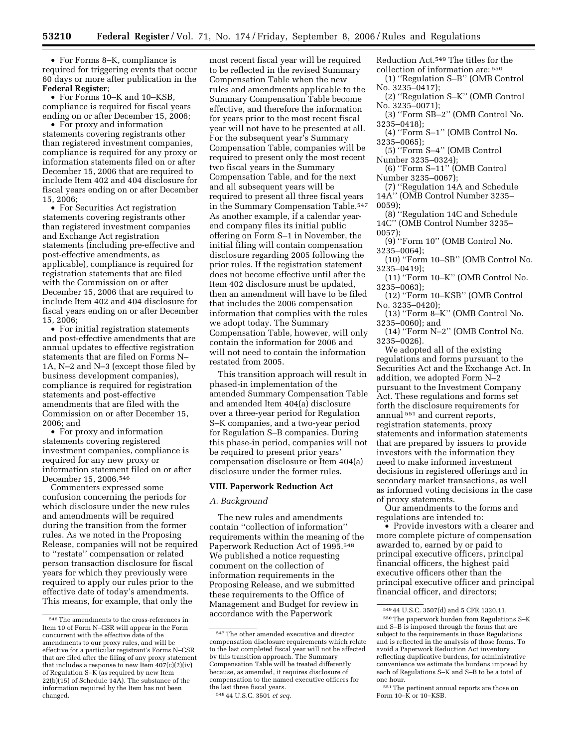• For Forms 8–K, compliance is required for triggering events that occur 60 days or more after publication in the **Federal Register**;

• For Forms 10–K and 10–KSB, compliance is required for fiscal years ending on or after December 15, 2006;

• For proxy and information statements covering registrants other than registered investment companies, compliance is required for any proxy or information statements filed on or after December 15, 2006 that are required to include Item 402 and 404 disclosure for fiscal years ending on or after December 15, 2006;

• For Securities Act registration statements covering registrants other than registered investment companies and Exchange Act registration statements (including pre-effective and post-effective amendments, as applicable), compliance is required for registration statements that are filed with the Commission on or after December 15, 2006 that are required to include Item 402 and 404 disclosure for fiscal years ending on or after December 15, 2006;

• For initial registration statements and post-effective amendments that are annual updates to effective registration statements that are filed on Forms N– 1A, N–2 and N–3 (except those filed by business development companies), compliance is required for registration statements and post-effective amendments that are filed with the Commission on or after December 15, 2006; and

• For proxy and information statements covering registered investment companies, compliance is required for any new proxy or information statement filed on or after December 15, 2006.546

Commenters expressed some confusion concerning the periods for which disclosure under the new rules and amendments will be required during the transition from the former rules. As we noted in the Proposing Release, companies will not be required to ''restate'' compensation or related person transaction disclosure for fiscal years for which they previously were required to apply our rules prior to the effective date of today's amendments. This means, for example, that only the

most recent fiscal year will be required to be reflected in the revised Summary Compensation Table when the new rules and amendments applicable to the Summary Compensation Table become effective, and therefore the information for years prior to the most recent fiscal year will not have to be presented at all. For the subsequent year's Summary Compensation Table, companies will be required to present only the most recent two fiscal years in the Summary Compensation Table, and for the next and all subsequent years will be required to present all three fiscal years in the Summary Compensation Table.547 As another example, if a calendar yearend company files its initial public offering on Form S–1 in November, the initial filing will contain compensation disclosure regarding 2005 following the prior rules. If the registration statement does not become effective until after the Item 402 disclosure must be updated, then an amendment will have to be filed that includes the 2006 compensation information that complies with the rules we adopt today. The Summary Compensation Table, however, will only contain the information for 2006 and will not need to contain the information restated from 2005.

This transition approach will result in phased-in implementation of the amended Summary Compensation Table and amended Item 404(a) disclosure over a three-year period for Regulation S–K companies, and a two-year period for Regulation S–B companies. During this phase-in period, companies will not be required to present prior years' compensation disclosure or Item 404(a) disclosure under the former rules.

### **VIII. Paperwork Reduction Act**

#### *A. Background*

The new rules and amendments contain ''collection of information'' requirements within the meaning of the Paperwork Reduction Act of 1995.548 We published a notice requesting comment on the collection of information requirements in the Proposing Release, and we submitted these requirements to the Office of Management and Budget for review in accordance with the Paperwork

Reduction Act.549 The titles for the collection of information are: 550 (1) ''Regulation S–B'' (OMB Control

- No. 3235–0417); (2) ''Regulation S–K'' (OMB Control
- No. 3235–0071); (3) ''Form SB–2'' (OMB Control No.
- 3235–0418);
- (4) ''Form S–1'' (OMB Control No. 3235–0065);
- (5) ''Form S–4'' (OMB Control Number 3235–0324);

(6) ''Form S–11'' (OMB Control Number 3235–0067);

- (7) ''Regulation 14A and Schedule 14A'' (OMB Control Number 3235– 0059);
- (8) ''Regulation 14C and Schedule 14C'' (OMB Control Number 3235–
- 0057);

(9) ''Form 10'' (OMB Control No. 3235–0064);

- (10) ''Form 10–SB'' (OMB Control No. 3235–0419);
- (11) ''Form 10–K'' (OMB Control No. 3235–0063);
- (12) ''Form 10–KSB'' (OMB Control No. 3235–0420);

(13) ''Form 8–K'' (OMB Control No. 3235–0060); and

(14) ''Form N–2'' (OMB Control No. 3235–0026).

We adopted all of the existing regulations and forms pursuant to the Securities Act and the Exchange Act. In addition, we adopted Form N–2 pursuant to the Investment Company Act. These regulations and forms set forth the disclosure requirements for annual 551 and current reports, registration statements, proxy statements and information statements that are prepared by issuers to provide investors with the information they need to make informed investment decisions in registered offerings and in secondary market transactions, as well as informed voting decisions in the case of proxy statements.

Our amendments to the forms and regulations are intended to:

• Provide investors with a clearer and more complete picture of compensation awarded to, earned by or paid to principal executive officers, principal financial officers, the highest paid executive officers other than the principal executive officer and principal financial officer, and directors;

<sup>546</sup>The amendments to the cross-references in Item 10 of Form N–CSR will appear in the Form concurrent with the effective date of the amendments to our proxy rules, and will be effective for a particular registrant's Forms N–CSR that are filed after the filing of any proxy statement that includes a response to new Item 407(c)(2)(iv) of Regulation S–K (as required by new Item 22(b)(15) of Schedule 14A). The substance of the information required by the Item has not been changed.

 $^{\mathrm{547}}$  The other amended executive and director compensation disclosure requirements which relate to the last completed fiscal year will not be affected by this transition approach. The Summary Compensation Table will be treated differently because, as amended, it requires disclosure of compensation to the named executive officers for the last three fiscal years.

<sup>548</sup> 44 U.S.C. 3501 *et seq.* 

<sup>549</sup> 44 U.S.C. 3507(d) and 5 CFR 1320.11.

<sup>550</sup>The paperwork burden from Regulations S–K and S–B is imposed through the forms that are subject to the requirements in those Regulations and is reflected in the analysis of those forms. To avoid a Paperwork Reduction Act inventory reflecting duplicative burdens, for administrative convenience we estimate the burdens imposed by each of Regulations S–K and S–B to be a total of one hour.

<sup>551</sup>The pertinent annual reports are those on Form 10–K or 10–KSB.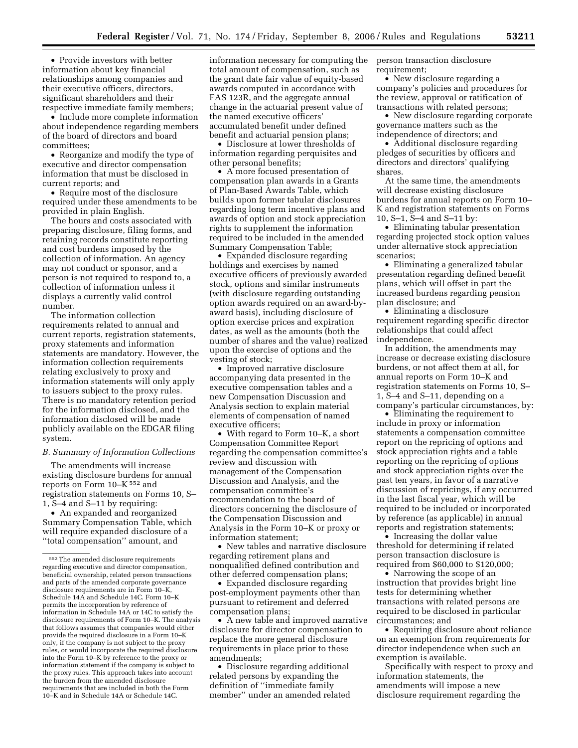• Provide investors with better information about key financial relationships among companies and their executive officers, directors, significant shareholders and their respective immediate family members;

• Include more complete information about independence regarding members of the board of directors and board committees;

• Reorganize and modify the type of executive and director compensation information that must be disclosed in current reports; and

• Require most of the disclosure required under these amendments to be provided in plain English.

The hours and costs associated with preparing disclosure, filing forms, and retaining records constitute reporting and cost burdens imposed by the collection of information. An agency may not conduct or sponsor, and a person is not required to respond to, a collection of information unless it displays a currently valid control number.

The information collection requirements related to annual and current reports, registration statements, proxy statements and information statements are mandatory. However, the information collection requirements relating exclusively to proxy and information statements will only apply to issuers subject to the proxy rules. There is no mandatory retention period for the information disclosed, and the information disclosed will be made publicly available on the EDGAR filing system.

#### *B. Summary of Information Collections*

The amendments will increase existing disclosure burdens for annual reports on Form 10–K 552 and registration statements on Forms 10, S– 1, S–4 and S–11 by requiring:

• An expanded and reorganized Summary Compensation Table, which will require expanded disclosure of a ''total compensation'' amount, and

information necessary for computing the total amount of compensation, such as the grant date fair value of equity-based awards computed in accordance with FAS 123R, and the aggregate annual change in the actuarial present value of the named executive officers' accumulated benefit under defined benefit and actuarial pension plans;

• Disclosure at lower thresholds of information regarding perquisites and other personal benefits;

• A more focused presentation of compensation plan awards in a Grants of Plan-Based Awards Table, which builds upon former tabular disclosures regarding long term incentive plans and awards of option and stock appreciation rights to supplement the information required to be included in the amended Summary Compensation Table;

• Expanded disclosure regarding holdings and exercises by named executive officers of previously awarded stock, options and similar instruments (with disclosure regarding outstanding option awards required on an award-byaward basis), including disclosure of option exercise prices and expiration dates, as well as the amounts (both the number of shares and the value) realized upon the exercise of options and the vesting of stock;

• Improved narrative disclosure accompanying data presented in the executive compensation tables and a new Compensation Discussion and Analysis section to explain material elements of compensation of named executive officers;

• With regard to Form 10–K, a short Compensation Committee Report regarding the compensation committee's review and discussion with management of the Compensation Discussion and Analysis, and the compensation committee's recommendation to the board of directors concerning the disclosure of the Compensation Discussion and Analysis in the Form 10–K or proxy or information statement;

• New tables and narrative disclosure regarding retirement plans and nonqualified defined contribution and other deferred compensation plans;

• Expanded disclosure regarding post-employment payments other than pursuant to retirement and deferred compensation plans;

• A new table and improved narrative disclosure for director compensation to replace the more general disclosure requirements in place prior to these amendments;

• Disclosure regarding additional related persons by expanding the definition of ''immediate family member'' under an amended related person transaction disclosure requirement;

• New disclosure regarding a company's policies and procedures for the review, approval or ratification of transactions with related persons;

• New disclosure regarding corporate governance matters such as the independence of directors; and

• Additional disclosure regarding pledges of securities by officers and directors and directors' qualifying shares.

At the same time, the amendments will decrease existing disclosure burdens for annual reports on Form 10– K and registration statements on Forms 10, S–1, S–4 and S–11 by:

• Eliminating tabular presentation regarding projected stock option values under alternative stock appreciation scenarios;

• Eliminating a generalized tabular presentation regarding defined benefit plans, which will offset in part the increased burdens regarding pension plan disclosure; and

• Eliminating a disclosure requirement regarding specific director relationships that could affect independence.

In addition, the amendments may increase or decrease existing disclosure burdens, or not affect them at all, for annual reports on Form 10–K and registration statements on Forms 10, S– 1, S–4 and S–11, depending on a company's particular circumstances, by:

• Eliminating the requirement to include in proxy or information statements a compensation committee report on the repricing of options and stock appreciation rights and a table reporting on the repricing of options and stock appreciation rights over the past ten years, in favor of a narrative discussion of repricings, if any occurred in the last fiscal year, which will be required to be included or incorporated by reference (as applicable) in annual reports and registration statements;

• Increasing the dollar value threshold for determining if related person transaction disclosure is required from \$60,000 to \$120,000;

• Narrowing the scope of an instruction that provides bright line tests for determining whether transactions with related persons are required to be disclosed in particular circumstances; and

• Requiring disclosure about reliance on an exemption from requirements for director independence when such an exemption is available.

Specifically with respect to proxy and information statements, the amendments will impose a new disclosure requirement regarding the

<sup>552</sup>The amended disclosure requirements regarding executive and director compensation, beneficial ownership, related person transactions and parts of the amended corporate governance disclosure requirements are in Form 10–K, Schedule 14A and Schedule 14C. Form 10–K permits the incorporation by reference of information in Schedule 14A or 14C to satisfy the disclosure requirements of Form 10–K. The analysis that follows assumes that companies would either provide the required disclosure in a Form 10–K only, if the company is not subject to the proxy rules, or would incorporate the required disclosure into the Form 10–K by reference to the proxy or information statement if the company is subject to the proxy rules. This approach takes into account the burden from the amended disclosure requirements that are included in both the Form 10–K and in Schedule 14A or Schedule 14C.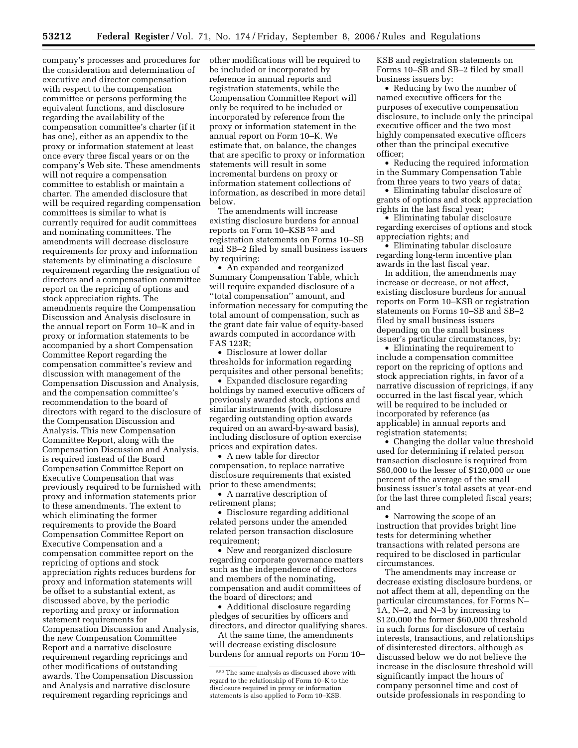company's processes and procedures for the consideration and determination of executive and director compensation with respect to the compensation committee or persons performing the equivalent functions, and disclosure regarding the availability of the compensation committee's charter (if it has one), either as an appendix to the proxy or information statement at least once every three fiscal years or on the company's Web site. These amendments will not require a compensation committee to establish or maintain a charter. The amended disclosure that will be required regarding compensation committees is similar to what is currently required for audit committees and nominating committees. The amendments will decrease disclosure requirements for proxy and information statements by eliminating a disclosure requirement regarding the resignation of directors and a compensation committee report on the repricing of options and stock appreciation rights. The amendments require the Compensation Discussion and Analysis disclosure in the annual report on Form 10–K and in proxy or information statements to be accompanied by a short Compensation Committee Report regarding the compensation committee's review and discussion with management of the Compensation Discussion and Analysis, and the compensation committee's recommendation to the board of directors with regard to the disclosure of the Compensation Discussion and Analysis. This new Compensation Committee Report, along with the Compensation Discussion and Analysis, is required instead of the Board Compensation Committee Report on Executive Compensation that was previously required to be furnished with proxy and information statements prior to these amendments. The extent to which eliminating the former requirements to provide the Board Compensation Committee Report on Executive Compensation and a compensation committee report on the repricing of options and stock appreciation rights reduces burdens for proxy and information statements will be offset to a substantial extent, as discussed above, by the periodic reporting and proxy or information statement requirements for Compensation Discussion and Analysis, the new Compensation Committee Report and a narrative disclosure requirement regarding repricings and other modifications of outstanding awards. The Compensation Discussion and Analysis and narrative disclosure

requirement regarding repricings and

other modifications will be required to be included or incorporated by reference in annual reports and registration statements, while the Compensation Committee Report will only be required to be included or incorporated by reference from the proxy or information statement in the annual report on Form 10–K. We estimate that, on balance, the changes that are specific to proxy or information statements will result in some incremental burdens on proxy or information statement collections of information, as described in more detail below.

The amendments will increase existing disclosure burdens for annual reports on Form 10–KSB 553 and registration statements on Forms 10–SB and SB–2 filed by small business issuers by requiring:

• An expanded and reorganized Summary Compensation Table, which will require expanded disclosure of a ''total compensation'' amount, and information necessary for computing the total amount of compensation, such as the grant date fair value of equity-based awards computed in accordance with FAS 123R;

• Disclosure at lower dollar thresholds for information regarding perquisites and other personal benefits;

• Expanded disclosure regarding holdings by named executive officers of previously awarded stock, options and similar instruments (with disclosure regarding outstanding option awards required on an award-by-award basis), including disclosure of option exercise prices and expiration dates.

• A new table for director compensation, to replace narrative disclosure requirements that existed prior to these amendments;

• A narrative description of retirement plans;

• Disclosure regarding additional related persons under the amended related person transaction disclosure requirement;

• New and reorganized disclosure regarding corporate governance matters such as the independence of directors and members of the nominating, compensation and audit committees of the board of directors; and

• Additional disclosure regarding pledges of securities by officers and directors, and director qualifying shares.

At the same time, the amendments will decrease existing disclosure burdens for annual reports on Form 10– KSB and registration statements on Forms 10–SB and SB–2 filed by small business issuers by:

• Reducing by two the number of named executive officers for the purposes of executive compensation disclosure, to include only the principal executive officer and the two most highly compensated executive officers other than the principal executive officer;

• Reducing the required information in the Summary Compensation Table from three years to two years of data;

• Eliminating tabular disclosure of grants of options and stock appreciation rights in the last fiscal year;

• Eliminating tabular disclosure regarding exercises of options and stock appreciation rights; and

• Eliminating tabular disclosure regarding long-term incentive plan awards in the last fiscal year.

In addition, the amendments may increase or decrease, or not affect, existing disclosure burdens for annual reports on Form 10–KSB or registration statements on Forms 10–SB and SB–2 filed by small business issuers depending on the small business issuer's particular circumstances, by:

• Eliminating the requirement to include a compensation committee report on the repricing of options and stock appreciation rights, in favor of a narrative discussion of repricings, if any occurred in the last fiscal year, which will be required to be included or incorporated by reference (as applicable) in annual reports and registration statements;

• Changing the dollar value threshold used for determining if related person transaction disclosure is required from \$60,000 to the lesser of \$120,000 or one percent of the average of the small business issuer's total assets at year-end for the last three completed fiscal years; and

• Narrowing the scope of an instruction that provides bright line tests for determining whether transactions with related persons are required to be disclosed in particular circumstances.

The amendments may increase or decrease existing disclosure burdens, or not affect them at all, depending on the particular circumstances, for Forms N– 1A, N–2, and N–3 by increasing to \$120,000 the former \$60,000 threshold in such forms for disclosure of certain interests, transactions, and relationships of disinterested directors, although as discussed below we do not believe the increase in the disclosure threshold will significantly impact the hours of company personnel time and cost of outside professionals in responding to

<sup>553</sup>The same analysis as discussed above with regard to the relationship of Form 10–K to the disclosure required in proxy or information statements is also applied to Form 10–KSB.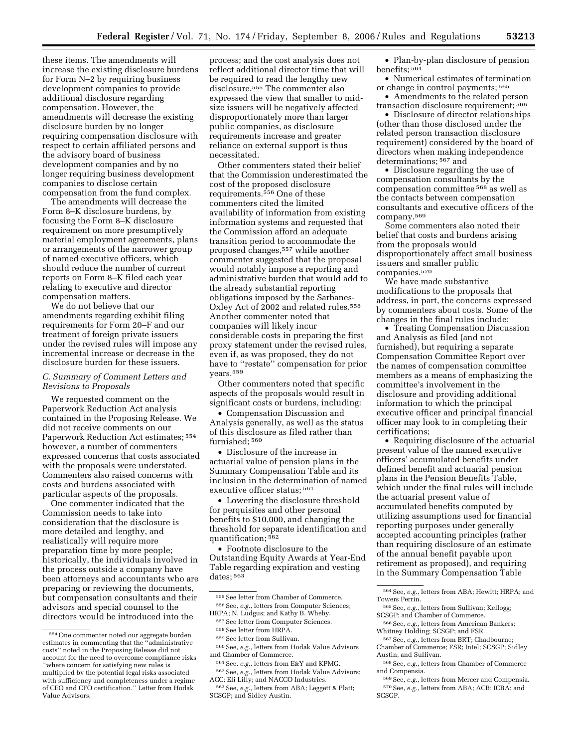these items. The amendments will increase the existing disclosure burdens for Form N–2 by requiring business development companies to provide additional disclosure regarding compensation. However, the amendments will decrease the existing disclosure burden by no longer requiring compensation disclosure with respect to certain affiliated persons and the advisory board of business development companies and by no longer requiring business development companies to disclose certain compensation from the fund complex.

The amendments will decrease the Form 8–K disclosure burdens, by focusing the Form 8–K disclosure requirement on more presumptively material employment agreements, plans or arrangements of the narrower group of named executive officers, which should reduce the number of current reports on Form 8–K filed each year relating to executive and director compensation matters.

We do not believe that our amendments regarding exhibit filing requirements for Form 20–F and our treatment of foreign private issuers under the revised rules will impose any incremental increase or decrease in the disclosure burden for these issuers.

### *C. Summary of Comment Letters and Revisions to Proposals*

We requested comment on the Paperwork Reduction Act analysis contained in the Proposing Release. We did not receive comments on our Paperwork Reduction Act estimates; 554 however, a number of commenters expressed concerns that costs associated with the proposals were understated. Commenters also raised concerns with costs and burdens associated with particular aspects of the proposals.

One commenter indicated that the Commission needs to take into consideration that the disclosure is more detailed and lengthy, and realistically will require more preparation time by more people; historically, the individuals involved in the process outside a company have been attorneys and accountants who are preparing or reviewing the documents, but compensation consultants and their advisors and special counsel to the directors would be introduced into the

process; and the cost analysis does not reflect additional director time that will be required to read the lengthy new disclosure.555 The commenter also expressed the view that smaller to midsize issuers will be negatively affected disproportionately more than larger public companies, as disclosure requirements increase and greater reliance on external support is thus necessitated.

Other commenters stated their belief that the Commission underestimated the cost of the proposed disclosure requirements.556 One of these commenters cited the limited availability of information from existing information systems and requested that the Commission afford an adequate transition period to accommodate the proposed changes,557 while another commenter suggested that the proposal would notably impose a reporting and administrative burden that would add to the already substantial reporting obligations imposed by the Sarbanes-Oxley Act of 2002 and related rules.558 Another commenter noted that companies will likely incur considerable costs in preparing the first proxy statement under the revised rules, even if, as was proposed, they do not have to ''restate'' compensation for prior years.559

Other commenters noted that specific aspects of the proposals would result in significant costs or burdens, including:

• Compensation Discussion and Analysis generally, as well as the status of this disclosure as filed rather than furnished; 560

• Disclosure of the increase in actuarial value of pension plans in the Summary Compensation Table and its inclusion in the determination of named executive officer status; 561

• Lowering the disclosure threshold for perquisites and other personal benefits to \$10,000, and changing the threshold for separate identification and quantification; 562

• Footnote disclosure to the Outstanding Equity Awards at Year-End Table regarding expiration and vesting dates; 563

• Plan-by-plan disclosure of pension benefits; 564

• Numerical estimates of termination or change in control payments; 565

• Amendments to the related person transaction disclosure requirement; 566

• Disclosure of director relationships (other than those disclosed under the related person transaction disclosure requirement) considered by the board of directors when making independence determinations; 567 and

• Disclosure regarding the use of compensation consultants by the compensation committee 568 as well as the contacts between compensation consultants and executive officers of the company.569

Some commenters also noted their belief that costs and burdens arising from the proposals would disproportionately affect small business issuers and smaller public companies.570

We have made substantive modifications to the proposals that address, in part, the concerns expressed by commenters about costs. Some of the changes in the final rules include:

• Treating Compensation Discussion and Analysis as filed (and not furnished), but requiring a separate Compensation Committee Report over the names of compensation committee members as a means of emphasizing the committee's involvement in the disclosure and providing additional information to which the principal executive officer and principal financial officer may look to in completing their certifications;

• Requiring disclosure of the actuarial present value of the named executive officers' accumulated benefits under defined benefit and actuarial pension plans in the Pension Benefits Table, which under the final rules will include the actuarial present value of accumulated benefits computed by utilizing assumptions used for financial reporting purposes under generally accepted accounting principles (rather than requiring disclosure of an estimate of the annual benefit payable upon retirement as proposed), and requiring in the Summary Compensation Table

<sup>554</sup>One commenter noted our aggregate burden estimates in commenting that the ''administrative costs'' noted in the Proposing Release did not account for the need to overcome compliance risks ''where concern for satisfying new rules is multiplied by the potential legal risks associated with sufficiency and completeness under a regime of CEO and CFO certification.'' Letter from Hodak Value Advisors.

<sup>555</sup>See letter from Chamber of Commerce. 556See, *e.g.*, letters from Computer Sciences; HRPA; N. Ludgus; and Kathy B. Wheby.

<sup>557</sup>See letter from Computer Sciences.

<sup>558</sup>See letter from HRPA.

<sup>559</sup>See letter from Sullivan.

<sup>560</sup>See, *e.g.*, letters from Hodak Value Advisors and Chamber of Commerce.

<sup>561</sup>See, *e.g.*, letters from E&Y and KPMG. 562See, *e.g.*, letters from Hodak Value Advisors;

ACC; Eli Lilly; and NACCO Industries.

<sup>563</sup>See, *e.g.*, letters from ABA; Leggett & Platt; SCSGP; and Sidley Austin.

 $^{564}\mathrm{See},$   $e.g.,$  letters from ABA; Hewitt; HRPA; and Towers Perrin.

<sup>565</sup>See, *e.g.*, letters from Sullivan; Kellogg; SCSGP; and Chamber of Commerce.

<sup>566</sup>See, *e.g.*, letters from American Bankers; Whitney Holding; SCSGP; and FSR.

<sup>567</sup>See, *e.g.*, letters from BRT; Chadbourne; Chamber of Commerce; FSR; Intel; SCSGP; Sidley Austin; and Sullivan.

<sup>568</sup>See, *e.g.*, letters from Chamber of Commerce and Compensia.

<sup>569</sup>See, *e.g.*, letters from Mercer and Compensia. 570See, *e.g.*, letters from ABA; ACB; ICBA; and SCSGP.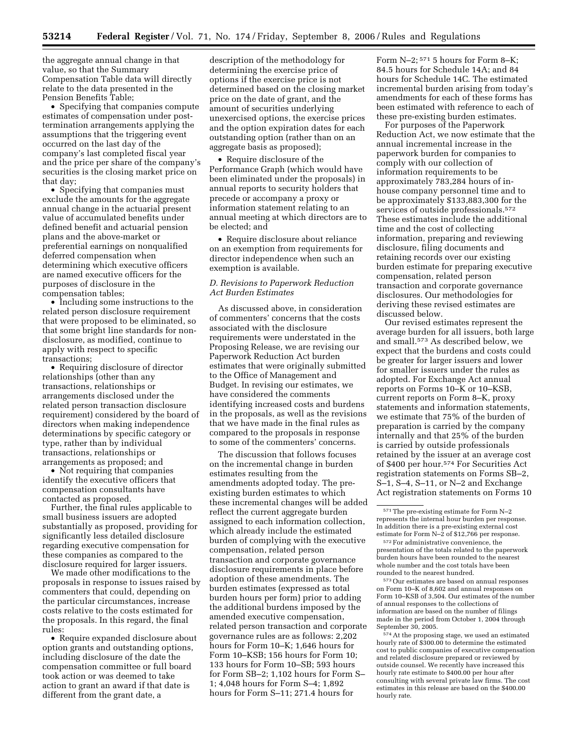the aggregate annual change in that value, so that the Summary Compensation Table data will directly relate to the data presented in the Pension Benefits Table;

• Specifying that companies compute estimates of compensation under posttermination arrangements applying the assumptions that the triggering event occurred on the last day of the company's last completed fiscal year and the price per share of the company's securities is the closing market price on that day;

• Specifying that companies must exclude the amounts for the aggregate annual change in the actuarial present value of accumulated benefits under defined benefit and actuarial pension plans and the above-market or preferential earnings on nonqualified deferred compensation when determining which executive officers are named executive officers for the purposes of disclosure in the compensation tables;

• Including some instructions to the related person disclosure requirement that were proposed to be eliminated, so that some bright line standards for nondisclosure, as modified, continue to apply with respect to specific transactions;

• Requiring disclosure of director relationships (other than any transactions, relationships or arrangements disclosed under the related person transaction disclosure requirement) considered by the board of directors when making independence determinations by specific category or type, rather than by individual transactions, relationships or arrangements as proposed; and

• Not requiring that companies identify the executive officers that compensation consultants have contacted as proposed.

Further, the final rules applicable to small business issuers are adopted substantially as proposed, providing for significantly less detailed disclosure regarding executive compensation for these companies as compared to the disclosure required for larger issuers.

We made other modifications to the proposals in response to issues raised by commenters that could, depending on the particular circumstances, increase costs relative to the costs estimated for the proposals. In this regard, the final rules:

• Require expanded disclosure about option grants and outstanding options, including disclosure of the date the compensation committee or full board took action or was deemed to take action to grant an award if that date is different from the grant date, a

description of the methodology for determining the exercise price of options if the exercise price is not determined based on the closing market price on the date of grant, and the amount of securities underlying unexercised options, the exercise prices and the option expiration dates for each outstanding option (rather than on an aggregate basis as proposed);

• Require disclosure of the Performance Graph (which would have been eliminated under the proposals) in annual reports to security holders that precede or accompany a proxy or information statement relating to an annual meeting at which directors are to be elected; and

• Require disclosure about reliance on an exemption from requirements for director independence when such an exemption is available.

# *D. Revisions to Paperwork Reduction Act Burden Estimates*

As discussed above, in consideration of commenters' concerns that the costs associated with the disclosure requirements were understated in the Proposing Release, we are revising our Paperwork Reduction Act burden estimates that were originally submitted to the Office of Management and Budget. In revising our estimates, we have considered the comments identifying increased costs and burdens in the proposals, as well as the revisions that we have made in the final rules as compared to the proposals in response to some of the commenters' concerns.

The discussion that follows focuses on the incremental change in burden estimates resulting from the amendments adopted today. The preexisting burden estimates to which these incremental changes will be added reflect the current aggregate burden assigned to each information collection, which already include the estimated burden of complying with the executive compensation, related person transaction and corporate governance disclosure requirements in place before adoption of these amendments. The burden estimates (expressed as total burden hours per form) prior to adding the additional burdens imposed by the amended executive compensation, related person transaction and corporate governance rules are as follows: 2,202 hours for Form 10–K; 1,646 hours for Form 10–KSB; 156 hours for Form 10; 133 hours for Form 10–SB; 593 hours for Form SB–2; 1,102 hours for Form S– 1; 4,048 hours for Form S–4; 1,892 hours for Form S–11; 271.4 hours for

Form  $N=2:$  571 5 hours for Form 8–K: 84.5 hours for Schedule 14A; and 84 hours for Schedule 14C. The estimated incremental burden arising from today's amendments for each of these forms has been estimated with reference to each of these pre-existing burden estimates.

For purposes of the Paperwork Reduction Act, we now estimate that the annual incremental increase in the paperwork burden for companies to comply with our collection of information requirements to be approximately 783,284 hours of inhouse company personnel time and to be approximately \$133,883,300 for the services of outside professionals.572 These estimates include the additional time and the cost of collecting information, preparing and reviewing disclosure, filing documents and retaining records over our existing burden estimate for preparing executive compensation, related person transaction and corporate governance disclosures. Our methodologies for deriving these revised estimates are discussed below.

Our revised estimates represent the average burden for all issuers, both large and small.573 As described below, we expect that the burdens and costs could be greater for larger issuers and lower for smaller issuers under the rules as adopted. For Exchange Act annual reports on Forms 10–K or 10–KSB, current reports on Form 8–K, proxy statements and information statements, we estimate that 75% of the burden of preparation is carried by the company internally and that 25% of the burden is carried by outside professionals retained by the issuer at an average cost of \$400 per hour.574 For Securities Act registration statements on Forms SB–2, S–1, S–4, S–11, or N–2 and Exchange Act registration statements on Forms 10

573Our estimates are based on annual responses on Form 10–K of 8,602 and annual responses on Form 10–KSB of 3,504. Our estimates of the number of annual responses to the collections of information are based on the number of filings made in the period from October 1, 2004 through September 30, 2005.

574At the proposing stage, we used an estimated hourly rate of \$300.00 to determine the estimated cost to public companies of executive compensation and related disclosure prepared or reviewed by outside counsel. We recently have increased this hourly rate estimate to \$400.00 per hour after consulting with several private law firms. The cost estimates in this release are based on the \$400.00 hourly rate.

<sup>571</sup>The pre-existing estimate for Form N–2 represents the internal hour burden per response. In addition there is a pre-existing external cost estimate for Form N–2 of \$12,766 per response.

<sup>572</sup>For administrative convenience, the presentation of the totals related to the paperwork burden hours have been rounded to the nearest whole number and the cost totals have been rounded to the nearest hundred.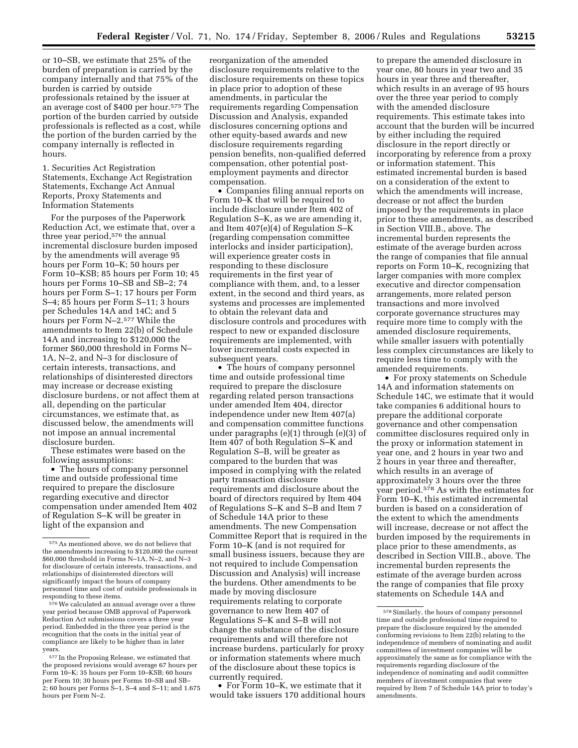or 10–SB, we estimate that 25% of the burden of preparation is carried by the company internally and that 75% of the burden is carried by outside professionals retained by the issuer at an average cost of \$400 per hour.575 The portion of the burden carried by outside professionals is reflected as a cost, while the portion of the burden carried by the company internally is reflected in hours.

1. Securities Act Registration Statements, Exchange Act Registration Statements, Exchange Act Annual Reports, Proxy Statements and Information Statements

For the purposes of the Paperwork Reduction Act, we estimate that, over a three year period,576 the annual incremental disclosure burden imposed by the amendments will average 95 hours per Form 10–K; 50 hours per Form 10–KSB; 85 hours per Form 10; 45 hours per Forms 10–SB and SB–2; 74 hours per Form S–1; 17 hours per Form S–4; 85 hours per Form S–11; 3 hours per Schedules 14A and 14C; and 5 hours per Form N–2.577 While the amendments to Item 22(b) of Schedule 14A and increasing to \$120,000 the former \$60,000 threshold in Forms N– 1A, N–2, and N–3 for disclosure of certain interests, transactions, and relationships of disinterested directors may increase or decrease existing disclosure burdens, or not affect them at all, depending on the particular circumstances, we estimate that, as discussed below, the amendments will not impose an annual incremental disclosure burden.

These estimates were based on the following assumptions:

• The hours of company personnel time and outside professional time required to prepare the disclosure regarding executive and director compensation under amended Item 402 of Regulation S–K will be greater in light of the expansion and

576We calculated an annual average over a three year period because OMB approval of Paperwork Reduction Act submissions covers a three year period. Embedded in the three year period is the recognition that the costs in the initial year of compliance are likely to be higher than in later years.

577 In the Proposing Release, we estimated that the proposed revisions would average 67 hours per Form 10–K; 35 hours per Form 10–KSB; 60 hours per Form 10; 30 hours per Forms 10–SB and SB– 2; 60 hours per Forms S–1, S–4 and S–11; and 1.675 hours per Form N-2.

reorganization of the amended disclosure requirements relative to the disclosure requirements on these topics in place prior to adoption of these amendments, in particular the requirements regarding Compensation Discussion and Analysis, expanded disclosures concerning options and other equity-based awards and new disclosure requirements regarding pension benefits, non-qualified deferred compensation, other potential postemployment payments and director compensation.

• Companies filing annual reports on Form 10–K that will be required to include disclosure under Item 402 of Regulation S–K, as we are amending it, and Item 407(e)(4) of Regulation S–K (regarding compensation committee interlocks and insider participation), will experience greater costs in responding to these disclosure requirements in the first year of compliance with them, and, to a lesser extent, in the second and third years, as systems and processes are implemented to obtain the relevant data and disclosure controls and procedures with respect to new or expanded disclosure requirements are implemented, with lower incremental costs expected in subsequent years.

• The hours of company personnel time and outside professional time required to prepare the disclosure regarding related person transactions under amended Item 404, director independence under new Item 407(a) and compensation committee functions under paragraphs (e)(1) through (e)(3) of Item 407 of both Regulation S–K and Regulation S–B, will be greater as compared to the burden that was imposed in complying with the related party transaction disclosure requirements and disclosure about the board of directors required by Item 404 of Regulations S–K and S–B and Item 7 of Schedule 14A prior to these amendments. The new Compensation Committee Report that is required in the Form 10–K (and is not required for small business issuers, because they are not required to include Compensation Discussion and Analysis) will increase the burdens. Other amendments to be made by moving disclosure requirements relating to corporate governance to new Item 407 of Regulations S–K and S–B will not change the substance of the disclosure requirements and will therefore not increase burdens, particularly for proxy or information statements where much of the disclosure about these topics is currently required.

• For Form 10–K, we estimate that it would take issuers 170 additional hours

to prepare the amended disclosure in year one, 80 hours in year two and 35 hours in year three and thereafter, which results in an average of 95 hours over the three year period to comply with the amended disclosure requirements. This estimate takes into account that the burden will be incurred by either including the required disclosure in the report directly or incorporating by reference from a proxy or information statement. This estimated incremental burden is based on a consideration of the extent to which the amendments will increase, decrease or not affect the burden imposed by the requirements in place prior to these amendments, as described in Section VIII.B., above. The incremental burden represents the estimate of the average burden across the range of companies that file annual reports on Form 10–K, recognizing that larger companies with more complex executive and director compensation arrangements, more related person transactions and more involved corporate governance structures may require more time to comply with the amended disclosure requirements, while smaller issuers with potentially less complex circumstances are likely to require less time to comply with the amended requirements.

• For proxy statements on Schedule 14A and information statements on Schedule 14C, we estimate that it would take companies 6 additional hours to prepare the additional corporate governance and other compensation committee disclosures required only in the proxy or information statement in year one, and 2 hours in year two and 2 hours in year three and thereafter, which results in an average of approximately 3 hours over the three year period.578 As with the estimates for Form 10–K, this estimated incremental burden is based on a consideration of the extent to which the amendments will increase, decrease or not affect the burden imposed by the requirements in place prior to these amendments, as described in Section VIII.B., above. The incremental burden represents the estimate of the average burden across the range of companies that file proxy statements on Schedule 14A and

<sup>575</sup>As mentioned above, we do not believe that the amendments increasing to \$120,000 the current \$60,000 threshold in Forms N–1A, N–2, and N–3 for disclosure of certain interests, transactions, and relationships of disinterested directors will significantly impact the hours of company personnel time and cost of outside professionals in responding to these items.

<sup>578</sup>Similarly, the hours of company personnel time and outside professional time required to prepare the disclosure required by the amended conforming revisions to Item 22(b) relating to the independence of members of nominating and audit committees of investment companies will be approximately the same as for compliance with the requirements regarding disclosure of the independence of nominating and audit committee members of investment companies that were required by Item 7 of Schedule 14A prior to today's amendments.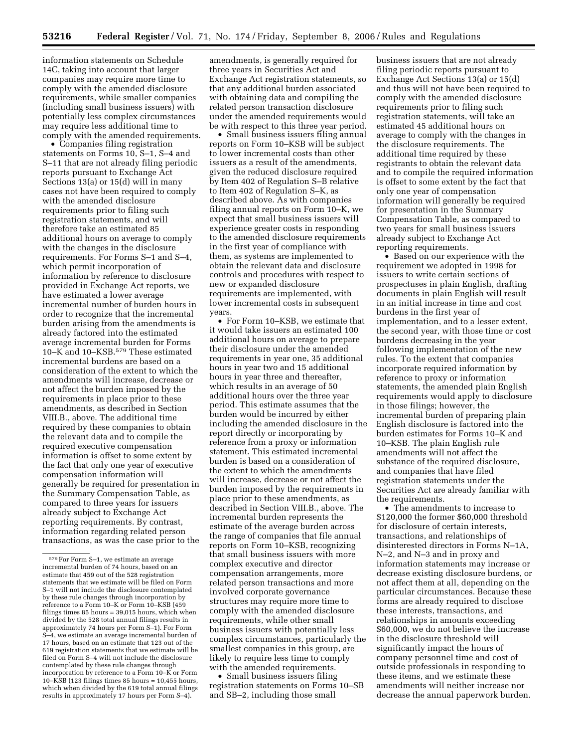information statements on Schedule 14C, taking into account that larger companies may require more time to comply with the amended disclosure requirements, while smaller companies (including small business issuers) with potentially less complex circumstances may require less additional time to comply with the amended requirements.

• Companies filing registration statements on Forms 10, S–1, S–4 and S–11 that are not already filing periodic reports pursuant to Exchange Act Sections 13(a) or 15(d) will in many cases not have been required to comply with the amended disclosure requirements prior to filing such registration statements, and will therefore take an estimated 85 additional hours on average to comply with the changes in the disclosure requirements. For Forms S–1 and S–4, which permit incorporation of information by reference to disclosure provided in Exchange Act reports, we have estimated a lower average incremental number of burden hours in order to recognize that the incremental burden arising from the amendments is already factored into the estimated average incremental burden for Forms 10–K and 10–KSB.579 These estimated incremental burdens are based on a consideration of the extent to which the amendments will increase, decrease or not affect the burden imposed by the requirements in place prior to these amendments, as described in Section VIII.B., above. The additional time required by these companies to obtain the relevant data and to compile the required executive compensation information is offset to some extent by the fact that only one year of executive compensation information will generally be required for presentation in the Summary Compensation Table, as compared to three years for issuers already subject to Exchange Act reporting requirements. By contrast, information regarding related person transactions, as was the case prior to the

amendments, is generally required for three years in Securities Act and Exchange Act registration statements, so that any additional burden associated with obtaining data and compiling the related person transaction disclosure under the amended requirements would be with respect to this three year period.

• Small business issuers filing annual reports on Form 10–KSB will be subject to lower incremental costs than other issuers as a result of the amendments, given the reduced disclosure required by Item 402 of Regulation S–B relative to Item 402 of Regulation S–K, as described above. As with companies filing annual reports on Form 10–K, we expect that small business issuers will experience greater costs in responding to the amended disclosure requirements in the first year of compliance with them, as systems are implemented to obtain the relevant data and disclosure controls and procedures with respect to new or expanded disclosure requirements are implemented, with lower incremental costs in subsequent years.

• For Form 10–KSB, we estimate that it would take issuers an estimated 100 additional hours on average to prepare their disclosure under the amended requirements in year one, 35 additional hours in year two and 15 additional hours in year three and thereafter, which results in an average of 50 additional hours over the three year period. This estimate assumes that the burden would be incurred by either including the amended disclosure in the report directly or incorporating by reference from a proxy or information statement. This estimated incremental burden is based on a consideration of the extent to which the amendments will increase, decrease or not affect the burden imposed by the requirements in place prior to these amendments, as described in Section VIII.B., above. The incremental burden represents the estimate of the average burden across the range of companies that file annual reports on Form 10–KSB, recognizing that small business issuers with more complex executive and director compensation arrangements, more related person transactions and more involved corporate governance structures may require more time to comply with the amended disclosure requirements, while other small business issuers with potentially less complex circumstances, particularly the smallest companies in this group, are likely to require less time to comply with the amended requirements.

• Small business issuers filing registration statements on Forms 10–SB and SB–2, including those small

business issuers that are not already filing periodic reports pursuant to Exchange Act Sections 13(a) or 15(d) and thus will not have been required to comply with the amended disclosure requirements prior to filing such registration statements, will take an estimated 45 additional hours on average to comply with the changes in the disclosure requirements. The additional time required by these registrants to obtain the relevant data and to compile the required information is offset to some extent by the fact that only one year of compensation information will generally be required for presentation in the Summary Compensation Table, as compared to two years for small business issuers already subject to Exchange Act reporting requirements.

• Based on our experience with the requirement we adopted in 1998 for issuers to write certain sections of prospectuses in plain English, drafting documents in plain English will result in an initial increase in time and cost burdens in the first year of implementation, and to a lesser extent, the second year, with those time or cost burdens decreasing in the year following implementation of the new rules. To the extent that companies incorporate required information by reference to proxy or information statements, the amended plain English requirements would apply to disclosure in those filings; however, the incremental burden of preparing plain English disclosure is factored into the burden estimates for Forms 10–K and 10–KSB. The plain English rule amendments will not affect the substance of the required disclosure, and companies that have filed registration statements under the Securities Act are already familiar with the requirements.

• The amendments to increase to \$120,000 the former \$60,000 threshold for disclosure of certain interests, transactions, and relationships of disinterested directors in Forms N–1A, N–2, and N–3 and in proxy and information statements may increase or decrease existing disclosure burdens, or not affect them at all, depending on the particular circumstances. Because these forms are already required to disclose these interests, transactions, and relationships in amounts exceeding \$60,000, we do not believe the increase in the disclosure threshold will significantly impact the hours of company personnel time and cost of outside professionals in responding to these items, and we estimate these amendments will neither increase nor decrease the annual paperwork burden.

<sup>579</sup>For Form S–1, we estimate an average incremental burden of 74 hours, based on an estimate that 459 out of the 528 registration statements that we estimate will be filed on Form S–1 will not include the disclosure contemplated by these rule changes through incorporation by reference to a Form 10–K or Form 10–KSB (459 filings times 85 hours = 39,015 hours, which when divided by the 528 total annual filings results in approximately 74 hours per Form S–1). For Form S–4, we estimate an average incremental burden of 17 hours, based on an estimate that 123 out of the 619 registration statements that we estimate will be filed on Form S–4 will not include the disclosure contemplated by these rule changes through incorporation by reference to a Form 10–K or Form  $10-\overline{\text{KSB}}$  (123 filings times 85 hours = 10,455 hours, which when divided by the 619 total annual filings results in approximately 17 hours per Form S–4).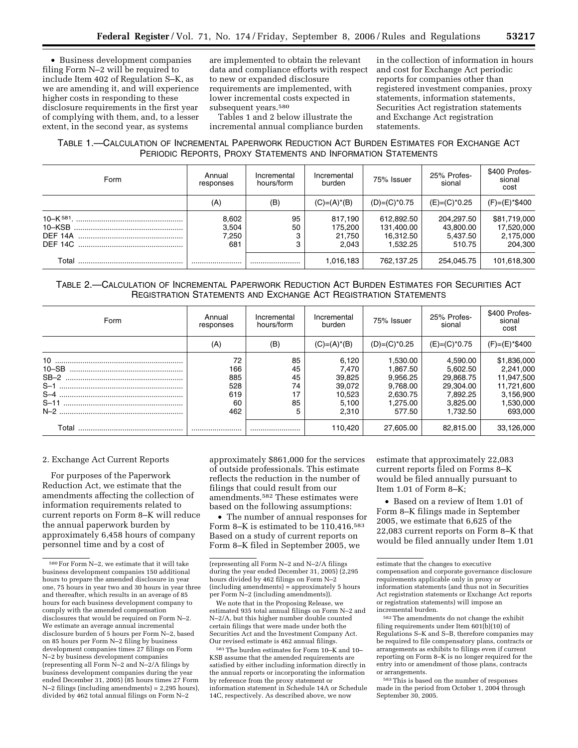• Business development companies filing Form N–2 will be required to include Item 402 of Regulation S–K, as we are amending it, and will experience higher costs in responding to these disclosure requirements in the first year of complying with them, and, to a lesser extent, in the second year, as systems

are implemented to obtain the relevant data and compliance efforts with respect to new or expanded disclosure requirements are implemented, with lower incremental costs expected in subsequent years.<sup>580</sup>

Tables 1 and 2 below illustrate the incremental annual compliance burden

in the collection of information in hours and cost for Exchange Act periodic reports for companies other than registered investment companies, proxy statements, information statements, Securities Act registration statements and Exchange Act registration statements.

# TABLE 1.—CALCULATION OF INCREMENTAL PAPERWORK REDUCTION ACT BURDEN ESTIMATES FOR EXCHANGE ACT PERIODIC REPORTS, PROXY STATEMENTS AND INFORMATION STATEMENTS

| Form    | Annual<br>responses            | Incremental<br>hours/form | Incremental<br>burden                 | 75% Issuer                                        | 25% Profes-<br>sional                         | \$400 Profes-<br>sional<br>cost                    |
|---------|--------------------------------|---------------------------|---------------------------------------|---------------------------------------------------|-----------------------------------------------|----------------------------------------------------|
|         | (A)                            | (B)                       | $(C)=(A)^*(B)$                        | $(D)=(C)^*0.75$                                   | $(E)=(C)^*0.25$                               | $(F)=(E)^*$ \$400                                  |
| DEF 14C | 8,602<br>3,504<br>7,250<br>681 | 95<br>50<br>3<br>3        | 817.190<br>175,200<br>21.750<br>2.043 | 612,892.50<br>131,400.00<br>16,312.50<br>1.532.25 | 204,297.50<br>43,800.00<br>5,437.50<br>510.75 | \$81,719,000<br>17,520,000<br>2,175,000<br>204.300 |
| Total   |                                |                           | 1,016,183                             | 762,137.25                                        | 254,045.75                                    | 101,618,300                                        |

# TABLE 2.—CALCULATION OF INCREMENTAL PAPERWORK REDUCTION ACT BURDEN ESTIMATES FOR SECURITIES ACT REGISTRATION STATEMENTS AND EXCHANGE ACT REGISTRATION STATEMENTS

| Form  | Annual<br>responses                         | Incremental<br>hours/form             | Incremental<br>burden                                          | 75% Issuer                                                                     | 25% Profes-<br>sional                                                              | \$400 Profes-<br>sional<br>cost                                                           |
|-------|---------------------------------------------|---------------------------------------|----------------------------------------------------------------|--------------------------------------------------------------------------------|------------------------------------------------------------------------------------|-------------------------------------------------------------------------------------------|
|       | (A)                                         | (B)                                   | $(C)=(A)^*(B)$                                                 | $(D)=(C)^*0.25$                                                                | $(E)=(C)^*0.75$                                                                    | (F)=(E)*\$400                                                                             |
| $S-4$ | 72<br>166<br>885<br>528<br>619<br>60<br>462 | 85<br>45<br>45<br>74<br>17<br>85<br>5 | 6.120<br>7.470<br>39.825<br>39.072<br>10.523<br>5.100<br>2.310 | 1.530.00<br>1.867.50<br>9.956.25<br>9.768.00<br>2.630.75<br>1.275.00<br>577.50 | 4.590.00<br>5.602.50<br>29.868.75<br>29.304.00<br>7.892.25<br>3.825.00<br>1.732.50 | \$1,836,000<br>2.241.000<br>11.947.500<br>11,721,600<br>3,156,900<br>1,530,000<br>693.000 |
| Total |                                             |                                       | 110.420                                                        | 27,605.00                                                                      | 82.815.00                                                                          | 33,126,000                                                                                |

### 2. Exchange Act Current Reports

For purposes of the Paperwork Reduction Act, we estimate that the amendments affecting the collection of information requirements related to current reports on Form 8–K will reduce the annual paperwork burden by approximately 6,458 hours of company personnel time and by a cost of

approximately \$861,000 for the services of outside professionals. This estimate reflects the reduction in the number of filings that could result from our amendments.582 These estimates were based on the following assumptions:

• The number of annual responses for Form 8–K is estimated to be 110,416.583 Based on a study of current reports on Form 8–K filed in September 2005, we

We note that in the Proposing Release, we estimated 935 total annual filings on Form N–2 and N–2/A, but this higher number double counted certain filings that were made under both the Securities Act and the Investment Company Act. Our revised estimate is 462 annual filings.

581The burden estimates for Form 10–K and 10– KSB assume that the amended requirements are satisfied by either including information directly in the annual reports or incorporating the information by reference from the proxy statement or information statement in Schedule 14A or Schedule 14C, respectively. As described above, we now

estimate that approximately 22,083 current reports filed on Forms 8–K would be filed annually pursuant to Item 1.01 of Form 8–K;

• Based on a review of Item 1.01 of Form 8–K filings made in September 2005, we estimate that 6,625 of the 22,083 current reports on Form 8–K that would be filed annually under Item 1.01

<sup>580</sup>For Form N–2, we estimate that it will take business development companies 150 additional hours to prepare the amended disclosure in year one, 75 hours in year two and 30 hours in year three and thereafter, which results in an average of 85 hours for each business development company to comply with the amended compensation disclosures that would be required on Form N–2. We estimate an average annual incremental disclosure burden of 5 hours per Form N–2, based on 85 hours per Form N–2 filing by business development companies times 27 filings on Form N–2 by business development companies (representing all Form N–2 and N–2/A filings by business development companies during the year ended December 31, 2005) (85 hours times 27 Form N–2 filings (including amendments) = 2,295 hours), divided by 462 total annual filings on Form N–2

<sup>(</sup>representing all Form N–2 and N–2/A filings during the year ended December 31, 2005)  $(2,295)$ hours divided by 462 filings on Form N–2 (including amendments) = approximately 5 hours per Form N–2 (including amendments)).

estimate that the changes to executive compensation and corporate governance disclosure requirements applicable only in proxy or information statements (and thus not in Securities Act registration statements or Exchange Act reports or registration statements) will impose an incremental burden.

<sup>582</sup>The amendments do not change the exhibit filing requirements under Item 601(b)(10) of Regulations S–K and S–B, therefore companies may be required to file compensatory plans, contracts or arrangements as exhibits to filings even if current reporting on Form 8–K is no longer required for the entry into or amendment of those plans, contracts or arrangements.

<sup>583</sup>This is based on the number of responses made in the period from October 1, 2004 through September 30, 2005.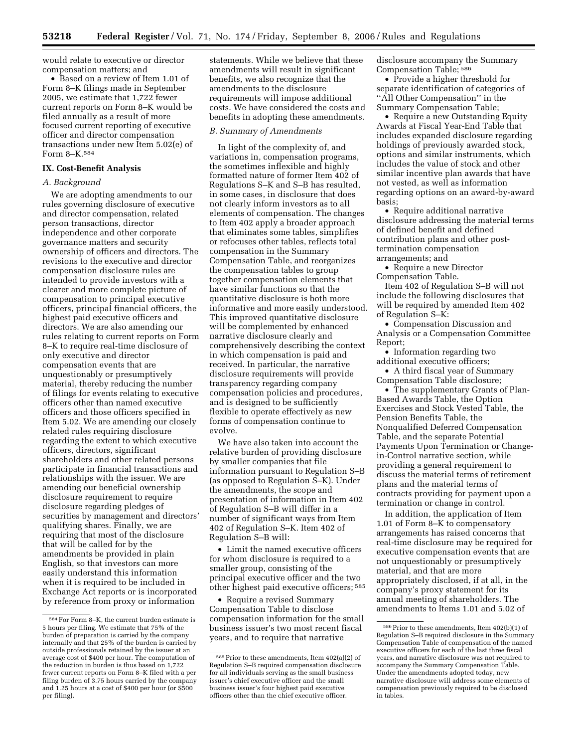would relate to executive or director compensation matters; and

• Based on a review of Item 1.01 of Form 8–K filings made in September 2005, we estimate that 1,722 fewer current reports on Form 8–K would be filed annually as a result of more focused current reporting of executive officer and director compensation transactions under new Item 5.02(e) of Form 8–K.584

#### **IX. Cost-Benefit Analysis**

# *A. Background*

We are adopting amendments to our rules governing disclosure of executive and director compensation, related person transactions, director independence and other corporate governance matters and security ownership of officers and directors. The revisions to the executive and director compensation disclosure rules are intended to provide investors with a clearer and more complete picture of compensation to principal executive officers, principal financial officers, the highest paid executive officers and directors. We are also amending our rules relating to current reports on Form 8–K to require real-time disclosure of only executive and director compensation events that are unquestionably or presumptively material, thereby reducing the number of filings for events relating to executive officers other than named executive officers and those officers specified in Item 5.02. We are amending our closely related rules requiring disclosure regarding the extent to which executive officers, directors, significant shareholders and other related persons participate in financial transactions and relationships with the issuer. We are amending our beneficial ownership disclosure requirement to require disclosure regarding pledges of securities by management and directors' qualifying shares. Finally, we are requiring that most of the disclosure that will be called for by the amendments be provided in plain English, so that investors can more easily understand this information when it is required to be included in Exchange Act reports or is incorporated by reference from proxy or information

statements. While we believe that these amendments will result in significant benefits, we also recognize that the amendments to the disclosure requirements will impose additional costs. We have considered the costs and benefits in adopting these amendments.

## *B. Summary of Amendments*

In light of the complexity of, and variations in, compensation programs, the sometimes inflexible and highly formatted nature of former Item 402 of Regulations S–K and S–B has resulted, in some cases, in disclosure that does not clearly inform investors as to all elements of compensation. The changes to Item 402 apply a broader approach that eliminates some tables, simplifies or refocuses other tables, reflects total compensation in the Summary Compensation Table, and reorganizes the compensation tables to group together compensation elements that have similar functions so that the quantitative disclosure is both more informative and more easily understood. This improved quantitative disclosure will be complemented by enhanced narrative disclosure clearly and comprehensively describing the context in which compensation is paid and received. In particular, the narrative disclosure requirements will provide transparency regarding company compensation policies and procedures, and is designed to be sufficiently flexible to operate effectively as new forms of compensation continue to evolve.

We have also taken into account the relative burden of providing disclosure by smaller companies that file information pursuant to Regulation S–B (as opposed to Regulation S–K). Under the amendments, the scope and presentation of information in Item 402 of Regulation S–B will differ in a number of significant ways from Item 402 of Regulation S–K. Item 402 of Regulation S–B will:

• Limit the named executive officers for whom disclosure is required to a smaller group, consisting of the principal executive officer and the two other highest paid executive officers; 585

• Require a revised Summary Compensation Table to disclose compensation information for the small business issuer's two most recent fiscal years, and to require that narrative

disclosure accompany the Summary Compensation Table; 586

• Provide a higher threshold for separate identification of categories of "All Other Compensation" in the Summary Compensation Table;

• Require a new Outstanding Equity Awards at Fiscal Year-End Table that includes expanded disclosure regarding holdings of previously awarded stock, options and similar instruments, which includes the value of stock and other similar incentive plan awards that have not vested, as well as information regarding options on an award-by-award basis;

• Require additional narrative disclosure addressing the material terms of defined benefit and defined contribution plans and other posttermination compensation arrangements; and

• Require a new Director Compensation Table.

Item 402 of Regulation S–B will not include the following disclosures that will be required by amended Item 402 of Regulation S–K:

• Compensation Discussion and Analysis or a Compensation Committee Report;

• Information regarding two additional executive officers;

• A third fiscal year of Summary Compensation Table disclosure;

• The supplementary Grants of Plan-Based Awards Table, the Option Exercises and Stock Vested Table, the Pension Benefits Table, the Nonqualified Deferred Compensation Table, and the separate Potential Payments Upon Termination or Changein-Control narrative section, while providing a general requirement to discuss the material terms of retirement plans and the material terms of contracts providing for payment upon a termination or change in control.

In addition, the application of Item 1.01 of Form 8–K to compensatory arrangements has raised concerns that real-time disclosure may be required for executive compensation events that are not unquestionably or presumptively material, and that are more appropriately disclosed, if at all, in the company's proxy statement for its annual meeting of shareholders. The amendments to Items 1.01 and 5.02 of

<sup>584</sup>For Form 8–K, the current burden estimate is 5 hours per filing. We estimate that 75% of the burden of preparation is carried by the company internally and that 25% of the burden is carried by outside professionals retained by the issuer at an average cost of \$400 per hour. The computation of the reduction in burden is thus based on 1,722 fewer current reports on Form 8–K filed with a per filing burden of 3.75 hours carried by the company and 1.25 hours at a cost of \$400 per hour (or \$500 per filing).

<sup>585</sup>Prior to these amendments, Item 402(a)(2) of Regulation S–B required compensation disclosure for all individuals serving as the small business issuer's chief executive officer and the small business issuer's four highest paid executive officers other than the chief executive officer.

 $^{586}\rm{Prior}$  to these amendments, Item  $402(\rm{b})(1)$  of Regulation S–B required disclosure in the Summary Compensation Table of compensation of the named executive officers for each of the last three fiscal years, and narrative disclosure was not required to accompany the Summary Compensation Table. Under the amendments adopted today, new narrative disclosure will address some elements of compensation previously required to be disclosed in tables.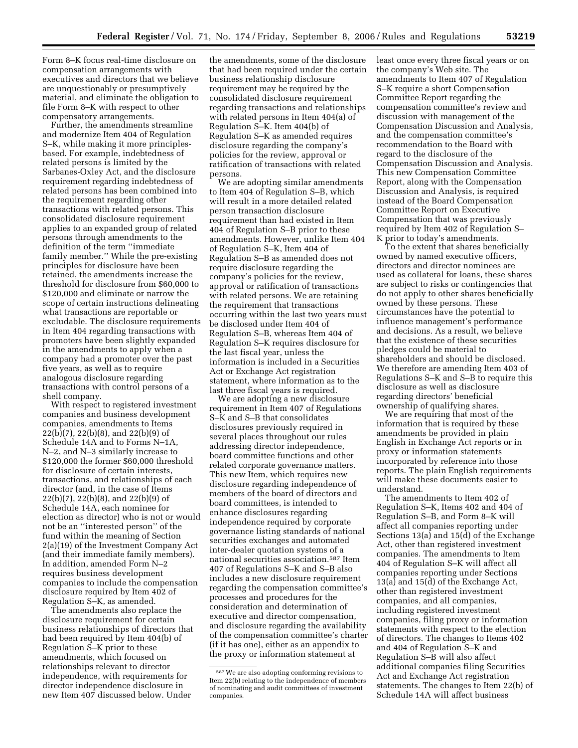Form 8–K focus real-time disclosure on compensation arrangements with executives and directors that we believe are unquestionably or presumptively material, and eliminate the obligation to file Form 8–K with respect to other compensatory arrangements.

Further, the amendments streamline and modernize Item 404 of Regulation S–K, while making it more principlesbased. For example, indebtedness of related persons is limited by the Sarbanes-Oxley Act, and the disclosure requirement regarding indebtedness of related persons has been combined into the requirement regarding other transactions with related persons. This consolidated disclosure requirement applies to an expanded group of related persons through amendments to the definition of the term ''immediate family member.'' While the pre-existing principles for disclosure have been retained, the amendments increase the threshold for disclosure from \$60,000 to \$120,000 and eliminate or narrow the scope of certain instructions delineating what transactions are reportable or excludable. The disclosure requirements in Item 404 regarding transactions with promoters have been slightly expanded in the amendments to apply when a company had a promoter over the past five years, as well as to require analogous disclosure regarding transactions with control persons of a shell company.

With respect to registered investment companies and business development companies, amendments to Items 22(b)(7), 22(b)(8), and 22(b)(9) of Schedule 14A and to Forms N–1A, N–2, and N–3 similarly increase to \$120,000 the former \$60,000 threshold for disclosure of certain interests, transactions, and relationships of each director (and, in the case of Items 22(b)(7), 22(b)(8), and 22(b)(9) of Schedule 14A, each nominee for election as director) who is not or would not be an ''interested person'' of the fund within the meaning of Section 2(a)(19) of the Investment Company Act (and their immediate family members). In addition, amended Form N–2 requires business development companies to include the compensation disclosure required by Item 402 of Regulation S–K, as amended.

The amendments also replace the disclosure requirement for certain business relationships of directors that had been required by Item 404(b) of Regulation S–K prior to these amendments, which focused on relationships relevant to director independence, with requirements for director independence disclosure in new Item 407 discussed below. Under

the amendments, some of the disclosure that had been required under the certain business relationship disclosure requirement may be required by the consolidated disclosure requirement regarding transactions and relationships with related persons in Item 404(a) of Regulation S–K. Item 404(b) of Regulation S–K as amended requires disclosure regarding the company's policies for the review, approval or ratification of transactions with related persons.

We are adopting similar amendments to Item 404 of Regulation S–B, which will result in a more detailed related person transaction disclosure requirement than had existed in Item 404 of Regulation S–B prior to these amendments. However, unlike Item 404 of Regulation S–K, Item 404 of Regulation S–B as amended does not require disclosure regarding the company's policies for the review, approval or ratification of transactions with related persons. We are retaining the requirement that transactions occurring within the last two years must be disclosed under Item 404 of Regulation S–B, whereas Item 404 of Regulation S–K requires disclosure for the last fiscal year, unless the information is included in a Securities Act or Exchange Act registration statement, where information as to the last three fiscal years is required.

We are adopting a new disclosure requirement in Item 407 of Regulations S–K and S–B that consolidates disclosures previously required in several places throughout our rules addressing director independence, board committee functions and other related corporate governance matters. This new Item, which requires new disclosure regarding independence of members of the board of directors and board committees, is intended to enhance disclosures regarding independence required by corporate governance listing standards of national securities exchanges and automated inter-dealer quotation systems of a national securities association.587 Item 407 of Regulations S–K and S–B also includes a new disclosure requirement regarding the compensation committee's processes and procedures for the consideration and determination of executive and director compensation, and disclosure regarding the availability of the compensation committee's charter (if it has one), either as an appendix to the proxy or information statement at

least once every three fiscal years or on the company's Web site. The amendments to Item 407 of Regulation S–K require a short Compensation Committee Report regarding the compensation committee's review and discussion with management of the Compensation Discussion and Analysis, and the compensation committee's recommendation to the Board with regard to the disclosure of the Compensation Discussion and Analysis. This new Compensation Committee Report, along with the Compensation Discussion and Analysis, is required instead of the Board Compensation Committee Report on Executive Compensation that was previously required by Item 402 of Regulation S– K prior to today's amendments.

To the extent that shares beneficially owned by named executive officers, directors and director nominees are used as collateral for loans, these shares are subject to risks or contingencies that do not apply to other shares beneficially owned by these persons. These circumstances have the potential to influence management's performance and decisions. As a result, we believe that the existence of these securities pledges could be material to shareholders and should be disclosed. We therefore are amending Item 403 of Regulations S–K and S–B to require this disclosure as well as disclosure regarding directors' beneficial ownership of qualifying shares.

We are requiring that most of the information that is required by these amendments be provided in plain English in Exchange Act reports or in proxy or information statements incorporated by reference into those reports. The plain English requirements will make these documents easier to understand.

The amendments to Item 402 of Regulation S–K, Items 402 and 404 of Regulation S–B, and Form 8–K will affect all companies reporting under Sections 13(a) and 15(d) of the Exchange Act, other than registered investment companies. The amendments to Item 404 of Regulation S–K will affect all companies reporting under Sections 13(a) and 15(d) of the Exchange Act, other than registered investment companies, and all companies, including registered investment companies, filing proxy or information statements with respect to the election of directors. The changes to Items 402 and 404 of Regulation S–K and Regulation S–B will also affect additional companies filing Securities Act and Exchange Act registration statements. The changes to Item 22(b) of Schedule 14A will affect business

<sup>587</sup>We are also adopting conforming revisions to Item 22(b) relating to the independence of members of nominating and audit committees of investment companies.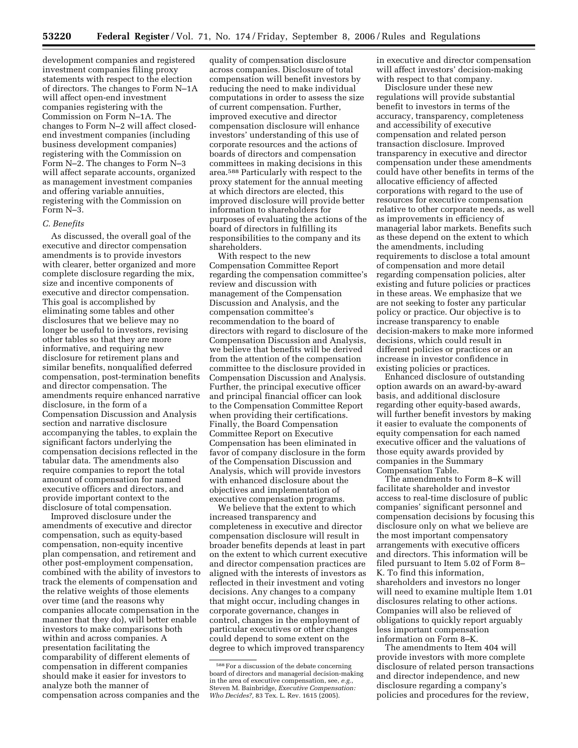development companies and registered investment companies filing proxy statements with respect to the election of directors. The changes to Form N–1A will affect open-end investment companies registering with the Commission on Form N–1A. The changes to Form N–2 will affect closedend investment companies (including business development companies) registering with the Commission on Form N–2. The changes to Form N–3 will affect separate accounts, organized as management investment companies and offering variable annuities, registering with the Commission on Form N–3.

### *C. Benefits*

As discussed, the overall goal of the executive and director compensation amendments is to provide investors with clearer, better organized and more complete disclosure regarding the mix, size and incentive components of executive and director compensation. This goal is accomplished by eliminating some tables and other disclosures that we believe may no longer be useful to investors, revising other tables so that they are more informative, and requiring new disclosure for retirement plans and similar benefits, nonqualified deferred compensation, post-termination benefits and director compensation. The amendments require enhanced narrative disclosure, in the form of a Compensation Discussion and Analysis section and narrative disclosure accompanying the tables, to explain the significant factors underlying the compensation decisions reflected in the tabular data. The amendments also require companies to report the total amount of compensation for named executive officers and directors, and provide important context to the disclosure of total compensation.

Improved disclosure under the amendments of executive and director compensation, such as equity-based compensation, non-equity incentive plan compensation, and retirement and other post-employment compensation, combined with the ability of investors to track the elements of compensation and the relative weights of those elements over time (and the reasons why companies allocate compensation in the manner that they do), will better enable investors to make comparisons both within and across companies. A presentation facilitating the comparability of different elements of compensation in different companies should make it easier for investors to analyze both the manner of compensation across companies and the

quality of compensation disclosure across companies. Disclosure of total compensation will benefit investors by reducing the need to make individual computations in order to assess the size of current compensation. Further, improved executive and director compensation disclosure will enhance investors' understanding of this use of corporate resources and the actions of boards of directors and compensation committees in making decisions in this area.588 Particularly with respect to the proxy statement for the annual meeting at which directors are elected, this improved disclosure will provide better information to shareholders for purposes of evaluating the actions of the board of directors in fulfilling its responsibilities to the company and its shareholders.

With respect to the new Compensation Committee Report regarding the compensation committee's review and discussion with management of the Compensation Discussion and Analysis, and the compensation committee's recommendation to the board of directors with regard to disclosure of the Compensation Discussion and Analysis, we believe that benefits will be derived from the attention of the compensation committee to the disclosure provided in Compensation Discussion and Analysis. Further, the principal executive officer and principal financial officer can look to the Compensation Committee Report when providing their certifications. Finally, the Board Compensation Committee Report on Executive Compensation has been eliminated in favor of company disclosure in the form of the Compensation Discussion and Analysis, which will provide investors with enhanced disclosure about the objectives and implementation of executive compensation programs.

We believe that the extent to which increased transparency and completeness in executive and director compensation disclosure will result in broader benefits depends at least in part on the extent to which current executive and director compensation practices are aligned with the interests of investors as reflected in their investment and voting decisions. Any changes to a company that might occur, including changes in corporate governance, changes in control, changes in the employment of particular executives or other changes could depend to some extent on the degree to which improved transparency

in executive and director compensation will affect investors' decision-making with respect to that company.

Disclosure under these new regulations will provide substantial benefit to investors in terms of the accuracy, transparency, completeness and accessibility of executive compensation and related person transaction disclosure. Improved transparency in executive and director compensation under these amendments could have other benefits in terms of the allocative efficiency of affected corporations with regard to the use of resources for executive compensation relative to other corporate needs, as well as improvements in efficiency of managerial labor markets. Benefits such as these depend on the extent to which the amendments, including requirements to disclose a total amount of compensation and more detail regarding compensation policies, alter existing and future policies or practices in these areas. We emphasize that we are not seeking to foster any particular policy or practice. Our objective is to increase transparency to enable decision-makers to make more informed decisions, which could result in different policies or practices or an increase in investor confidence in existing policies or practices.

Enhanced disclosure of outstanding option awards on an award-by-award basis, and additional disclosure regarding other equity-based awards, will further benefit investors by making it easier to evaluate the components of equity compensation for each named executive officer and the valuations of those equity awards provided by companies in the Summary Compensation Table.

The amendments to Form 8–K will facilitate shareholder and investor access to real-time disclosure of public companies' significant personnel and compensation decisions by focusing this disclosure only on what we believe are the most important compensatory arrangements with executive officers and directors. This information will be filed pursuant to Item 5.02 of Form 8– K. To find this information, shareholders and investors no longer will need to examine multiple Item 1.01 disclosures relating to other actions. Companies will also be relieved of obligations to quickly report arguably less important compensation information on Form 8–K.

The amendments to Item 404 will provide investors with more complete disclosure of related person transactions and director independence, and new disclosure regarding a company's policies and procedures for the review,

<sup>588</sup>For a discussion of the debate concerning board of directors and managerial decision-making in the area of executive compensation, see, *e.g.*, Steven M. Bainbridge, *Executive Compensation: Who Decides?, 83 Tex. L. Rev. 1615 (2005).*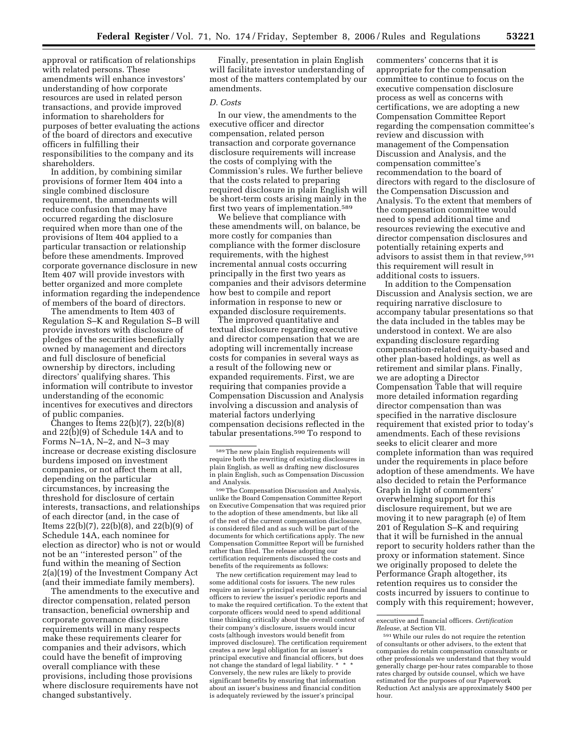approval or ratification of relationships with related persons. These amendments will enhance investors' understanding of how corporate resources are used in related person transactions, and provide improved information to shareholders for purposes of better evaluating the actions of the board of directors and executive officers in fulfilling their responsibilities to the company and its shareholders.

In addition, by combining similar provisions of former Item 404 into a single combined disclosure requirement, the amendments will reduce confusion that may have occurred regarding the disclosure required when more than one of the provisions of Item 404 applied to a particular transaction or relationship before these amendments. Improved corporate governance disclosure in new Item 407 will provide investors with better organized and more complete information regarding the independence of members of the board of directors.

The amendments to Item 403 of Regulation S–K and Regulation S–B will provide investors with disclosure of pledges of the securities beneficially owned by management and directors and full disclosure of beneficial ownership by directors, including directors' qualifying shares. This information will contribute to investor understanding of the economic incentives for executives and directors of public companies.

Changes to Items  $22(b)(7)$ ,  $22(b)(8)$ and 22(b)(9) of Schedule 14A and to Forms N–1A, N–2, and N–3 may increase or decrease existing disclosure burdens imposed on investment companies, or not affect them at all, depending on the particular circumstances, by increasing the threshold for disclosure of certain interests, transactions, and relationships of each director (and, in the case of Items 22(b)(7), 22(b)(8), and 22(b)(9) of Schedule 14A, each nominee for election as director) who is not or would not be an ''interested person'' of the fund within the meaning of Section 2(a)(19) of the Investment Company Act (and their immediate family members).

The amendments to the executive and director compensation, related person transaction, beneficial ownership and corporate governance disclosure requirements will in many respects make these requirements clearer for companies and their advisors, which could have the benefit of improving overall compliance with these provisions, including those provisions where disclosure requirements have not changed substantively.

Finally, presentation in plain English will facilitate investor understanding of most of the matters contemplated by our amendments.

#### *D. Costs*

In our view, the amendments to the executive officer and director compensation, related person transaction and corporate governance disclosure requirements will increase the costs of complying with the Commission's rules. We further believe that the costs related to preparing required disclosure in plain English will be short-term costs arising mainly in the first two years of implementation.<sup>589</sup>

We believe that compliance with these amendments will, on balance, be more costly for companies than compliance with the former disclosure requirements, with the highest incremental annual costs occurring principally in the first two years as companies and their advisors determine how best to compile and report information in response to new or expanded disclosure requirements.

The improved quantitative and textual disclosure regarding executive and director compensation that we are adopting will incrementally increase costs for companies in several ways as a result of the following new or expanded requirements. First, we are requiring that companies provide a Compensation Discussion and Analysis involving a discussion and analysis of material factors underlying compensation decisions reflected in the tabular presentations.590 To respond to

The new certification requirement may lead to some additional costs for issuers. The new rules require an issuer's principal executive and financial officers to review the issuer's periodic reports and to make the required certification. To the extent that corporate officers would need to spend additional time thinking critically about the overall context of their company's disclosure, issuers would incur costs (although investors would benefit from improved disclosure). The certification requirement creates a new legal obligation for an issuer' principal executive and financial officers, but does not change the standard of legal liability. \* Conversely, the new rules are likely to provide significant benefits by ensuring that information about an issuer's business and financial condition is adequately reviewed by the issuer's principal

commenters' concerns that it is appropriate for the compensation committee to continue to focus on the executive compensation disclosure process as well as concerns with certifications, we are adopting a new Compensation Committee Report regarding the compensation committee's review and discussion with management of the Compensation Discussion and Analysis, and the compensation committee's recommendation to the board of directors with regard to the disclosure of the Compensation Discussion and Analysis. To the extent that members of the compensation committee would need to spend additional time and resources reviewing the executive and director compensation disclosures and potentially retaining experts and advisors to assist them in that review,591 this requirement will result in additional costs to issuers.

In addition to the Compensation Discussion and Analysis section, we are requiring narrative disclosure to accompany tabular presentations so that the data included in the tables may be understood in context. We are also expanding disclosure regarding compensation-related equity-based and other plan-based holdings, as well as retirement and similar plans. Finally, we are adopting a Director Compensation Table that will require more detailed information regarding director compensation than was specified in the narrative disclosure requirement that existed prior to today's amendments. Each of these revisions seeks to elicit clearer and more complete information than was required under the requirements in place before adoption of these amendments. We have also decided to retain the Performance Graph in light of commenters' overwhelming support for this disclosure requirement, but we are moving it to new paragraph (e) of Item 201 of Regulation S–K and requiring that it will be furnished in the annual report to security holders rather than the proxy or information statement. Since we originally proposed to delete the Performance Graph altogether, its retention requires us to consider the costs incurred by issuers to continue to comply with this requirement; however,

<sup>589</sup>The new plain English requirements will require both the rewriting of existing disclosures in plain English, as well as drafting new disclosures in plain English, such as Compensation Discussion and Analysis.

<sup>590</sup>The Compensation Discussion and Analysis, unlike the Board Compensation Committee Report on Executive Compensation that was required prior to the adoption of these amendments, but like all of the rest of the current compensation disclosure, is considered filed and as such will be part of the documents for which certifications apply. The new Compensation Committee Report will be furnished rather than filed. The release adopting our certification requirements discussed the costs and benefits of the requirements as follows:

executive and financial officers. *Certification* 

<sup>&</sup>lt;sup>591</sup> While our rules do not require the retention of consultants or other advisers, to the extent that companies do retain compensation consultants or other professionals we understand that they would generally charge per-hour rates comparable to those rates charged by outside counsel, which we have estimated for the purposes of our Paperwork Reduction Act analysis are approximately \$400 per hour.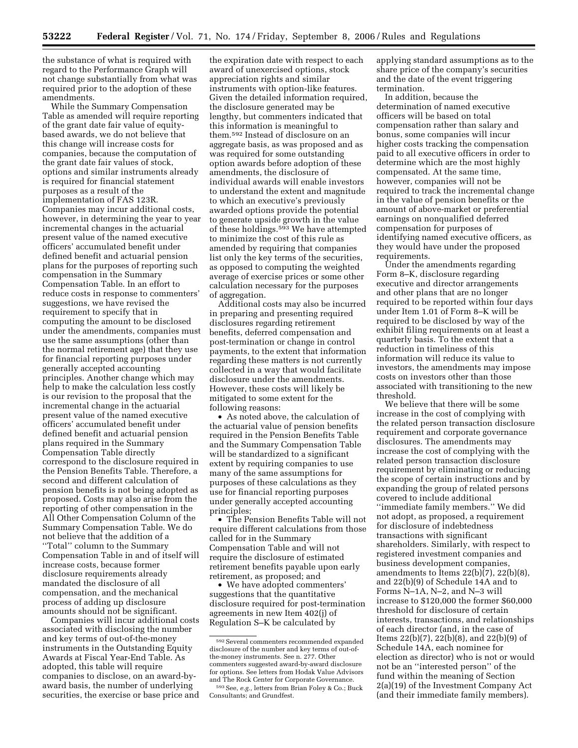the substance of what is required with regard to the Performance Graph will not change substantially from what was required prior to the adoption of these amendments.

While the Summary Compensation Table as amended will require reporting of the grant date fair value of equitybased awards, we do not believe that this change will increase costs for companies, because the computation of the grant date fair values of stock, options and similar instruments already is required for financial statement purposes as a result of the implementation of FAS 123R. Companies may incur additional costs, however, in determining the year to year incremental changes in the actuarial present value of the named executive officers' accumulated benefit under defined benefit and actuarial pension plans for the purposes of reporting such compensation in the Summary Compensation Table. In an effort to reduce costs in response to commenters' suggestions, we have revised the requirement to specify that in computing the amount to be disclosed under the amendments, companies must use the same assumptions (other than the normal retirement age) that they use for financial reporting purposes under generally accepted accounting principles. Another change which may help to make the calculation less costly is our revision to the proposal that the incremental change in the actuarial present value of the named executive officers' accumulated benefit under defined benefit and actuarial pension plans required in the Summary Compensation Table directly correspond to the disclosure required in the Pension Benefits Table. Therefore, a second and different calculation of pension benefits is not being adopted as proposed. Costs may also arise from the reporting of other compensation in the All Other Compensation Column of the Summary Compensation Table. We do not believe that the addition of a ''Total'' column to the Summary Compensation Table in and of itself will increase costs, because former disclosure requirements already mandated the disclosure of all compensation, and the mechanical process of adding up disclosure amounts should not be significant.

Companies will incur additional costs associated with disclosing the number and key terms of out-of-the-money instruments in the Outstanding Equity Awards at Fiscal Year-End Table. As adopted, this table will require companies to disclose, on an award-byaward basis, the number of underlying securities, the exercise or base price and

the expiration date with respect to each award of unexercised options, stock appreciation rights and similar instruments with option-like features. Given the detailed information required, the disclosure generated may be lengthy, but commenters indicated that this information is meaningful to them.592 Instead of disclosure on an aggregate basis, as was proposed and as was required for some outstanding option awards before adoption of these amendments, the disclosure of individual awards will enable investors to understand the extent and magnitude to which an executive's previously awarded options provide the potential to generate upside growth in the value of these holdings.<sup>593</sup> We have attempted to minimize the cost of this rule as amended by requiring that companies list only the key terms of the securities, as opposed to computing the weighted average of exercise prices or some other calculation necessary for the purposes of aggregation.

Additional costs may also be incurred in preparing and presenting required disclosures regarding retirement benefits, deferred compensation and post-termination or change in control payments, to the extent that information regarding these matters is not currently collected in a way that would facilitate disclosure under the amendments. However, these costs will likely be mitigated to some extent for the following reasons:

• As noted above, the calculation of the actuarial value of pension benefits required in the Pension Benefits Table and the Summary Compensation Table will be standardized to a significant extent by requiring companies to use many of the same assumptions for purposes of these calculations as they use for financial reporting purposes under generally accepted accounting principles;

• The Pension Benefits Table will not require different calculations from those called for in the Summary Compensation Table and will not require the disclosure of estimated retirement benefits payable upon early retirement, as proposed; and

• We have adopted commenters' suggestions that the quantitative disclosure required for post-termination agreements in new Item 402(j) of Regulation S–K be calculated by

applying standard assumptions as to the share price of the company's securities and the date of the event triggering termination.

In addition, because the determination of named executive officers will be based on total compensation rather than salary and bonus, some companies will incur higher costs tracking the compensation paid to all executive officers in order to determine which are the most highly compensated. At the same time, however, companies will not be required to track the incremental change in the value of pension benefits or the amount of above-market or preferential earnings on nonqualified deferred compensation for purposes of identifying named executive officers, as they would have under the proposed requirements.

Under the amendments regarding Form 8–K, disclosure regarding executive and director arrangements and other plans that are no longer required to be reported within four days under Item 1.01 of Form 8–K will be required to be disclosed by way of the exhibit filing requirements on at least a quarterly basis. To the extent that a reduction in timeliness of this information will reduce its value to investors, the amendments may impose costs on investors other than those associated with transitioning to the new threshold.

We believe that there will be some increase in the cost of complying with the related person transaction disclosure requirement and corporate governance disclosures. The amendments may increase the cost of complying with the related person transaction disclosure requirement by eliminating or reducing the scope of certain instructions and by expanding the group of related persons covered to include additional ''immediate family members.'' We did not adopt, as proposed, a requirement for disclosure of indebtedness transactions with significant shareholders. Similarly, with respect to registered investment companies and business development companies, amendments to Items 22(b)(7), 22(b)(8), and 22(b)(9) of Schedule 14A and to Forms N–1A, N–2, and N–3 will increase to \$120,000 the former \$60,000 threshold for disclosure of certain interests, transactions, and relationships of each director (and, in the case of Items 22(b)(7), 22(b)(8), and 22(b)(9) of Schedule 14A, each nominee for election as director) who is not or would not be an ''interested person'' of the fund within the meaning of Section 2(a)(19) of the Investment Company Act (and their immediate family members).

<sup>592</sup>Several commenters recommended expanded disclosure of the number and key terms of out-ofthe-money instruments. See n. 277. Other commenters suggested award-by-award disclosure for options. See letters from Hodak Value Advisors and The Rock Center for Corporate Governance.

<sup>593</sup>See, *e.g.,* letters from Brian Foley & Co.; Buck Consultants; and Grundfest.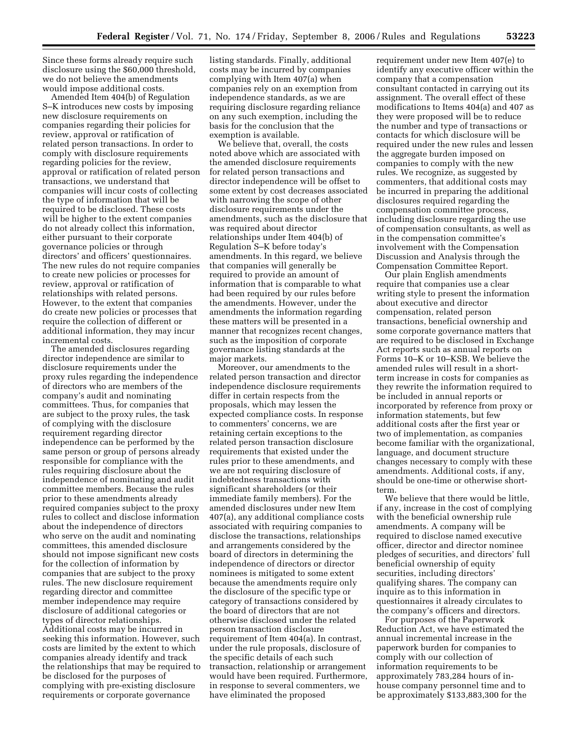Since these forms already require such disclosure using the \$60,000 threshold, we do not believe the amendments would impose additional costs.

Amended Item 404(b) of Regulation S–K introduces new costs by imposing new disclosure requirements on companies regarding their policies for review, approval or ratification of related person transactions. In order to comply with disclosure requirements regarding policies for the review, approval or ratification of related person transactions, we understand that companies will incur costs of collecting the type of information that will be required to be disclosed. These costs will be higher to the extent companies do not already collect this information, either pursuant to their corporate governance policies or through directors' and officers' questionnaires. The new rules do not require companies to create new policies or processes for review, approval or ratification of relationships with related persons. However, to the extent that companies do create new policies or processes that require the collection of different or additional information, they may incur incremental costs.

The amended disclosures regarding director independence are similar to disclosure requirements under the proxy rules regarding the independence of directors who are members of the company's audit and nominating committees. Thus, for companies that are subject to the proxy rules, the task of complying with the disclosure requirement regarding director independence can be performed by the same person or group of persons already responsible for compliance with the rules requiring disclosure about the independence of nominating and audit committee members. Because the rules prior to these amendments already required companies subject to the proxy rules to collect and disclose information about the independence of directors who serve on the audit and nominating committees, this amended disclosure should not impose significant new costs for the collection of information by companies that are subject to the proxy rules. The new disclosure requirement regarding director and committee member independence may require disclosure of additional categories or types of director relationships. Additional costs may be incurred in seeking this information. However, such costs are limited by the extent to which companies already identify and track the relationships that may be required to be disclosed for the purposes of complying with pre-existing disclosure requirements or corporate governance

listing standards. Finally, additional costs may be incurred by companies complying with Item 407(a) when companies rely on an exemption from independence standards, as we are requiring disclosure regarding reliance on any such exemption, including the basis for the conclusion that the exemption is available.

We believe that, overall, the costs noted above which are associated with the amended disclosure requirements for related person transactions and director independence will be offset to some extent by cost decreases associated with narrowing the scope of other disclosure requirements under the amendments, such as the disclosure that was required about director relationships under Item 404(b) of Regulation S–K before today's amendments. In this regard, we believe that companies will generally be required to provide an amount of information that is comparable to what had been required by our rules before the amendments. However, under the amendments the information regarding these matters will be presented in a manner that recognizes recent changes, such as the imposition of corporate governance listing standards at the major markets.

Moreover, our amendments to the related person transaction and director independence disclosure requirements differ in certain respects from the proposals, which may lessen the expected compliance costs. In response to commenters' concerns, we are retaining certain exceptions to the related person transaction disclosure requirements that existed under the rules prior to these amendments, and we are not requiring disclosure of indebtedness transactions with significant shareholders (or their immediate family members). For the amended disclosures under new Item 407(a), any additional compliance costs associated with requiring companies to disclose the transactions, relationships and arrangements considered by the board of directors in determining the independence of directors or director nominees is mitigated to some extent because the amendments require only the disclosure of the specific type or category of transactions considered by the board of directors that are not otherwise disclosed under the related person transaction disclosure requirement of Item 404(a). In contrast, under the rule proposals, disclosure of the specific details of each such transaction, relationship or arrangement would have been required. Furthermore, in response to several commenters, we have eliminated the proposed

requirement under new Item 407(e) to identify any executive officer within the company that a compensation consultant contacted in carrying out its assignment. The overall effect of these modifications to Items 404(a) and 407 as they were proposed will be to reduce the number and type of transactions or contacts for which disclosure will be required under the new rules and lessen the aggregate burden imposed on companies to comply with the new rules. We recognize, as suggested by commenters, that additional costs may be incurred in preparing the additional disclosures required regarding the compensation committee process, including disclosure regarding the use of compensation consultants, as well as in the compensation committee's involvement with the Compensation Discussion and Analysis through the Compensation Committee Report.

Our plain English amendments require that companies use a clear writing style to present the information about executive and director compensation, related person transactions, beneficial ownership and some corporate governance matters that are required to be disclosed in Exchange Act reports such as annual reports on Forms 10–K or 10–KSB. We believe the amended rules will result in a shortterm increase in costs for companies as they rewrite the information required to be included in annual reports or incorporated by reference from proxy or information statements, but few additional costs after the first year or two of implementation, as companies become familiar with the organizational, language, and document structure changes necessary to comply with these amendments. Additional costs, if any, should be one-time or otherwise shortterm.

We believe that there would be little, if any, increase in the cost of complying with the beneficial ownership rule amendments. A company will be required to disclose named executive officer, director and director nominee pledges of securities, and directors' full beneficial ownership of equity securities, including directors' qualifying shares. The company can inquire as to this information in questionnaires it already circulates to the company's officers and directors.

For purposes of the Paperwork Reduction Act, we have estimated the annual incremental increase in the paperwork burden for companies to comply with our collection of information requirements to be approximately 783,284 hours of inhouse company personnel time and to be approximately \$133,883,300 for the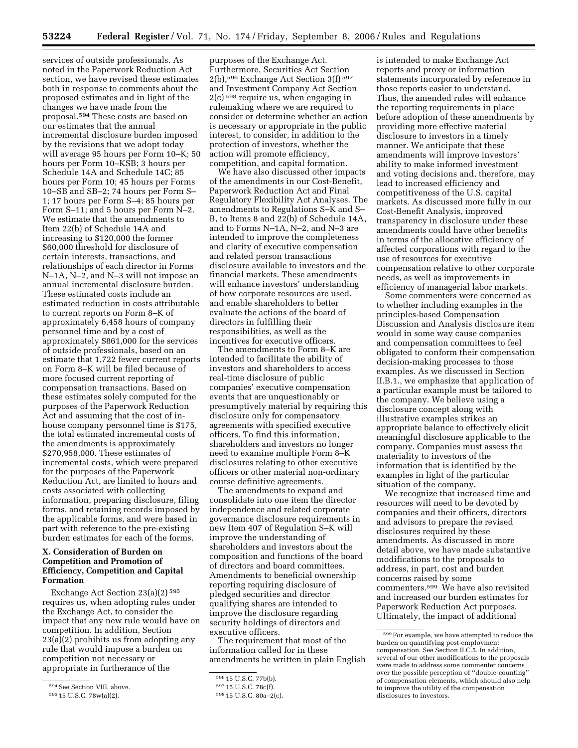services of outside professionals. As noted in the Paperwork Reduction Act section, we have revised these estimates both in response to comments about the proposed estimates and in light of the changes we have made from the proposal.594 These costs are based on our estimates that the annual incremental disclosure burden imposed by the revisions that we adopt today will average 95 hours per Form 10–K; 50 hours per Form 10–KSB; 3 hours per Schedule 14A and Schedule 14C; 85 hours per Form 10; 45 hours per Forms 10–SB and SB–2; 74 hours per Form S– 1; 17 hours per Form S–4; 85 hours per Form S–11; and 5 hours per Form N–2. We estimate that the amendments to Item 22(b) of Schedule 14A and increasing to \$120,000 the former \$60,000 threshold for disclosure of certain interests, transactions, and relationships of each director in Forms N–1A, N–2, and N–3 will not impose an annual incremental disclosure burden. These estimated costs include an estimated reduction in costs attributable to current reports on Form 8–K of approximately 6,458 hours of company personnel time and by a cost of approximately \$861,000 for the services of outside professionals, based on an estimate that 1,722 fewer current reports on Form 8–K will be filed because of more focused current reporting of compensation transactions. Based on these estimates solely computed for the purposes of the Paperwork Reduction Act and assuming that the cost of inhouse company personnel time is \$175, the total estimated incremental costs of the amendments is approximately \$270,958,000. These estimates of incremental costs, which were prepared for the purposes of the Paperwork Reduction Act, are limited to hours and costs associated with collecting information, preparing disclosure, filing forms, and retaining records imposed by the applicable forms, and were based in part with reference to the pre-existing burden estimates for each of the forms.

## **X. Consideration of Burden on Competition and Promotion of Efficiency, Competition and Capital Formation**

Exchange Act Section 23(a)(2) 595 requires us, when adopting rules under the Exchange Act, to consider the impact that any new rule would have on competition. In addition, Section 23(a)(2) prohibits us from adopting any rule that would impose a burden on competition not necessary or appropriate in furtherance of the

purposes of the Exchange Act. Furthermore, Securities Act Section 2(b),596 Exchange Act Section 3(f) 597 and Investment Company Act Section 2(c) 598 require us, when engaging in rulemaking where we are required to consider or determine whether an action is necessary or appropriate in the public interest, to consider, in addition to the protection of investors, whether the action will promote efficiency, competition, and capital formation.

We have also discussed other impacts of the amendments in our Cost-Benefit, Paperwork Reduction Act and Final Regulatory Flexibility Act Analyses. The amendments to Regulations S–K and S– B, to Items 8 and 22(b) of Schedule 14A, and to Forms N–1A, N–2, and N–3 are intended to improve the completeness and clarity of executive compensation and related person transactions disclosure available to investors and the financial markets. These amendments will enhance investors' understanding of how corporate resources are used, and enable shareholders to better evaluate the actions of the board of directors in fulfilling their responsibilities, as well as the incentives for executive officers.

The amendments to Form 8–K are intended to facilitate the ability of investors and shareholders to access real-time disclosure of public companies' executive compensation events that are unquestionably or presumptively material by requiring this disclosure only for compensatory agreements with specified executive officers. To find this information, shareholders and investors no longer need to examine multiple Form 8–K disclosures relating to other executive officers or other material non-ordinary course definitive agreements.

The amendments to expand and consolidate into one item the director independence and related corporate governance disclosure requirements in new Item 407 of Regulation S–K will improve the understanding of shareholders and investors about the composition and functions of the board of directors and board committees. Amendments to beneficial ownership reporting requiring disclosure of pledged securities and director qualifying shares are intended to improve the disclosure regarding security holdings of directors and executive officers.

The requirement that most of the information called for in these amendments be written in plain English

is intended to make Exchange Act reports and proxy or information statements incorporated by reference in those reports easier to understand. Thus, the amended rules will enhance the reporting requirements in place before adoption of these amendments by providing more effective material disclosure to investors in a timely manner. We anticipate that these amendments will improve investors' ability to make informed investment and voting decisions and, therefore, may lead to increased efficiency and competitiveness of the U.S. capital markets. As discussed more fully in our Cost-Benefit Analysis, improved transparency in disclosure under these amendments could have other benefits in terms of the allocative efficiency of affected corporations with regard to the use of resources for executive compensation relative to other corporate needs, as well as improvements in efficiency of managerial labor markets.

Some commenters were concerned as to whether including examples in the principles-based Compensation Discussion and Analysis disclosure item would in some way cause companies and compensation committees to feel obligated to conform their compensation decision-making processes to those examples. As we discussed in Section II.B.1., we emphasize that application of a particular example must be tailored to the company. We believe using a disclosure concept along with illustrative examples strikes an appropriate balance to effectively elicit meaningful disclosure applicable to the company. Companies must assess the materiality to investors of the information that is identified by the examples in light of the particular situation of the company.

We recognize that increased time and resources will need to be devoted by companies and their officers, directors and advisors to prepare the revised disclosures required by these amendments. As discussed in more detail above, we have made substantive modifications to the proposals to address, in part, cost and burden concerns raised by some commenters.599 We have also revisited and increased our burden estimates for Paperwork Reduction Act purposes. Ultimately, the impact of additional

<sup>594</sup>See Section VIII. above.

<sup>595</sup> 15 U.S.C. 78w(a)(2).

<sup>596</sup> 15 U.S.C. 77b(b).

<sup>597</sup> 15 U.S.C. 78c(f).

<sup>598</sup> 15 U.S.C. 80a–2(c).

<sup>599</sup>For example, we have attempted to reduce the burden on quantifying post-employment compensation. See Section II.C.5. In addition, several of our other modifications to the proposals were made to address some commenter concerns over the possible perception of ''double-counting'' of compensation elements, which should also help to improve the utility of the compensation disclosures to investors.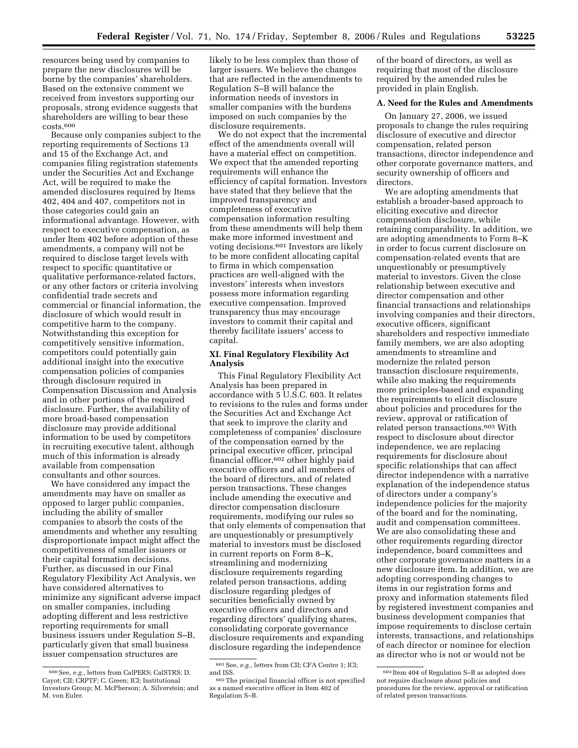resources being used by companies to prepare the new disclosures will be borne by the companies' shareholders. Based on the extensive comment we received from investors supporting our proposals, strong evidence suggests that shareholders are willing to bear these costs.600

Because only companies subject to the reporting requirements of Sections 13 and 15 of the Exchange Act, and companies filing registration statements under the Securities Act and Exchange Act, will be required to make the amended disclosures required by Items 402, 404 and 407, competitors not in those categories could gain an informational advantage. However, with respect to executive compensation, as under Item 402 before adoption of these amendments, a company will not be required to disclose target levels with respect to specific quantitative or qualitative performance-related factors, or any other factors or criteria involving confidential trade secrets and commercial or financial information, the disclosure of which would result in competitive harm to the company. Notwithstanding this exception for competitively sensitive information, competitors could potentially gain additional insight into the executive compensation policies of companies through disclosure required in Compensation Discussion and Analysis and in other portions of the required disclosure. Further, the availability of more broad-based compensation disclosure may provide additional information to be used by competitors in recruiting executive talent, although much of this information is already available from compensation consultants and other sources.

We have considered any impact the amendments may have on smaller as opposed to larger public companies, including the ability of smaller companies to absorb the costs of the amendments and whether any resulting disproportionate impact might affect the competitiveness of smaller issuers or their capital formation decisions. Further, as discussed in our Final Regulatory Flexibility Act Analysis, we have considered alternatives to minimize any significant adverse impact on smaller companies, including adopting different and less restrictive reporting requirements for small business issuers under Regulation S–B, particularly given that small business issuer compensation structures are

likely to be less complex than those of larger issuers. We believe the changes that are reflected in the amendments to Regulation S–B will balance the information needs of investors in smaller companies with the burdens imposed on such companies by the disclosure requirements.

We do not expect that the incremental effect of the amendments overall will have a material effect on competition. We expect that the amended reporting requirements will enhance the efficiency of capital formation. Investors have stated that they believe that the improved transparency and completeness of executive compensation information resulting from these amendments will help them make more informed investment and voting decisions.601 Investors are likely to be more confident allocating capital to firms in which compensation practices are well-aligned with the investors' interests when investors possess more information regarding executive compensation. Improved transparency thus may encourage investors to commit their capital and thereby facilitate issuers' access to capital.

## **XI. Final Regulatory Flexibility Act Analysis**

This Final Regulatory Flexibility Act Analysis has been prepared in accordance with 5 U.S.C. 603. It relates to revisions to the rules and forms under the Securities Act and Exchange Act that seek to improve the clarity and completeness of companies' disclosure of the compensation earned by the principal executive officer, principal financial officer,602 other highly paid executive officers and all members of the board of directors, and of related person transactions. These changes include amending the executive and director compensation disclosure requirements, modifying our rules so that only elements of compensation that are unquestionably or presumptively material to investors must be disclosed in current reports on Form 8–K, streamlining and modernizing disclosure requirements regarding related person transactions, adding disclosure regarding pledges of securities beneficially owned by executive officers and directors and regarding directors' qualifying shares, consolidating corporate governance disclosure requirements and expanding disclosure regarding the independence

of the board of directors, as well as requiring that most of the disclosure required by the amended rules be provided in plain English.

## **A. Need for the Rules and Amendments**

On January 27, 2006, we issued proposals to change the rules requiring disclosure of executive and director compensation, related person transactions, director independence and other corporate governance matters, and security ownership of officers and directors.

We are adopting amendments that establish a broader-based approach to eliciting executive and director compensation disclosure, while retaining comparability. In addition, we are adopting amendments to Form 8–K in order to focus current disclosure on compensation-related events that are unquestionably or presumptively material to investors. Given the close relationship between executive and director compensation and other financial transactions and relationships involving companies and their directors, executive officers, significant shareholders and respective immediate family members, we are also adopting amendments to streamline and modernize the related person transaction disclosure requirements, while also making the requirements more principles-based and expanding the requirements to elicit disclosure about policies and procedures for the review, approval or ratification of related person transactions.603 With respect to disclosure about director independence, we are replacing requirements for disclosure about specific relationships that can affect director independence with a narrative explanation of the independence status of directors under a company's independence policies for the majority of the board and for the nominating, audit and compensation committees. We are also consolidating these and other requirements regarding director independence, board committees and other corporate governance matters in a new disclosure item. In addition, we are adopting corresponding changes to items in our registration forms and proxy and information statements filed by registered investment companies and business development companies that impose requirements to disclose certain interests, transactions, and relationships of each director or nominee for election as director who is not or would not be

<sup>600</sup>See, *e.g.*, letters from CalPERS; CalSTRS; D. Cayot; CII; CRPTF; C. Green; ICI; Institutional Investors Group; M. McPherson; A. Silverstein; and M. von Euler.

<sup>601</sup>See, *e.g.*, letters from CII; CFA Centre 1; ICI;

and ISS.<br><sup>602</sup> The principal financial officer is not specified as a named executive officer in Item 402 of Regulation S–B.

<sup>603</sup> Item 404 of Regulation S–B as adopted does not require disclosure about policies and procedures for the review, approval or ratification of related person transactions.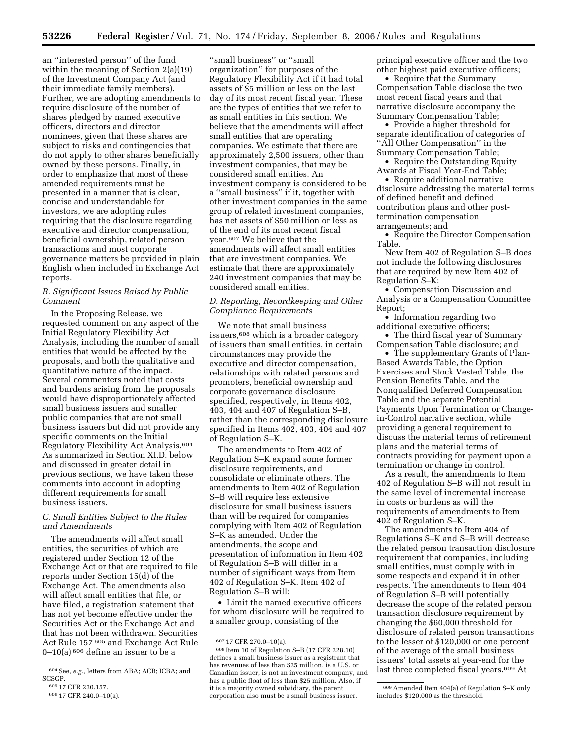an ''interested person'' of the fund within the meaning of Section 2(a)(19) of the Investment Company Act (and their immediate family members). Further, we are adopting amendments to require disclosure of the number of shares pledged by named executive officers, directors and director nominees, given that these shares are subject to risks and contingencies that do not apply to other shares beneficially owned by these persons. Finally, in order to emphasize that most of these amended requirements must be presented in a manner that is clear, concise and understandable for investors, we are adopting rules requiring that the disclosure regarding executive and director compensation, beneficial ownership, related person transactions and most corporate governance matters be provided in plain English when included in Exchange Act reports.

# *B. Significant Issues Raised by Public Comment*

In the Proposing Release, we requested comment on any aspect of the Initial Regulatory Flexibility Act Analysis, including the number of small entities that would be affected by the proposals, and both the qualitative and quantitative nature of the impact. Several commenters noted that costs and burdens arising from the proposals would have disproportionately affected small business issuers and smaller public companies that are not small business issuers but did not provide any specific comments on the Initial Regulatory Flexibility Act Analysis.604 As summarized in Section XI.D. below and discussed in greater detail in previous sections, we have taken these comments into account in adopting different requirements for small business issuers.

# *C. Small Entities Subject to the Rules and Amendments*

The amendments will affect small entities, the securities of which are registered under Section 12 of the Exchange Act or that are required to file reports under Section 15(d) of the Exchange Act. The amendments also will affect small entities that file, or have filed, a registration statement that has not yet become effective under the Securities Act or the Exchange Act and that has not been withdrawn. Securities Act Rule 157 605 and Exchange Act Rule  $0-10(a)$ <sup>606</sup> define an issuer to be a

''small business'' or ''small organization'' for purposes of the Regulatory Flexibility Act if it had total assets of \$5 million or less on the last day of its most recent fiscal year. These are the types of entities that we refer to as small entities in this section. We believe that the amendments will affect small entities that are operating companies. We estimate that there are approximately 2,500 issuers, other than investment companies, that may be considered small entities. An investment company is considered to be a ''small business'' if it, together with other investment companies in the same group of related investment companies, has net assets of \$50 million or less as of the end of its most recent fiscal year.607 We believe that the amendments will affect small entities that are investment companies. We estimate that there are approximately 240 investment companies that may be considered small entities.

## *D. Reporting, Recordkeeping and Other Compliance Requirements*

We note that small business issuers,608 which is a broader category of issuers than small entities, in certain circumstances may provide the executive and director compensation, relationships with related persons and promoters, beneficial ownership and corporate governance disclosure specified, respectively, in Items 402, 403, 404 and 407 of Regulation S–B, rather than the corresponding disclosure specified in Items 402, 403, 404 and 407 of Regulation S–K.

The amendments to Item 402 of Regulation S–K expand some former disclosure requirements, and consolidate or eliminate others. The amendments to Item 402 of Regulation S–B will require less extensive disclosure for small business issuers than will be required for companies complying with Item 402 of Regulation S–K as amended. Under the amendments, the scope and presentation of information in Item 402 of Regulation S–B will differ in a number of significant ways from Item 402 of Regulation S–K. Item 402 of Regulation S–B will:

• Limit the named executive officers for whom disclosure will be required to a smaller group, consisting of the

principal executive officer and the two other highest paid executive officers;

• Require that the Summary Compensation Table disclose the two most recent fiscal years and that narrative disclosure accompany the Summary Compensation Table;

• Provide a higher threshold for separate identification of categories of "All Other Compensation" in the Summary Compensation Table;

• Require the Outstanding Equity Awards at Fiscal Year-End Table;

• Require additional narrative disclosure addressing the material terms of defined benefit and defined contribution plans and other posttermination compensation arrangements; and

• Require the Director Compensation Table.

New Item 402 of Regulation S–B does not include the following disclosures that are required by new Item 402 of Regulation S–K:

• Compensation Discussion and Analysis or a Compensation Committee Report;

• Information regarding two additional executive officers;

• The third fiscal year of Summary Compensation Table disclosure; and

• The supplementary Grants of Plan-Based Awards Table, the Option Exercises and Stock Vested Table, the Pension Benefits Table, and the Nonqualified Deferred Compensation Table and the separate Potential Payments Upon Termination or Changein-Control narrative section, while providing a general requirement to discuss the material terms of retirement plans and the material terms of contracts providing for payment upon a termination or change in control.

As a result, the amendments to Item 402 of Regulation S–B will not result in the same level of incremental increase in costs or burdens as will the requirements of amendments to Item 402 of Regulation S–K.

The amendments to Item 404 of Regulations S–K and S–B will decrease the related person transaction disclosure requirement that companies, including small entities, must comply with in some respects and expand it in other respects. The amendments to Item 404 of Regulation S–B will potentially decrease the scope of the related person transaction disclosure requirement by changing the \$60,000 threshold for disclosure of related person transactions to the lesser of \$120,000 or one percent of the average of the small business issuers' total assets at year-end for the last three completed fiscal years.609 At

<sup>604</sup>See, *e.g.*, letters from ABA; ACB; ICBA; and SCSGP.

<sup>605</sup> 17 CFR 230.157.

<sup>606</sup> 17 CFR 240.0–10(a).

<sup>607</sup> 17 CFR 270.0–10(a).

<sup>608</sup> Item 10 of Regulation S–B (17 CFR 228.10) defines a small business issuer as a registrant that has revenues of less than \$25 million, is a U.S. or Canadian issuer, is not an investment company, and has a public float of less than \$25 million. Also, if it is a majority owned subsidiary, the parent corporation also must be a small business issuer.

<sup>609</sup>Amended Item 404(a) of Regulation S–K only includes \$120,000 as the threshold.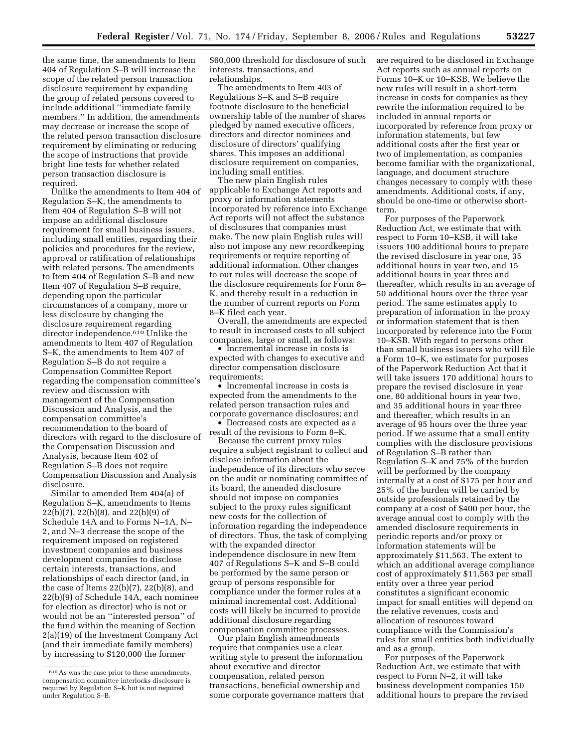the same time, the amendments to Item 404 of Regulation S–B will increase the scope of the related person transaction disclosure requirement by expanding the group of related persons covered to include additional ''immediate family members.'' In addition, the amendments may decrease or increase the scope of the related person transaction disclosure requirement by eliminating or reducing the scope of instructions that provide bright line tests for whether related person transaction disclosure is required.

Unlike the amendments to Item 404 of Regulation S–K, the amendments to Item 404 of Regulation S–B will not impose an additional disclosure requirement for small business issuers, including small entities, regarding their policies and procedures for the review, approval or ratification of relationships with related persons. The amendments to Item 404 of Regulation S–B and new Item 407 of Regulation S–B require, depending upon the particular circumstances of a company, more or less disclosure by changing the disclosure requirement regarding director independence.610 Unlike the amendments to Item 407 of Regulation S–K, the amendments to Item 407 of Regulation S–B do not require a Compensation Committee Report regarding the compensation committee's review and discussion with management of the Compensation Discussion and Analysis, and the compensation committee's recommendation to the board of directors with regard to the disclosure of the Compensation Discussion and Analysis, because Item 402 of Regulation S–B does not require Compensation Discussion and Analysis disclosure.

Similar to amended Item 404(a) of Regulation S–K, amendments to Items 22(b)(7), 22(b)(8), and 22(b)(9) of Schedule 14A and to Forms N–1A, N– 2, and N–3 decrease the scope of the requirement imposed on registered investment companies and business development companies to disclose certain interests, transactions, and relationships of each director (and, in the case of Items  $22(b)(7)$ ,  $22(b)(8)$ , and 22(b)(9) of Schedule 14A, each nominee for election as director) who is not or would not be an ''interested person'' of the fund within the meaning of Section 2(a)(19) of the Investment Company Act (and their immediate family members) by increasing to \$120,000 the former

\$60,000 threshold for disclosure of such interests, transactions, and relationships.

The amendments to Item 403 of Regulations S–K and S–B require footnote disclosure to the beneficial ownership table of the number of shares pledged by named executive officers, directors and director nominees and disclosure of directors' qualifying shares. This imposes an additional disclosure requirement on companies, including small entities.

The new plain English rules applicable to Exchange Act reports and proxy or information statements incorporated by reference into Exchange Act reports will not affect the substance of disclosures that companies must make. The new plain English rules will also not impose any new recordkeeping requirements or require reporting of additional information. Other changes to our rules will decrease the scope of the disclosure requirements for Form 8– K, and thereby result in a reduction in the number of current reports on Form 8–K filed each year.

Overall, the amendments are expected to result in increased costs to all subject companies, large or small, as follows:

• Incremental increase in costs is expected with changes to executive and director compensation disclosure requirements;

• Incremental increase in costs is expected from the amendments to the related person transaction rules and corporate governance disclosures; and

• Decreased costs are expected as a result of the revisions to Form 8–K.

Because the current proxy rules require a subject registrant to collect and disclose information about the independence of its directors who serve on the audit or nominating committee of its board, the amended disclosure should not impose on companies subject to the proxy rules significant new costs for the collection of information regarding the independence of directors. Thus, the task of complying with the expanded director independence disclosure in new Item 407 of Regulations S–K and S–B could be performed by the same person or group of persons responsible for compliance under the former rules at a minimal incremental cost. Additional costs will likely be incurred to provide additional disclosure regarding compensation committee processes.

Our plain English amendments require that companies use a clear writing style to present the information about executive and director compensation, related person transactions, beneficial ownership and some corporate governance matters that are required to be disclosed in Exchange Act reports such as annual reports on Forms 10–K or 10–KSB. We believe the new rules will result in a short-term increase in costs for companies as they rewrite the information required to be included in annual reports or incorporated by reference from proxy or information statements, but few additional costs after the first year or two of implementation, as companies become familiar with the organizational, language, and document structure changes necessary to comply with these amendments. Additional costs, if any, should be one-time or otherwise shortterm.

For purposes of the Paperwork Reduction Act, we estimate that with respect to Form 10–KSB, it will take issuers 100 additional hours to prepare the revised disclosure in year one, 35 additional hours in year two, and 15 additional hours in year three and thereafter, which results in an average of 50 additional hours over the three year period. The same estimates apply to preparation of information in the proxy or information statement that is then incorporated by reference into the Form 10–KSB. With regard to persons other than small business issuers who will file a Form 10–K, we estimate for purposes of the Paperwork Reduction Act that it will take issuers 170 additional hours to prepare the revised disclosure in year one, 80 additional hours in year two, and 35 additional hours in year three and thereafter, which results in an average of 95 hours over the three year period. If we assume that a small entity complies with the disclosure provisions of Regulation S–B rather than Regulation S–K and 75% of the burden will be performed by the company internally at a cost of \$175 per hour and 25% of the burden will be carried by outside professionals retained by the company at a cost of \$400 per hour, the average annual cost to comply with the amended disclosure requirements in periodic reports and/or proxy or information statements will be approximately \$11,563. The extent to which an additional average compliance cost of approximately \$11,563 per small entity over a three year period constitutes a significant economic impact for small entities will depend on the relative revenues, costs and allocation of resources toward compliance with the Commission's rules for small entities both individually and as a group.

For purposes of the Paperwork Reduction Act, we estimate that with respect to Form N–2, it will take business development companies 150 additional hours to prepare the revised

<sup>610</sup>As was the case prior to these amendments, compensation committee interlocks disclosure is required by Regulation S–K but is not required under Regulation S–B.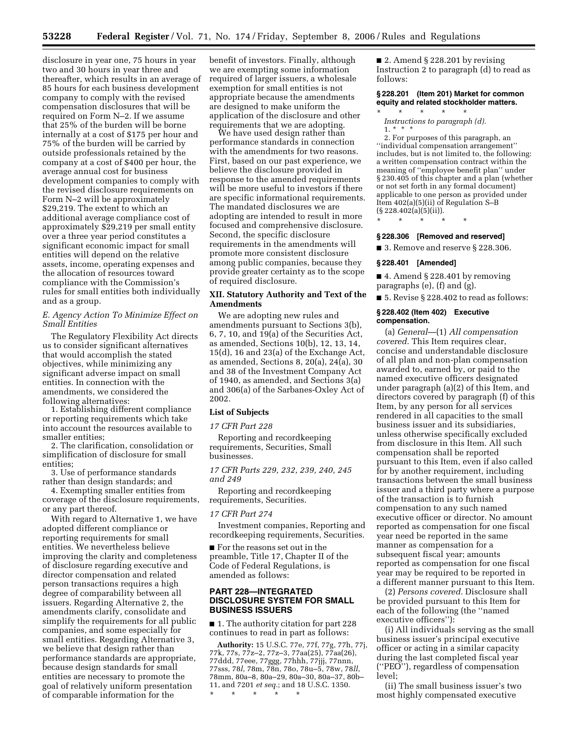disclosure in year one, 75 hours in year two and 30 hours in year three and thereafter, which results in an average of 85 hours for each business development company to comply with the revised compensation disclosures that will be required on Form N–2. If we assume that 25% of the burden will be borne internally at a cost of \$175 per hour and 75% of the burden will be carried by outside professionals retained by the company at a cost of \$400 per hour, the average annual cost for business development companies to comply with the revised disclosure requirements on Form N–2 will be approximately \$29,219. The extent to which an additional average compliance cost of approximately \$29,219 per small entity over a three year period constitutes a significant economic impact for small entities will depend on the relative assets, income, operating expenses and the allocation of resources toward compliance with the Commission's rules for small entities both individually and as a group.

### *E. Agency Action To Minimize Effect on Small Entities*

The Regulatory Flexibility Act directs us to consider significant alternatives that would accomplish the stated objectives, while minimizing any significant adverse impact on small entities. In connection with the amendments, we considered the<br>following alternatives:

1. Establishing different compliance or reporting requirements which take into account the resources available to smaller entities;

2. The clarification, consolidation or simplification of disclosure for small entities;

3. Use of performance standards rather than design standards; and

4. Exempting smaller entities from coverage of the disclosure requirements, or any part thereof.

With regard to Alternative 1, we have adopted different compliance or reporting requirements for small entities. We nevertheless believe improving the clarity and completeness of disclosure regarding executive and director compensation and related person transactions requires a high degree of comparability between all issuers. Regarding Alternative 2, the amendments clarify, consolidate and simplify the requirements for all public companies, and some especially for small entities. Regarding Alternative 3, we believe that design rather than performance standards are appropriate, because design standards for small entities are necessary to promote the goal of relatively uniform presentation of comparable information for the

benefit of investors. Finally, although we are exempting some information required of larger issuers, a wholesale exemption for small entities is not appropriate because the amendments are designed to make uniform the application of the disclosure and other requirements that we are adopting. We have used design rather than

performance standards in connection with the amendments for two reasons. First, based on our past experience, we believe the disclosure provided in response to the amended requirements will be more useful to investors if there are specific informational requirements. The mandated disclosures we are adopting are intended to result in more focused and comprehensive disclosure. Second, the specific disclosure requirements in the amendments will promote more consistent disclosure among public companies, because they provide greater certainty as to the scope of required disclosure.

## **XII. Statutory Authority and Text of the Amendments**

We are adopting new rules and amendments pursuant to Sections 3(b), 6, 7, 10, and 19(a) of the Securities Act, as amended, Sections 10(b), 12, 13, 14, 15(d), 16 and 23(a) of the Exchange Act, as amended, Sections 8, 20(a), 24 $\bar{a}$ ), 30 and 38 of the Investment Company Act of 1940, as amended, and Sections 3(a) and 306(a) of the Sarbanes-Oxley Act of 2002.

# **List of Subjects**

### *17 CFR Part 228*

Reporting and recordkeeping requirements, Securities, Small businesses.

*17 CFR Parts 229, 232, 239, 240, 245 and 249* 

Reporting and recordkeeping requirements, Securities.

### *17 CFR Part 274*

Investment companies, Reporting and recordkeeping requirements, Securities.

■ For the reasons set out in the preamble, Title 17, Chapter II of the Code of Federal Regulations, is amended as follows:

## **PART 228—INTEGRATED DISCLOSURE SYSTEM FOR SMALL BUSINESS ISSUERS**

■ 1. The authority citation for part 228 continues to read in part as follows:

**Authority:** 15 U.S.C. 77e, 77f, 77g, 77h, 77j, 77k, 77s, 77z–2, 77z–3, 77aa(25), 77aa(26), 77ddd, 77eee, 77ggg, 77hhh, 77jjj, 77nnn, 77sss, 78*l*, 78m, 78n, 78o, 78u–5, 78w, 78*ll*, 78mm, 80a–8, 80a–29, 80a–30, 80a–37, 80b– 11, and 7201 *et seq.*; and 18 U.S.C. 1350. \* \* \* \* \*

 $\blacksquare$  2. Amend § 228.201 by revising Instruction 2 to paragraph (d) to read as follows:

# **§ 228.201 (Item 201) Market for common equity and related stockholder matters.**

\* \* \* \* \* *Instructions to paragraph (d).*  1. \* \* \*

2. For purposes of this paragraph, an ''individual compensation arrangement'' includes, but is not limited to, the following: a written compensation contract within the meaning of ''employee benefit plan'' under § 230.405 of this chapter and a plan (whether or not set forth in any formal document) applicable to one person as provided under Item 402(a)(5)(ii) of Regulation S–B (§ 228.402(a)(5)(ii)).

\* \* \* \* \*

#### **§ 228.306 [Removed and reserved]**

■ 3. Remove and reserve § 228.306.

### **§ 228.401 [Amended]**

■ 4. Amend § 228.401 by removing paragraphs (e), (f) and (g).

■ 5. Revise § 228.402 to read as follows:

#### **§ 228.402 (Item 402) Executive compensation.**

(a) *General*—(1) *All compensation covered.* This Item requires clear, concise and understandable disclosure of all plan and non-plan compensation awarded to, earned by, or paid to the named executive officers designated under paragraph (a)(2) of this Item, and directors covered by paragraph (f) of this Item, by any person for all services rendered in all capacities to the small business issuer and its subsidiaries, unless otherwise specifically excluded from disclosure in this Item. All such compensation shall be reported pursuant to this Item, even if also called for by another requirement, including transactions between the small business issuer and a third party where a purpose of the transaction is to furnish compensation to any such named executive officer or director. No amount reported as compensation for one fiscal year need be reported in the same manner as compensation for a subsequent fiscal year; amounts reported as compensation for one fiscal year may be required to be reported in a different manner pursuant to this Item.

(2) *Persons covered.* Disclosure shall be provided pursuant to this Item for each of the following (the ''named executive officers''):

(i) All individuals serving as the small business issuer's principal executive officer or acting in a similar capacity during the last completed fiscal year (''PEO''), regardless of compensation level;

(ii) The small business issuer's two most highly compensated executive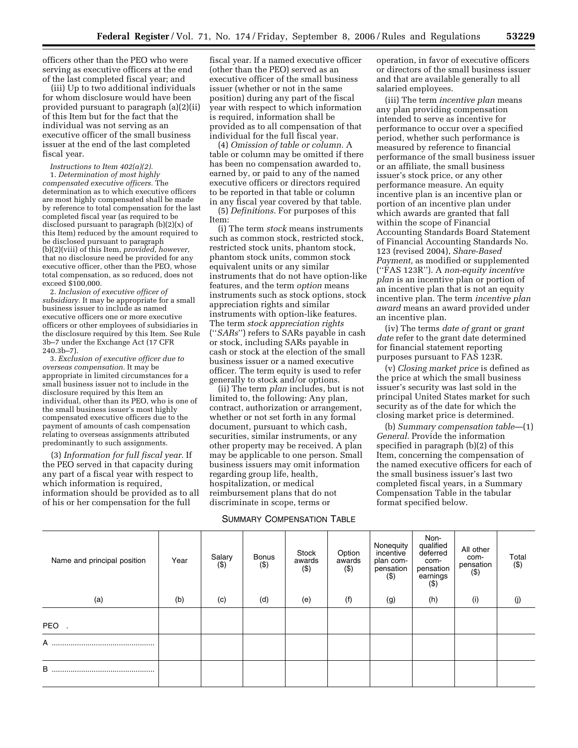officers other than the PEO who were serving as executive officers at the end of the last completed fiscal year; and

(iii) Up to two additional individuals for whom disclosure would have been provided pursuant to paragraph (a)(2)(ii) of this Item but for the fact that the individual was not serving as an executive officer of the small business issuer at the end of the last completed fiscal year.

*Instructions to Item 402(a)(2).*  1. *Determination of most highly compensated executive officers.* The determination as to which executive officers are most highly compensated shall be made by reference to total compensation for the last completed fiscal year (as required to be disclosed pursuant to paragraph  $(b)(2)(x)$  of this Item) reduced by the amount required to be disclosed pursuant to paragraph (b)(2)(viii) of this Item, *provided, however,*  that no disclosure need be provided for any executive officer, other than the PEO, whose total compensation, as so reduced, does not exceed \$100,000.

2. *Inclusion of executive officer of subsidiary.* It may be appropriate for a small business issuer to include as named executive officers one or more executive officers or other employees of subsidiaries in the disclosure required by this Item. See Rule 3b–7 under the Exchange Act (17 CFR 240.3b–7).

3. *Exclusion of executive officer due to overseas compensation.* It may be appropriate in limited circumstances for a small business issuer not to include in the disclosure required by this Item an individual, other than its PEO, who is one of the small business issuer's most highly compensated executive officers due to the payment of amounts of cash compensation relating to overseas assignments attributed predominantly to such assignments.

(3) *Information for full fiscal year.* If the PEO served in that capacity during any part of a fiscal year with respect to which information is required, information should be provided as to all of his or her compensation for the full

fiscal year. If a named executive officer (other than the PEO) served as an executive officer of the small business issuer (whether or not in the same position) during any part of the fiscal year with respect to which information is required, information shall be provided as to all compensation of that individual for the full fiscal year.

(4) *Omission of table or column.* A table or column may be omitted if there has been no compensation awarded to, earned by, or paid to any of the named executive officers or directors required to be reported in that table or column in any fiscal year covered by that table.

(5) *Definitions.* For purposes of this Item:

(i) The term *stock* means instruments such as common stock, restricted stock, restricted stock units, phantom stock, phantom stock units, common stock equivalent units or any similar instruments that do not have option-like features, and the term *option* means instruments such as stock options, stock appreciation rights and similar instruments with option-like features. The term *stock appreciation rights*  (''*SARs*'') refers to SARs payable in cash or stock, including SARs payable in cash or stock at the election of the small business issuer or a named executive officer. The term equity is used to refer generally to stock and/or options.

(ii) The term *plan* includes, but is not limited to, the following: Any plan, contract, authorization or arrangement, whether or not set forth in any formal document, pursuant to which cash, securities, similar instruments, or any other property may be received. A plan may be applicable to one person. Small business issuers may omit information regarding group life, health, hospitalization, or medical reimbursement plans that do not discriminate in scope, terms or

## SUMMARY COMPENSATION TABLE

operation, in favor of executive officers or directors of the small business issuer and that are available generally to all salaried employees.

(iii) The term *incentive plan* means any plan providing compensation intended to serve as incentive for performance to occur over a specified period, whether such performance is measured by reference to financial performance of the small business issuer or an affiliate, the small business issuer's stock price, or any other performance measure. An equity incentive plan is an incentive plan or portion of an incentive plan under which awards are granted that fall within the scope of Financial Accounting Standards Board Statement of Financial Accounting Standards No. 123 (revised 2004), *Share-Based Payment,* as modified or supplemented (''FAS 123R''). A *non-equity incentive plan* is an incentive plan or portion of an incentive plan that is not an equity incentive plan. The term *incentive plan award* means an award provided under an incentive plan.

(iv) The terms *date of grant* or *grant date* refer to the grant date determined for financial statement reporting purposes pursuant to FAS 123R.

(v) *Closing market price* is defined as the price at which the small business issuer's security was last sold in the principal United States market for such security as of the date for which the closing market price is determined.

(b) *Summary compensation table*—(1) *General.* Provide the information specified in paragraph (b)(2) of this Item, concerning the compensation of the named executive officers for each of the small business issuer's last two completed fiscal years, in a Summary Compensation Table in the tabular format specified below.

| Name and principal position | Year | Salary<br>(3) | <b>Bonus</b><br>(3) | Stock<br>awards<br>$(\$)$ | Option<br>awards<br>(3) | Nonequity<br>incentive<br>plan com-<br>pensation<br>(3) | Non-<br>qualified<br>deferred<br>com-<br>pensation<br>earnings $(\$)$ | All other<br>com-<br>pensation<br>(\$) | Total<br>(\$) |
|-----------------------------|------|---------------|---------------------|---------------------------|-------------------------|---------------------------------------------------------|-----------------------------------------------------------------------|----------------------------------------|---------------|
| (a)                         | (b)  | (c)           | (d)                 | (e)                       | (f)                     | (g)                                                     | (h)                                                                   | (i)                                    | (j)           |
| <b>PEO</b>                  |      |               |                     |                           |                         |                                                         |                                                                       |                                        |               |
| A                           |      |               |                     |                           |                         |                                                         |                                                                       |                                        |               |
| B                           |      |               |                     |                           |                         |                                                         |                                                                       |                                        |               |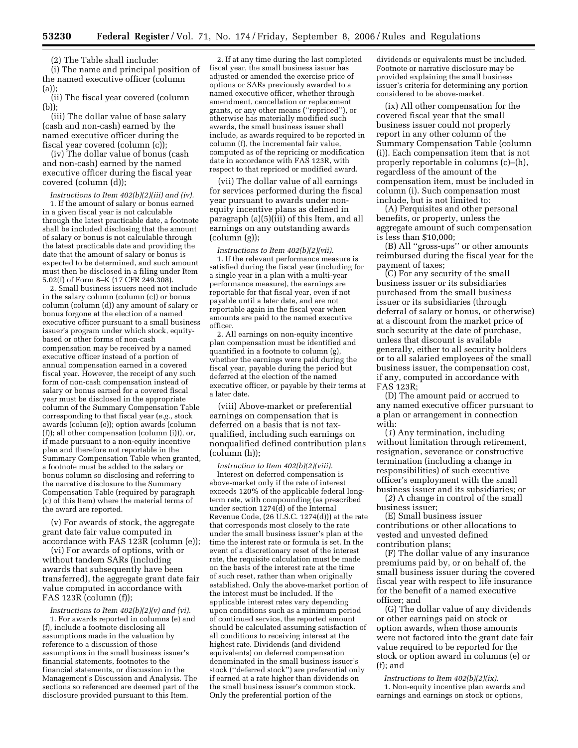### (2) The Table shall include:

(i) The name and principal position of the named executive officer (column (a));

(ii) The fiscal year covered (column (b));

(iii) The dollar value of base salary (cash and non-cash) earned by the named executive officer during the fiscal year covered (column (c));

(iv) The dollar value of bonus (cash and non-cash) earned by the named executive officer during the fiscal year covered (column (d));

*Instructions to Item 402(b)(2)(iii) and (iv).* 

1. If the amount of salary or bonus earned in a given fiscal year is not calculable through the latest practicable date, a footnote shall be included disclosing that the amount of salary or bonus is not calculable through the latest practicable date and providing the date that the amount of salary or bonus is expected to be determined, and such amount must then be disclosed in a filing under Item 5.02(f) of Form 8–K (17 CFR 249.308).

2. Small business issuers need not include in the salary column (column (c)) or bonus column (column (d)) any amount of salary or bonus forgone at the election of a named executive officer pursuant to a small business issuer's program under which stock, equitybased or other forms of non-cash compensation may be received by a named executive officer instead of a portion of annual compensation earned in a covered fiscal year. However, the receipt of any such form of non-cash compensation instead of salary or bonus earned for a covered fiscal year must be disclosed in the appropriate column of the Summary Compensation Table corresponding to that fiscal year (*e.g.,* stock awards (column (e)); option awards (column (f)); all other compensation (column (i))), or, if made pursuant to a non-equity incentive plan and therefore not reportable in the Summary Compensation Table when granted, a footnote must be added to the salary or bonus column so disclosing and referring to the narrative disclosure to the Summary Compensation Table (required by paragraph (c) of this Item) where the material terms of the award are reported.

(v) For awards of stock, the aggregate grant date fair value computed in accordance with FAS 123R (column (e));

(vi) For awards of options, with or without tandem SARs (including awards that subsequently have been transferred), the aggregate grant date fair value computed in accordance with FAS 123R (column (f));

*Instructions to Item 402(b)(2)(v) and (vi).*  1. For awards reported in columns (e) and (f), include a footnote disclosing all assumptions made in the valuation by reference to a discussion of those assumptions in the small business issuer's financial statements, footnotes to the financial statements, or discussion in the Management's Discussion and Analysis. The sections so referenced are deemed part of the disclosure provided pursuant to this Item.

2. If at any time during the last completed fiscal year, the small business issuer has adjusted or amended the exercise price of options or SARs previously awarded to a named executive officer, whether through amendment, cancellation or replacement grants, or any other means (''repriced''), or otherwise has materially modified such awards, the small business issuer shall include, as awards required to be reported in column (f), the incremental fair value, computed as of the repricing or modification date in accordance with FAS 123R, with respect to that repriced or modified award.

(vii) The dollar value of all earnings for services performed during the fiscal year pursuant to awards under nonequity incentive plans as defined in paragraph (a)(5)(iii) of this Item, and all earnings on any outstanding awards (column (g));

*Instructions to Item 402(b)(2)(vii).*  1. If the relevant performance measure is satisfied during the fiscal year (including for a single year in a plan with a multi-year performance measure), the earnings are reportable for that fiscal year, even if not payable until a later date, and are not reportable again in the fiscal year when amounts are paid to the named executive officer.

2. All earnings on non-equity incentive plan compensation must be identified and quantified in a footnote to column (g), whether the earnings were paid during the fiscal year, payable during the period but deferred at the election of the named executive officer, or payable by their terms at a later date.

(viii) Above-market or preferential earnings on compensation that is deferred on a basis that is not taxqualified, including such earnings on nonqualified defined contribution plans (column (h));

*Instruction to Item 402(b)(2)(viii).*  Interest on deferred compensation is above-market only if the rate of interest exceeds 120% of the applicable federal longterm rate, with compounding (as prescribed under section 1274(d) of the Internal Revenue Code, (26 U.S.C. 1274(d))) at the rate that corresponds most closely to the rate under the small business issuer's plan at the time the interest rate or formula is set. In the event of a discretionary reset of the interest rate, the requisite calculation must be made on the basis of the interest rate at the time of such reset, rather than when originally established. Only the above-market portion of the interest must be included. If the applicable interest rates vary depending upon conditions such as a minimum period of continued service, the reported amount should be calculated assuming satisfaction of all conditions to receiving interest at the highest rate. Dividends (and dividend equivalents) on deferred compensation denominated in the small business issuer's stock (''deferred stock'') are preferential only if earned at a rate higher than dividends on the small business issuer's common stock. Only the preferential portion of the

dividends or equivalents must be included. Footnote or narrative disclosure may be provided explaining the small business issuer's criteria for determining any portion considered to be above-market.

(ix) All other compensation for the covered fiscal year that the small business issuer could not properly report in any other column of the Summary Compensation Table (column (i)). Each compensation item that is not properly reportable in columns (c)–(h), regardless of the amount of the compensation item, must be included in column (i). Such compensation must include, but is not limited to:

(A) Perquisites and other personal benefits, or property, unless the aggregate amount of such compensation is less than \$10,000;

(B) All ''gross-ups'' or other amounts reimbursed during the fiscal year for the payment of taxes;

(C) For any security of the small business issuer or its subsidiaries purchased from the small business issuer or its subsidiaries (through deferral of salary or bonus, or otherwise) at a discount from the market price of such security at the date of purchase, unless that discount is available generally, either to all security holders or to all salaried employees of the small business issuer, the compensation cost, if any, computed in accordance with FAS 123R;

(D) The amount paid or accrued to any named executive officer pursuant to a plan or arrangement in connection with:

(*1*) Any termination, including without limitation through retirement, resignation, severance or constructive termination (including a change in responsibilities) of such executive officer's employment with the small business issuer and its subsidiaries; or

(*2*) A change in control of the small business issuer; (E) Small business issuer contributions or other allocations to

vested and unvested defined contribution plans;

(F) The dollar value of any insurance premiums paid by, or on behalf of, the small business issuer during the covered fiscal year with respect to life insurance for the benefit of a named executive officer; and

(G) The dollar value of any dividends or other earnings paid on stock or option awards, when those amounts were not factored into the grant date fair value required to be reported for the stock or option award in columns (e) or (f); and

*Instructions to Item 402(b)(2)(ix).*  1. Non-equity incentive plan awards and earnings and earnings on stock or options,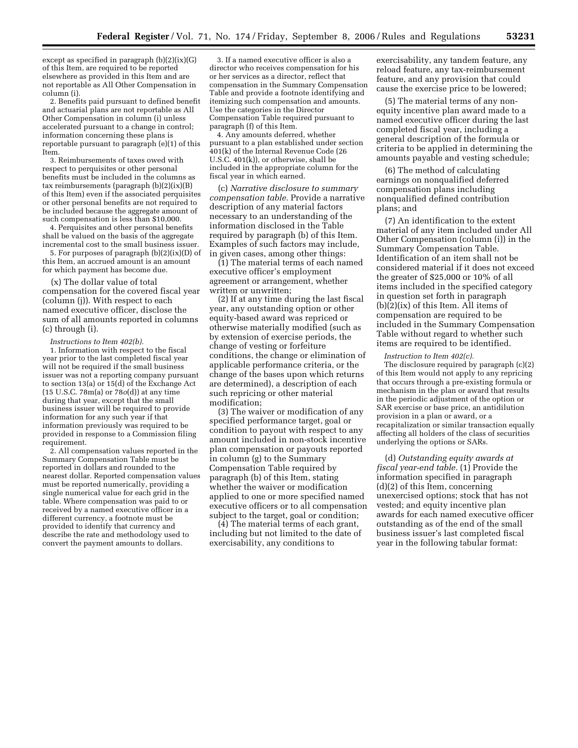except as specified in paragraph  $(b)(2)(ix)(G)$ of this Item, are required to be reported elsewhere as provided in this Item and are not reportable as All Other Compensation in column (i).

2. Benefits paid pursuant to defined benefit and actuarial plans are not reportable as All Other Compensation in column (i) unless accelerated pursuant to a change in control; information concerning these plans is reportable pursuant to paragraph (e)(1) of this Item.

3. Reimbursements of taxes owed with respect to perquisites or other personal benefits must be included in the columns as tax reimbursements (paragraph (b)(2)(ix)(B) of this Item) even if the associated perquisites or other personal benefits are not required to be included because the aggregate amount of such compensation is less than \$10,000.

4. Perquisites and other personal benefits shall be valued on the basis of the aggregate incremental cost to the small business issuer.

5. For purposes of paragraph (b)(2)(ix)(D) of this Item, an accrued amount is an amount for which payment has become due.

(x) The dollar value of total compensation for the covered fiscal year (column (j)). With respect to each named executive officer, disclose the sum of all amounts reported in columns (c) through (i).

*Instructions to Item 402(b).* 

1. Information with respect to the fiscal year prior to the last completed fiscal year will not be required if the small business issuer was not a reporting company pursuant to section 13(a) or 15(d) of the Exchange Act (15 U.S.C. 78m(a) or 78*o*(d)) at any time during that year, except that the small business issuer will be required to provide information for any such year if that information previously was required to be provided in response to a Commission filing requirement.

2. All compensation values reported in the Summary Compensation Table must be reported in dollars and rounded to the nearest dollar. Reported compensation values must be reported numerically, providing a single numerical value for each grid in the table. Where compensation was paid to or received by a named executive officer in a different currency, a footnote must be provided to identify that currency and describe the rate and methodology used to convert the payment amounts to dollars.

3. If a named executive officer is also a director who receives compensation for his or her services as a director, reflect that compensation in the Summary Compensation Table and provide a footnote identifying and itemizing such compensation and amounts. Use the categories in the Director Compensation Table required pursuant to paragraph (f) of this Item.

4. Any amounts deferred, whether pursuant to a plan established under section 401(k) of the Internal Revenue Code (26 U.S.C. 401(k)), or otherwise, shall be included in the appropriate column for the fiscal year in which earned.

(c) *Narrative disclosure to summary compensation table.* Provide a narrative description of any material factors necessary to an understanding of the information disclosed in the Table required by paragraph (b) of this Item. Examples of such factors may include, in given cases, among other things:

(1) The material terms of each named executive officer's employment agreement or arrangement, whether written or unwritten;

(2) If at any time during the last fiscal year, any outstanding option or other equity-based award was repriced or otherwise materially modified (such as by extension of exercise periods, the change of vesting or forfeiture conditions, the change or elimination of applicable performance criteria, or the change of the bases upon which returns are determined), a description of each such repricing or other material modification;

(3) The waiver or modification of any specified performance target, goal or condition to payout with respect to any amount included in non-stock incentive plan compensation or payouts reported in column (g) to the Summary Compensation Table required by paragraph (b) of this Item, stating whether the waiver or modification applied to one or more specified named executive officers or to all compensation subject to the target, goal or condition;

(4) The material terms of each grant, including but not limited to the date of exercisability, any conditions to

exercisability, any tandem feature, any reload feature, any tax-reimbursement feature, and any provision that could cause the exercise price to be lowered;

(5) The material terms of any nonequity incentive plan award made to a named executive officer during the last completed fiscal year, including a general description of the formula or criteria to be applied in determining the amounts payable and vesting schedule;

(6) The method of calculating earnings on nonqualified deferred compensation plans including nonqualified defined contribution plans; and

(7) An identification to the extent material of any item included under All Other Compensation (column (i)) in the Summary Compensation Table. Identification of an item shall not be considered material if it does not exceed the greater of \$25,000 or 10% of all items included in the specified category in question set forth in paragraph (b)(2)(ix) of this Item. All items of compensation are required to be included in the Summary Compensation Table without regard to whether such items are required to be identified.

*Instruction to Item 402(c).* 

The disclosure required by paragraph (c)(2) of this Item would not apply to any repricing that occurs through a pre-existing formula or mechanism in the plan or award that results in the periodic adjustment of the option or SAR exercise or base price, an antidilution provision in a plan or award, or a recapitalization or similar transaction equally affecting all holders of the class of securities underlying the options or SARs.

(d) *Outstanding equity awards at fiscal year-end table.* (1) Provide the information specified in paragraph (d)(2) of this Item, concerning unexercised options; stock that has not vested; and equity incentive plan awards for each named executive officer outstanding as of the end of the small business issuer's last completed fiscal year in the following tabular format: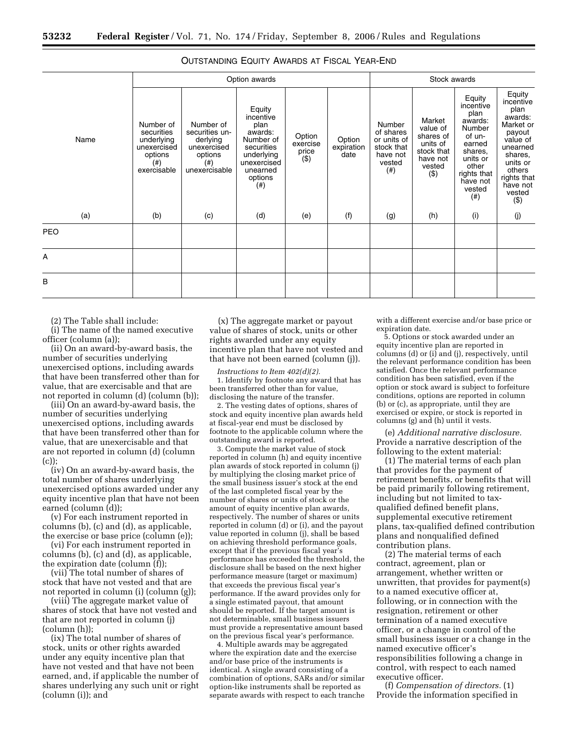|      |                                                                                       |                                                                                              | Option awards                                                                                                                |                                     |                              | Stock awards                                                                     |                                                                                            |                                                                                                                                                        |                                                                                                                                                                        |
|------|---------------------------------------------------------------------------------------|----------------------------------------------------------------------------------------------|------------------------------------------------------------------------------------------------------------------------------|-------------------------------------|------------------------------|----------------------------------------------------------------------------------|--------------------------------------------------------------------------------------------|--------------------------------------------------------------------------------------------------------------------------------------------------------|------------------------------------------------------------------------------------------------------------------------------------------------------------------------|
| Name | Number of<br>securities<br>underlying<br>unexercised<br>options<br>(#)<br>exercisable | Number of<br>securities un-<br>derlying<br>unexercised<br>options<br>$(\#)$<br>unexercisable | Equity<br>incentive<br>plan<br>awards:<br>Number of<br>securities<br>underlying<br>unexercised<br>unearned<br>options<br>(#) | Option<br>exercise<br>price<br>(\$) | Option<br>expiration<br>date | Number<br>of shares<br>or units of<br>stock that<br>have not<br>vested<br>$(\#)$ | Market<br>value of<br>shares of<br>units of<br>stock that<br>have not<br>vested<br>$($ \$) | Equity<br>incentive<br>plan<br>awards:<br>Number<br>of un-<br>earned<br>shares,<br>units or<br>other<br>rights that<br>have not<br>vested<br>$($ # $)$ | Equity<br>incentive<br>plan<br>awards:<br>Market or<br>payout<br>value of<br>unearned<br>shares,<br>units or<br>others<br>rights that<br>have not<br>vested<br>$($ \$) |
| (a)  | (b)                                                                                   | (c)                                                                                          | (d)                                                                                                                          | (e)                                 | (f)                          | (g)                                                                              | (h)                                                                                        | (i)                                                                                                                                                    | (j)                                                                                                                                                                    |
| PEO  |                                                                                       |                                                                                              |                                                                                                                              |                                     |                              |                                                                                  |                                                                                            |                                                                                                                                                        |                                                                                                                                                                        |
| А    |                                                                                       |                                                                                              |                                                                                                                              |                                     |                              |                                                                                  |                                                                                            |                                                                                                                                                        |                                                                                                                                                                        |
| B    |                                                                                       |                                                                                              |                                                                                                                              |                                     |                              |                                                                                  |                                                                                            |                                                                                                                                                        |                                                                                                                                                                        |

OUTSTANDING EQUITY AWARDS AT FISCAL YEAR-END

(2) The Table shall include:

(i) The name of the named executive officer (column (a));

(ii) On an award-by-award basis, the number of securities underlying unexercised options, including awards that have been transferred other than for value, that are exercisable and that are not reported in column (d) (column (b));

(iii) On an award-by-award basis, the number of securities underlying unexercised options, including awards that have been transferred other than for value, that are unexercisable and that are not reported in column (d) (column (c));

(iv) On an award-by-award basis, the total number of shares underlying unexercised options awarded under any equity incentive plan that have not been earned (column (d));

(v) For each instrument reported in columns (b), (c) and (d), as applicable, the exercise or base price (column (e));

(vi) For each instrument reported in columns (b), (c) and (d), as applicable, the expiration date (column (f));

(vii) The total number of shares of stock that have not vested and that are not reported in column (i) (column (g));

(viii) The aggregate market value of shares of stock that have not vested and that are not reported in column (j) (column (h));

(ix) The total number of shares of stock, units or other rights awarded under any equity incentive plan that have not vested and that have not been earned, and, if applicable the number of shares underlying any such unit or right (column (i)); and

(x) The aggregate market or payout value of shares of stock, units or other rights awarded under any equity incentive plan that have not vested and that have not been earned (column (j)).

*Instructions to Item 402(d)(2).*  1. Identify by footnote any award that has been transferred other than for value, disclosing the nature of the transfer.

2. The vesting dates of options, shares of stock and equity incentive plan awards held at fiscal-year end must be disclosed by footnote to the applicable column where the outstanding award is reported.

3. Compute the market value of stock reported in column (h) and equity incentive plan awards of stock reported in column (j) by multiplying the closing market price of the small business issuer's stock at the end of the last completed fiscal year by the number of shares or units of stock or the amount of equity incentive plan awards, respectively. The number of shares or units reported in column (d) or (i), and the payout value reported in column (j), shall be based on achieving threshold performance goals, except that if the previous fiscal year's performance has exceeded the threshold, the disclosure shall be based on the next higher performance measure (target or maximum) that exceeds the previous fiscal year's performance. If the award provides only for a single estimated payout, that amount should be reported. If the target amount is not determinable, small business issuers must provide a representative amount based on the previous fiscal year's performance.

4. Multiple awards may be aggregated where the expiration date and the exercise and/or base price of the instruments is identical. A single award consisting of a combination of options, SARs and/or similar option-like instruments shall be reported as separate awards with respect to each tranche with a different exercise and/or base price or expiration date.

5. Options or stock awarded under an equity incentive plan are reported in columns (d) or (i) and (j), respectively, until the relevant performance condition has been satisfied. Once the relevant performance condition has been satisfied, even if the option or stock award is subject to forfeiture conditions, options are reported in column (b) or (c), as appropriate, until they are exercised or expire, or stock is reported in columns (g) and (h) until it vests.

(e) *Additional narrative disclosure.*  Provide a narrative description of the following to the extent material:

(1) The material terms of each plan that provides for the payment of retirement benefits, or benefits that will be paid primarily following retirement, including but not limited to taxqualified defined benefit plans, supplemental executive retirement plans, tax-qualified defined contribution plans and nonqualified defined contribution plans.

(2) The material terms of each contract, agreement, plan or arrangement, whether written or unwritten, that provides for payment(s) to a named executive officer at, following, or in connection with the resignation, retirement or other termination of a named executive officer, or a change in control of the small business issuer or a change in the named executive officer's responsibilities following a change in control, with respect to each named executive officer.

(f) *Compensation of directors.* (1) Provide the information specified in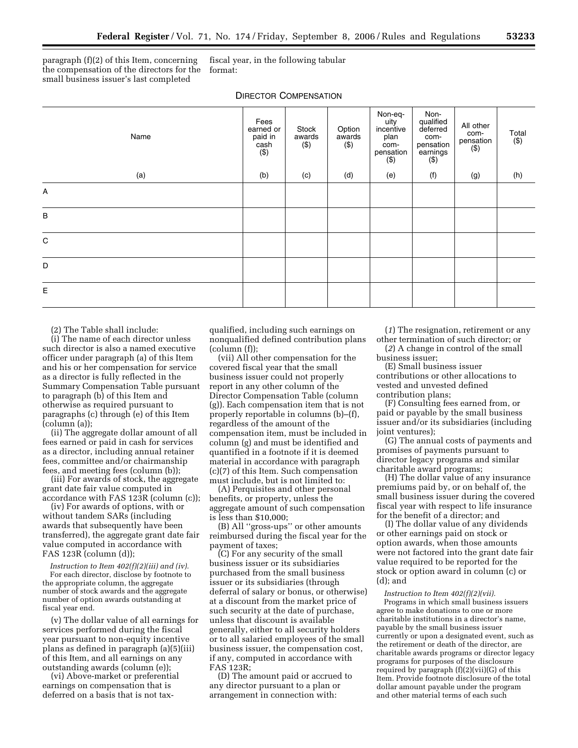paragraph (f)(2) of this Item, concerning the compensation of the directors for the format: small business issuer's last completed

fiscal year, in the following tabular

| Name        | Fees<br>earned or<br>paid in<br>cash<br>$(\$)$ | Stock<br>awards<br>(\$) | Option<br>awards<br>(\$) | Non-eq-<br>uity<br>incentive<br>plan<br>com-<br>pensation<br>$($ \$) | Non-<br>qualified<br>deferred<br>com-<br>pensation<br>earnings<br>(\$) | All other<br>com-<br>pensation<br>(\$) | Total<br>(3) |
|-------------|------------------------------------------------|-------------------------|--------------------------|----------------------------------------------------------------------|------------------------------------------------------------------------|----------------------------------------|--------------|
| (a)         | (b)                                            | (c)                     | (d)                      | (e)                                                                  | (f)                                                                    | (g)                                    | (h)          |
| A           |                                                |                         |                          |                                                                      |                                                                        |                                        |              |
| $\sf B$     |                                                |                         |                          |                                                                      |                                                                        |                                        |              |
| $\mathsf C$ |                                                |                         |                          |                                                                      |                                                                        |                                        |              |
| D           |                                                |                         |                          |                                                                      |                                                                        |                                        |              |
| E           |                                                |                         |                          |                                                                      |                                                                        |                                        |              |
|             |                                                |                         |                          |                                                                      |                                                                        |                                        |              |

## DIRECTOR COMPENSATION

(2) The Table shall include:

(i) The name of each director unless such director is also a named executive officer under paragraph (a) of this Item and his or her compensation for service as a director is fully reflected in the Summary Compensation Table pursuant to paragraph (b) of this Item and otherwise as required pursuant to paragraphs (c) through (e) of this Item (column (a));

(ii) The aggregate dollar amount of all fees earned or paid in cash for services as a director, including annual retainer fees, committee and/or chairmanship fees, and meeting fees (column (b));

(iii) For awards of stock, the aggregate grant date fair value computed in accordance with FAS 123R (column (c));

(iv) For awards of options, with or without tandem SARs (including awards that subsequently have been transferred), the aggregate grant date fair value computed in accordance with FAS 123R (column (d));

*Instruction to Item 402(f)(2)(iii) and (iv).*  For each director, disclose by footnote to the appropriate column, the aggregate number of stock awards and the aggregate number of option awards outstanding at fiscal year end.

(v) The dollar value of all earnings for services performed during the fiscal year pursuant to non-equity incentive plans as defined in paragraph (a)(5)(iii) of this Item, and all earnings on any outstanding awards (column (e));

(vi) Above-market or preferential earnings on compensation that is deferred on a basis that is not taxqualified, including such earnings on nonqualified defined contribution plans (column (f));

(vii) All other compensation for the covered fiscal year that the small business issuer could not properly report in any other column of the Director Compensation Table (column (g)). Each compensation item that is not properly reportable in columns (b)–(f), regardless of the amount of the compensation item, must be included in column (g) and must be identified and quantified in a footnote if it is deemed material in accordance with paragraph (c)(7) of this Item. Such compensation must include, but is not limited to:

(A) Perquisites and other personal benefits, or property, unless the aggregate amount of such compensation is less than \$10,000;

(B) All ''gross-ups'' or other amounts reimbursed during the fiscal year for the payment of taxes;

(C) For any security of the small business issuer or its subsidiaries purchased from the small business issuer or its subsidiaries (through deferral of salary or bonus, or otherwise) at a discount from the market price of such security at the date of purchase, unless that discount is available generally, either to all security holders or to all salaried employees of the small business issuer, the compensation cost, if any, computed in accordance with FAS 123R;

(D) The amount paid or accrued to any director pursuant to a plan or arrangement in connection with:

(*1*) The resignation, retirement or any other termination of such director; or

(*2*) A change in control of the small business issuer;

(E) Small business issuer contributions or other allocations to vested and unvested defined contribution plans;

(F) Consulting fees earned from, or paid or payable by the small business issuer and/or its subsidiaries (including joint ventures);

(G) The annual costs of payments and promises of payments pursuant to director legacy programs and similar charitable award programs;

(H) The dollar value of any insurance premiums paid by, or on behalf of, the small business issuer during the covered fiscal year with respect to life insurance for the benefit of a director; and

(I) The dollar value of any dividends or other earnings paid on stock or option awards, when those amounts were not factored into the grant date fair value required to be reported for the stock or option award in column (c) or (d); and

*Instruction to Item 402(f)(2)(vii).*  Programs in which small business issuers agree to make donations to one or more charitable institutions in a director's name, payable by the small business issuer currently or upon a designated event, such as the retirement or death of the director, are charitable awards programs or director legacy programs for purposes of the disclosure required by paragraph  $(f)(2)(vii)(G)$  of this Item. Provide footnote disclosure of the total dollar amount payable under the program and other material terms of each such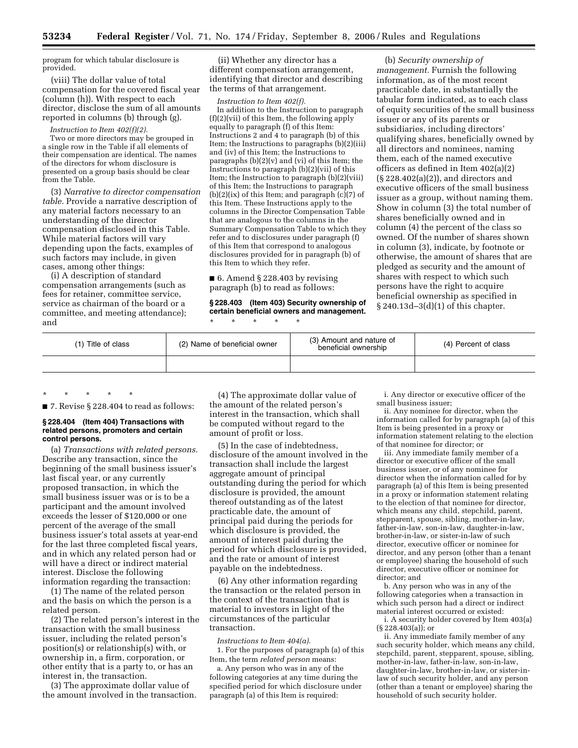program for which tabular disclosure is provided.

(viii) The dollar value of total compensation for the covered fiscal year (column (h)). With respect to each director, disclose the sum of all amounts reported in columns (b) through (g).

*Instruction to Item 402(f)(2).* 

Two or more directors may be grouped in a single row in the Table if all elements of their compensation are identical. The names of the directors for whom disclosure is presented on a group basis should be clear from the Table.

(3) *Narrative to director compensation table.* Provide a narrative description of any material factors necessary to an understanding of the director compensation disclosed in this Table. While material factors will vary depending upon the facts, examples of such factors may include, in given cases, among other things:

(i) A description of standard compensation arrangements (such as fees for retainer, committee service, service as chairman of the board or a committee, and meeting attendance); and

(ii) Whether any director has a different compensation arrangement, identifying that director and describing the terms of that arrangement.

*Instruction to Item 402(f).* 

In addition to the Instruction to paragraph (f)(2)(vii) of this Item, the following apply equally to paragraph (f) of this Item: Instructions 2 and 4 to paragraph (b) of this Item; the Instructions to paragraphs (b)(2)(iii) and (iv) of this Item; the Instructions to paragraphs (b)(2)(v) and (vi) of this Item; the Instructions to paragraph (b)(2)(vii) of this Item; the Instruction to paragraph (b)(2)(viii) of this Item; the Instructions to paragraph (b)(2)(ix) of this Item; and paragraph (c)(7) of this Item. These Instructions apply to the columns in the Director Compensation Table that are analogous to the columns in the Summary Compensation Table to which they refer and to disclosures under paragraph (f) of this Item that correspond to analogous disclosures provided for in paragraph (b) of this Item to which they refer.

 $\blacksquare$  6. Amend § 228.403 by revising paragraph (b) to read as follows:

\* \* \* \* \*

**§ 228.403 (Item 403) Security ownership of certain beneficial owners and management.** 

(b) *Security ownership of management.* Furnish the following information, as of the most recent practicable date, in substantially the tabular form indicated, as to each class of equity securities of the small business issuer or any of its parents or subsidiaries, including directors' qualifying shares, beneficially owned by all directors and nominees, naming them, each of the named executive officers as defined in Item 402(a)(2) (§ 228.402(a)(2)), and directors and executive officers of the small business issuer as a group, without naming them. Show in column (3) the total number of shares beneficially owned and in column (4) the percent of the class so owned. Of the number of shares shown in column (3), indicate, by footnote or otherwise, the amount of shares that are pledged as security and the amount of shares with respect to which such persons have the right to acquire beneficial ownership as specified in § 240.13d–3(d)(1) of this chapter.

| (1) Title of class | (2) Name of beneficial owner | (3) Amount and nature of<br>beneficial ownership | (4) Percent of class |  |
|--------------------|------------------------------|--------------------------------------------------|----------------------|--|
|                    |                              |                                                  |                      |  |

■ 7. Revise § 228.404 to read as follows:

\* \* \* \* \*

## **§ 228.404 (Item 404) Transactions with related persons, promoters and certain control persons.**

(a) *Transactions with related persons.*  Describe any transaction, since the beginning of the small business issuer's last fiscal year, or any currently proposed transaction, in which the small business issuer was or is to be a participant and the amount involved exceeds the lesser of \$120,000 or one percent of the average of the small business issuer's total assets at year-end for the last three completed fiscal years, and in which any related person had or will have a direct or indirect material interest. Disclose the following information regarding the transaction:

(1) The name of the related person and the basis on which the person is a related person.

(2) The related person's interest in the transaction with the small business issuer, including the related person's position(s) or relationship(s) with, or ownership in, a firm, corporation, or other entity that is a party to, or has an interest in, the transaction.

(3) The approximate dollar value of the amount involved in the transaction.

(4) The approximate dollar value of the amount of the related person's interest in the transaction, which shall be computed without regard to the amount of profit or loss.

(5) In the case of indebtedness, disclosure of the amount involved in the transaction shall include the largest aggregate amount of principal outstanding during the period for which disclosure is provided, the amount thereof outstanding as of the latest practicable date, the amount of principal paid during the periods for which disclosure is provided, the amount of interest paid during the period for which disclosure is provided, and the rate or amount of interest payable on the indebtedness.

(6) Any other information regarding the transaction or the related person in the context of the transaction that is material to investors in light of the circumstances of the particular transaction.

*Instructions to Item 404(a).*  1. For the purposes of paragraph (a) of this Item, the term *related person* means:

a. Any person who was in any of the following categories at any time during the specified period for which disclosure under paragraph (a) of this Item is required:

i. Any director or executive officer of the small business issuer;

ii. Any nominee for director, when the information called for by paragraph (a) of this Item is being presented in a proxy or information statement relating to the election of that nominee for director; or

iii. Any immediate family member of a director or executive officer of the small business issuer, or of any nominee for director when the information called for by paragraph (a) of this Item is being presented in a proxy or information statement relating to the election of that nominee for director, which means any child, stepchild, parent, stepparent, spouse, sibling, mother-in-law, father-in-law, son-in-law, daughter-in-law, brother-in-law, or sister-in-law of such director, executive officer or nominee for director, and any person (other than a tenant or employee) sharing the household of such director, executive officer or nominee for director; and

b. Any person who was in any of the following categories when a transaction in which such person had a direct or indirect material interest occurred or existed:

i. A security holder covered by Item 403(a) (§ 228.403(a)); or

ii. Any immediate family member of any such security holder, which means any child, stepchild, parent, stepparent, spouse, sibling, mother-in-law, father-in-law, son-in-law, daughter-in-law, brother-in-law, or sister-inlaw of such security holder, and any person (other than a tenant or employee) sharing the household of such security holder.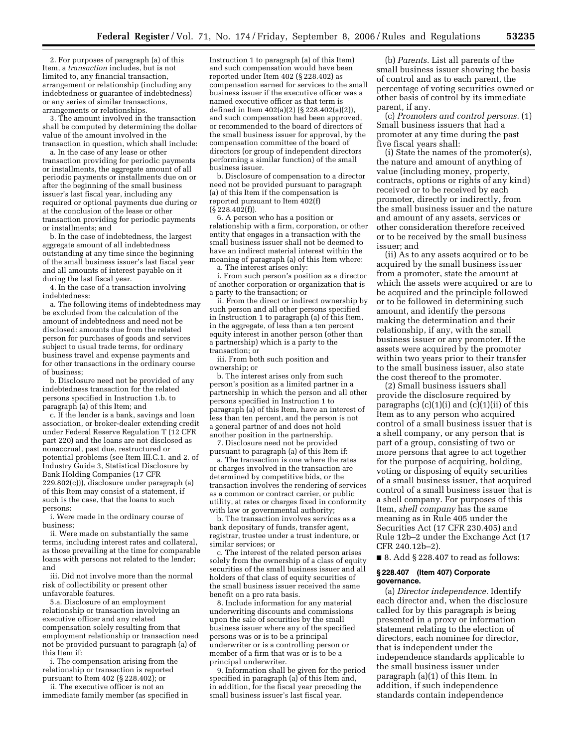2. For purposes of paragraph (a) of this Item, a *transaction* includes, but is not limited to, any financial transaction, arrangement or relationship (including any indebtedness or guarantee of indebtedness) or any series of similar transactions, arrangements or relationships.

3. The amount involved in the transaction shall be computed by determining the dollar value of the amount involved in the transaction in question, which shall include:

a. In the case of any lease or other transaction providing for periodic payments or installments, the aggregate amount of all periodic payments or installments due on or after the beginning of the small business issuer's last fiscal year, including any required or optional payments due during or at the conclusion of the lease or other transaction providing for periodic payments or installments; and

b. In the case of indebtedness, the largest aggregate amount of all indebtedness outstanding at any time since the beginning of the small business issuer's last fiscal year and all amounts of interest payable on it during the last fiscal year.

4. In the case of a transaction involving indebtedness:

a. The following items of indebtedness may be excluded from the calculation of the amount of indebtedness and need not be disclosed: amounts due from the related person for purchases of goods and services subject to usual trade terms, for ordinary business travel and expense payments and for other transactions in the ordinary course of business;

b. Disclosure need not be provided of any indebtedness transaction for the related persons specified in Instruction 1.b. to paragraph (a) of this Item; and

c. If the lender is a bank, savings and loan association, or broker-dealer extending credit under Federal Reserve Regulation T (12 CFR part 220) and the loans are not disclosed as nonaccrual, past due, restructured or potential problems (see Item III.C.1. and 2. of Industry Guide 3, Statistical Disclosure by Bank Holding Companies (17 CFR 229.802(c))), disclosure under paragraph (a) of this Item may consist of a statement, if such is the case, that the loans to such persons:

i. Were made in the ordinary course of business;

ii. Were made on substantially the same terms, including interest rates and collateral, as those prevailing at the time for comparable loans with persons not related to the lender; and

iii. Did not involve more than the normal risk of collectibility or present other unfavorable features.

5.a. Disclosure of an employment relationship or transaction involving an executive officer and any related compensation solely resulting from that employment relationship or transaction need not be provided pursuant to paragraph (a) of this Item if:

i. The compensation arising from the relationship or transaction is reported pursuant to Item 402 (§ 228.402); or

ii. The executive officer is not an immediate family member (as specified in

Instruction 1 to paragraph (a) of this Item) and such compensation would have been reported under Item 402 (§ 228.402) as compensation earned for services to the small business issuer if the executive officer was a named executive officer as that term is defined in Item 402(a)(2) (§ 228.402(a)(2)), and such compensation had been approved, or recommended to the board of directors of the small business issuer for approval, by the compensation committee of the board of directors (or group of independent directors performing a similar function) of the small business issuer.

b. Disclosure of compensation to a director need not be provided pursuant to paragraph (a) of this Item if the compensation is reported pursuant to Item 402(f)  $(S \, 228.402(f)).$ 

6. A person who has a position or relationship with a firm, corporation, or other entity that engages in a transaction with the small business issuer shall not be deemed to have an indirect material interest within the meaning of paragraph (a) of this Item where: a. The interest arises only:

i. From such person's position as a director of another corporation or organization that is a party to the transaction; or

ii. From the direct or indirect ownership by such person and all other persons specified in Instruction 1 to paragraph (a) of this Item, in the aggregate, of less than a ten percent equity interest in another person (other than a partnership) which is a party to the transaction; or

iii. From both such position and ownership; or

b. The interest arises only from such person's position as a limited partner in a partnership in which the person and all other persons specified in Instruction 1 to paragraph (a) of this Item, have an interest of less than ten percent, and the person is not a general partner of and does not hold another position in the partnership.

7. Disclosure need not be provided pursuant to paragraph (a) of this Item if:

a. The transaction is one where the rates or charges involved in the transaction are determined by competitive bids, or the transaction involves the rendering of services as a common or contract carrier, or public utility, at rates or charges fixed in conformity with law or governmental authority;

b. The transaction involves services as a bank depositary of funds, transfer agent, registrar, trustee under a trust indenture, or similar services; or

c. The interest of the related person arises solely from the ownership of a class of equity securities of the small business issuer and all holders of that class of equity securities of the small business issuer received the same benefit on a pro rata basis.

8. Include information for any material underwriting discounts and commissions upon the sale of securities by the small business issuer where any of the specified persons was or is to be a principal underwriter or is a controlling person or member of a firm that was or is to be a principal underwriter.

9. Information shall be given for the period specified in paragraph (a) of this Item and, in addition, for the fiscal year preceding the small business issuer's last fiscal year.

(b) *Parents.* List all parents of the small business issuer showing the basis of control and as to each parent, the percentage of voting securities owned or other basis of control by its immediate parent, if any.

(c) *Promoters and control persons.* (1) Small business issuers that had a promoter at any time during the past five fiscal years shall:

(i) State the names of the promoter(s), the nature and amount of anything of value (including money, property, contracts, options or rights of any kind) received or to be received by each promoter, directly or indirectly, from the small business issuer and the nature and amount of any assets, services or other consideration therefore received or to be received by the small business issuer; and

(ii) As to any assets acquired or to be acquired by the small business issuer from a promoter, state the amount at which the assets were acquired or are to be acquired and the principle followed or to be followed in determining such amount, and identify the persons making the determination and their relationship, if any, with the small business issuer or any promoter. If the assets were acquired by the promoter within two years prior to their transfer to the small business issuer, also state the cost thereof to the promoter.

(2) Small business issuers shall provide the disclosure required by paragraphs  $(c)(1)(i)$  and  $(c)(1)(ii)$  of this Item as to any person who acquired control of a small business issuer that is a shell company, or any person that is part of a group, consisting of two or more persons that agree to act together for the purpose of acquiring, holding, voting or disposing of equity securities of a small business issuer, that acquired control of a small business issuer that is a shell company. For purposes of this Item, *shell company* has the same meaning as in Rule 405 under the Securities Act (17 CFR 230.405) and Rule 12b–2 under the Exchange Act (17 CFR 240.12b–2).

 $\blacksquare$  8. Add § 228.407 to read as follows:

### **§ 228.407 (Item 407) Corporate governance.**

(a) *Director independence.* Identify each director and, when the disclosure called for by this paragraph is being presented in a proxy or information statement relating to the election of directors, each nominee for director, that is independent under the independence standards applicable to the small business issuer under paragraph (a)(1) of this Item. In addition, if such independence standards contain independence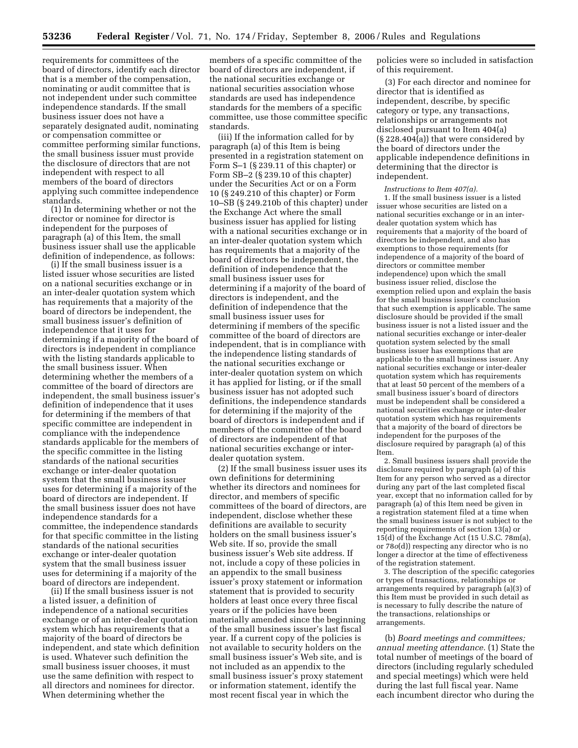requirements for committees of the board of directors, identify each director that is a member of the compensation, nominating or audit committee that is not independent under such committee independence standards. If the small business issuer does not have a separately designated audit, nominating or compensation committee or committee performing similar functions, the small business issuer must provide the disclosure of directors that are not independent with respect to all members of the board of directors applying such committee independence standards.

(1) In determining whether or not the director or nominee for director is independent for the purposes of paragraph (a) of this Item, the small business issuer shall use the applicable definition of independence, as follows:

(i) If the small business issuer is a listed issuer whose securities are listed on a national securities exchange or in an inter-dealer quotation system which has requirements that a majority of the board of directors be independent, the small business issuer's definition of independence that it uses for determining if a majority of the board of directors is independent in compliance with the listing standards applicable to the small business issuer. When determining whether the members of a committee of the board of directors are independent, the small business issuer's definition of independence that it uses for determining if the members of that specific committee are independent in compliance with the independence standards applicable for the members of the specific committee in the listing standards of the national securities exchange or inter-dealer quotation system that the small business issuer uses for determining if a majority of the board of directors are independent. If the small business issuer does not have independence standards for a committee, the independence standards for that specific committee in the listing standards of the national securities exchange or inter-dealer quotation system that the small business issuer uses for determining if a majority of the board of directors are independent.

(ii) If the small business issuer is not a listed issuer, a definition of independence of a national securities exchange or of an inter-dealer quotation system which has requirements that a majority of the board of directors be independent, and state which definition is used. Whatever such definition the small business issuer chooses, it must use the same definition with respect to all directors and nominees for director. When determining whether the

members of a specific committee of the board of directors are independent, if the national securities exchange or national securities association whose standards are used has independence standards for the members of a specific committee, use those committee specific standards.

(iii) If the information called for by paragraph (a) of this Item is being presented in a registration statement on Form S–1 (§ 239.11 of this chapter) or Form SB–2 (§ 239.10 of this chapter) under the Securities Act or on a Form 10 (§ 249.210 of this chapter) or Form 10–SB (§ 249.210b of this chapter) under the Exchange Act where the small business issuer has applied for listing with a national securities exchange or in an inter-dealer quotation system which has requirements that a majority of the board of directors be independent, the definition of independence that the small business issuer uses for determining if a majority of the board of directors is independent, and the definition of independence that the small business issuer uses for determining if members of the specific committee of the board of directors are independent, that is in compliance with the independence listing standards of the national securities exchange or inter-dealer quotation system on which it has applied for listing, or if the small business issuer has not adopted such definitions, the independence standards for determining if the majority of the board of directors is independent and if members of the committee of the board of directors are independent of that national securities exchange or interdealer quotation system.

(2) If the small business issuer uses its own definitions for determining whether its directors and nominees for director, and members of specific committees of the board of directors, are independent, disclose whether these definitions are available to security holders on the small business issuer's Web site. If so, provide the small business issuer's Web site address. If not, include a copy of these policies in an appendix to the small business issuer's proxy statement or information statement that is provided to security holders at least once every three fiscal years or if the policies have been materially amended since the beginning of the small business issuer's last fiscal year. If a current copy of the policies is not available to security holders on the small business issuer's Web site, and is not included as an appendix to the small business issuer's proxy statement or information statement, identify the most recent fiscal year in which the

policies were so included in satisfaction of this requirement.

(3) For each director and nominee for director that is identified as independent, describe, by specific category or type, any transactions, relationships or arrangements not disclosed pursuant to Item 404(a) (§ 228.404(a)) that were considered by the board of directors under the applicable independence definitions in determining that the director is independent.

*Instructions to Item 407(a).* 

1. If the small business issuer is a listed issuer whose securities are listed on a national securities exchange or in an interdealer quotation system which has requirements that a majority of the board of directors be independent, and also has exemptions to those requirements (for independence of a majority of the board of directors or committee member independence) upon which the small business issuer relied, disclose the exemption relied upon and explain the basis for the small business issuer's conclusion that such exemption is applicable. The same disclosure should be provided if the small business issuer is not a listed issuer and the national securities exchange or inter-dealer quotation system selected by the small business issuer has exemptions that are applicable to the small business issuer. Any national securities exchange or inter-dealer quotation system which has requirements that at least 50 percent of the members of a small business issuer's board of directors must be independent shall be considered a national securities exchange or inter-dealer quotation system which has requirements that a majority of the board of directors be independent for the purposes of the disclosure required by paragraph (a) of this Item.

2. Small business issuers shall provide the disclosure required by paragraph (a) of this Item for any person who served as a director during any part of the last completed fiscal year, except that no information called for by paragraph (a) of this Item need be given in a registration statement filed at a time when the small business issuer is not subject to the reporting requirements of section 13(a) or 15(d) of the Exchange Act (15 U.S.C. 78m(a), or 78*o*(d)) respecting any director who is no longer a director at the time of effectiveness of the registration statement.

3. The description of the specific categories or types of transactions, relationships or arrangements required by paragraph (a)(3) of this Item must be provided in such detail as is necessary to fully describe the nature of the transactions, relationships or arrangements.

(b) *Board meetings and committees; annual meeting attendance.* (1) State the total number of meetings of the board of directors (including regularly scheduled and special meetings) which were held during the last full fiscal year. Name each incumbent director who during the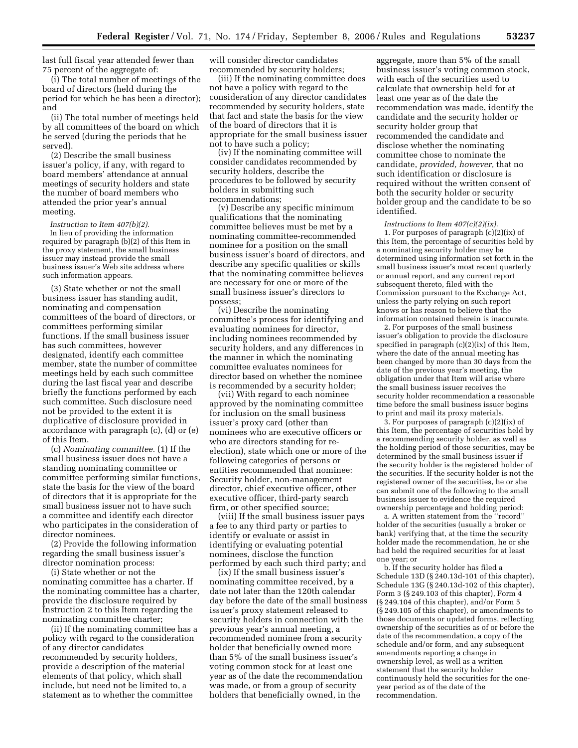last full fiscal year attended fewer than 75 percent of the aggregate of:

(i) The total number of meetings of the board of directors (held during the period for which he has been a director); and

(ii) The total number of meetings held by all committees of the board on which he served (during the periods that he served).

(2) Describe the small business issuer's policy, if any, with regard to board members' attendance at annual meetings of security holders and state the number of board members who attended the prior year's annual meeting.

*Instruction to Item 407(b)(2).* 

In lieu of providing the information required by paragraph (b)(2) of this Item in the proxy statement, the small business issuer may instead provide the small business issuer's Web site address where such information appears.

(3) State whether or not the small business issuer has standing audit, nominating and compensation committees of the board of directors, or committees performing similar functions. If the small business issuer has such committees, however designated, identify each committee member, state the number of committee meetings held by each such committee during the last fiscal year and describe briefly the functions performed by each such committee. Such disclosure need not be provided to the extent it is duplicative of disclosure provided in accordance with paragraph (c), (d) or (e) of this Item.

(c) *Nominating committee.* (1) If the small business issuer does not have a standing nominating committee or committee performing similar functions, state the basis for the view of the board of directors that it is appropriate for the small business issuer not to have such a committee and identify each director who participates in the consideration of director nominees.

(2) Provide the following information regarding the small business issuer's director nomination process:

(i) State whether or not the nominating committee has a charter. If the nominating committee has a charter, provide the disclosure required by Instruction 2 to this Item regarding the nominating committee charter;

(ii) If the nominating committee has a policy with regard to the consideration of any director candidates recommended by security holders, provide a description of the material elements of that policy, which shall include, but need not be limited to, a statement as to whether the committee

will consider director candidates recommended by security holders;

(iii) If the nominating committee does not have a policy with regard to the consideration of any director candidates recommended by security holders, state that fact and state the basis for the view of the board of directors that it is appropriate for the small business issuer not to have such a policy;

(iv) If the nominating committee will consider candidates recommended by security holders, describe the procedures to be followed by security holders in submitting such recommendations;

(v) Describe any specific minimum qualifications that the nominating committee believes must be met by a nominating committee-recommended nominee for a position on the small business issuer's board of directors, and describe any specific qualities or skills that the nominating committee believes are necessary for one or more of the small business issuer's directors to possess;

(vi) Describe the nominating committee's process for identifying and evaluating nominees for director, including nominees recommended by security holders, and any differences in the manner in which the nominating committee evaluates nominees for director based on whether the nominee is recommended by a security holder;

(vii) With regard to each nominee approved by the nominating committee for inclusion on the small business issuer's proxy card (other than nominees who are executive officers or who are directors standing for reelection), state which one or more of the following categories of persons or entities recommended that nominee: Security holder, non-management director, chief executive officer, other executive officer, third-party search firm, or other specified source;

(viii) If the small business issuer pays a fee to any third party or parties to identify or evaluate or assist in identifying or evaluating potential nominees, disclose the function performed by each such third party; and

(ix) If the small business issuer's nominating committee received, by a date not later than the 120th calendar day before the date of the small business issuer's proxy statement released to security holders in connection with the previous year's annual meeting, a recommended nominee from a security holder that beneficially owned more than 5% of the small business issuer's voting common stock for at least one year as of the date the recommendation was made, or from a group of security holders that beneficially owned, in the

aggregate, more than 5% of the small business issuer's voting common stock, with each of the securities used to calculate that ownership held for at least one year as of the date the recommendation was made, identify the candidate and the security holder or security holder group that recommended the candidate and disclose whether the nominating committee chose to nominate the candidate, *provided, however,* that no such identification or disclosure is required without the written consent of both the security holder or security holder group and the candidate to be so identified.

*Instructions to Item 407(c)(2)(ix).*  1. For purposes of paragraph (c)(2)(ix) of this Item, the percentage of securities held by a nominating security holder may be determined using information set forth in the small business issuer's most recent quarterly or annual report, and any current report subsequent thereto, filed with the Commission pursuant to the Exchange Act, unless the party relying on such report knows or has reason to believe that the information contained therein is inaccurate.

2. For purposes of the small business issuer's obligation to provide the disclosure specified in paragraph (c)(2)(ix) of this Item, where the date of the annual meeting has been changed by more than 30 days from the date of the previous year's meeting, the obligation under that Item will arise where the small business issuer receives the security holder recommendation a reasonable time before the small business issuer begins to print and mail its proxy materials.

3. For purposes of paragraph (c)(2)(ix) of this Item, the percentage of securities held by a recommending security holder, as well as the holding period of those securities, may be determined by the small business issuer if the security holder is the registered holder of the securities. If the security holder is not the registered owner of the securities, he or she can submit one of the following to the small business issuer to evidence the required ownership percentage and holding period:

a. A written statement from the ''record'' holder of the securities (usually a broker or bank) verifying that, at the time the security holder made the recommendation, he or she had held the required securities for at least one year; or

b. If the security holder has filed a Schedule 13D (§ 240.13d-101 of this chapter), Schedule 13G (§ 240.13d-102 of this chapter), Form 3 (§ 249.103 of this chapter), Form 4 (§ 249.104 of this chapter), and/or Form 5 (§ 249.105 of this chapter), or amendments to those documents or updated forms, reflecting ownership of the securities as of or before the date of the recommendation, a copy of the schedule and/or form, and any subsequent amendments reporting a change in ownership level, as well as a written statement that the security holder continuously held the securities for the oneyear period as of the date of the recommendation.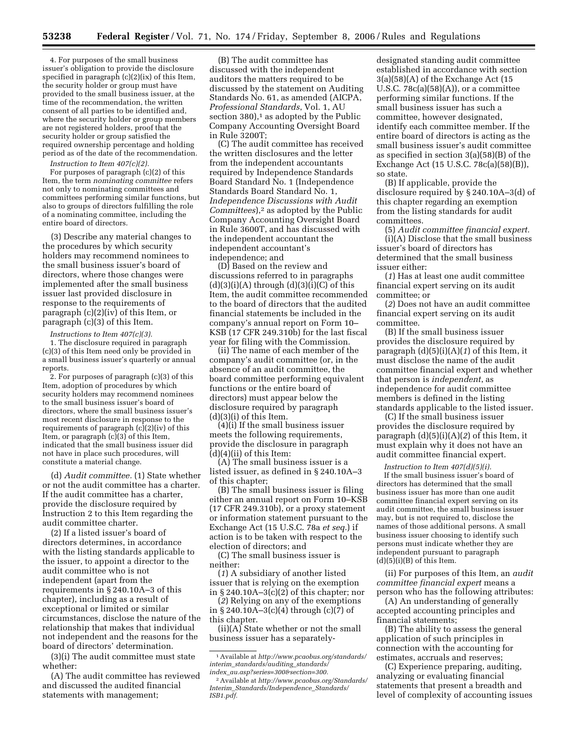4. For purposes of the small business issuer's obligation to provide the disclosure specified in paragraph  $(c)(2)(ix)$  of this Item, the security holder or group must have provided to the small business issuer, at the time of the recommendation, the written consent of all parties to be identified and, where the security holder or group members are not registered holders, proof that the security holder or group satisfied the required ownership percentage and holding period as of the date of the recommendation.

*Instruction to Item 407(c)(2).* 

For purposes of paragraph (c)(2) of this Item, the term *nominating committee* refers not only to nominating committees and committees performing similar functions, but also to groups of directors fulfilling the role of a nominating committee, including the entire board of directors.

(3) Describe any material changes to the procedures by which security holders may recommend nominees to the small business issuer's board of directors, where those changes were implemented after the small business issuer last provided disclosure in response to the requirements of paragraph  $(c)(2)(iv)$  of this Item, or paragraph (c)(3) of this Item.

*Instructions to Item 407(c)(3).*  1. The disclosure required in paragraph (c)(3) of this Item need only be provided in a small business issuer's quarterly or annual reports.

2. For purposes of paragraph (c)(3) of this Item, adoption of procedures by which security holders may recommend nominees to the small business issuer's board of directors, where the small business issuer's most recent disclosure in response to the requirements of paragraph (c)(2)(iv) of this Item, or paragraph  $(c)(3)$  of this Item, indicated that the small business issuer did not have in place such procedures, will constitute a material change.

(d) *Audit committee.* (1) State whether or not the audit committee has a charter. If the audit committee has a charter, provide the disclosure required by Instruction 2 to this Item regarding the audit committee charter.

(2) If a listed issuer's board of directors determines, in accordance with the listing standards applicable to the issuer, to appoint a director to the audit committee who is not independent (apart from the requirements in § 240.10A–3 of this chapter), including as a result of exceptional or limited or similar circumstances, disclose the nature of the relationship that makes that individual not independent and the reasons for the board of directors' determination.

(3)(i) The audit committee must state whether:

(A) The audit committee has reviewed and discussed the audited financial statements with management;

(B) The audit committee has discussed with the independent auditors the matters required to be discussed by the statement on Auditing Standards No. 61, as amended (AICPA, *Professional Standards*, Vol. 1, AU section  $380$ ,<sup>1</sup> as adopted by the Public Company Accounting Oversight Board in Rule 3200T;

(C) The audit committee has received the written disclosures and the letter from the independent accountants required by Independence Standards Board Standard No. 1 (Independence Standards Board Standard No. 1, *Independence Discussions with Audit Committees*),2 as adopted by the Public Company Accounting Oversight Board in Rule 3600T, and has discussed with the independent accountant the independent accountant's independence; and

(D) Based on the review and discussions referred to in paragraphs  $(d)(3)(i)(A)$  through  $(d)(3)(i)(C)$  of this Item, the audit committee recommended to the board of directors that the audited financial statements be included in the company's annual report on Form 10– KSB (17 CFR 249.310b) for the last fiscal year for filing with the Commission.

(ii) The name of each member of the company's audit committee (or, in the absence of an audit committee, the board committee performing equivalent functions or the entire board of directors) must appear below the disclosure required by paragraph (d)(3)(i) of this Item.

(4)(i) If the small business issuer meets the following requirements, provide the disclosure in paragraph (d)(4)(ii) of this Item:

(A) The small business issuer is a listed issuer, as defined in § 240.10A–3 of this chapter;

(B) The small business issuer is filing either an annual report on Form 10–KSB (17 CFR 249.310b), or a proxy statement or information statement pursuant to the Exchange Act (15 U.S.C. 78a *et seq.*) if action is to be taken with respect to the election of directors; and

(C) The small business issuer is neither:

(*1*) A subsidiary of another listed issuer that is relying on the exemption in  $\S 240.10A - 3(c)(2)$  of this chapter; nor

(*2*) Relying on any of the exemptions in § 240.10A–3(c)(4) through (c)(7) of this chapter.

 $(ii)(A)$  State whether or not the small business issuer has a separately-

designated standing audit committee established in accordance with section  $3(a)(58)(A)$  of the Exchange Act (15 U.S.C.  $78c(a)(58)(A)$ , or a committee performing similar functions. If the small business issuer has such a committee, however designated, identify each committee member. If the entire board of directors is acting as the small business issuer's audit committee as specified in section 3(a)(58)(B) of the Exchange Act (15 U.S.C. 78c(a)(58)(B)), so state.

(B) If applicable, provide the disclosure required by § 240.10A–3(d) of this chapter regarding an exemption from the listing standards for audit committees.

(5) *Audit committee financial expert.*  (i)(A) Disclose that the small business issuer's board of directors has determined that the small business issuer either:

(*1*) Has at least one audit committee financial expert serving on its audit committee; or

(*2*) Does not have an audit committee financial expert serving on its audit committee.

(B) If the small business issuer provides the disclosure required by paragraph (d)(5)(i)(A)(*1*) of this Item, it must disclose the name of the audit committee financial expert and whether that person is *independent*, as independence for audit committee members is defined in the listing standards applicable to the listed issuer.

(C) If the small business issuer provides the disclosure required by paragraph (d)(5)(i)(A)(*2*) of this Item, it must explain why it does not have an audit committee financial expert.

*Instruction to Item 407(d)(5)(i).* 

If the small business issuer's board of directors has determined that the small business issuer has more than one audit committee financial expert serving on its audit committee, the small business issuer may, but is not required to, disclose the names of those additional persons. A small business issuer choosing to identify such persons must indicate whether they are independent pursuant to paragraph  $(d)(5)(i)(B)$  of this Item.

(ii) For purposes of this Item, an *audit committee financial expert* means a person who has the following attributes:

(A) An understanding of generally accepted accounting principles and financial statements;

(B) The ability to assess the general application of such principles in connection with the accounting for estimates, accruals and reserves;

(C) Experience preparing, auditing, analyzing or evaluating financial statements that present a breadth and level of complexity of accounting issues

<sup>1</sup>Available at *http://www.pcaobus.org/standards/ interim*\_*standards/auditing*\_*standards/ index*\_*au.asp?series=300&section=300.* 

<sup>2</sup>Available at *http://www.pcaobus.org/Standards/ Interim*\_*Standards/Independence*\_*Standards/ ISB1.pdf.*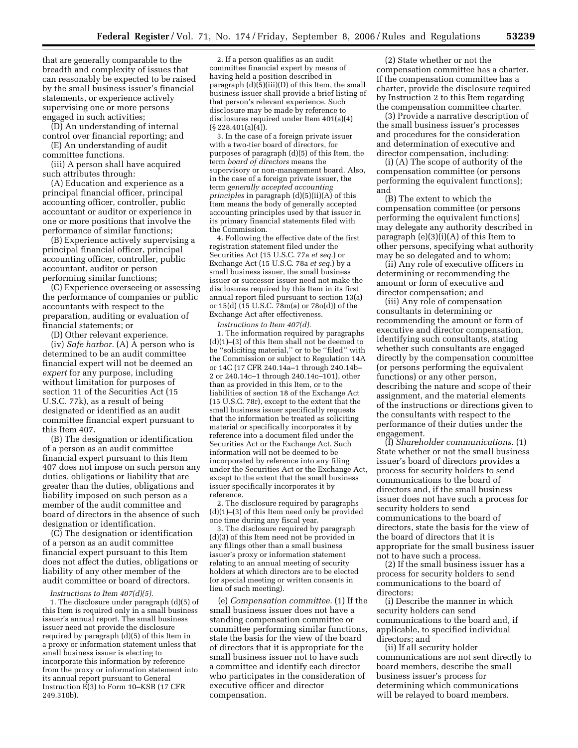that are generally comparable to the breadth and complexity of issues that can reasonably be expected to be raised by the small business issuer's financial statements, or experience actively supervising one or more persons engaged in such activities;

(D) An understanding of internal control over financial reporting; and

(E) An understanding of audit committee functions.

(iii) A person shall have acquired such attributes through:

(A) Education and experience as a principal financial officer, principal accounting officer, controller, public accountant or auditor or experience in one or more positions that involve the performance of similar functions;

(B) Experience actively supervising a principal financial officer, principal accounting officer, controller, public accountant, auditor or person performing similar functions;

(C) Experience overseeing or assessing the performance of companies or public accountants with respect to the preparation, auditing or evaluation of financial statements; or

(D) Other relevant experience.

(iv) *Safe harbor.* (A) A person who is determined to be an audit committee financial expert will not be deemed an *expert* for any purpose, including without limitation for purposes of section 11 of the Securities Act (15 U.S.C. 77k), as a result of being designated or identified as an audit committee financial expert pursuant to this Item 407.

(B) The designation or identification of a person as an audit committee financial expert pursuant to this Item 407 does not impose on such person any duties, obligations or liability that are greater than the duties, obligations and liability imposed on such person as a member of the audit committee and board of directors in the absence of such designation or identification.

(C) The designation or identification of a person as an audit committee financial expert pursuant to this Item does not affect the duties, obligations or liability of any other member of the audit committee or board of directors.

*Instructions to Item 407(d)(5).* 

1. The disclosure under paragraph (d)(5) of this Item is required only in a small business issuer's annual report. The small business issuer need not provide the disclosure required by paragraph (d)(5) of this Item in a proxy or information statement unless that small business issuer is electing to incorporate this information by reference from the proxy or information statement into its annual report pursuant to General Instruction E(3) to Form 10–KSB (17 CFR 249.310b).

2. If a person qualifies as an audit committee financial expert by means of having held a position described in paragraph (d)(5)(iii)(D) of this Item, the small business issuer shall provide a brief listing of that person's relevant experience. Such disclosure may be made by reference to disclosures required under Item 401(a)(4) (§ 228.401(a)(4)).

3. In the case of a foreign private issuer with a two-tier board of directors, for purposes of paragraph (d)(5) of this Item, the term *board of directors* means the supervisory or non-management board. Also, in the case of a foreign private issuer, the term *generally accepted accounting principles* in paragraph (d)(5)(ii)(A) of this Item means the body of generally accepted accounting principles used by that issuer in its primary financial statements filed with the Commission.

4. Following the effective date of the first registration statement filed under the Securities Act (15 U.S.C. 77a *et seq.*) or Exchange Act (15 U.S.C. 78a *et seq.*) by a small business issuer, the small business issuer or successor issuer need not make the disclosures required by this Item in its first annual report filed pursuant to section 13(a) or 15(d) (15 U.S.C. 78m(a) or 78o(d)) of the Exchange Act after effectiveness.

*Instructions to Item 407(d).* 

1. The information required by paragraphs  $(d)(1)$ – $(3)$  of this Item shall not be deemed to be ''soliciting material,'' or to be ''filed'' with the Commission or subject to Regulation 14A or 14C (17 CFR 240.14a–1 through 240.14b– 2 or 240.14c–1 through 240.14c–101), other than as provided in this Item, or to the liabilities of section 18 of the Exchange Act (15 U.S.C. 78r), except to the extent that the small business issuer specifically requests that the information be treated as soliciting material or specifically incorporates it by reference into a document filed under the Securities Act or the Exchange Act. Such information will not be deemed to be incorporated by reference into any filing under the Securities Act or the Exchange Act, except to the extent that the small business issuer specifically incorporates it by reference.

2. The disclosure required by paragraphs (d)(1)–(3) of this Item need only be provided one time during any fiscal year.

3. The disclosure required by paragraph (d)(3) of this Item need not be provided in any filings other than a small business issuer's proxy or information statement relating to an annual meeting of security holders at which directors are to be elected (or special meeting or written consents in lieu of such meeting).

(e) *Compensation committee.* (1) If the small business issuer does not have a standing compensation committee or committee performing similar functions, state the basis for the view of the board of directors that it is appropriate for the small business issuer not to have such a committee and identify each director who participates in the consideration of executive officer and director compensation.

(2) State whether or not the compensation committee has a charter. If the compensation committee has a charter, provide the disclosure required by Instruction 2 to this Item regarding the compensation committee charter.

(3) Provide a narrative description of the small business issuer's processes and procedures for the consideration and determination of executive and director compensation, including:

(i) (A) The scope of authority of the compensation committee (or persons performing the equivalent functions); and

(B) The extent to which the compensation committee (or persons performing the equivalent functions) may delegate any authority described in paragraph (e)(3)(i)(A) of this Item to other persons, specifying what authority may be so delegated and to whom;

(ii) Any role of executive officers in determining or recommending the amount or form of executive and director compensation; and

(iii) Any role of compensation consultants in determining or recommending the amount or form of executive and director compensation, identifying such consultants, stating whether such consultants are engaged directly by the compensation committee (or persons performing the equivalent functions) or any other person, describing the nature and scope of their assignment, and the material elements of the instructions or directions given to the consultants with respect to the performance of their duties under the engagement.

(f) *Shareholder communications.* (1) State whether or not the small business issuer's board of directors provides a process for security holders to send communications to the board of directors and, if the small business issuer does not have such a process for security holders to send communications to the board of directors, state the basis for the view of the board of directors that it is appropriate for the small business issuer not to have such a process.

(2) If the small business issuer has a process for security holders to send communications to the board of directors:

(i) Describe the manner in which security holders can send communications to the board and, if applicable, to specified individual directors; and

(ii) If all security holder communications are not sent directly to board members, describe the small business issuer's process for determining which communications will be relayed to board members.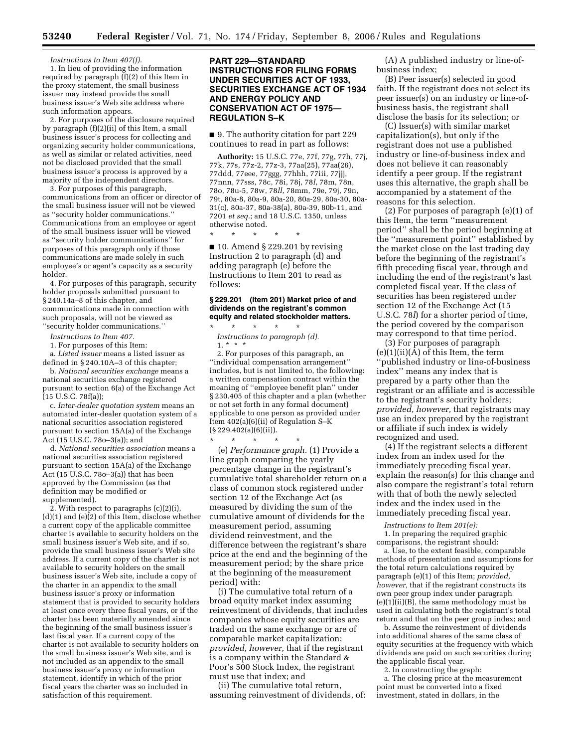*Instructions to Item 407(f).* 

1. In lieu of providing the information required by paragraph (f)(2) of this Item in the proxy statement, the small business issuer may instead provide the small business issuer's Web site address where such information appears.

2. For purposes of the disclosure required by paragraph (f)(2)(ii) of this Item, a small business issuer's process for collecting and organizing security holder communications, as well as similar or related activities, need not be disclosed provided that the small business issuer's process is approved by a majority of the independent directors.

3. For purposes of this paragraph, communications from an officer or director of the small business issuer will not be viewed as ''security holder communications.'' Communications from an employee or agent of the small business issuer will be viewed as ''security holder communications'' for purposes of this paragraph only if those communications are made solely in such employee's or agent's capacity as a security holder.

4. For purposes of this paragraph, security holder proposals submitted pursuant to § 240.14a–8 of this chapter, and communications made in connection with such proposals, will not be viewed as ''security holder communications.''

*Instructions to Item 407.* 

1. For purposes of this Item:

a. *Listed issuer* means a listed issuer as defined in § 240.10A–3 of this chapter;

b. *National securities exchange* means a national securities exchange registered pursuant to section 6(a) of the Exchange Act (15 U.S.C. 78f(a));

c. *Inter-dealer quotation system* means an automated inter-dealer quotation system of a national securities association registered pursuant to section 15A(a) of the Exchange Act (15 U.S.C. 78o–3(a)); and

d. *National securities association* means a national securities association registered pursuant to section 15A(a) of the Exchange Act (15 U.S.C.  $780-3(a)$ ) that has been approved by the Commission (as that definition may be modified or supplemented).

2. With respect to paragraphs  $(c)(2)(i)$ ,  $(d)(1)$  and  $(e)(2)$  of this Item, disclose whether a current copy of the applicable committee charter is available to security holders on the small business issuer's Web site, and if so, provide the small business issuer's Web site address. If a current copy of the charter is not available to security holders on the small business issuer's Web site, include a copy of the charter in an appendix to the small business issuer's proxy or information statement that is provided to security holders at least once every three fiscal years, or if the charter has been materially amended since the beginning of the small business issuer's last fiscal year. If a current copy of the charter is not available to security holders on the small business issuer's Web site, and is not included as an appendix to the small business issuer's proxy or information statement, identify in which of the prior fiscal years the charter was so included in satisfaction of this requirement.

## **PART 229—STANDARD INSTRUCTIONS FOR FILING FORMS UNDER SECURITIES ACT OF 1933, SECURITIES EXCHANGE ACT OF 1934 AND ENERGY POLICY AND CONSERVATION ACT OF 1975— REGULATION S–K**

■ 9. The authority citation for part 229 continues to read in part as follows:

**Authority:** 15 U.S.C. 77e, 77f, 77g, 77h, 77j, 77k, 77s, 77z-2, 77z-3, 77aa(25), 77aa(26), 77ddd, 77eee, 77ggg, 77hhh, 77iii, 77jjj, 77nnn, 77sss, 78c, 78i, 78j, 78*l*, 78m, 78n, 78o, 78u-5, 78w, 78*ll*, 78mm, 79e, 79j, 79n, 79t, 80a-8, 80a-9, 80a-20, 80a-29, 80a-30, 80a-31(c), 80a-37, 80a-38(a), 80a-39, 80b-11, and 7201 *et seq.*; and 18 U.S.C. 1350, unless otherwise noted.

 $\blacksquare$  10. Amend § 229.201 by revising Instruction 2 to paragraph (d) and adding paragraph (e) before the Instructions to Item 201 to read as follows:

\* \* \* \* \*

#### **§ 229.201 (Item 201) Market price of and dividends on the registrant's common equity and related stockholder matters.**

\* \* \* \* \* *Instructions to paragraph (d).* 

\* \* \* \* \*

 $1. * * *$ 2. For purposes of this paragraph, an ''individual compensation arrangement'' includes, but is not limited to, the following: a written compensation contract within the meaning of ''employee benefit plan'' under § 230.405 of this chapter and a plan (whether or not set forth in any formal document) applicable to one person as provided under Item 402(a)(6)(ii) of Regulation S–K (§ 229.402(a)(6)(ii)).

(e) *Performance graph.* (1) Provide a line graph comparing the yearly percentage change in the registrant's cumulative total shareholder return on a class of common stock registered under section 12 of the Exchange Act (as measured by dividing the sum of the cumulative amount of dividends for the measurement period, assuming dividend reinvestment, and the difference between the registrant's share price at the end and the beginning of the measurement period; by the share price at the beginning of the measurement period) with:

(i) The cumulative total return of a broad equity market index assuming reinvestment of dividends, that includes companies whose equity securities are traded on the same exchange or are of comparable market capitalization; *provided, however,* that if the registrant is a company within the Standard & Poor's 500 Stock Index, the registrant must use that index; and

(ii) The cumulative total return, assuming reinvestment of dividends, of:

(A) A published industry or line-ofbusiness index;

(B) Peer issuer(s) selected in good faith. If the registrant does not select its peer issuer(s) on an industry or line-ofbusiness basis, the registrant shall disclose the basis for its selection; or

(C) Issuer(s) with similar market capitalization(s), but only if the registrant does not use a published industry or line-of-business index and does not believe it can reasonably identify a peer group. If the registrant uses this alternative, the graph shall be accompanied by a statement of the reasons for this selection.

(2) For purposes of paragraph (e)(1) of this Item, the term ''measurement period'' shall be the period beginning at the ''measurement point'' established by the market close on the last trading day before the beginning of the registrant's fifth preceding fiscal year, through and including the end of the registrant's last completed fiscal year. If the class of securities has been registered under section 12 of the Exchange Act (15 U.S.C. 78*l*) for a shorter period of time, the period covered by the comparison may correspond to that time period.

(3) For purposes of paragraph  $(e)(1)(ii)(A)$  of this Item, the term ''published industry or line-of-business index'' means any index that is prepared by a party other than the registrant or an affiliate and is accessible to the registrant's security holders; *provided, however,* that registrants may use an index prepared by the registrant or affiliate if such index is widely recognized and used.

(4) If the registrant selects a different index from an index used for the immediately preceding fiscal year, explain the reason(s) for this change and also compare the registrant's total return with that of both the newly selected index and the index used in the immediately preceding fiscal year.

*Instructions to Item 201(e):* 

1. In preparing the required graphic comparisons, the registrant should:

a. Use, to the extent feasible, comparable methods of presentation and assumptions for the total return calculations required by paragraph (e)(1) of this Item; *provided, however,* that if the registrant constructs its own peer group index under paragraph  $(e)(1)\overline{(ii)}(B)$ , the same methodology must be used in calculating both the registrant's total return and that on the peer group index; and

b. Assume the reinvestment of dividends into additional shares of the same class of equity securities at the frequency with which dividends are paid on such securities during the applicable fiscal year.

2. In constructing the graph:

a. The closing price at the measurement point must be converted into a fixed investment, stated in dollars, in the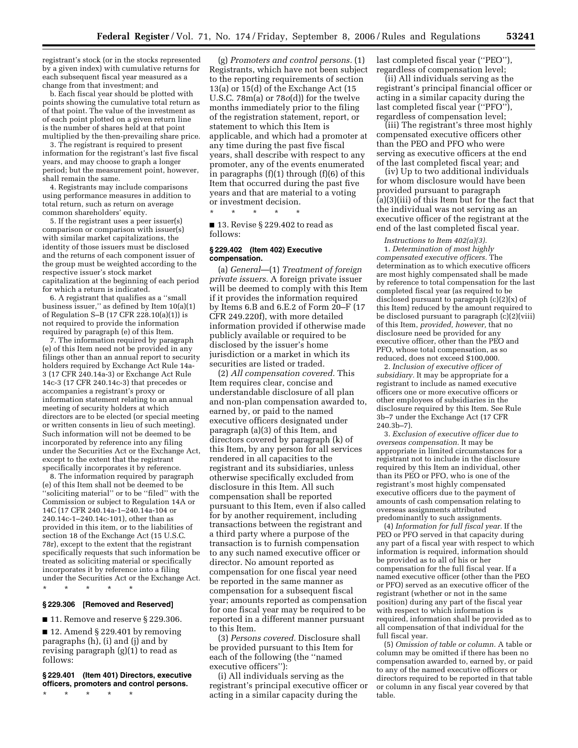registrant's stock (or in the stocks represented by a given index) with cumulative returns for each subsequent fiscal year measured as a change from that investment; and

b. Each fiscal year should be plotted with points showing the cumulative total return as of that point. The value of the investment as of each point plotted on a given return line is the number of shares held at that point multiplied by the then-prevailing share price.

3. The registrant is required to present information for the registrant's last five fiscal years, and may choose to graph a longer period; but the measurement point, however, shall remain the same.

4. Registrants may include comparisons using performance measures in addition to total return, such as return on average common shareholders' equity.

5. If the registrant uses a peer issuer(s) comparison or comparison with issuer(s) with similar market capitalizations, the identity of those issuers must be disclosed and the returns of each component issuer of the group must be weighted according to the respective issuer's stock market capitalization at the beginning of each period for which a return is indicated.

6. A registrant that qualifies as a ''small business issuer,'' as defined by Item 10(a)(1) of Regulation S–B (17 CFR 228.10(a)(1)) is not required to provide the information required by paragraph (e) of this Item.

7. The information required by paragraph (e) of this Item need not be provided in any filings other than an annual report to security holders required by Exchange Act Rule 14a-3 (17 CFR 240.14a-3) or Exchange Act Rule 14c-3 (17 CFR 240.14c-3) that precedes or accompanies a registrant's proxy or information statement relating to an annual meeting of security holders at which directors are to be elected (or special meeting or written consents in lieu of such meeting). Such information will not be deemed to be incorporated by reference into any filing under the Securities Act or the Exchange Act, except to the extent that the registrant specifically incorporates it by reference.

8. The information required by paragraph (e) of this Item shall not be deemed to be ''soliciting material'' or to be ''filed'' with the Commission or subject to Regulation 14A or 14C (17 CFR 240.14a-1–240.14a-104 or 240.14c-1–240.14c-101), other than as provided in this item, or to the liabilities of section 18 of the Exchange Act (15 U.S.C. 78r), except to the extent that the registrant specifically requests that such information be treated as soliciting material or specifically incorporates it by reference into a filing under the Securities Act or the Exchange Act.

\* \* \* \* \*

#### **§ 229.306 [Removed and Reserved]**

■ 11. Remove and reserve § 229.306.

■ 12. Amend § 229.401 by removing paragraphs (h), (i) and (j) and by revising paragraph (g)(1) to read as follows:

## **§ 229.401 (Item 401) Directors, executive officers, promoters and control persons.**

\* \* \* \* \*

(g) *Promoters and control persons.* (1) Registrants, which have not been subject to the reporting requirements of section 13(a) or 15(d) of the Exchange Act (15 U.S.C. 78m(a) or 78*o*(d)) for the twelve months immediately prior to the filing of the registration statement, report, or statement to which this Item is applicable, and which had a promoter at any time during the past five fiscal years, shall describe with respect to any promoter, any of the events enumerated in paragraphs (f)(1) through (f)(6) of this Item that occurred during the past five years and that are material to a voting or investment decision.

■ 13. Revise § 229.402 to read as follows:

\* \* \* \* \*

#### **§ 229.402 (Item 402) Executive compensation.**

(a) *General*—(1) *Treatment of foreign private issuers.* A foreign private issuer will be deemed to comply with this Item if it provides the information required by Items 6.B and 6.E.2 of Form 20–F (17 CFR 249.220f), with more detailed information provided if otherwise made publicly available or required to be disclosed by the issuer's home jurisdiction or a market in which its securities are listed or traded.

(2) *All compensation covered.* This Item requires clear, concise and understandable disclosure of all plan and non-plan compensation awarded to, earned by, or paid to the named executive officers designated under paragraph (a)(3) of this Item, and directors covered by paragraph (k) of this Item, by any person for all services rendered in all capacities to the registrant and its subsidiaries, unless otherwise specifically excluded from disclosure in this Item. All such compensation shall be reported pursuant to this Item, even if also called for by another requirement, including transactions between the registrant and a third party where a purpose of the transaction is to furnish compensation to any such named executive officer or director. No amount reported as compensation for one fiscal year need be reported in the same manner as compensation for a subsequent fiscal year; amounts reported as compensation for one fiscal year may be required to be reported in a different manner pursuant to this Item.

(3) *Persons covered.* Disclosure shall be provided pursuant to this Item for each of the following (the ''named executive officers''):

(i) All individuals serving as the registrant's principal executive officer or acting in a similar capacity during the

last completed fiscal year (''PEO''), regardless of compensation level;

(ii) All individuals serving as the registrant's principal financial officer or acting in a similar capacity during the last completed fiscal year (''PFO''), regardless of compensation level;

(iii) The registrant's three most highly compensated executive officers other than the PEO and PFO who were serving as executive officers at the end of the last completed fiscal year; and

(iv) Up to two additional individuals for whom disclosure would have been provided pursuant to paragraph (a)(3)(iii) of this Item but for the fact that the individual was not serving as an executive officer of the registrant at the end of the last completed fiscal year.

*Instructions to Item 402(a)(3).* 

1. *Determination of most highly compensated executive officers.* The determination as to which executive officers are most highly compensated shall be made by reference to total compensation for the last completed fiscal year (as required to be disclosed pursuant to paragraph  $(c)(2)(x)$  of this Item) reduced by the amount required to be disclosed pursuant to paragraph  $(c)(2)(viii)$ of this Item, *provided, however,* that no disclosure need be provided for any executive officer, other than the PEO and PFO, whose total compensation, as so reduced, does not exceed \$100,000.

2. *Inclusion of executive officer of subsidiary.* It may be appropriate for a registrant to include as named executive officers one or more executive officers or other employees of subsidiaries in the disclosure required by this Item. See Rule 3b–7 under the Exchange Act (17 CFR 240.3b–7).

3. *Exclusion of executive officer due to overseas compensation.* It may be appropriate in limited circumstances for a registrant not to include in the disclosure required by this Item an individual, other than its PEO or PFO, who is one of the registrant's most highly compensated executive officers due to the payment of amounts of cash compensation relating to overseas assignments attributed predominantly to such assignments.

(4) *Information for full fiscal year.* If the PEO or PFO served in that capacity during any part of a fiscal year with respect to which information is required, information should be provided as to all of his or her compensation for the full fiscal year. If a named executive officer (other than the PEO or PFO) served as an executive officer of the registrant (whether or not in the same position) during any part of the fiscal year with respect to which information is required, information shall be provided as to all compensation of that individual for the full fiscal year.

(5) *Omission of table or column.* A table or column may be omitted if there has been no compensation awarded to, earned by, or paid to any of the named executive officers or directors required to be reported in that table or column in any fiscal year covered by that table.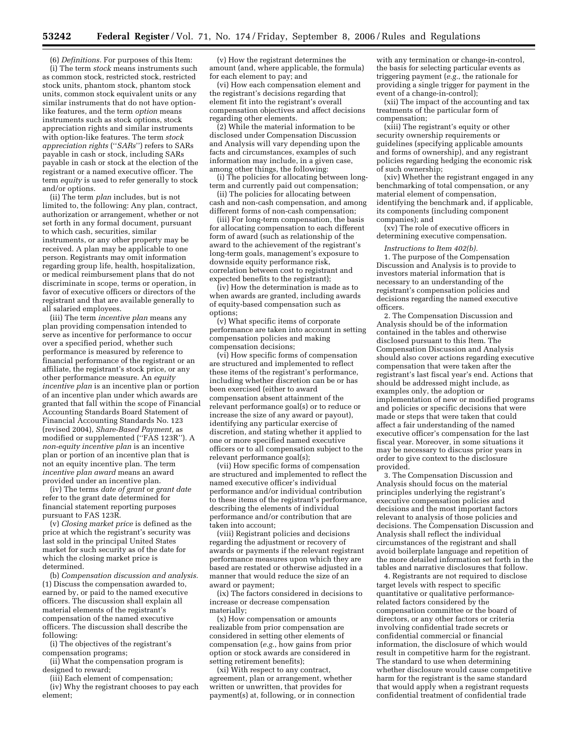(6) *Definitions.* For purposes of this Item:

(i) The term *stock* means instruments such as common stock, restricted stock, restricted stock units, phantom stock, phantom stock units, common stock equivalent units or any similar instruments that do not have optionlike features, and the term *option* means instruments such as stock options, stock appreciation rights and similar instruments with option-like features. The term *stock appreciation rights* (''*SARs*'') refers to SARs payable in cash or stock, including SARs payable in cash or stock at the election of the registrant or a named executive officer. The term *equity* is used to refer generally to stock and/or options.

(ii) The term *plan* includes, but is not limited to, the following: Any plan, contract, authorization or arrangement, whether or not set forth in any formal document, pursuant to which cash, securities, similar instruments, or any other property may be received. A plan may be applicable to one person. Registrants may omit information regarding group life, health, hospitalization, or medical reimbursement plans that do not discriminate in scope, terms or operation, in favor of executive officers or directors of the registrant and that are available generally to all salaried employees.

(iii) The term *incentive plan* means any plan providing compensation intended to serve as incentive for performance to occur over a specified period, whether such performance is measured by reference to financial performance of the registrant or an affiliate, the registrant's stock price, or any other performance measure. An *equity incentive plan* is an incentive plan or portion of an incentive plan under which awards are granted that fall within the scope of Financial Accounting Standards Board Statement of Financial Accounting Standards No. 123 (revised 2004), *Share-Based Payment,* as modified or supplemented (''FAS 123R''). A *non-equity incentive plan* is an incentive plan or portion of an incentive plan that is not an equity incentive plan. The term *incentive plan award* means an award provided under an incentive plan.

(iv) The terms *date of grant* or *grant date*  refer to the grant date determined for financial statement reporting purposes pursuant to FAS 123R.

(v) *Closing market price* is defined as the price at which the registrant's security was last sold in the principal United States market for such security as of the date for which the closing market price is determined.

(b) *Compensation discussion and analysis.*  (1) Discuss the compensation awarded to, earned by, or paid to the named executive officers. The discussion shall explain all material elements of the registrant's compensation of the named executive officers. The discussion shall describe the following:

(i) The objectives of the registrant's compensation programs;

(ii) What the compensation program is designed to reward;

(iii) Each element of compensation;

(iv) Why the registrant chooses to pay each element;

(v) How the registrant determines the amount (and, where applicable, the formula) for each element to pay; and

(vi) How each compensation element and the registrant's decisions regarding that element fit into the registrant's overall compensation objectives and affect decisions regarding other elements.

(2) While the material information to be disclosed under Compensation Discussion and Analysis will vary depending upon the facts and circumstances, examples of such information may include, in a given case, among other things, the following:

(i) The policies for allocating between longterm and currently paid out compensation;

(ii) The policies for allocating between cash and non-cash compensation, and among different forms of non-cash compensation;

(iii) For long-term compensation, the basis for allocating compensation to each different form of award (such as relationship of the award to the achievement of the registrant's long-term goals, management's exposure to downside equity performance risk, correlation between cost to registrant and expected benefits to the registrant);

(iv) How the determination is made as to when awards are granted, including awards of equity-based compensation such as options;

(v) What specific items of corporate performance are taken into account in setting compensation policies and making compensation decisions;

(vi) How specific forms of compensation are structured and implemented to reflect these items of the registrant's performance, including whether discretion can be or has been exercised (either to award compensation absent attainment of the relevant performance goal(s) or to reduce or increase the size of any award or payout), identifying any particular exercise of discretion, and stating whether it applied to one or more specified named executive officers or to all compensation subject to the relevant performance goal(s);

(vii) How specific forms of compensation are structured and implemented to reflect the named executive officer's individual performance and/or individual contribution to these items of the registrant's performance, describing the elements of individual performance and/or contribution that are taken into account;

(viii) Registrant policies and decisions regarding the adjustment or recovery of awards or payments if the relevant registrant performance measures upon which they are based are restated or otherwise adjusted in a manner that would reduce the size of an award or payment;

(ix) The factors considered in decisions to increase or decrease compensation materially;

(x) How compensation or amounts realizable from prior compensation are considered in setting other elements of compensation (*e.g.*, how gains from prior option or stock awards are considered in setting retirement benefits);

(xi) With respect to any contract, agreement, plan or arrangement, whether written or unwritten, that provides for payment(s) at, following, or in connection

with any termination or change-in-control, the basis for selecting particular events as triggering payment (*e.g.*, the rationale for providing a single trigger for payment in the event of a change-in-control);

(xii) The impact of the accounting and tax treatments of the particular form of compensation;

(xiii) The registrant's equity or other security ownership requirements or guidelines (specifying applicable amounts and forms of ownership), and any registrant policies regarding hedging the economic risk of such ownership;

(xiv) Whether the registrant engaged in any benchmarking of total compensation, or any material element of compensation, identifying the benchmark and, if applicable, its components (including component companies); and

(xv) The role of executive officers in determining executive compensation.

*Instructions to Item 402(b).* 

1. The purpose of the Compensation Discussion and Analysis is to provide to investors material information that is necessary to an understanding of the registrant's compensation policies and decisions regarding the named executive officers.

2. The Compensation Discussion and Analysis should be of the information contained in the tables and otherwise disclosed pursuant to this Item. The Compensation Discussion and Analysis should also cover actions regarding executive compensation that were taken after the registrant's last fiscal year's end. Actions that should be addressed might include, as examples only, the adoption or implementation of new or modified programs and policies or specific decisions that were made or steps that were taken that could affect a fair understanding of the named executive officer's compensation for the last fiscal year. Moreover, in some situations it may be necessary to discuss prior years in order to give context to the disclosure provided.

3. The Compensation Discussion and Analysis should focus on the material principles underlying the registrant's executive compensation policies and decisions and the most important factors relevant to analysis of those policies and decisions. The Compensation Discussion and Analysis shall reflect the individual circumstances of the registrant and shall avoid boilerplate language and repetition of the more detailed information set forth in the tables and narrative disclosures that follow.

4. Registrants are not required to disclose target levels with respect to specific quantitative or qualitative performancerelated factors considered by the compensation committee or the board of directors, or any other factors or criteria involving confidential trade secrets or confidential commercial or financial information, the disclosure of which would result in competitive harm for the registrant. The standard to use when determining whether disclosure would cause competitive harm for the registrant is the same standard that would apply when a registrant requests confidential treatment of confidential trade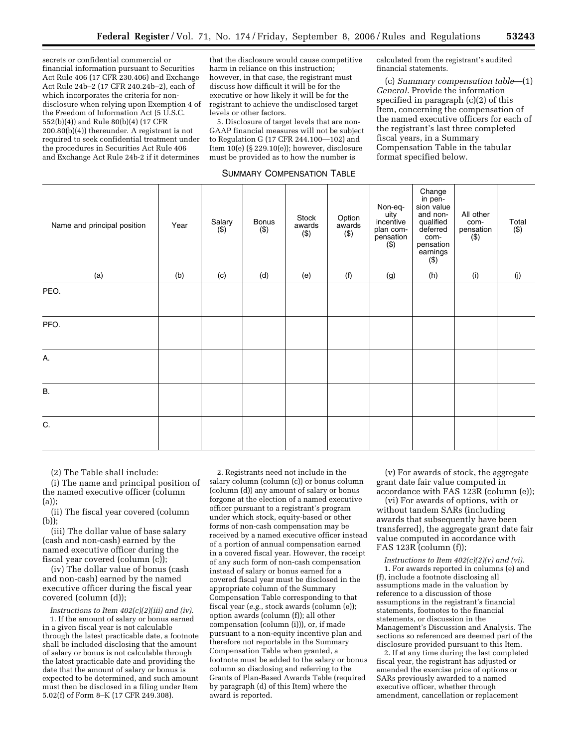secrets or confidential commercial or financial information pursuant to Securities Act Rule 406 (17 CFR 230.406) and Exchange Act Rule 24b–2 (17 CFR 240.24b–2), each of which incorporates the criteria for nondisclosure when relying upon Exemption 4 of the Freedom of Information Act (5 U.S.C. 552(b)(4)) and Rule 80(b)(4) (17 CFR 200.80(b)(4)) thereunder. A registrant is not required to seek confidential treatment under the procedures in Securities Act Rule 406 and Exchange Act Rule 24b-2 if it determines

that the disclosure would cause competitive harm in reliance on this instruction; however, in that case, the registrant must discuss how difficult it will be for the executive or how likely it will be for the registrant to achieve the undisclosed target levels or other factors.

5. Disclosure of target levels that are non-GAAP financial measures will not be subject to Regulation G (17 CFR 244.100—102) and Item 10(e) (§ 229.10(e)); however, disclosure must be provided as to how the number is

### SUMMARY COMPENSATION TABLE

calculated from the registrant's audited financial statements.

(c) *Summary compensation table*—(1) *General.* Provide the information specified in paragraph (c)(2) of this Item, concerning the compensation of the named executive officers for each of the registrant's last three completed fiscal years, in a Summary Compensation Table in the tabular format specified below.

| Name and principal position | Year | Salary<br>(\$) | Bonus $(\$)$ | Stock<br>awards<br>$(\$)$ | Option<br>awards<br>(\$) | Non-eq-<br>incentive<br>incentive<br>plan com-<br>pensation<br>(\$) | Change<br>in pen-<br>sion value<br>and non-<br>qualified<br>deferred<br>com-<br>pensation<br>earnings<br>(\$) | All other<br>com-<br>pensation<br>(\$) | $\operatorname*{Total}(\$)$ |
|-----------------------------|------|----------------|--------------|---------------------------|--------------------------|---------------------------------------------------------------------|---------------------------------------------------------------------------------------------------------------|----------------------------------------|-----------------------------|
| (a)                         | (b)  | (c)            | (d)          | (e)                       | (f)                      | (g)                                                                 | (h)                                                                                                           | (i)                                    | $\sf (j)$                   |
| PEO.                        |      |                |              |                           |                          |                                                                     |                                                                                                               |                                        |                             |
| PFO.                        |      |                |              |                           |                          |                                                                     |                                                                                                               |                                        |                             |
| А.                          |      |                |              |                           |                          |                                                                     |                                                                                                               |                                        |                             |
| В.                          |      |                |              |                           |                          |                                                                     |                                                                                                               |                                        |                             |
| C.                          |      |                |              |                           |                          |                                                                     |                                                                                                               |                                        |                             |

(2) The Table shall include:

(i) The name and principal position of the named executive officer (column  $(a)$ 

(ii) The fiscal year covered (column (b));

(iii) The dollar value of base salary (cash and non-cash) earned by the named executive officer during the fiscal year covered (column (c));

(iv) The dollar value of bonus (cash and non-cash) earned by the named executive officer during the fiscal year covered (column (d));

*Instructions to Item 402(c)(2)(iii) and (iv).*  1. If the amount of salary or bonus earned in a given fiscal year is not calculable through the latest practicable date, a footnote shall be included disclosing that the amount of salary or bonus is not calculable through the latest practicable date and providing the date that the amount of salary or bonus is expected to be determined, and such amount must then be disclosed in a filing under Item 5.02(f) of Form 8–K (17 CFR 249.308).

2. Registrants need not include in the salary column (column (c)) or bonus column (column (d)) any amount of salary or bonus forgone at the election of a named executive officer pursuant to a registrant's program under which stock, equity-based or other forms of non-cash compensation may be received by a named executive officer instead of a portion of annual compensation earned in a covered fiscal year. However, the receipt of any such form of non-cash compensation instead of salary or bonus earned for a covered fiscal year must be disclosed in the appropriate column of the Summary Compensation Table corresponding to that fiscal year (*e.g.*, stock awards (column (e)); option awards (column (f)); all other compensation (column (i))), or, if made pursuant to a non-equity incentive plan and therefore not reportable in the Summary Compensation Table when granted, a footnote must be added to the salary or bonus column so disclosing and referring to the Grants of Plan-Based Awards Table (required by paragraph (d) of this Item) where the award is reported.

(v) For awards of stock, the aggregate grant date fair value computed in accordance with FAS 123R (column (e));

(vi) For awards of options, with or without tandem SARs (including awards that subsequently have been transferred), the aggregate grant date fair value computed in accordance with FAS 123R (column (f));

*Instructions to Item 402(c)(2)(v) and (vi).*  1. For awards reported in columns (e) and (f), include a footnote disclosing all assumptions made in the valuation by reference to a discussion of those assumptions in the registrant's financial statements, footnotes to the financial statements, or discussion in the Management's Discussion and Analysis. The sections so referenced are deemed part of the disclosure provided pursuant to this Item.

2. If at any time during the last completed fiscal year, the registrant has adjusted or amended the exercise price of options or SARs previously awarded to a named executive officer, whether through amendment, cancellation or replacement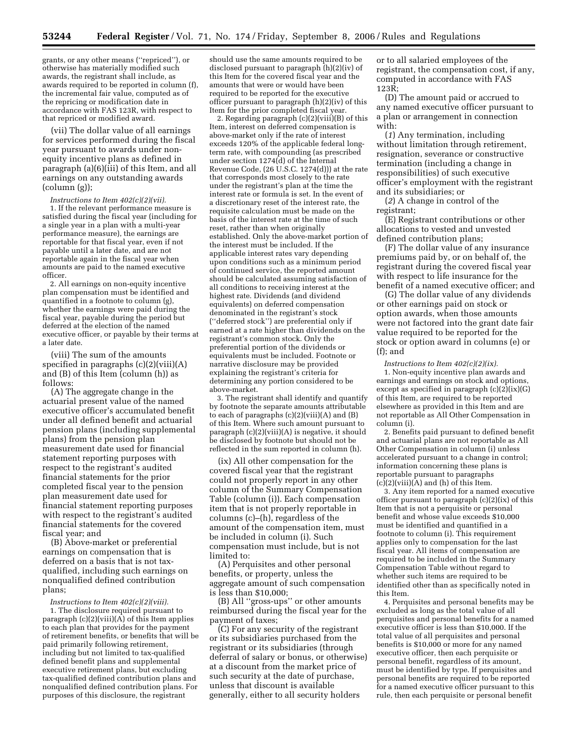grants, or any other means (''repriced''), or otherwise has materially modified such awards, the registrant shall include, as awards required to be reported in column (f), the incremental fair value, computed as of the repricing or modification date in accordance with FAS 123R, with respect to that repriced or modified award.

(vii) The dollar value of all earnings for services performed during the fiscal year pursuant to awards under nonequity incentive plans as defined in paragraph (a)(6)(iii) of this Item, and all earnings on any outstanding awards (column (g));

*Instructions to Item 402(c)(2)(vii).*  1. If the relevant performance measure is satisfied during the fiscal year (including for a single year in a plan with a multi-year performance measure), the earnings are reportable for that fiscal year, even if not payable until a later date, and are not reportable again in the fiscal year when amounts are paid to the named executive officer.

2. All earnings on non-equity incentive plan compensation must be identified and quantified in a footnote to column (g), whether the earnings were paid during the fiscal year, payable during the period but deferred at the election of the named executive officer, or payable by their terms at a later date.

(viii) The sum of the amounts specified in paragraphs (c)(2)(viii)(A) and (B) of this Item (column (h)) as follows:

(A) The aggregate change in the actuarial present value of the named executive officer's accumulated benefit under all defined benefit and actuarial pension plans (including supplemental plans) from the pension plan measurement date used for financial statement reporting purposes with respect to the registrant's audited financial statements for the prior completed fiscal year to the pension plan measurement date used for financial statement reporting purposes with respect to the registrant's audited financial statements for the covered fiscal year; and

(B) Above-market or preferential earnings on compensation that is deferred on a basis that is not taxqualified, including such earnings on nonqualified defined contribution plans;

*Instructions to Item 402(c)(2)(viii).* 

1. The disclosure required pursuant to paragraph  $(c)(2)(viii)(A)$  of this Item applies to each plan that provides for the payment of retirement benefits, or benefits that will be paid primarily following retirement, including but not limited to tax-qualified defined benefit plans and supplemental executive retirement plans, but excluding tax-qualified defined contribution plans and nonqualified defined contribution plans. For purposes of this disclosure, the registrant

should use the same amounts required to be disclosed pursuant to paragraph (h)(2)(iv) of this Item for the covered fiscal year and the amounts that were or would have been required to be reported for the executive officer pursuant to paragraph (h)(2)(iv) of this Item for the prior completed fiscal year.

2. Regarding paragraph (c)(2)(viii)(B) of this Item, interest on deferred compensation is above-market only if the rate of interest exceeds 120% of the applicable federal longterm rate, with compounding (as prescribed under section 1274(d) of the Internal Revenue Code, (26 U.S.C. 1274(d))) at the rate that corresponds most closely to the rate under the registrant's plan at the time the interest rate or formula is set. In the event of a discretionary reset of the interest rate, the requisite calculation must be made on the basis of the interest rate at the time of such reset, rather than when originally established. Only the above-market portion of the interest must be included. If the applicable interest rates vary depending upon conditions such as a minimum period of continued service, the reported amount should be calculated assuming satisfaction of all conditions to receiving interest at the highest rate. Dividends (and dividend equivalents) on deferred compensation denominated in the registrant's stock (''deferred stock'') are preferential only if earned at a rate higher than dividends on the registrant's common stock. Only the preferential portion of the dividends or equivalents must be included. Footnote or narrative disclosure may be provided explaining the registrant's criteria for determining any portion considered to be above-market.

3. The registrant shall identify and quantify by footnote the separate amounts attributable to each of paragraphs (c)(2)(viii)(A) and (B) of this Item. Where such amount pursuant to paragraph (c)(2)(viii)(A) is negative, it should be disclosed by footnote but should not be reflected in the sum reported in column (h).

(ix) All other compensation for the covered fiscal year that the registrant could not properly report in any other column of the Summary Compensation Table (column (i)). Each compensation item that is not properly reportable in columns (c)–(h), regardless of the amount of the compensation item, must be included in column (i). Such compensation must include, but is not limited to:

(A) Perquisites and other personal benefits, or property, unless the aggregate amount of such compensation is less than \$10,000;

(B) All ''gross-ups'' or other amounts reimbursed during the fiscal year for the payment of taxes;

(C) For any security of the registrant or its subsidiaries purchased from the registrant or its subsidiaries (through deferral of salary or bonus, or otherwise) at a discount from the market price of such security at the date of purchase, unless that discount is available generally, either to all security holders

or to all salaried employees of the registrant, the compensation cost, if any, computed in accordance with FAS 123R;

(D) The amount paid or accrued to any named executive officer pursuant to a plan or arrangement in connection with:

(*1*) Any termination, including without limitation through retirement, resignation, severance or constructive termination (including a change in responsibilities) of such executive officer's employment with the registrant and its subsidiaries; or

(*2*) A change in control of the registrant;

(E) Registrant contributions or other allocations to vested and unvested defined contribution plans;

(F) The dollar value of any insurance premiums paid by, or on behalf of, the registrant during the covered fiscal year with respect to life insurance for the benefit of a named executive officer; and

(G) The dollar value of any dividends or other earnings paid on stock or option awards, when those amounts were not factored into the grant date fair value required to be reported for the stock or option award in columns (e) or (f); and

*Instructions to Item 402(c)(2)(ix).*  1. Non-equity incentive plan awards and earnings and earnings on stock and options, except as specified in paragraph  $(c)(2)(ix)(G)$ of this Item, are required to be reported elsewhere as provided in this Item and are not reportable as All Other Compensation in column (i).

2. Benefits paid pursuant to defined benefit and actuarial plans are not reportable as All Other Compensation in column (i) unless accelerated pursuant to a change in control; information concerning these plans is reportable pursuant to paragraphs  $(c)(2)(viii)(A)$  and (h) of this Item.

3. Any item reported for a named executive officer pursuant to paragraph (c)(2)(ix) of this Item that is not a perquisite or personal benefit and whose value exceeds \$10,000 must be identified and quantified in a footnote to column (i). This requirement applies only to compensation for the last fiscal year. All items of compensation are required to be included in the Summary Compensation Table without regard to whether such items are required to be identified other than as specifically noted in this Item.

4. Perquisites and personal benefits may be excluded as long as the total value of all perquisites and personal benefits for a named executive officer is less than \$10,000. If the total value of all perquisites and personal benefits is \$10,000 or more for any named executive officer, then each perquisite or personal benefit, regardless of its amount, must be identified by type. If perquisites and personal benefits are required to be reported for a named executive officer pursuant to this rule, then each perquisite or personal benefit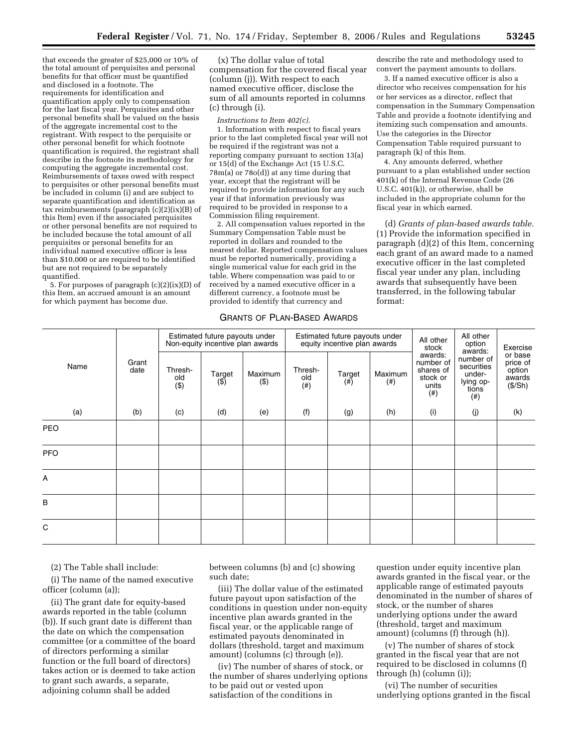that exceeds the greater of \$25,000 or 10% of the total amount of perquisites and personal benefits for that officer must be quantified and disclosed in a footnote. The requirements for identification and quantification apply only to compensation for the last fiscal year. Perquisites and other personal benefits shall be valued on the basis of the aggregate incremental cost to the registrant. With respect to the perquisite or other personal benefit for which footnote quantification is required, the registrant shall describe in the footnote its methodology for computing the aggregate incremental cost. Reimbursements of taxes owed with respect to perquisites or other personal benefits must be included in column (i) and are subject to separate quantification and identification as tax reimbursements (paragraph  $(c)(2)(ix)(B)$  of this Item) even if the associated perquisites or other personal benefits are not required to be included because the total amount of all perquisites or personal benefits for an individual named executive officer is less than \$10,000 or are required to be identified but are not required to be separately quantified.

5. For purposes of paragraph (c)(2)(ix)(D) of this Item, an accrued amount is an amount for which payment has become due.

(x) The dollar value of total compensation for the covered fiscal year (column (j)). With respect to each named executive officer, disclose the sum of all amounts reported in columns (c) through (i).

#### *Instructions to Item 402(c).*

1. Information with respect to fiscal years prior to the last completed fiscal year will not be required if the registrant was not a reporting company pursuant to section 13(a) or 15(d) of the Exchange Act (15 U.S.C. 78m(a) or 78o(d)) at any time during that year, except that the registrant will be required to provide information for any such year if that information previously was required to be provided in response to a Commission filing requirement.

2. All compensation values reported in the Summary Compensation Table must be reported in dollars and rounded to the nearest dollar. Reported compensation values must be reported numerically, providing a single numerical value for each grid in the table. Where compensation was paid to or received by a named executive officer in a different currency, a footnote must be provided to identify that currency and

describe the rate and methodology used to convert the payment amounts to dollars.

3. If a named executive officer is also a director who receives compensation for his or her services as a director, reflect that compensation in the Summary Compensation Table and provide a footnote identifying and itemizing such compensation and amounts. Use the categories in the Director Compensation Table required pursuant to paragraph (k) of this Item.

4. Any amounts deferred, whether pursuant to a plan established under section 401(k) of the Internal Revenue Code (26 U.S.C. 401(k)), or otherwise, shall be included in the appropriate column for the fiscal year in which earned.

(d) *Grants of plan-based awards table.*  (1) Provide the information specified in paragraph (d)(2) of this Item, concerning each grant of an award made to a named executive officer in the last completed fiscal year under any plan, including awards that subsequently have been transferred, in the following tabular format:

|  | <b>GRANTS OF PLAN-BASED AWARDS</b> |  |
|--|------------------------------------|--|
|--|------------------------------------|--|

| Name       |               |                       | Estimated future payouts under<br>Non-equity incentive plan awards |                |                       | Estimated future payouts under<br>equity incentive plan awards |                 | All other<br>stock                                               | All other<br>option<br>awards:                                    | Exercise                                          |
|------------|---------------|-----------------------|--------------------------------------------------------------------|----------------|-----------------------|----------------------------------------------------------------|-----------------|------------------------------------------------------------------|-------------------------------------------------------------------|---------------------------------------------------|
|            | Grant<br>date | Thresh-<br>old<br>(3) | Target<br>(3)                                                      | Maximum<br>(3) | Thresh-<br>old<br>(#) | Target<br>$^{(+)}$                                             | Maximum<br>(# ) | awards:<br>number of<br>shares of<br>stock or<br>units<br>$(\#)$ | number of<br>securities<br>under-<br>lying op-<br>tions<br>$(\#)$ | or base<br>price of<br>option<br>awards<br>(S/Sh) |
| (a)        | (b)           | (c)                   | (d)                                                                | (e)            | (f)                   | (g)                                                            | (h)             | (i)                                                              | (j)                                                               | (k)                                               |
| <b>PEO</b> |               |                       |                                                                    |                |                       |                                                                |                 |                                                                  |                                                                   |                                                   |
| <b>PFO</b> |               |                       |                                                                    |                |                       |                                                                |                 |                                                                  |                                                                   |                                                   |
| А          |               |                       |                                                                    |                |                       |                                                                |                 |                                                                  |                                                                   |                                                   |
| B          |               |                       |                                                                    |                |                       |                                                                |                 |                                                                  |                                                                   |                                                   |
| C          |               |                       |                                                                    |                |                       |                                                                |                 |                                                                  |                                                                   |                                                   |

(2) The Table shall include:

(i) The name of the named executive officer (column (a));

(ii) The grant date for equity-based awards reported in the table (column (b)). If such grant date is different than the date on which the compensation committee (or a committee of the board of directors performing a similar function or the full board of directors) takes action or is deemed to take action to grant such awards, a separate, adjoining column shall be added

between columns (b) and (c) showing such date;

(iii) The dollar value of the estimated future payout upon satisfaction of the conditions in question under non-equity incentive plan awards granted in the fiscal year, or the applicable range of estimated payouts denominated in dollars (threshold, target and maximum amount) (columns (c) through (e)).

(iv) The number of shares of stock, or the number of shares underlying options to be paid out or vested upon satisfaction of the conditions in

question under equity incentive plan awards granted in the fiscal year, or the applicable range of estimated payouts denominated in the number of shares of stock, or the number of shares underlying options under the award (threshold, target and maximum amount) (columns (f) through (h)).

(v) The number of shares of stock granted in the fiscal year that are not required to be disclosed in columns (f) through (h) (column (i));

(vi) The number of securities underlying options granted in the fiscal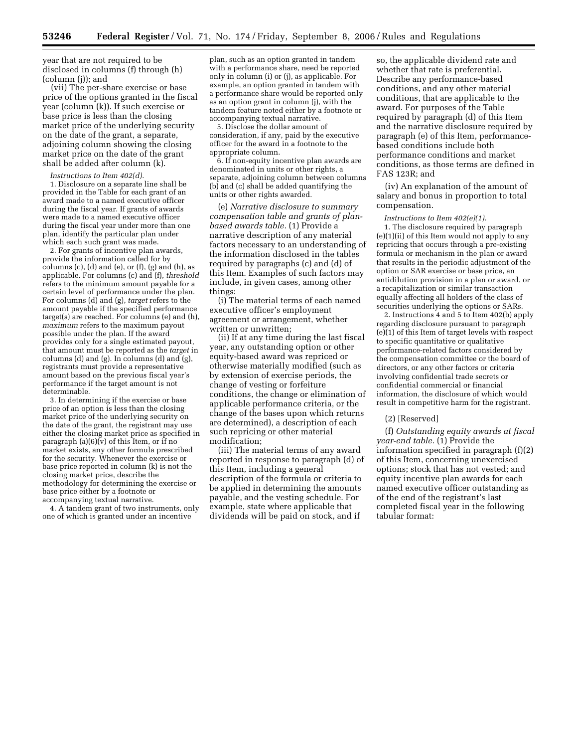year that are not required to be disclosed in columns (f) through (h) (column (j)); and

(vii) The per-share exercise or base price of the options granted in the fiscal year (column (k)). If such exercise or base price is less than the closing market price of the underlying security on the date of the grant, a separate, adjoining column showing the closing market price on the date of the grant shall be added after column (k).

#### *Instructions to Item 402(d).*

1. Disclosure on a separate line shall be provided in the Table for each grant of an award made to a named executive officer during the fiscal year. If grants of awards were made to a named executive officer during the fiscal year under more than one plan, identify the particular plan under which each such grant was made.

2. For grants of incentive plan awards, provide the information called for by columns (c), (d) and (e), or (f), (g) and (h), as applicable. For columns (c) and (f), *threshold*  refers to the minimum amount payable for a certain level of performance under the plan. For columns (d) and (g), *target* refers to the amount payable if the specified performance  $target(s)$  are reached. For columns (e) and (h), *maximum* refers to the maximum payout possible under the plan. If the award provides only for a single estimated payout, that amount must be reported as the *target* in columns (d) and (g). In columns (d) and (g), registrants must provide a representative amount based on the previous fiscal year's performance if the target amount is not determinable.

3. In determining if the exercise or base price of an option is less than the closing market price of the underlying security on the date of the grant, the registrant may use either the closing market price as specified in paragraph  $(a)(6)(\bar{v})$  of this Item, or if no market exists, any other formula prescribed for the security. Whenever the exercise or base price reported in column (k) is not the closing market price, describe the methodology for determining the exercise or base price either by a footnote or accompanying textual narrative.

4. A tandem grant of two instruments, only one of which is granted under an incentive

plan, such as an option granted in tandem with a performance share, need be reported only in column (i) or (j), as applicable. For example, an option granted in tandem with a performance share would be reported only as an option grant in column (j), with the tandem feature noted either by a footnote or accompanying textual narrative.

5. Disclose the dollar amount of consideration, if any, paid by the executive officer for the award in a footnote to the appropriate column.

6. If non-equity incentive plan awards are denominated in units or other rights, a separate, adjoining column between columns (b) and (c) shall be added quantifying the units or other rights awarded.

(e) *Narrative disclosure to summary compensation table and grants of planbased awards table.* (1) Provide a narrative description of any material factors necessary to an understanding of the information disclosed in the tables required by paragraphs (c) and (d) of this Item. Examples of such factors may include, in given cases, among other things:

(i) The material terms of each named executive officer's employment agreement or arrangement, whether written or unwritten;

(ii) If at any time during the last fiscal year, any outstanding option or other equity-based award was repriced or otherwise materially modified (such as by extension of exercise periods, the change of vesting or forfeiture conditions, the change or elimination of applicable performance criteria, or the change of the bases upon which returns are determined), a description of each such repricing or other material modification;

(iii) The material terms of any award reported in response to paragraph (d) of this Item, including a general description of the formula or criteria to be applied in determining the amounts payable, and the vesting schedule. For example, state where applicable that dividends will be paid on stock, and if

so, the applicable dividend rate and whether that rate is preferential. Describe any performance-based conditions, and any other material conditions, that are applicable to the award. For purposes of the Table required by paragraph (d) of this Item and the narrative disclosure required by paragraph (e) of this Item, performancebased conditions include both performance conditions and market conditions, as those terms are defined in FAS 123R; and

(iv) An explanation of the amount of salary and bonus in proportion to total compensation.

*Instructions to Item 402(e)(1).* 

1. The disclosure required by paragraph (e)(1)(ii) of this Item would not apply to any repricing that occurs through a pre-existing formula or mechanism in the plan or award that results in the periodic adjustment of the option or SAR exercise or base price, an antidilution provision in a plan or award, or a recapitalization or similar transaction equally affecting all holders of the class of securities underlying the options or SARs.

2. Instructions 4 and 5 to Item 402(b) apply regarding disclosure pursuant to paragraph (e)(1) of this Item of target levels with respect to specific quantitative or qualitative performance-related factors considered by the compensation committee or the board of directors, or any other factors or criteria involving confidential trade secrets or confidential commercial or financial information, the disclosure of which would result in competitive harm for the registrant.

## (2) [Reserved]

(f) *Outstanding equity awards at fiscal year-end table.* (1) Provide the information specified in paragraph (f)(2) of this Item, concerning unexercised options; stock that has not vested; and equity incentive plan awards for each named executive officer outstanding as of the end of the registrant's last completed fiscal year in the following tabular format: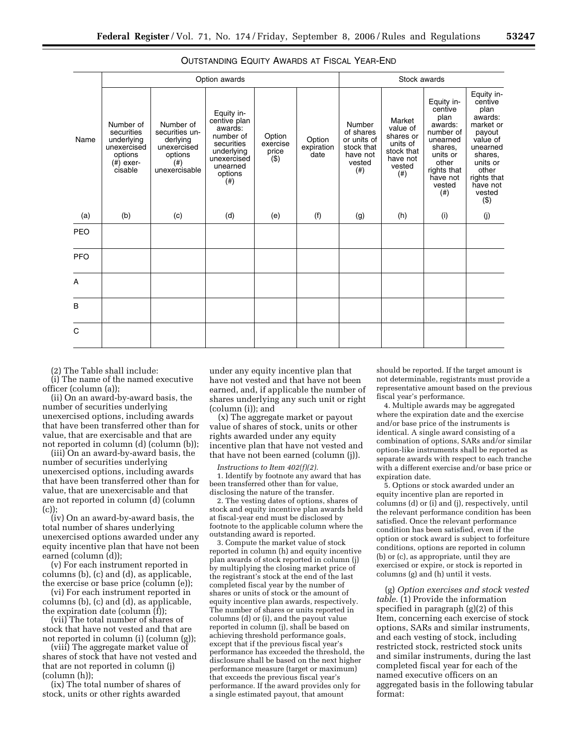|            |                                                                                               |                                                                                                 | Option awards                                                                                                                  |                                     |                              |                                                                                  | Stock awards                                                                           |                                                                                                                                                  |                                                                                                                                                                     |
|------------|-----------------------------------------------------------------------------------------------|-------------------------------------------------------------------------------------------------|--------------------------------------------------------------------------------------------------------------------------------|-------------------------------------|------------------------------|----------------------------------------------------------------------------------|----------------------------------------------------------------------------------------|--------------------------------------------------------------------------------------------------------------------------------------------------|---------------------------------------------------------------------------------------------------------------------------------------------------------------------|
| Name       | Number of<br>securities<br>underlying<br>unexercised<br>options<br>$($ # $)$ exer-<br>císable | Number of<br>securities un-<br>derlying<br>unexercised<br>options<br>$($ # $)$<br>unexercisable | Equity in-<br>centive plan<br>awards:<br>number of<br>securities<br>underlying<br>unexercised<br>unearned<br>options<br>$(\#)$ | Option<br>exercise<br>price<br>(\$) | Option<br>expiration<br>date | Number<br>of shares<br>or units of<br>stock that<br>have not<br>vested<br>$(\#)$ | Market<br>value of<br>shares or<br>units of<br>stock that<br>have not<br>vested<br>(4) | Equity in-<br>centive<br>plan<br>awards:<br>number of<br>unearned<br>shares.<br>units or<br>other<br>rights that<br>have not<br>vested<br>$(\#)$ | Equity in-<br>centive<br>plan<br>awards:<br>market or<br>payout<br>value of<br>unearned<br>shares,<br>units or<br>other<br>rights that<br>have not<br>vested<br>(3) |
| (a)        | (b)                                                                                           | (c)                                                                                             | (d)                                                                                                                            | (e)                                 | (f)                          | (g)                                                                              | (h)                                                                                    | (i)                                                                                                                                              | (j)                                                                                                                                                                 |
| PEO        |                                                                                               |                                                                                                 |                                                                                                                                |                                     |                              |                                                                                  |                                                                                        |                                                                                                                                                  |                                                                                                                                                                     |
| <b>PFO</b> |                                                                                               |                                                                                                 |                                                                                                                                |                                     |                              |                                                                                  |                                                                                        |                                                                                                                                                  |                                                                                                                                                                     |
| А          |                                                                                               |                                                                                                 |                                                                                                                                |                                     |                              |                                                                                  |                                                                                        |                                                                                                                                                  |                                                                                                                                                                     |
| B          |                                                                                               |                                                                                                 |                                                                                                                                |                                     |                              |                                                                                  |                                                                                        |                                                                                                                                                  |                                                                                                                                                                     |
| C          |                                                                                               |                                                                                                 |                                                                                                                                |                                     |                              |                                                                                  |                                                                                        |                                                                                                                                                  |                                                                                                                                                                     |
|            |                                                                                               |                                                                                                 |                                                                                                                                |                                     |                              |                                                                                  |                                                                                        |                                                                                                                                                  |                                                                                                                                                                     |

OUTSTANDING EQUITY AWARDS AT FISCAL YEAR-END

(2) The Table shall include:

(i) The name of the named executive officer (column (a));

(ii) On an award-by-award basis, the number of securities underlying unexercised options, including awards that have been transferred other than for value, that are exercisable and that are not reported in column (d) (column (b));

(iii) On an award-by-award basis, the number of securities underlying unexercised options, including awards that have been transferred other than for value, that are unexercisable and that are not reported in column (d) (column (c));

(iv) On an award-by-award basis, the total number of shares underlying unexercised options awarded under any equity incentive plan that have not been earned (column (d));

(v) For each instrument reported in columns (b), (c) and (d), as applicable, the exercise or base price (column (e));

(vi) For each instrument reported in columns (b), (c) and (d), as applicable, the expiration date (column (f));

(vii) The total number of shares of stock that have not vested and that are not reported in column (i) (column (g));

(viii) The aggregate market value of shares of stock that have not vested and that are not reported in column (j) (column (h));

(ix) The total number of shares of stock, units or other rights awarded

under any equity incentive plan that have not vested and that have not been earned, and, if applicable the number of shares underlying any such unit or right (column (i)); and

(x) The aggregate market or payout value of shares of stock, units or other rights awarded under any equity incentive plan that have not vested and that have not been earned (column (j)).

*Instructions to Item 402(f)(2).*  1. Identify by footnote any award that has been transferred other than for value, disclosing the nature of the transfer.

2. The vesting dates of options, shares of stock and equity incentive plan awards held at fiscal-year end must be disclosed by footnote to the applicable column where the outstanding award is reported.

3. Compute the market value of stock reported in column (h) and equity incentive plan awards of stock reported in column (j) by multiplying the closing market price of the registrant's stock at the end of the last completed fiscal year by the number of shares or units of stock or the amount of equity incentive plan awards, respectively. The number of shares or units reported in columns (d) or (i), and the payout value reported in column (j), shall be based on achieving threshold performance goals, except that if the previous fiscal year's performance has exceeded the threshold, the disclosure shall be based on the next higher performance measure (target or maximum) that exceeds the previous fiscal year's performance. If the award provides only for a single estimated payout, that amount

should be reported. If the target amount is not determinable, registrants must provide a representative amount based on the previous fiscal year's performance.

4. Multiple awards may be aggregated where the expiration date and the exercise and/or base price of the instruments is identical. A single award consisting of a combination of options, SARs and/or similar option-like instruments shall be reported as separate awards with respect to each tranche with a different exercise and/or base price or expiration date.

5. Options or stock awarded under an equity incentive plan are reported in columns (d) or (i) and (j), respectively, until the relevant performance condition has been satisfied. Once the relevant performance condition has been satisfied, even if the option or stock award is subject to forfeiture conditions, options are reported in column (b) or (c), as appropriate, until they are exercised or expire, or stock is reported in columns (g) and (h) until it vests.

(g) *Option exercises and stock vested table.* (1) Provide the information specified in paragraph (g)(2) of this Item, concerning each exercise of stock options, SARs and similar instruments, and each vesting of stock, including restricted stock, restricted stock units and similar instruments, during the last completed fiscal year for each of the named executive officers on an aggregated basis in the following tabular format: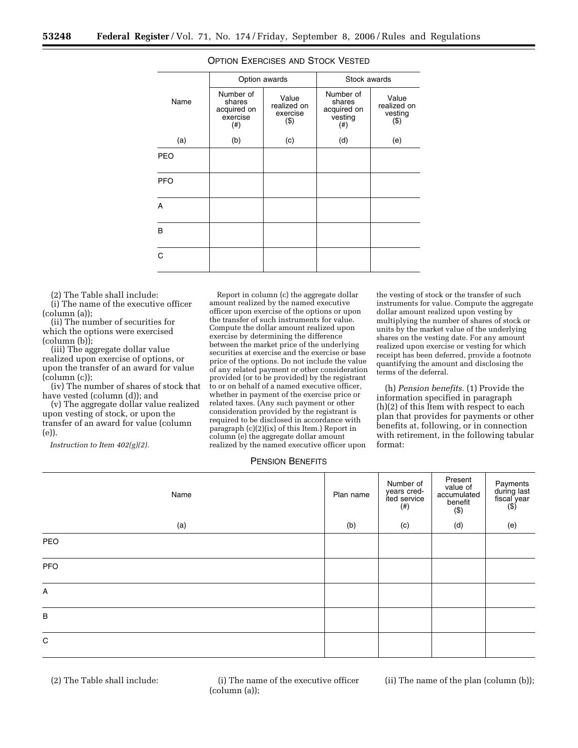|                                                        |                                         | Stock awards                                               |                                        |
|--------------------------------------------------------|-----------------------------------------|------------------------------------------------------------|----------------------------------------|
| Number of<br>shares<br>acquired on<br>exercise<br>(# ) | Value<br>realized on<br>exercise<br>(3) | Number of<br>shares<br>acquired on<br>vesting<br>$($ # $)$ | Value<br>realized on<br>vesting<br>(3) |
| (b)                                                    | (c)                                     | (d)                                                        | (e)                                    |
|                                                        |                                         |                                                            |                                        |
|                                                        |                                         |                                                            |                                        |
|                                                        |                                         |                                                            |                                        |
|                                                        |                                         |                                                            |                                        |
|                                                        |                                         |                                                            |                                        |
|                                                        |                                         | Option awards                                              |                                        |

OPTION EXERCISES AND STOCK VESTED

(2) The Table shall include:

(i) The name of the executive officer (column (a));

(ii) The number of securities for which the options were exercised (column (b));

(iii) The aggregate dollar value realized upon exercise of options, or upon the transfer of an award for value (column (c));

(iv) The number of shares of stock that have vested (column (d)); and

(v) The aggregate dollar value realized upon vesting of stock, or upon the transfer of an award for value (column (e)).

*Instruction to Item 402(g)(2).* 

Report in column (c) the aggregate dollar amount realized by the named executive officer upon exercise of the options or upon the transfer of such instruments for value. Compute the dollar amount realized upon exercise by determining the difference between the market price of the underlying securities at exercise and the exercise or base price of the options. Do not include the value of any related payment or other consideration provided (or to be provided) by the registrant to or on behalf of a named executive officer, whether in payment of the exercise price or related taxes. (Any such payment or other consideration provided by the registrant is required to be disclosed in accordance with paragraph (c)(2)(ix) of this Item.) Report in column (e) the aggregate dollar amount realized by the named executive officer upon

the vesting of stock or the transfer of such instruments for value. Compute the aggregate dollar amount realized upon vesting by multiplying the number of shares of stock or units by the market value of the underlying shares on the vesting date. For any amount realized upon exercise or vesting for which receipt has been deferred, provide a footnote quantifying the amount and disclosing the terms of the deferral.

(h) *Pension benefits.* (1) Provide the information specified in paragraph (h)(2) of this Item with respect to each plan that provides for payments or other benefits at, following, or in connection with retirement, in the following tabular format:

PENSION BENEFITS

| Name        | Plan name | Number of<br>years cred-<br>ited service<br>$(\#)$ | Present<br>value of<br>accumulated<br>benefit<br>$\overline{(\$)}$ | Payments<br>during last<br>fiscal year<br>(\$) |
|-------------|-----------|----------------------------------------------------|--------------------------------------------------------------------|------------------------------------------------|
| (a)         | (b)       | (c)                                                | (d)                                                                | (e)                                            |
| PEO         |           |                                                    |                                                                    |                                                |
| PFO         |           |                                                    |                                                                    |                                                |
| $\mathsf A$ |           |                                                    |                                                                    |                                                |
| $\sf B$     |           |                                                    |                                                                    |                                                |
| $\mathsf C$ |           |                                                    |                                                                    |                                                |

(2) The Table shall include: (i) The name of the executive officer (column (a));

(ii) The name of the plan (column (b));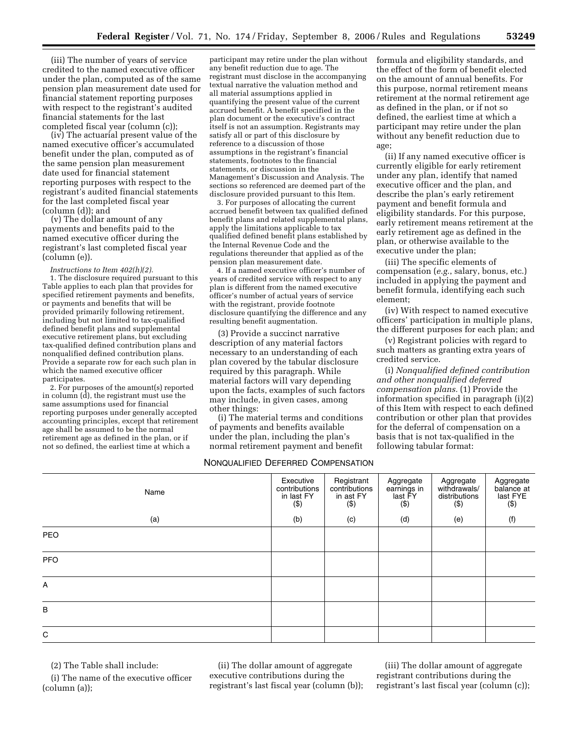(iii) The number of years of service credited to the named executive officer under the plan, computed as of the same pension plan measurement date used for financial statement reporting purposes with respect to the registrant's audited financial statements for the last completed fiscal year (column (c));

(iv) The actuarial present value of the named executive officer's accumulated benefit under the plan, computed as of the same pension plan measurement date used for financial statement reporting purposes with respect to the registrant's audited financial statements for the last completed fiscal year (column (d)); and

(v) The dollar amount of any payments and benefits paid to the named executive officer during the registrant's last completed fiscal year (column (e)).

*Instructions to Item 402(h)(2).*  1. The disclosure required pursuant to this Table applies to each plan that provides for specified retirement payments and benefits, or payments and benefits that will be provided primarily following retirement, including but not limited to tax-qualified defined benefit plans and supplemental executive retirement plans, but excluding tax-qualified defined contribution plans and nonqualified defined contribution plans. Provide a separate row for each such plan in which the named executive officer participates.

2. For purposes of the amount(s) reported in column (d), the registrant must use the same assumptions used for financial reporting purposes under generally accepted accounting principles, except that retirement age shall be assumed to be the normal retirement age as defined in the plan, or if not so defined, the earliest time at which a

participant may retire under the plan without any benefit reduction due to age. The registrant must disclose in the accompanying textual narrative the valuation method and all material assumptions applied in quantifying the present value of the current accrued benefit. A benefit specified in the plan document or the executive's contract itself is not an assumption. Registrants may satisfy all or part of this disclosure by reference to a discussion of those assumptions in the registrant's financial statements, footnotes to the financial statements, or discussion in the Management's Discussion and Analysis. The sections so referenced are deemed part of the disclosure provided pursuant to this Item.

3. For purposes of allocating the current accrued benefit between tax qualified defined benefit plans and related supplemental plans, apply the limitations applicable to tax qualified defined benefit plans established by the Internal Revenue Code and the regulations thereunder that applied as of the pension plan measurement date.

4. If a named executive officer's number of years of credited service with respect to any plan is different from the named executive officer's number of actual years of service with the registrant, provide footnote disclosure quantifying the difference and any resulting benefit augmentation.

(3) Provide a succinct narrative description of any material factors necessary to an understanding of each plan covered by the tabular disclosure required by this paragraph. While material factors will vary depending upon the facts, examples of such factors may include, in given cases, among other things:

(i) The material terms and conditions of payments and benefits available under the plan, including the plan's normal retirement payment and benefit

## NONQUALIFIED DEFERRED COMPENSATION

formula and eligibility standards, and the effect of the form of benefit elected on the amount of annual benefits. For this purpose, normal retirement means retirement at the normal retirement age as defined in the plan, or if not so defined, the earliest time at which a participant may retire under the plan without any benefit reduction due to age;

(ii) If any named executive officer is currently eligible for early retirement under any plan, identify that named executive officer and the plan, and describe the plan's early retirement payment and benefit formula and eligibility standards. For this purpose, early retirement means retirement at the early retirement age as defined in the plan, or otherwise available to the executive under the plan;

(iii) The specific elements of compensation (*e.g.*, salary, bonus, etc.) included in applying the payment and benefit formula, identifying each such element;

(iv) With respect to named executive officers' participation in multiple plans, the different purposes for each plan; and

(v) Registrant policies with regard to such matters as granting extra years of credited service.

(i) *Nonqualified defined contribution and other nonqualified deferred compensation plans.* (1) Provide the information specified in paragraph (i)(2) of this Item with respect to each defined contribution or other plan that provides for the deferral of compensation on a basis that is not tax-qualified in the following tabular format:

| Name       | Executive<br>contributions<br>in last FY<br>$($ \$) | Registrant<br>contributions<br>in ast FY<br>(3) | Aggregate<br>earnings in<br>last FY<br>(3) | Aggregate<br>/withdrawals<br>distributions<br>$($ \$) | Aggregate<br>balance at<br>last FYE<br>$(\$)$ |
|------------|-----------------------------------------------------|-------------------------------------------------|--------------------------------------------|-------------------------------------------------------|-----------------------------------------------|
| (a)        | (b)                                                 | (c)                                             | (d)                                        | (e)                                                   | (f)                                           |
| PEO        |                                                     |                                                 |                                            |                                                       |                                               |
| <b>PFO</b> |                                                     |                                                 |                                            |                                                       |                                               |
| А          |                                                     |                                                 |                                            |                                                       |                                               |
| В          |                                                     |                                                 |                                            |                                                       |                                               |
| C          |                                                     |                                                 |                                            |                                                       |                                               |

(2) The Table shall include:

(i) The name of the executive officer (column (a));

(ii) The dollar amount of aggregate executive contributions during the registrant's last fiscal year (column (b));

(iii) The dollar amount of aggregate registrant contributions during the registrant's last fiscal year (column (c));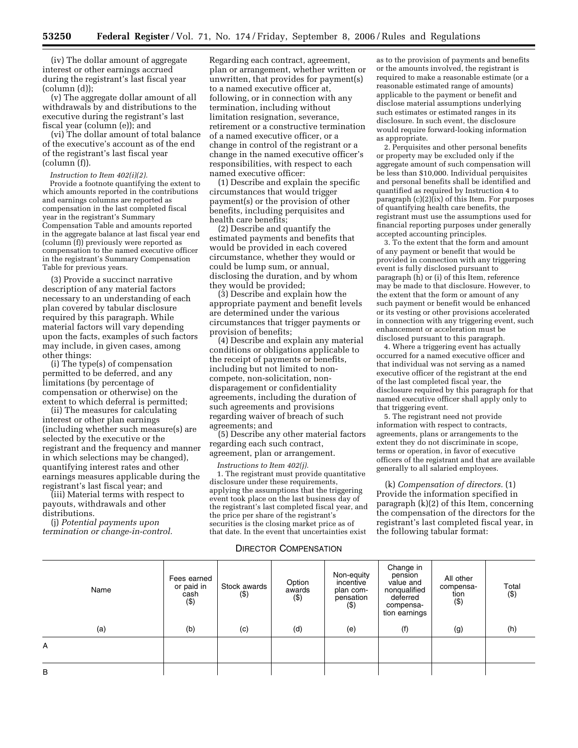(iv) The dollar amount of aggregate interest or other earnings accrued during the registrant's last fiscal year (column (d));

(v) The aggregate dollar amount of all withdrawals by and distributions to the executive during the registrant's last fiscal year (column (e)); and

(vi) The dollar amount of total balance of the executive's account as of the end of the registrant's last fiscal year (column (f)).

## *Instruction to Item 402(i)(2).*

Provide a footnote quantifying the extent to which amounts reported in the contributions and earnings columns are reported as compensation in the last completed fiscal year in the registrant's Summary Compensation Table and amounts reported in the aggregate balance at last fiscal year end (column (f)) previously were reported as compensation to the named executive officer in the registrant's Summary Compensation Table for previous years.

(3) Provide a succinct narrative description of any material factors necessary to an understanding of each plan covered by tabular disclosure required by this paragraph. While material factors will vary depending upon the facts, examples of such factors may include, in given cases, among other things:

(i) The type(s) of compensation permitted to be deferred, and any limitations (by percentage of compensation or otherwise) on the extent to which deferral is permitted;

(ii) The measures for calculating interest or other plan earnings (including whether such measure(s) are selected by the executive or the registrant and the frequency and manner in which selections may be changed), quantifying interest rates and other earnings measures applicable during the registrant's last fiscal year; and

(iii) Material terms with respect to payouts, withdrawals and other distributions.

(j) *Potential payments upon termination or change-in-control.* 

Regarding each contract, agreement, plan or arrangement, whether written or unwritten, that provides for payment(s) to a named executive officer at, following, or in connection with any termination, including without limitation resignation, severance, retirement or a constructive termination of a named executive officer, or a change in control of the registrant or a change in the named executive officer's responsibilities, with respect to each named executive officer:

(1) Describe and explain the specific circumstances that would trigger payment(s) or the provision of other benefits, including perquisites and health care benefits;

(2) Describe and quantify the estimated payments and benefits that would be provided in each covered circumstance, whether they would or could be lump sum, or annual, disclosing the duration, and by whom they would be provided;

(3) Describe and explain how the appropriate payment and benefit levels are determined under the various circumstances that trigger payments or provision of benefits;

(4) Describe and explain any material conditions or obligations applicable to the receipt of payments or benefits, including but not limited to noncompete, non-solicitation, nondisparagement or confidentiality agreements, including the duration of such agreements and provisions regarding waiver of breach of such agreements; and

(5) Describe any other material factors regarding each such contract, agreement, plan or arrangement.

## *Instructions to Item 402(j).*

1. The registrant must provide quantitative disclosure under these requirements, applying the assumptions that the triggering event took place on the last business day of the registrant's last completed fiscal year, and the price per share of the registrant's securities is the closing market price as of that date. In the event that uncertainties exist

as to the provision of payments and benefits or the amounts involved, the registrant is required to make a reasonable estimate (or a reasonable estimated range of amounts) applicable to the payment or benefit and disclose material assumptions underlying such estimates or estimated ranges in its disclosure. In such event, the disclosure would require forward-looking information as appropriate.

2. Perquisites and other personal benefits or property may be excluded only if the aggregate amount of such compensation will be less than \$10,000. Individual perquisites and personal benefits shall be identified and quantified as required by Instruction 4 to paragraph  $(c)(2)(ix)$  of this Item. For purposes of quantifying health care benefits, the registrant must use the assumptions used for financial reporting purposes under generally accepted accounting principles.

3. To the extent that the form and amount of any payment or benefit that would be provided in connection with any triggering event is fully disclosed pursuant to paragraph (h) or (i) of this Item, reference may be made to that disclosure. However, to the extent that the form or amount of any such payment or benefit would be enhanced or its vesting or other provisions accelerated in connection with any triggering event, such enhancement or acceleration must be disclosed pursuant to this paragraph.

4. Where a triggering event has actually occurred for a named executive officer and that individual was not serving as a named executive officer of the registrant at the end of the last completed fiscal year, the disclosure required by this paragraph for that named executive officer shall apply only to that triggering event.

5. The registrant need not provide information with respect to contracts, agreements, plans or arrangements to the extent they do not discriminate in scope, terms or operation, in favor of executive officers of the registrant and that are available generally to all salaried employees.

(k) *Compensation of directors.* (1) Provide the information specified in paragraph (k)(2) of this Item, concerning the compensation of the directors for the registrant's last completed fiscal year, in the following tabular format:

### DIRECTOR COMPENSATION

| Name | Fees earned<br>or paid in<br>cash<br>( \$ ) | Stock awards<br>$($ \$) | Option<br>awards<br>$($ \$) | Non-equity<br>incentive<br>plan com-<br>pensation<br>(3) | Change in<br>pension<br>value and<br>nonqualified<br>deferred<br>compensa-<br>tion earnings | All other<br>compensa-<br>tion<br>(3) | Total<br>(\$) |
|------|---------------------------------------------|-------------------------|-----------------------------|----------------------------------------------------------|---------------------------------------------------------------------------------------------|---------------------------------------|---------------|
| (a)  | (b)                                         | (c)                     | (d)                         | (e)                                                      | (f)                                                                                         | (g)                                   | (h)           |
| A    |                                             |                         |                             |                                                          |                                                                                             |                                       |               |
| В    |                                             |                         |                             |                                                          |                                                                                             |                                       |               |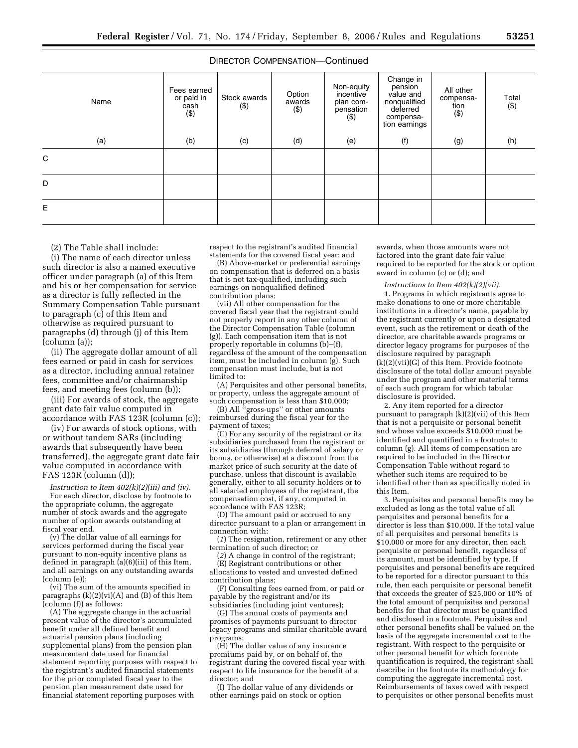| Name | Fees earned<br>or paid in<br>cash<br>(3) | Stock awards<br>(3) | Option<br>awards<br>(3) | Non-equity<br>incentive<br>plan com-<br>pensation<br>$($ \$) | Change in<br>pension<br>value and<br>nonqualified<br>deferred<br>compensa-<br>tion earnings | All other<br>compensa-<br>$\lim_{x\to 0}$ | Total<br>$($ \$) |
|------|------------------------------------------|---------------------|-------------------------|--------------------------------------------------------------|---------------------------------------------------------------------------------------------|-------------------------------------------|------------------|
| (a)  | (b)                                      | (c)                 | (d)                     | (e)                                                          | (f)                                                                                         | (g)                                       | (h)              |
| C    |                                          |                     |                         |                                                              |                                                                                             |                                           |                  |
| D    |                                          |                     |                         |                                                              |                                                                                             |                                           |                  |
| E    |                                          |                     |                         |                                                              |                                                                                             |                                           |                  |

## DIRECTOR COMPENSATION—Continued

(2) The Table shall include:

(i) The name of each director unless such director is also a named executive officer under paragraph (a) of this Item and his or her compensation for service as a director is fully reflected in the Summary Compensation Table pursuant to paragraph (c) of this Item and otherwise as required pursuant to paragraphs (d) through (j) of this Item (column (a));

(ii) The aggregate dollar amount of all fees earned or paid in cash for services as a director, including annual retainer fees, committee and/or chairmanship fees, and meeting fees (column (b));

(iii) For awards of stock, the aggregate grant date fair value computed in accordance with FAS 123R (column (c));

(iv) For awards of stock options, with or without tandem SARs (including awards that subsequently have been transferred), the aggregate grant date fair value computed in accordance with FAS 123R (column (d));

*Instruction to Item 402(k)(2)(iii) and (iv).*  For each director, disclose by footnote to the appropriate column, the aggregate number of stock awards and the aggregate number of option awards outstanding at fiscal year end.

(v) The dollar value of all earnings for services performed during the fiscal year pursuant to non-equity incentive plans as defined in paragraph (a)(6)(iii) of this Item, and all earnings on any outstanding awards (column (e));

(vi) The sum of the amounts specified in paragraphs  $(k)(2)(vi)(A)$  and  $(B)$  of this Item (column (f)) as follows:

(A) The aggregate change in the actuarial present value of the director's accumulated benefit under all defined benefit and actuarial pension plans (including supplemental plans) from the pension plan measurement date used for financial statement reporting purposes with respect to the registrant's audited financial statements for the prior completed fiscal year to the pension plan measurement date used for financial statement reporting purposes with

respect to the registrant's audited financial statements for the covered fiscal year; and

(B) Above-market or preferential earnings on compensation that is deferred on a basis that is not tax-qualified, including such earnings on nonqualified defined contribution plans;

(vii) All other compensation for the covered fiscal year that the registrant could not properly report in any other column of the Director Compensation Table (column (g)). Each compensation item that is not properly reportable in columns (b)–(f), regardless of the amount of the compensation item, must be included in column (g). Such compensation must include, but is not limited to:

(A) Perquisites and other personal benefits, or property, unless the aggregate amount of such compensation is less than \$10,000;

(B) All ''gross-ups'' or other amounts reimbursed during the fiscal year for the payment of taxes;

(C) For any security of the registrant or its subsidiaries purchased from the registrant or its subsidiaries (through deferral of salary or bonus, or otherwise) at a discount from the market price of such security at the date of purchase, unless that discount is available generally, either to all security holders or to all salaried employees of the registrant, the compensation cost, if any, computed in accordance with FAS 123R;

(D) The amount paid or accrued to any director pursuant to a plan or arrangement in connection with:

(*1*) The resignation, retirement or any other termination of such director; or

(*2*) A change in control of the registrant; (E) Registrant contributions or other allocations to vested and unvested defined

contribution plans; (F) Consulting fees earned from, or paid or payable by the registrant and/or its subsidiaries (including joint ventures);

(G) The annual costs of payments and promises of payments pursuant to director legacy programs and similar charitable award programs;

(H) The dollar value of any insurance premiums paid by, or on behalf of, the registrant during the covered fiscal year with respect to life insurance for the benefit of a director; and

(I) The dollar value of any dividends or other earnings paid on stock or option

awards, when those amounts were not factored into the grant date fair value required to be reported for the stock or option award in column (c) or (d); and

#### *Instructions to Item 402(k)(2)(vii).*

1. Programs in which registrants agree to make donations to one or more charitable institutions in a director's name, payable by the registrant currently or upon a designated event, such as the retirement or death of the director, are charitable awards programs or director legacy programs for purposes of the disclosure required by paragraph (k)(2)(vii)(G) of this Item. Provide footnote disclosure of the total dollar amount payable under the program and other material terms of each such program for which tabular disclosure is provided.

2. Any item reported for a director pursuant to paragraph (k)(2)(vii) of this Item that is not a perquisite or personal benefit and whose value exceeds \$10,000 must be identified and quantified in a footnote to column (g). All items of compensation are required to be included in the Director Compensation Table without regard to whether such items are required to be identified other than as specifically noted in this Item.

3. Perquisites and personal benefits may be excluded as long as the total value of all perquisites and personal benefits for a director is less than \$10,000. If the total value of all perquisites and personal benefits is \$10,000 or more for any director, then each perquisite or personal benefit, regardless of its amount, must be identified by type. If perquisites and personal benefits are required to be reported for a director pursuant to this rule, then each perquisite or personal benefit that exceeds the greater of \$25,000 or 10% of the total amount of perquisites and personal benefits for that director must be quantified and disclosed in a footnote. Perquisites and other personal benefits shall be valued on the basis of the aggregate incremental cost to the registrant. With respect to the perquisite or other personal benefit for which footnote quantification is required, the registrant shall describe in the footnote its methodology for computing the aggregate incremental cost. Reimbursements of taxes owed with respect to perquisites or other personal benefits must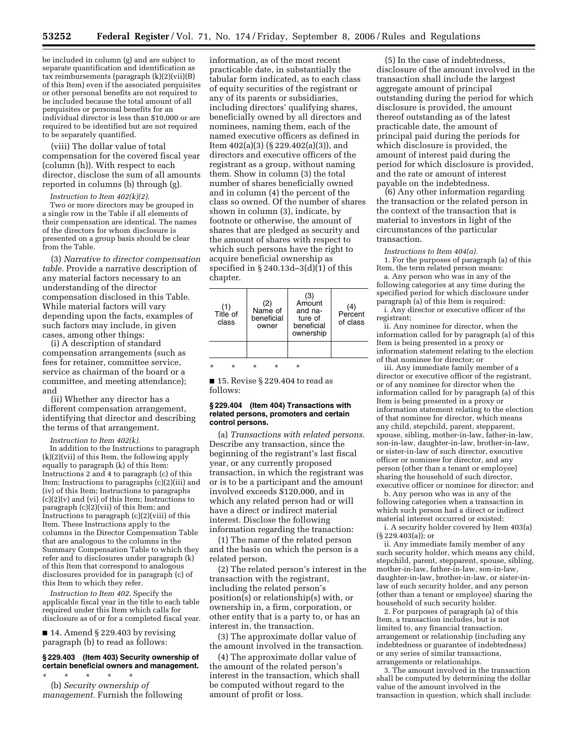be included in column (g) and are subject to separate quantification and identification as tax reimbursements (paragraph (k)(2)(vii)(B) of this Item) even if the associated perquisites or other personal benefits are not required to be included because the total amount of all perquisites or personal benefits for an individual director is less than \$10,000 or are required to be identified but are not required to be separately quantified.

(viii) The dollar value of total compensation for the covered fiscal year (column (h)). With respect to each director, disclose the sum of all amounts reported in columns (b) through (g).

*Instruction to Item 402(k)(2).* 

Two or more directors may be grouped in a single row in the Table if all elements of their compensation are identical. The names of the directors for whom disclosure is presented on a group basis should be clear from the Table.

(3) *Narrative to director compensation table.* Provide a narrative description of any material factors necessary to an understanding of the director compensation disclosed in this Table. While material factors will vary depending upon the facts, examples of such factors may include, in given cases, among other things:

(i) A description of standard compensation arrangements (such as fees for retainer, committee service, service as chairman of the board or a committee, and meeting attendance); and

(ii) Whether any director has a different compensation arrangement, identifying that director and describing the terms of that arrangement.

*Instruction to Item 402(k).* 

In addition to the Instructions to paragraph (k)(2)(vii) of this Item, the following apply equally to paragraph (k) of this Item: Instructions 2 and 4 to paragraph (c) of this Item; Instructions to paragraphs (c)(2)(iii) and (iv) of this Item; Instructions to paragraphs  $(c)(2)(v)$  and  $(vi)$  of this Item; Instructions to paragraph (c)(2)(vii) of this Item; and Instructions to paragraph (c)(2)(viii) of this Item. These Instructions apply to the columns in the Director Compensation Table that are analogous to the columns in the Summary Compensation Table to which they refer and to disclosures under paragraph (k) of this Item that correspond to analogous disclosures provided for in paragraph (c) of this Item to which they refer.

*Instruction to Item 402.* Specify the applicable fiscal year in the title to each table required under this Item which calls for disclosure as of or for a completed fiscal year.

 $\blacksquare$  14. Amend § 229.403 by revising paragraph (b) to read as follows:

## **§ 229.403 (Item 403) Security ownership of certain beneficial owners and management.**

\* \* \* \* \* (b) *Security ownership of management.* Furnish the following information, as of the most recent practicable date, in substantially the tabular form indicated, as to each class of equity securities of the registrant or any of its parents or subsidiaries, including directors' qualifying shares, beneficially owned by all directors and nominees, naming them, each of the named executive officers as defined in Item 402(a)(3) (§ 229.402(a)(3)), and directors and executive officers of the registrant as a group, without naming them. Show in column (3) the total number of shares beneficially owned and in column (4) the percent of the class so owned. Of the number of shares shown in column (3), indicate, by footnote or otherwise, the amount of shares that are pledged as security and the amount of shares with respect to which such persons have the right to acquire beneficial ownership as specified in § 240.13d–3(d)(1) of this chapter.

| (1)<br>Title of<br>class | (2)<br>Name of<br>beneficial<br>owner | (3)<br>Amount<br>and na-<br>ture of<br>beneficial<br>ownership | (4)<br>Percent<br>of class |  |
|--------------------------|---------------------------------------|----------------------------------------------------------------|----------------------------|--|
|                          |                                       |                                                                |                            |  |

■ 15. Revise § 229.404 to read as follows:

\* \* \* \* \*

#### **§ 229.404 (Item 404) Transactions with related persons, promoters and certain control persons.**

(a) *Transactions with related persons.*  Describe any transaction, since the beginning of the registrant's last fiscal year, or any currently proposed transaction, in which the registrant was or is to be a participant and the amount involved exceeds \$120,000, and in which any related person had or will have a direct or indirect material interest. Disclose the following information regarding the tranaction:

(1) The name of the related person and the basis on which the person is a related person.

(2) The related person's interest in the transaction with the registrant, including the related person's position(s) or relationship(s) with, or ownership in, a firm, corporation, or other entity that is a party to, or has an interest in, the transaction.

(3) The approximate dollar value of the amount involved in the transaction.

(4) The approximate dollar value of the amount of the related person's interest in the transaction, which shall be computed without regard to the amount of profit or loss.

(5) In the case of indebtedness, disclosure of the amount involved in the transaction shall include the largest aggregate amount of principal outstanding during the period for which disclosure is provided, the amount thereof outstanding as of the latest practicable date, the amount of principal paid during the periods for which disclosure is provided, the amount of interest paid during the period for which disclosure is provided, and the rate or amount of interest payable on the indebtedness.

(6) Any other information regarding the transaction or the related person in the context of the transaction that is material to investors in light of the circumstances of the particular transaction.

*Instructions to Item 404(a).*  1. For the purposes of paragraph (a) of this Item, the term related person means:

a. Any person who was in any of the following categories at any time during the specified period for which disclosure under paragraph (a) of this Item is required:

i. Any director or executive officer of the registrant;

ii. Any nominee for director, when the information called for by paragraph (a) of this Item is being presented in a proxy or information statement relating to the election of that nominee for director; or

iii. Any immediate family member of a director or executive officer of the registrant, or of any nominee for director when the information called for by paragraph (a) of this Item is being presented in a proxy or information statement relating to the election of that nominee for director, which means any child, stepchild, parent, stepparent, spouse, sibling, mother-in-law, father-in-law, son-in-law, daughter-in-law, brother-in-law, or sister-in-law of such director, executive officer or nominee for director, and any person (other than a tenant or employee) sharing the household of such director, executive officer or nominee for director; and

b. Any person who was in any of the following categories when a transaction in which such person had a direct or indirect material interest occurred or existed:

i. A security holder covered by Item 403(a) (§ 229.403(a)); or

ii. Any immediate family member of any such security holder, which means any child, stepchild, parent, stepparent, spouse, sibling, mother-in-law, father-in-law, son-in-law, daughter-in-law, brother-in-law, or sister-inlaw of such security holder, and any person (other than a tenant or employee) sharing the household of such security holder.

2. For purposes of paragraph (a) of this Item, a transaction includes, but is not limited to, any financial transaction, arrangement or relationship (including any indebtedness or guarantee of indebtedness) or any series of similar transactions, arrangements or relationships.

3. The amount involved in the transaction shall be computed by determining the dollar value of the amount involved in the transaction in question, which shall include: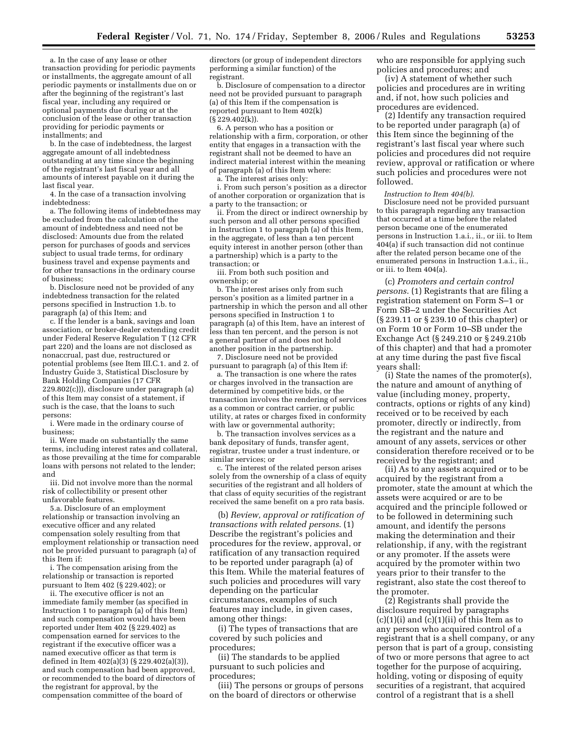a. In the case of any lease or other transaction providing for periodic payments or installments, the aggregate amount of all periodic payments or installments due on or after the beginning of the registrant's last fiscal year, including any required or optional payments due during or at the conclusion of the lease or other transaction providing for periodic payments or installments; and

b. In the case of indebtedness, the largest aggregate amount of all indebtedness outstanding at any time since the beginning of the registrant's last fiscal year and all amounts of interest payable on it during the last fiscal year.

4. In the case of a transaction involving indebtedness:

a. The following items of indebtedness may be excluded from the calculation of the amount of indebtedness and need not be disclosed: Amounts due from the related person for purchases of goods and services subject to usual trade terms, for ordinary business travel and expense payments and for other transactions in the ordinary course of business;

b. Disclosure need not be provided of any indebtedness transaction for the related persons specified in Instruction 1.b. to paragraph (a) of this Item; and

c. If the lender is a bank, savings and loan association, or broker-dealer extending credit under Federal Reserve Regulation T (12 CFR part 220) and the loans are not disclosed as nonaccrual, past due, restructured or potential problems (see Item III.C.1. and 2. of Industry Guide 3, Statistical Disclosure by Bank Holding Companies (17 CFR 229.802(c))), disclosure under paragraph (a) of this Item may consist of a statement, if such is the case, that the loans to such persons:

i. Were made in the ordinary course of business;

ii. Were made on substantially the same terms, including interest rates and collateral, as those prevailing at the time for comparable loans with persons not related to the lender; and

iii. Did not involve more than the normal risk of collectibility or present other unfavorable features.

5.a. Disclosure of an employment relationship or transaction involving an executive officer and any related compensation solely resulting from that employment relationship or transaction need not be provided pursuant to paragraph (a) of this Item if:

i. The compensation arising from the relationship or transaction is reported pursuant to Item 402 (§ 229.402); or

ii. The executive officer is not an immediate family member (as specified in Instruction 1 to paragraph (a) of this Item) and such compensation would have been reported under Item 402 (§ 229.402) as compensation earned for services to the registrant if the executive officer was a named executive officer as that term is defined in Item 402(a)(3) (§ 229.402(a)(3)), and such compensation had been approved, or recommended to the board of directors of the registrant for approval, by the compensation committee of the board of

directors (or group of independent directors performing a similar function) of the registrant.

b. Disclosure of compensation to a director need not be provided pursuant to paragraph (a) of this Item if the compensation is reported pursuant to Item 402(k) (§ 229.402(k)).

6. A person who has a position or relationship with a firm, corporation, or other entity that engages in a transaction with the registrant shall not be deemed to have an indirect material interest within the meaning of paragraph (a) of this Item where:

a. The interest arises only:

i. From such person's position as a director of another corporation or organization that is a party to the transaction; or

ii. From the direct or indirect ownership by such person and all other persons specified in Instruction 1 to paragraph (a) of this Item, in the aggregate, of less than a ten percent equity interest in another person (other than a partnership) which is a party to the transaction; or

iii. From both such position and ownership; or

b. The interest arises only from such person's position as a limited partner in a partnership in which the person and all other persons specified in Instruction 1 to paragraph (a) of this Item, have an interest of less than ten percent, and the person is not a general partner of and does not hold another position in the partnership.

7. Disclosure need not be provided pursuant to paragraph (a) of this Item if:

a. The transaction is one where the rates or charges involved in the transaction are determined by competitive bids, or the transaction involves the rendering of services as a common or contract carrier, or public utility, at rates or charges fixed in conformity with law or governmental authority;

b. The transaction involves services as a bank depositary of funds, transfer agent, registrar, trustee under a trust indenture, or similar services; or

c. The interest of the related person arises solely from the ownership of a class of equity securities of the registrant and all holders of that class of equity securities of the registrant received the same benefit on a pro rata basis.

(b) *Review, approval or ratification of transactions with related persons*. (1) Describe the registrant's policies and procedures for the review, approval, or ratification of any transaction required to be reported under paragraph (a) of this Item. While the material features of such policies and procedures will vary depending on the particular circumstances, examples of such features may include, in given cases, among other things:

(i) The types of transactions that are covered by such policies and procedures;

(ii) The standards to be applied pursuant to such policies and procedures;

(iii) The persons or groups of persons on the board of directors or otherwise

who are responsible for applying such policies and procedures; and

(iv) A statement of whether such policies and procedures are in writing and, if not, how such policies and procedures are evidenced.

(2) Identify any transaction required to be reported under paragraph (a) of this Item since the beginning of the registrant's last fiscal year where such policies and procedures did not require review, approval or ratification or where such policies and procedures were not followed.

*Instruction to Item 404(b)*.

Disclosure need not be provided pursuant to this paragraph regarding any transaction that occurred at a time before the related person became one of the enumerated persons in Instruction 1.a.i., ii., or iii. to Item 404(a) if such transaction did not continue after the related person became one of the enumerated persons in Instruction 1.a.i., ii., or iii. to Item 404(a).

(c) *Promoters and certain control persons*. (1) Registrants that are filing a registration statement on Form S–1 or Form SB–2 under the Securities Act (§ 239.11 or § 239.10 of this chapter) or on Form 10 or Form 10–SB under the Exchange Act (§ 249.210 or § 249.210b of this chapter) and that had a promoter at any time during the past five fiscal years shall:

(i) State the names of the promoter(s), the nature and amount of anything of value (including money, property, contracts, options or rights of any kind) received or to be received by each promoter, directly or indirectly, from the registrant and the nature and amount of any assets, services or other consideration therefore received or to be received by the registrant; and

(ii) As to any assets acquired or to be acquired by the registrant from a promoter, state the amount at which the assets were acquired or are to be acquired and the principle followed or to be followed in determining such amount, and identify the persons making the determination and their relationship, if any, with the registrant or any promoter. If the assets were acquired by the promoter within two years prior to their transfer to the registrant, also state the cost thereof to the promoter.

(2) Registrants shall provide the disclosure required by paragraphs  $(c)(1)(i)$  and  $(c)(1)(ii)$  of this Item as to any person who acquired control of a registrant that is a shell company, or any person that is part of a group, consisting of two or more persons that agree to act together for the purpose of acquiring, holding, voting or disposing of equity securities of a registrant, that acquired control of a registrant that is a shell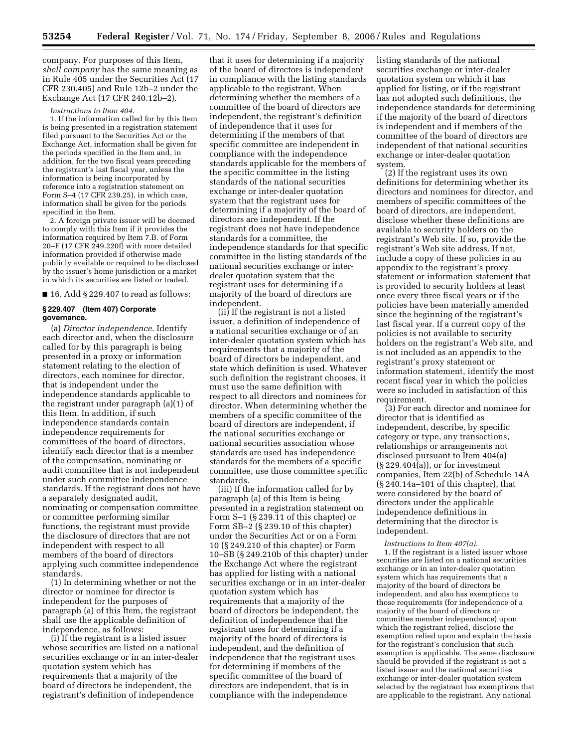company. For purposes of this Item, *shell company* has the same meaning as in Rule 405 under the Securities Act (17 CFR 230.405) and Rule 12b–2 under the Exchange Act (17 CFR 240.12b–2).

#### *Instructions to Item 404*.

1. If the information called for by this Item is being presented in a registration statement filed pursuant to the Securities Act or the Exchange Act, information shall be given for the periods specified in the Item and, in addition, for the two fiscal years preceding the registrant's last fiscal year, unless the information is being incorporated by reference into a registration statement on Form S–4 (17 CFR 239.25), in which case, information shall be given for the periods specified in the Item.

2. A foreign private issuer will be deemed to comply with this Item if it provides the information required by Item 7.B. of Form 20–F (17 CFR 249.220f) with more detailed information provided if otherwise made publicly available or required to be disclosed by the issuer's home jurisdiction or a market in which its securities are listed or traded.

 $\blacksquare$  16. Add § 229.407 to read as follows:

### **§ 229.407 (Item 407) Corporate governance.**

(a) *Director independence*. Identify each director and, when the disclosure called for by this paragraph is being presented in a proxy or information statement relating to the election of directors, each nominee for director, that is independent under the independence standards applicable to the registrant under paragraph (a)(1) of this Item. In addition, if such independence standards contain independence requirements for committees of the board of directors, identify each director that is a member of the compensation, nominating or audit committee that is not independent under such committee independence standards. If the registrant does not have a separately designated audit, nominating or compensation committee or committee performing similar functions, the registrant must provide the disclosure of directors that are not independent with respect to all members of the board of directors applying such committee independence standards.

(1) In determining whether or not the director or nominee for director is independent for the purposes of paragraph (a) of this Item, the registrant shall use the applicable definition of independence, as follows:

(i) If the registrant is a listed issuer whose securities are listed on a national securities exchange or in an inter-dealer quotation system which has requirements that a majority of the board of directors be independent, the registrant's definition of independence

that it uses for determining if a majority of the board of directors is independent in compliance with the listing standards applicable to the registrant. When determining whether the members of a committee of the board of directors are independent, the registrant's definition of independence that it uses for determining if the members of that specific committee are independent in compliance with the independence standards applicable for the members of the specific committee in the listing standards of the national securities exchange or inter-dealer quotation system that the registrant uses for determining if a majority of the board of directors are independent. If the registrant does not have independence standards for a committee, the independence standards for that specific committee in the listing standards of the national securities exchange or interdealer quotation system that the registrant uses for determining if a majority of the board of directors are independent.

(ii) If the registrant is not a listed issuer, a definition of independence of a national securities exchange or of an inter-dealer quotation system which has requirements that a majority of the board of directors be independent, and state which definition is used. Whatever such definition the registrant chooses, it must use the same definition with respect to all directors and nominees for director. When determining whether the members of a specific committee of the board of directors are independent, if the national securities exchange or national securities association whose standards are used has independence standards for the members of a specific committee, use those committee specific standards.

(iii) If the information called for by paragraph (a) of this Item is being presented in a registration statement on Form S–1 (§ 239.11 of this chapter) or Form SB–2 (§ 239.10 of this chapter) under the Securities Act or on a Form 10 (§ 249.210 of this chapter) or Form 10–SB (§ 249.210b of this chapter) under the Exchange Act where the registrant has applied for listing with a national securities exchange or in an inter-dealer quotation system which has requirements that a majority of the board of directors be independent, the definition of independence that the registrant uses for determining if a majority of the board of directors is independent, and the definition of independence that the registrant uses for determining if members of the specific committee of the board of directors are independent, that is in compliance with the independence

listing standards of the national securities exchange or inter-dealer quotation system on which it has applied for listing, or if the registrant has not adopted such definitions, the independence standards for determining if the majority of the board of directors is independent and if members of the committee of the board of directors are independent of that national securities exchange or inter-dealer quotation system.

(2) If the registrant uses its own definitions for determining whether its directors and nominees for director, and members of specific committees of the board of directors, are independent, disclose whether these definitions are available to security holders on the registrant's Web site. If so, provide the registrant's Web site address. If not, include a copy of these policies in an appendix to the registrant's proxy statement or information statement that is provided to security holders at least once every three fiscal years or if the policies have been materially amended since the beginning of the registrant's last fiscal year. If a current copy of the policies is not available to security holders on the registrant's Web site, and is not included as an appendix to the registrant's proxy statement or information statement, identify the most recent fiscal year in which the policies were so included in satisfaction of this requirement.

(3) For each director and nominee for director that is identified as independent, describe, by specific category or type, any transactions, relationships or arrangements not disclosed pursuant to Item 404(a) (§ 229.404(a)), or for investment companies, Item 22(b) of Schedule 14A (§ 240.14a–101 of this chapter), that were considered by the board of directors under the applicable independence definitions in determining that the director is independent.

## *Instructions to Item 407(a)*.

1. If the registrant is a listed issuer whose securities are listed on a national securities exchange or in an inter-dealer quotation system which has requirements that a majority of the board of directors be independent, and also has exemptions to those requirements (for independence of a majority of the board of directors or committee member independence) upon which the registrant relied, disclose the exemption relied upon and explain the basis for the registrant's conclusion that such exemption is applicable. The same disclosure should be provided if the registrant is not a listed issuer and the national securities exchange or inter-dealer quotation system selected by the registrant has exemptions that are applicable to the registrant. Any national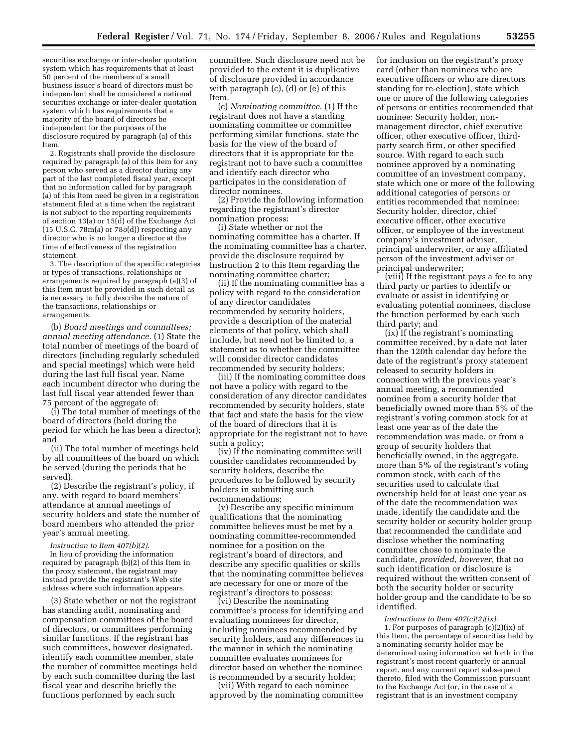securities exchange or inter-dealer quotation system which has requirements that at least 50 percent of the members of a small business issuer's board of directors must be independent shall be considered a national securities exchange or inter-dealer quotation system which has requirements that a majority of the board of directors be independent for the purposes of the disclosure required by paragraph (a) of this Item.

2. Registrants shall provide the disclosure required by paragraph (a) of this Item for any person who served as a director during any part of the last completed fiscal year, except that no information called for by paragraph (a) of this Item need be given in a registration statement filed at a time when the registrant is not subject to the reporting requirements of section 13(a) or 15(d) of the Exchange Act (15 U.S.C. 78m(a) or 78*o*(d)) respecting any director who is no longer a director at the time of effectiveness of the registration statement.

3. The description of the specific categories or types of transactions, relationships or arrangements required by paragraph (a)(3) of this Item must be provided in such detail as is necessary to fully describe the nature of the transactions, relationships or arrangements.

(b) *Board meetings and committees; annual meeting attendance*. (1) State the total number of meetings of the board of directors (including regularly scheduled and special meetings) which were held during the last full fiscal year. Name each incumbent director who during the last full fiscal year attended fewer than 75 percent of the aggregate of:

(i) The total number of meetings of the board of directors (held during the period for which he has been a director); and

(ii) The total number of meetings held by all committees of the board on which he served (during the periods that he served).

(2) Describe the registrant's policy, if any, with regard to board members' attendance at annual meetings of security holders and state the number of board members who attended the prior year's annual meeting.

*Instruction to Item 407(b)(2)*. In lieu of providing the information required by paragraph (b)(2) of this Item in the proxy statement, the registrant may instead provide the registrant's Web site address where such information appears.

(3) State whether or not the registrant has standing audit, nominating and compensation committees of the board of directors, or committees performing similar functions. If the registrant has such committees, however designated, identify each committee member, state the number of committee meetings held by each such committee during the last fiscal year and describe briefly the functions performed by each such

committee. Such disclosure need not be provided to the extent it is duplicative of disclosure provided in accordance with paragraph (c), (d) or (e) of this Item.

(c) *Nominating committee*. (1) If the registrant does not have a standing nominating committee or committee performing similar functions, state the basis for the view of the board of directors that it is appropriate for the registrant not to have such a committee and identify each director who participates in the consideration of director nominees.

(2) Provide the following information regarding the registrant's director nomination process:

(i) State whether or not the nominating committee has a charter. If the nominating committee has a charter, provide the disclosure required by Instruction 2 to this Item regarding the nominating committee charter;

(ii) If the nominating committee has a policy with regard to the consideration of any director candidates recommended by security holders, provide a description of the material elements of that policy, which shall include, but need not be limited to, a statement as to whether the committee will consider director candidates recommended by security holders;

(iii) If the nominating committee does not have a policy with regard to the consideration of any director candidates recommended by security holders, state that fact and state the basis for the view of the board of directors that it is appropriate for the registrant not to have such a policy;

(iv) If the nominating committee will consider candidates recommended by security holders, describe the procedures to be followed by security holders in submitting such recommendations;

(v) Describe any specific minimum qualifications that the nominating committee believes must be met by a nominating committee-recommended nominee for a position on the registrant's board of directors, and describe any specific qualities or skills that the nominating committee believes are necessary for one or more of the registrant's directors to possess;

(vi) Describe the nominating committee's process for identifying and evaluating nominees for director, including nominees recommended by security holders, and any differences in the manner in which the nominating committee evaluates nominees for director based on whether the nominee is recommended by a security holder;

(vii) With regard to each nominee approved by the nominating committee for inclusion on the registrant's proxy card (other than nominees who are executive officers or who are directors standing for re-election), state which one or more of the following categories of persons or entities recommended that nominee: Security holder, nonmanagement director, chief executive officer, other executive officer, thirdparty search firm, or other specified source. With regard to each such nominee approved by a nominating committee of an investment company, state which one or more of the following additional categories of persons or entities recommended that nominee: Security holder, director, chief executive officer, other executive officer, or employee of the investment company's investment adviser, principal underwriter, or any affiliated person of the investment adviser or principal underwriter;

(viii) If the registrant pays a fee to any third party or parties to identify or evaluate or assist in identifying or evaluating potential nominees, disclose the function performed by each such third party; and

(ix) If the registrant's nominating committee received, by a date not later than the 120th calendar day before the date of the registrant's proxy statement released to security holders in connection with the previous year's annual meeting, a recommended nominee from a security holder that beneficially owned more than 5% of the registrant's voting common stock for at least one year as of the date the recommendation was made, or from a group of security holders that beneficially owned, in the aggregate, more than 5% of the registrant's voting common stock, with each of the securities used to calculate that ownership held for at least one year as of the date the recommendation was made, identify the candidate and the security holder or security holder group that recommended the candidate and disclose whether the nominating committee chose to nominate the candidate, *provided, however,* that no such identification or disclosure is required without the written consent of both the security holder or security holder group and the candidate to be so identified.

#### *Instructions to Item 407(c)(2)(ix).*

1. For purposes of paragraph (c)(2)(ix) of this Item, the percentage of securities held by a nominating security holder may be determined using information set forth in the registrant's most recent quarterly or annual report, and any current report subsequent thereto, filed with the Commission pursuant to the Exchange Act (or, in the case of a registrant that is an investment company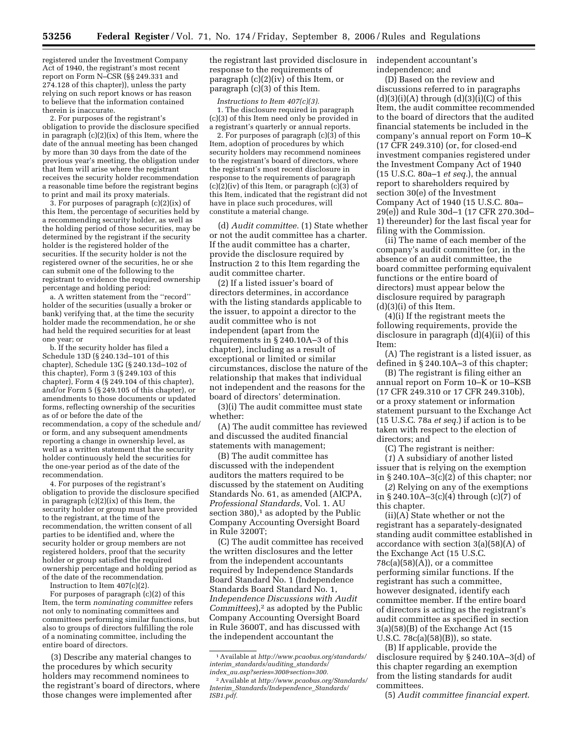registered under the Investment Company Act of 1940, the registrant's most recent report on Form N–CSR (§§ 249.331 and 274.128 of this chapter)), unless the party relying on such report knows or has reason to believe that the information contained therein is inaccurate.

2. For purposes of the registrant's obligation to provide the disclosure specified in paragraph (c)(2)(ix) of this Item, where the date of the annual meeting has been changed by more than 30 days from the date of the previous year's meeting, the obligation under that Item will arise where the registrant receives the security holder recommendation a reasonable time before the registrant begins to print and mail its proxy materials.

3. For purposes of paragraph (c)(2)(ix) of this Item, the percentage of securities held by a recommending security holder, as well as the holding period of those securities, may be determined by the registrant if the security holder is the registered holder of the securities. If the security holder is not the registered owner of the securities, he or she can submit one of the following to the registrant to evidence the required ownership percentage and holding period:

a. A written statement from the ''record'' holder of the securities (usually a broker or bank) verifying that, at the time the security holder made the recommendation, he or she had held the required securities for at least one year; or

b. If the security holder has filed a Schedule 13D (§ 240.13d–101 of this chapter), Schedule 13G (§ 240.13d–102 of this chapter), Form 3 (§ 249.103 of this chapter), Form 4 (§ 249.104 of this chapter), and/or Form 5 (§ 249.105 of this chapter), or amendments to those documents or updated forms, reflecting ownership of the securities as of or before the date of the recommendation, a copy of the schedule and/ or form, and any subsequent amendments reporting a change in ownership level, as well as a written statement that the security holder continuously held the securities for the one-year period as of the date of the recommendation.

4. For purposes of the registrant's obligation to provide the disclosure specified in paragraph  $(c)(2)(ix)$  of this Item, the security holder or group must have provided to the registrant, at the time of the recommendation, the written consent of all parties to be identified and, where the security holder or group members are not registered holders, proof that the security holder or group satisfied the required ownership percentage and holding period as of the date of the recommendation.

Instruction to Item 407(c)(2).

For purposes of paragraph (c)(2) of this Item, the term *nominating committee* refers not only to nominating committees and committees performing similar functions, but also to groups of directors fulfilling the role of a nominating committee, including the entire board of directors.

(3) Describe any material changes to the procedures by which security holders may recommend nominees to the registrant's board of directors, where those changes were implemented after

the registrant last provided disclosure in response to the requirements of paragraph (c)(2)(iv) of this Item, or paragraph (c)(3) of this Item.

*Instructions to Item 407(c)(3).*  1. The disclosure required in paragraph (c)(3) of this Item need only be provided in

a registrant's quarterly or annual reports. 2. For purposes of paragraph (c)(3) of this Item, adoption of procedures by which security holders may recommend nominees to the registrant's board of directors, where the registrant's most recent disclosure in response to the requirements of paragraph  $(c)(2)(iv)$  of this Item, or paragraph  $(c)(3)$  of this Item, indicated that the registrant did not have in place such procedures, will constitute a material change.

(d) *Audit committee.* (1) State whether or not the audit committee has a charter. If the audit committee has a charter, provide the disclosure required by Instruction 2 to this Item regarding the audit committee charter.

(2) If a listed issuer's board of directors determines, in accordance with the listing standards applicable to the issuer, to appoint a director to the audit committee who is not independent (apart from the requirements in § 240.10A–3 of this chapter), including as a result of exceptional or limited or similar circumstances, disclose the nature of the relationship that makes that individual not independent and the reasons for the board of directors' determination.

(3)(i) The audit committee must state whether:

(A) The audit committee has reviewed and discussed the audited financial statements with management;

(B) The audit committee has discussed with the independent auditors the matters required to be discussed by the statement on Auditing Standards No. 61, as amended (AICPA, *Professional Standards*, Vol. 1. AU section  $380$ ,<sup>1</sup> as adopted by the Public Company Accounting Oversight Board in Rule 3200T;

(C) The audit committee has received the written disclosures and the letter from the independent accountants required by Independence Standards Board Standard No. 1 (Independence Standards Board Standard No. 1, *Independence Discussions with Audit Committees*),<sup>2</sup> as adopted by the Public Company Accounting Oversight Board in Rule 3600T, and has discussed with the independent accountant the

independent accountant's independence; and

(D) Based on the review and discussions referred to in paragraphs  $(d)(3)(i)(A)$  through  $(d)(3)(i)(C)$  of this Item, the audit committee recommended to the board of directors that the audited financial statements be included in the company's annual report on Form 10–K (17 CFR 249.310) (or, for closed-end investment companies registered under the Investment Company Act of 1940 (15 U.S.C. 80a–1 *et seq.*), the annual report to shareholders required by section 30(e) of the Investment Company Act of 1940 (15 U.S.C. 80a– 29(e)) and Rule 30d–1 (17 CFR 270.30d– 1) thereunder) for the last fiscal year for filing with the Commission.

(ii) The name of each member of the company's audit committee (or, in the absence of an audit committee, the board committee performing equivalent functions or the entire board of directors) must appear below the disclosure required by paragraph  $(d)(3)(i)$  of this Item.

(4)(i) If the registrant meets the following requirements, provide the disclosure in paragraph (d)(4)(ii) of this Item:

(A) The registrant is a listed issuer, as defined in § 240.10A–3 of this chapter;

(B) The registrant is filing either an annual report on Form 10–K or 10–KSB (17 CFR 249.310 or 17 CFR 249.310b), or a proxy statement or information statement pursuant to the Exchange Act (15 U.S.C. 78a *et seq.*) if action is to be taken with respect to the election of directors; and

(C) The registrant is neither:

(*1*) A subsidiary of another listed issuer that is relying on the exemption in § 240.10A–3(c)(2) of this chapter; nor

(*2*) Relying on any of the exemptions in § 240.10A–3(c)(4) through (c)(7) of this chapter.

(ii)(A) State whether or not the registrant has a separately-designated standing audit committee established in accordance with section 3(a)(58)(A) of the Exchange Act (15 U.S.C.  $78c(a)(58)(A)$ , or a committee performing similar functions. If the registrant has such a committee, however designated, identify each committee member. If the entire board of directors is acting as the registrant's audit committee as specified in section 3(a)(58)(B) of the Exchange Act (15 U.S.C. 78c(a)(58)(B)), so state.

(B) If applicable, provide the disclosure required by § 240.10A–3(d) of this chapter regarding an exemption from the listing standards for audit committees.

(5) *Audit committee financial expert*.

<sup>1</sup>Available at *http://www.pcaobus.org/standards/ interim*\_*standards/auditing*\_*standards/ index*\_*au.asp?series=300&section=300.* 

<sup>2</sup>Available at *http://www.pcaobus.org/Standards/ Interim*\_*Standards/Independence*\_*Standards/ ISB1.pdf.*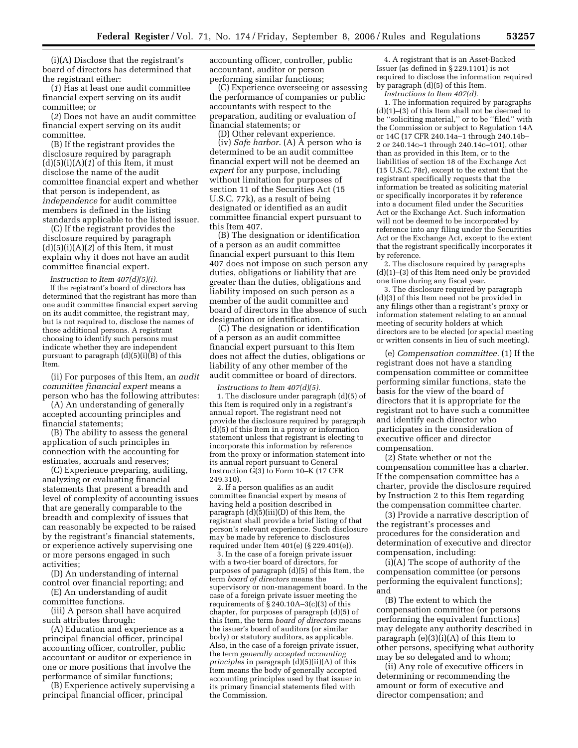(i)(A) Disclose that the registrant's board of directors has determined that the registrant either:

(*1*) Has at least one audit committee financial expert serving on its audit committee; or

(*2*) Does not have an audit committee financial expert serving on its audit committee.

(B) If the registrant provides the disclosure required by paragraph  $(d)(5)(i)(A)(1)$  of this Item, it must disclose the name of the audit committee financial expert and whether that person is independent, as *independence* for audit committee members is defined in the listing standards applicable to the listed issuer.

(C) If the registrant provides the disclosure required by paragraph  $(d)(5)(i)(A)(2)$  of this Item, it must explain why it does not have an audit committee financial expert.

*Instruction to Item 407(d)(5)(i)*. If the registrant's board of directors has determined that the registrant has more than one audit committee financial expert serving on its audit committee, the registrant may, but is not required to, disclose the names of those additional persons. A registrant choosing to identify such persons must indicate whether they are independent pursuant to paragraph (d)(5)(i)(B) of this Item.

(ii) For purposes of this Item, an *audit committee financial expert* means a person who has the following attributes:

(A) An understanding of generally accepted accounting principles and financial statements;

(B) The ability to assess the general application of such principles in connection with the accounting for estimates, accruals and reserves;

(C) Experience preparing, auditing, analyzing or evaluating financial statements that present a breadth and level of complexity of accounting issues that are generally comparable to the breadth and complexity of issues that can reasonably be expected to be raised by the registrant's financial statements, or experience actively supervising one or more persons engaged in such activities;

(D) An understanding of internal control over financial reporting; and

(E) An understanding of audit committee functions.

(iii) A person shall have acquired such attributes through:

(A) Education and experience as a principal financial officer, principal accounting officer, controller, public accountant or auditor or experience in one or more positions that involve the performance of similar functions;

(B) Experience actively supervising a principal financial officer, principal

accounting officer, controller, public accountant, auditor or person performing similar functions;

(C) Experience overseeing or assessing the performance of companies or public accountants with respect to the preparation, auditing or evaluation of financial statements; or

(D) Other relevant experience. (iv) *Safe harbor*. (A) A person who is determined to be an audit committee financial expert will not be deemed an *expert* for any purpose, including without limitation for purposes of section 11 of the Securities Act (15 U.S.C. 77k), as a result of being designated or identified as an audit committee financial expert pursuant to this Item 407.

(B) The designation or identification of a person as an audit committee financial expert pursuant to this Item 407 does not impose on such person any duties, obligations or liability that are greater than the duties, obligations and liability imposed on such person as a member of the audit committee and board of directors in the absence of such designation or identification.

(C) The designation or identification of a person as an audit committee financial expert pursuant to this Item does not affect the duties, obligations or liability of any other member of the audit committee or board of directors.

*Instructions to Item 407(d)(5)*.

1. The disclosure under paragraph (d)(5) of this Item is required only in a registrant's annual report. The registrant need not provide the disclosure required by paragraph (d)(5) of this Item in a proxy or information statement unless that registrant is electing to incorporate this information by reference from the proxy or information statement into its annual report pursuant to General Instruction  $\tilde{G}(3)$  to Form 10–K (17 CFR 249.310).

2. If a person qualifies as an audit committee financial expert by means of having held a position described in paragraph (d)(5)(iii)(D) of this Item, the registrant shall provide a brief listing of that person's relevant experience. Such disclosure may be made by reference to disclosures required under Item 401(e) (§ 229.401(e)).

3. In the case of a foreign private issuer with a two-tier board of directors, for purposes of paragraph (d)(5) of this Item, the term *board of directors* means the supervisory or non-management board. In the case of a foreign private issuer meeting the requirements of  $\S 240.10A - 3(c)(3)$  of this chapter, for purposes of paragraph (d)(5) of this Item, the term *board of directors* means the issuer's board of auditors (or similar body) or statutory auditors, as applicable. Also, in the case of a foreign private issuer, the term *generally accepted accounting principles* in paragraph (d)(5)(ii)(A) of this Item means the body of generally accepted accounting principles used by that issuer in its primary financial statements filed with the Commission.

4. A registrant that is an Asset-Backed Issuer (as defined in § 229.1101) is not required to disclose the information required by paragraph (d)(5) of this Item.

*Instructions to Item 407(d).* 

1. The information required by paragraphs (d)(1)–(3) of this Item shall not be deemed to be ''soliciting material,'' or to be ''filed'' with the Commission or subject to Regulation 14A or 14C (17 CFR 240.14a–1 through 240.14b– 2 or 240.14c–1 through 240.14c–101), other than as provided in this Item, or to the liabilities of section 18 of the Exchange Act (15 U.S.C. 78r), except to the extent that the registrant specifically requests that the information be treated as soliciting material or specifically incorporates it by reference into a document filed under the Securities Act or the Exchange Act. Such information will not be deemed to be incorporated by reference into any filing under the Securities Act or the Exchange Act, except to the extent that the registrant specifically incorporates it by reference.

2. The disclosure required by paragraphs  $(d)(1)$ – $(3)$  of this Item need only be provided one time during any fiscal year.

3. The disclosure required by paragraph (d)(3) of this Item need not be provided in any filings other than a registrant's proxy or information statement relating to an annual meeting of security holders at which directors are to be elected (or special meeting or written consents in lieu of such meeting).

(e) *Compensation committee.* (1) If the registrant does not have a standing compensation committee or committee performing similar functions, state the basis for the view of the board of directors that it is appropriate for the registrant not to have such a committee and identify each director who participates in the consideration of executive officer and director compensation.

(2) State whether or not the compensation committee has a charter. If the compensation committee has a charter, provide the disclosure required by Instruction 2 to this Item regarding the compensation committee charter.

(3) Provide a narrative description of the registrant's processes and procedures for the consideration and determination of executive and director compensation, including:

(i)(A) The scope of authority of the compensation committee (or persons performing the equivalent functions); and

(B) The extent to which the compensation committee (or persons performing the equivalent functions) may delegate any authority described in paragraph  $(e)(3)(i)(A)$  of this Item to other persons, specifying what authority may be so delegated and to whom;

(ii) Any role of executive officers in determining or recommending the amount or form of executive and director compensation; and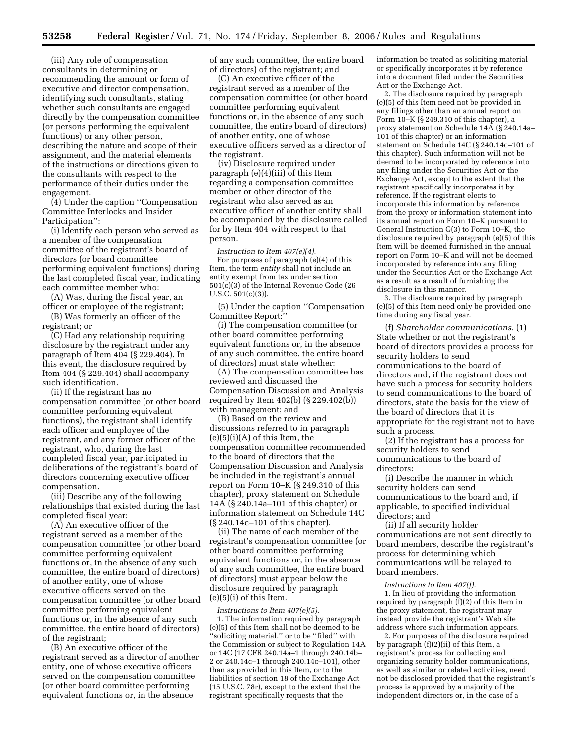(iii) Any role of compensation consultants in determining or recommending the amount or form of executive and director compensation, identifying such consultants, stating whether such consultants are engaged directly by the compensation committee (or persons performing the equivalent functions) or any other person, describing the nature and scope of their assignment, and the material elements of the instructions or directions given to the consultants with respect to the performance of their duties under the engagement.

(4) Under the caption ''Compensation Committee Interlocks and Insider Participation'':

(i) Identify each person who served as a member of the compensation committee of the registrant's board of directors (or board committee performing equivalent functions) during the last completed fiscal year, indicating each committee member who:

(A) Was, during the fiscal year, an officer or employee of the registrant;

(B) Was formerly an officer of the registrant; or

(C) Had any relationship requiring disclosure by the registrant under any paragraph of Item 404 (§ 229.404). In this event, the disclosure required by Item 404 (§ 229.404) shall accompany such identification.

(ii) If the registrant has no compensation committee (or other board committee performing equivalent functions), the registrant shall identify each officer and employee of the registrant, and any former officer of the registrant, who, during the last completed fiscal year, participated in deliberations of the registrant's board of directors concerning executive officer compensation.

(iii) Describe any of the following relationships that existed during the last completed fiscal year:

(A) An executive officer of the registrant served as a member of the compensation committee (or other board committee performing equivalent functions or, in the absence of any such committee, the entire board of directors) of another entity, one of whose executive officers served on the compensation committee (or other board committee performing equivalent functions or, in the absence of any such committee, the entire board of directors) of the registrant;

(B) An executive officer of the registrant served as a director of another entity, one of whose executive officers served on the compensation committee (or other board committee performing equivalent functions or, in the absence

of any such committee, the entire board of directors) of the registrant; and

(C) An executive officer of the registrant served as a member of the compensation committee (or other board committee performing equivalent functions or, in the absence of any such committee, the entire board of directors) of another entity, one of whose executive officers served as a director of the registrant.

(iv) Disclosure required under paragraph (e)(4)(iii) of this Item regarding a compensation committee member or other director of the registrant who also served as an executive officer of another entity shall be accompanied by the disclosure called for by Item 404 with respect to that person.

*Instruction to Item 407(e)(4).*  For purposes of paragraph (e)(4) of this Item, the term *entity* shall not include an entity exempt from tax under section 501(c)(3) of the Internal Revenue Code (26 U.S.C. 501(c)(3)).

(5) Under the caption ''Compensation Committee Report:''

(i) The compensation committee (or other board committee performing equivalent functions or, in the absence of any such committee, the entire board of directors) must state whether:

(A) The compensation committee has reviewed and discussed the Compensation Discussion and Analysis required by Item 402(b) (§ 229.402(b)) with management; and

(B) Based on the review and discussions referred to in paragraph  $(e)(5)(i)(A)$  of this Item, the compensation committee recommended to the board of directors that the Compensation Discussion and Analysis be included in the registrant's annual report on Form 10–K (§ 249.310 of this chapter), proxy statement on Schedule 14A (§ 240.14a–101 of this chapter) or information statement on Schedule 14C (§ 240.14c–101 of this chapter).

(ii) The name of each member of the registrant's compensation committee (or other board committee performing equivalent functions or, in the absence of any such committee, the entire board of directors) must appear below the disclosure required by paragraph  $(e)(5)(i)$  of this Item.

*Instructions to Item 407(e)(5).*  1. The information required by paragraph (e)(5) of this Item shall not be deemed to be ''soliciting material,'' or to be ''filed'' with the Commission or subject to Regulation 14A or 14C (17 CFR 240.14a–1 through 240.14b– 2 or 240.14c–1 through 240.14c–101), other than as provided in this Item, or to the liabilities of section 18 of the Exchange Act (15 U.S.C. 78r), except to the extent that the registrant specifically requests that the

information be treated as soliciting material or specifically incorporates it by reference into a document filed under the Securities Act or the Exchange Act.

2. The disclosure required by paragraph (e)(5) of this Item need not be provided in any filings other than an annual report on Form 10–K (§ 249.310 of this chapter), a proxy statement on Schedule 14A (§ 240.14a– 101 of this chapter) or an information statement on Schedule 14C (§ 240.14c–101 of this chapter). Such information will not be deemed to be incorporated by reference into any filing under the Securities Act or the Exchange Act, except to the extent that the registrant specifically incorporates it by reference. If the registrant elects to incorporate this information by reference from the proxy or information statement into its annual report on Form 10–K pursuant to General Instruction G(3) to Form 10–K, the disclosure required by paragraph (e)(5) of this Item will be deemed furnished in the annual report on Form 10–K and will not be deemed incorporated by reference into any filing under the Securities Act or the Exchange Act as a result as a result of furnishing the disclosure in this manner.

3. The disclosure required by paragraph (e)(5) of this Item need only be provided one time during any fiscal year.

(f) *Shareholder communications.* (1) State whether or not the registrant's board of directors provides a process for security holders to send communications to the board of directors and, if the registrant does not have such a process for security holders to send communications to the board of directors, state the basis for the view of the board of directors that it is appropriate for the registrant not to have such a process.

(2) If the registrant has a process for security holders to send communications to the board of directors:

(i) Describe the manner in which security holders can send communications to the board and, if applicable, to specified individual directors; and

(ii) If all security holder communications are not sent directly to board members, describe the registrant's process for determining which communications will be relayed to board members.

## *Instructions to Item 407(f).*

1. In lieu of providing the information required by paragraph (f)(2) of this Item in the proxy statement, the registrant may instead provide the registrant's Web site address where such information appears.

2. For purposes of the disclosure required by paragraph (f)(2)(ii) of this Item, a registrant's process for collecting and organizing security holder communications, as well as similar or related activities, need not be disclosed provided that the registrant's process is approved by a majority of the independent directors or, in the case of a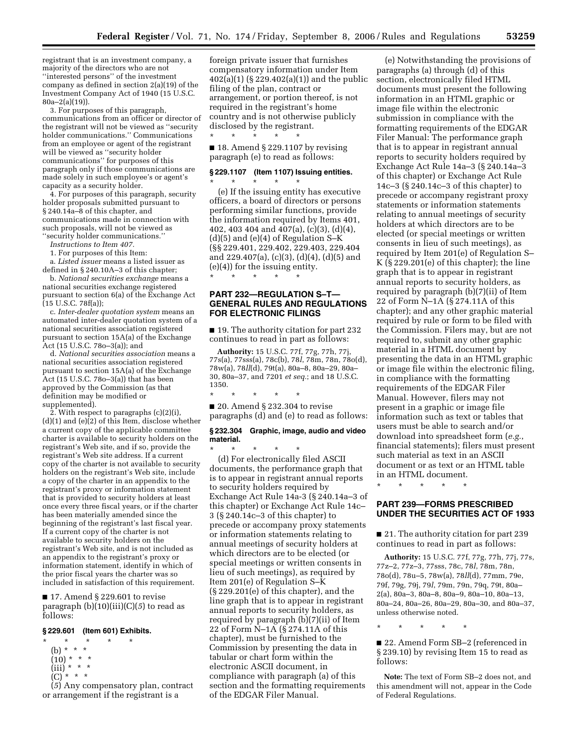registrant that is an investment company, a majority of the directors who are not ''interested persons'' of the investment company as defined in section 2(a)(19) of the Investment Company Act of 1940 (15 U.S.C. 80a–2(a)(19)).

3. For purposes of this paragraph, communications from an officer or director of the registrant will not be viewed as ''security holder communications.'' Communications from an employee or agent of the registrant will be viewed as ''security holder communications'' for purposes of this paragraph only if those communications are made solely in such employee's or agent's capacity as a security holder.

4. For purposes of this paragraph, security holder proposals submitted pursuant to § 240.14a–8 of this chapter, and communications made in connection with such proposals, will not be viewed as ''security holder communications.''

*Instructions to Item 407.* 

1. For purposes of this Item:

a. *Listed issuer* means a listed issuer as defined in § 240.10A–3 of this chapter;

b. *National securities exchange* means a national securities exchange registered pursuant to section 6(a) of the Exchange Act  $(15 \text{ U.S.C. } 78f(a))$ ;

c. *Inter-dealer quotation system* means an automated inter-dealer quotation system of a national securities association registered pursuant to section 15A(a) of the Exchange Act (15 U.S.C. 78o–3(a)); and

d. *National securities association* means a national securities association registered pursuant to section 15A(a) of the Exchange Act (15 U.S.C.  $780-3(a)$ ) that has been approved by the Commission (as that definition may be modified or supplemented).

2. With respect to paragraphs (c)(2)(i),  $(d)(1)$  and  $(e)(2)$  of this Item, disclose whether a current copy of the applicable committee charter is available to security holders on the registrant's Web site, and if so, provide the registrant's Web site address. If a current copy of the charter is not available to security holders on the registrant's Web site, include a copy of the charter in an appendix to the registrant's proxy or information statement that is provided to security holders at least once every three fiscal years, or if the charter has been materially amended since the beginning of the registrant's last fiscal year. If a current copy of the charter is not available to security holders on the registrant's Web site, and is not included as an appendix to the registrant's proxy or information statement, identify in which of the prior fiscal years the charter was so included in satisfaction of this requirement.

■ 17. Amend § 229.601 to revise paragraph (b)(10)(iii)(C)(*5*) to read as follows:

### **§ 229.601 (Item 601) Exhibits.**

- \* \* \* \* \* (b) \* \* \*  $(10) * * * *$  $(iii) * * * *$ 
	- $(C)^{x}$  \* \*
	-

(*5*) Any compensatory plan, contract or arrangement if the registrant is a

foreign private issuer that furnishes compensatory information under Item 402(a)(1) (§ 229.402(a)(1)) and the public filing of the plan, contract or arrangement, or portion thereof, is not required in the registrant's home country and is not otherwise publicly disclosed by the registrant.

 $\blacksquare$  18. Amend § 229.1107 by revising paragraph (e) to read as follows:

\* \* \* \* \*

\* \* \* \* \*

## **§ 229.1107 (Item 1107) Issuing entities.**

\* \* \* \* \* (e) If the issuing entity has executive officers, a board of directors or persons performing similar functions, provide the information required by Items 401, 402, 403 404 and 407(a), (c)(3), (d)(4), (d)(5) and (e)(4) of Regulation S–K (§§ 229.401, 229.402, 229.403, 229.404 and 229.407(a), (c)(3), (d)(4), (d)(5) and (e)(4)) for the issuing entity.

## **PART 232—REGULATION S–T— GENERAL RULES AND REGULATIONS FOR ELECTRONIC FILINGS**

■ 19. The authority citation for part 232 continues to read in part as follows:

**Authority:** 15 U.S.C. 77f, 77g, 77h, 77j, 77s(a), 77sss(a), 78c(b), 78*l*, 78m, 78n, 78o(d), 78w(a), 78*ll*(d), 79t(a), 80a–8, 80a–29, 80a– 30, 80a–37, and 7201 *et seq.*; and 18 U.S.C. 1350.

\* \* \* \* \* ■ 20. Amend § 232.304 to revise paragraphs (d) and (e) to read as follows:

#### **§ 232.304 Graphic, image, audio and video material.**

\* \* \* \* \* (d) For electronically filed ASCII documents, the performance graph that is to appear in registrant annual reports to security holders required by Exchange Act Rule 14a-3 (§ 240.14a–3 of this chapter) or Exchange Act Rule 14c– 3 (§ 240.14c–3 of this chapter) to precede or accompany proxy statements or information statements relating to annual meetings of security holders at which directors are to be elected (or special meetings or written consents in lieu of such meetings), as required by Item 201(e) of Regulation S–K (§ 229.201(e) of this chapter), and the line graph that is to appear in registrant annual reports to security holders, as required by paragraph (b)(7)(ii) of Item 22 of Form N–1A (§ 274.11A of this chapter), must be furnished to the Commission by presenting the data in tabular or chart form within the electronic ASCII document, in compliance with paragraph (a) of this section and the formatting requirements of the EDGAR Filer Manual.

(e) Notwithstanding the provisions of paragraphs (a) through (d) of this section, electronically filed HTML documents must present the following information in an HTML graphic or image file within the electronic submission in compliance with the formatting requirements of the EDGAR Filer Manual: The performance graph that is to appear in registrant annual reports to security holders required by Exchange Act Rule 14a–3 (§ 240.14a–3 of this chapter) or Exchange Act Rule 14c–3 (§ 240.14c–3 of this chapter) to precede or accompany registrant proxy statements or information statements relating to annual meetings of security holders at which directors are to be elected (or special meetings or written consents in lieu of such meetings), as required by Item 201(e) of Regulation S– K (§ 229.201(e) of this chapter); the line graph that is to appear in registrant annual reports to security holders, as required by paragraph (b)(7)(ii) of Item 22 of Form N–1A (§ 274.11A of this chapter); and any other graphic material required by rule or form to be filed with the Commission. Filers may, but are not required to, submit any other graphic material in a HTML document by presenting the data in an HTML graphic or image file within the electronic filing, in compliance with the formatting requirements of the EDGAR Filer Manual. However, filers may not present in a graphic or image file information such as text or tables that users must be able to search and/or download into spreadsheet form (*e.g.*, financial statements); filers must present such material as text in an ASCII document or as text or an HTML table in an HTML document.

\* \* \* \* \*

## **PART 239—FORMS PRESCRIBED UNDER THE SECURITIES ACT OF 1933**

■ 21. The authority citation for part 239 continues to read in part as follows:

**Authority:** 15 U.S.C. 77f, 77g, 77h, 77j, 77s, 77z–2, 77z–3, 77sss, 78c, 78*l*, 78m, 78n, 78o(d), 78u–5, 78w(a), 78*ll*(d), 77mm, 79e, 79f, 79g, 79j, 79*l*, 79m, 79n, 79q, 79t, 80a– 2(a), 80a–3, 80a–8, 80a–9, 80a–10, 80a–13, 80a–24, 80a–26, 80a–29, 80a–30, and 80a–37, unless otherwise noted.

\* \* \* \* \*

■ 22. Amend Form SB-2 (referenced in § 239.10) by revising Item 15 to read as follows:

**Note:** The text of Form SB–2 does not, and this amendment will not, appear in the Code of Federal Regulations.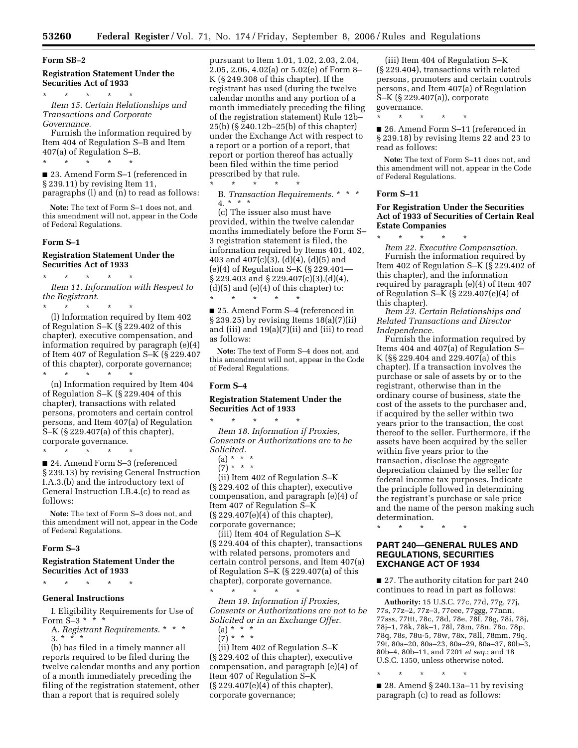#### **Form SB–2**

## **Registration Statement Under the Securities Act of 1933**

\* \* \* \* \*

*Item 15. Certain Relationships and Transactions and Corporate Governance.* 

Furnish the information required by Item 404 of Regulation S–B and Item 407(a) of Regulation S–B.

\* \* \* \* \* ■ 23. Amend Form S–1 (referenced in § 239.11) by revising Item 11, paragraphs (l) and (n) to read as follows:

**Note:** The text of Form S–1 does not, and this amendment will not, appear in the Code of Federal Regulations.

## **Form S–1**

## **Registration Statement Under the Securities Act of 1933**

\* \* \* \* \* *Item 11. Information with Respect to the Registrant.* 

\* \* \* \* \*

(l) Information required by Item 402 of Regulation S–K ( $\overline{S}$  229.402 of this chapter), executive compensation, and information required by paragraph (e)(4) of Item 407 of Regulation S–K (§ 229.407 of this chapter), corporate governance; \* \* \* \* \*

(n) Information required by Item 404 of Regulation S–K (§ 229.404 of this chapter), transactions with related persons, promoters and certain control persons, and Item 407(a) of Regulation S–K (§ 229.407(a) of this chapter), corporate governance.

\* \* \* \* \* ■ 24. Amend Form S-3 (referenced § 239.13) by revising General Instruction I.A.3.(b) and the introductory text of General Instruction I.B.4.(c) to read as follows:

**Note:** The text of Form S–3 does not, and this amendment will not, appear in the Code of Federal Regulations.

#### **Form S–3**

## **Registration Statement Under the Securities Act of 1933**

\* \* \* \* \*

### **General Instructions**

I. Eligibility Requirements for Use of Form S–3 \* \* \*

A. *Registrant Requirements.* \* \* \*  $3. * *$ 

(b) has filed in a timely manner all reports required to be filed during the twelve calendar months and any portion of a month immediately preceding the filing of the registration statement, other than a report that is required solely

pursuant to Item 1.01, 1.02, 2.03, 2.04, 2.05, 2.06, 4.02(a) or 5.02(e) of Form 8– K (§ 249.308 of this chapter). If the registrant has used (during the twelve calendar months and any portion of a month immediately preceding the filing of the registration statement) Rule 12b– 25(b) (§ 240.12b–25(b) of this chapter) under the Exchange Act with respect to a report or a portion of a report, that report or portion thereof has actually been filed within the time period prescribed by that rule.

\* \* \* \* \* B. *Transaction Requirements.* \* \* \*  $4. * * * *$ 

(c) The issuer also must have provided, within the twelve calendar months immediately before the Form S– 3 registration statement is filed, the information required by Items 401, 402, 403 and 407(c)(3), (d)(4), (d)(5) and (e)(4) of Regulation S–K (§ 229.401— § 229.403 and § 229.407(c)(3),(d)(4),  $(d)(5)$  and  $(e)(4)$  of this chapter) to: \* \* \* \* \*

■ 25. Amend Form S-4 (referenced in § 239.25) by revising Items 18(a)(7)(ii) and (iii) and 19(a)(7)(ii) and (iii) to read as follows:

**Note:** The text of Form S–4 does not, and this amendment will not, appear in the Code of Federal Regulations.

## **Form S–4**

## **Registration Statement Under the Securities Act of 1933**

\* \* \* \* \*

*Item 18. Information if Proxies, Consents or Authorizations are to be Solicited.* 

 $(a) * * * *$  $(7) * * * *$ 

(ii) Item 402 of Regulation S–K (§ 229.402 of this chapter), executive compensation, and paragraph (e)(4) of Item 407 of Regulation S–K (§ 229.407(e)(4) of this chapter), corporate governance;

(iii) Item 404 of Regulation S–K (§ 229.404 of this chapter), transactions with related persons, promoters and certain control persons, and Item 407(a) of Regulation S–K (§ 229.407(a) of this chapter), corporate governance.

\* \* \* \* \* *Item 19. Information if Proxies, Consents or Authorizations are not to be Solicited or in an Exchange Offer.* 

 $(a) * * * *$  $(7) * * * *$ 

(ii) Item 402 of Regulation S–K (§ 229.402 of this chapter), executive compensation, and paragraph (e)(4) of Item 407 of Regulation S–K (§ 229.407(e)(4) of this chapter), corporate governance;

(iii) Item 404 of Regulation S–K (§ 229.404), transactions with related persons, promoters and certain controls persons, and Item 407(a) of Regulation S–K (§ 229.407(a)), corporate governance.

\* \* \* \* \*

■ 26. Amend Form S-11 (referenced in § 239.18) by revising Items 22 and 23 to read as follows:

**Note:** The text of Form S–11 does not, and this amendment will not, appear in the Code of Federal Regulations.

## **Form S–11**

## **For Registration Under the Securities Act of 1933 of Securities of Certain Real Estate Companies**

\* \* \* \* \* *Item 22. Executive Compensation.*  Furnish the information required by Item 402 of Regulation S–K (§ 229.402 of this chapter), and the information required by paragraph (e)(4) of Item 407 of Regulation S–K (§ 229.407(e)(4) of this chapter).

*Item 23. Certain Relationships and Related Transactions and Director Independence.* 

Furnish the information required by Items 404 and 407(a) of Regulation S– K (§§ 229.404 and 229.407(a) of this chapter). If a transaction involves the purchase or sale of assets by or to the registrant, otherwise than in the ordinary course of business, state the cost of the assets to the purchaser and, if acquired by the seller within two years prior to the transaction, the cost thereof to the seller. Furthermore, if the assets have been acquired by the seller within five years prior to the transaction, disclose the aggregate depreciation claimed by the seller for federal income tax purposes. Indicate the principle followed in determining the registrant's purchase or sale price and the name of the person making such determination.

\* \* \* \* \*

## **PART 240—GENERAL RULES AND REGULATIONS, SECURITIES EXCHANGE ACT OF 1934**

■ 27. The authority citation for part 240 continues to read in part as follows:

**Authority:** 15 U.S.C. 77c, 77d, 77g, 77j, 77s, 77z–2, 77z–3, 77eee, 77ggg, 77nnn, 77sss, 77ttt, 78c, 78d, 78e, 78f, 78g, 78i, 78j, 78j–1, 78k, 78k–1, 78l, 78m, 78n, 78o, 78p, 78q, 78s, 78u-5, 78w, 78x, 78ll, 78mm, 79q, 79t, 80a–20, 80a–23, 80a–29, 80a–37, 80b–3, 80b–4, 80b–11, and 7201 *et seq.*; and 18 U.S.C. 1350, unless otherwise noted.

\* \* \* \* \*

 $\blacksquare$  28. Amend § 240.13a–11 by revising paragraph (c) to read as follows: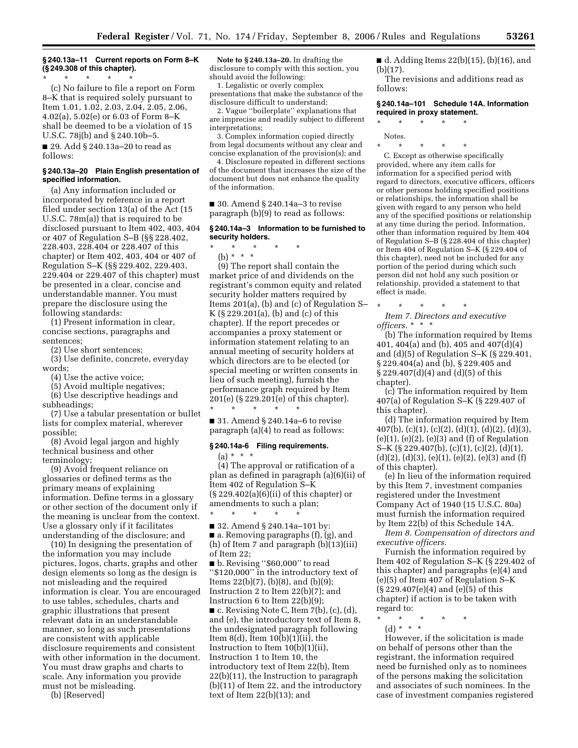## **§ 240.13a–11 Current reports on Form 8–K (§ 249.308 of this chapter).**

\* \* \* \* \* (c) No failure to file a report on Form 8–K that is required solely pursuant to Item 1.01, 1.02, 2.03, 2.04, 2.05, 2.06, 4.02(a), 5.02(e) or 6.03 of Form 8–K shall be deemed to be a violation of 15 U.S.C. 78j(b) and § 240.10b–5.

■ 29. Add § 240.13a–20 to read as follows:

### **§ 240.13a–20 Plain English presentation of specified information.**

(a) Any information included or incorporated by reference in a report filed under section 13(a) of the Act (15 U.S.C. 78m(a)) that is required to be disclosed pursuant to Item 402, 403, 404 or 407 of Regulation S–B (§§ 228.402, 228.403, 228.404 or 228.407 of this chapter) or Item 402, 403, 404 or 407 of Regulation S–K (§§ 229.402, 229.403, 229.404 or 229.407 of this chapter) must be presented in a clear, concise and understandable manner. You must prepare the disclosure using the following standards:

(1) Present information in clear, concise sections, paragraphs and sentences;

(2) Use short sentences;

(3) Use definite, concrete, everyday words;

(4) Use the active voice;

(5) Avoid multiple negatives;

(6) Use descriptive headings and subheadings;

(7) Use a tabular presentation or bullet lists for complex material, wherever possible;

(8) Avoid legal jargon and highly technical business and other terminology;

(9) Avoid frequent reliance on glossaries or defined terms as the primary means of explaining information. Define terms in a glossary or other section of the document only if the meaning is unclear from the context. Use a glossary only if it facilitates understanding of the disclosure; and

(10) In designing the presentation of the information you may include pictures, logos, charts, graphs and other design elements so long as the design is not misleading and the required information is clear. You are encouraged to use tables, schedules, charts and graphic illustrations that present relevant data in an understandable manner, so long as such presentations are consistent with applicable disclosure requirements and consistent with other information in the document. You must draw graphs and charts to scale. Any information you provide must not be misleading.

(b) [Reserved]

**Note to § 240.13a–20.** In drafting the disclosure to comply with this section, you should avoid the following:

1. Legalistic or overly complex presentations that make the substance of the disclosure difficult to understand;

2. Vague ''boilerplate'' explanations that are imprecise and readily subject to different interpretations:

3. Complex information copied directly from legal documents without any clear and concise explanation of the provision(s); and

4. Disclosure repeated in different sections of the document that increases the size of the document but does not enhance the quality of the information.

■ 30. Amend § 240.14a–3 to revise paragraph (b)(9) to read as follows:

### **§ 240.14a–3 Information to be furnished to security holders.**

\* \* \* \* \*

(b) \* \* \*

(9) The report shall contain the market price of and dividends on the registrant's common equity and related security holder matters required by Items 201(a), (b) and (c) of Regulation S– K (§ 229.201(a), (b) and (c) of this chapter). If the report precedes or accompanies a proxy statement or information statement relating to an annual meeting of security holders at which directors are to be elected (or special meeting or written consents in lieu of such meeting), furnish the performance graph required by Item 201(e) (§ 229.201(e) of this chapter). \* \* \* \* \*

 $\blacksquare$  31. Amend § 240.14a–6 to revise paragraph (a)(4) to read as follows:

#### **§ 240.14a-6 Filing requirements.**

(a) \* \* \* (4) The approval or ratification of a plan as defined in paragraph (a)(6)(ii) of Item 402 of Regulation S–K (§ 229.402(a)(6)(ii) of this chapter) or amendments to such a plan; \* \* \* \* \*

■ 32. Amend § 240.14a–101 by: ■ a. Removing paragraphs (f), (g), and (h) of Item 7 and paragraph (b)(13)(iii) of Item 22;

■ b. Revising "\$60,000" to read ''\$120,000'' in the introductory text of Items 22(b)(7), (b)(8), and (b)(9); Instruction 2 to Item 22(b)(7); and Instruction 6 to Item 22(b)(9);

 $\blacksquare$  c. Revising Note C, Item 7(b), (c), (d), and (e), the introductory text of Item 8, the undesignated paragraph following Item  $8(d)$ , Item  $10(b)(1)(ii)$ , the Instruction to Item 10(b)(1)(ii), Instruction 1 to Item 10, the introductory text of Item 22(b), Item 22(b)(11), the Instruction to paragraph (b)(11) of Item 22, and the introductory text of Item 22(b)(13); and

■ d. Adding Items 22(b)(15), (b)(16), and (b)(17).

The revisions and additions read as follows:

## **§ 240.14a–101 Schedule 14A. Information required in proxy statement.**

Notes.

\* \* \* \* \*

\* \* \* \* \* C. Except as otherwise specifically provided, where any item calls for information for a specified period with regard to directors, executive officers, officers or other persons holding specified positions or relationships, the information shall be given with regard to any person who held any of the specified positions or relationship at any time during the period. Information, other than information required by Item 404 of Regulation S–B (§ 228.404 of this chapter) or Item 404 of Regulation S–K (§ 229.404 of this chapter), need not be included for any portion of the period during which such person did not hold any such position or relationship, provided a statement to that effect is made.

\* \* \* \* \* *Item 7. Directors and executive officers.* \* \* \*

(b) The information required by Items 401, 404(a) and (b), 405 and 407(d)(4) and (d)(5) of Regulation S–K (§ 229.401, § 229.404(a) and (b), § 229.405 and § 229.407(d)(4) and (d)(5) of this chapter).

(c) The information required by Item 407(a) of Regulation S–K (§ 229.407 of this chapter).

(d) The information required by Item 407(b), (c)(1), (c)(2), (d)(1), (d)(2), (d)(3),  $(e)(1)$ ,  $(e)(2)$ ,  $(e)(3)$  and  $(f)$  of Regulation S–K (§ 229.407(b), (c)(1), (c)(2), (d)(1),  $(d)(2)$ ,  $(d)(3)$ ,  $(e)(1)$ ,  $(e)(2)$ ,  $(e)(3)$  and  $(f)$ of this chapter).

(e) In lieu of the information required by this Item 7, investment companies registered under the Investment Company Act of 1940 (15 U.S.C. 80a) must furnish the information required by Item 22(b) of this Schedule 14A.

*Item 8. Compensation of directors and executive officers.* 

Furnish the information required by Item 402 of Regulation S–K (§ 229.402 of this chapter) and paragraphs (e)(4) and (e)(5) of Item 407 of Regulation S–K (§ 229.407(e)(4) and (e)(5) of this chapter) if action is to be taken with regard to:

\* \* \* \* \* (d) \* \* \*

However, if the solicitation is made on behalf of persons other than the registrant, the information required need be furnished only as to nominees of the persons making the solicitation and associates of such nominees. In the case of investment companies registered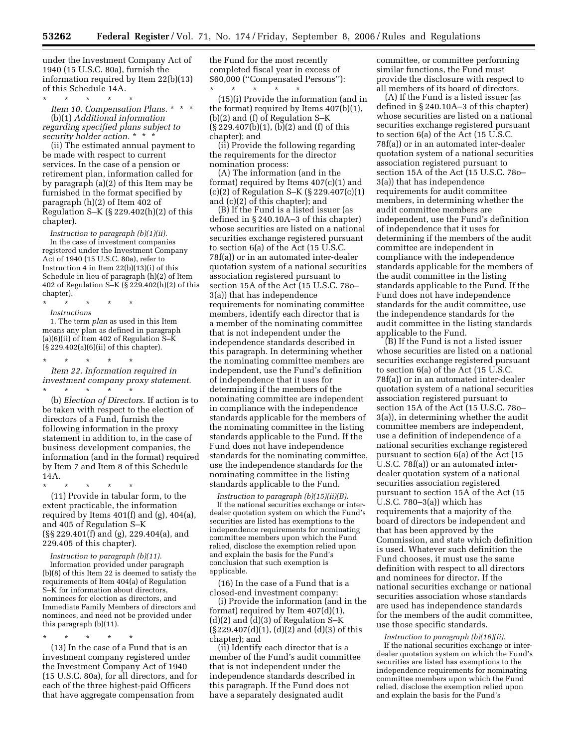under the Investment Company Act of 1940 (15 U.S.C. 80a), furnish the information required by Item 22(b)(13) of this Schedule 14A.

\* \* \* \* \*

*Item 10. Compensation Plans.* \* \* \* (b)(1) *Additional information regarding specified plans subject to security holder action.* \* \* \*

(ii) The estimated annual payment to be made with respect to current services. In the case of a pension or retirement plan, information called for by paragraph (a)(2) of this Item may be furnished in the format specified by paragraph (h)(2) of Item 402 of Regulation S–K  $(\S 229.402(h)(2)$  of this chapter).

*Instruction to paragraph (b)(1)(ii).*  In the case of investment companies registered under the Investment Company Act of 1940 (15 U.S.C. 80a), refer to Instruction 4 in Item 22(b)(13)(i) of this Schedule in lieu of paragraph (h)(2) of Item 402 of Regulation S–K (§ 229.402(h)(2) of this chapter).

\* \* \* \* \*

*Instructions* 

1. The term *plan* as used in this Item means any plan as defined in paragraph (a)(6)(ii) of Item 402 of Regulation S–K (§ 229.402(a)(6)(ii) of this chapter).

\* \* \* \* \* *Item 22. Information required in investment company proxy statement.*  \* \* \* \* \*

(b) *Election of Directors.* If action is to be taken with respect to the election of directors of a Fund, furnish the following information in the proxy statement in addition to, in the case of business development companies, the information (and in the format) required by Item 7 and Item 8 of this Schedule 14A.

\* \* \* \* \* (11) Provide in tabular form, to the extent practicable, the information required by Items 401(f) and (g), 404(a), and 405 of Regulation S–K (§§ 229.401(f) and (g), 229.404(a), and 229.405 of this chapter).

*Instruction to paragraph (b)(11).*  Information provided under paragraph (b)(8) of this Item 22 is deemed to satisfy the requirements of Item 404(a) of Regulation S–K for information about directors, nominees for election as directors, and Immediate Family Members of directors and nominees, and need not be provided under this paragraph (b)(11).

\* \* \* \* \* (13) In the case of a Fund that is an investment company registered under the Investment Company Act of 1940 (15 U.S.C. 80a), for all directors, and for each of the three highest-paid Officers that have aggregate compensation from

the Fund for the most recently completed fiscal year in excess of \$60,000 (''Compensated Persons''):

\* \* \* \* \* (15)(i) Provide the information (and in the format) required by Items 407(b)(1), (b)(2) and (f) of Regulation S–K (§ 229.407(b)(1), (b)(2) and (f) of this chapter); and

(ii) Provide the following regarding the requirements for the director nomination process:

(A) The information (and in the format) required by Items 407(c)(1) and (c)(2) of Regulation S–K (§ 229.407(c)(1) and (c)(2) of this chapter); and

(B) If the Fund is a listed issuer (as defined in § 240.10A–3 of this chapter) whose securities are listed on a national securities exchange registered pursuant to section 6(a) of the Act (15 U.S.C. 78f(a)) or in an automated inter-dealer quotation system of a national securities association registered pursuant to section 15A of the Act (15 U.S.C. 78o– 3(a)) that has independence requirements for nominating committee members, identify each director that is a member of the nominating committee that is not independent under the independence standards described in this paragraph. In determining whether the nominating committee members are independent, use the Fund's definition of independence that it uses for determining if the members of the nominating committee are independent in compliance with the independence standards applicable for the members of the nominating committee in the listing standards applicable to the Fund. If the Fund does not have independence standards for the nominating committee, use the independence standards for the nominating committee in the listing standards applicable to the Fund.

*Instruction to paragraph (b)(15)(ii)(B).*  If the national securities exchange or interdealer quotation system on which the Fund's securities are listed has exemptions to the independence requirements for nominating committee members upon which the Fund relied, disclose the exemption relied upon and explain the basis for the Fund's conclusion that such exemption is applicable.

(16) In the case of a Fund that is a closed-end investment company:

(i) Provide the information (and in the format) required by Item 407(d)(1),  $(d)(2)$  and  $(d)(3)$  of Regulation S–K  $(\S229.407(d)(1), (d)(2)$  and  $(d)(3)$  of this chapter); and

(ii) Identify each director that is a member of the Fund's audit committee that is not independent under the independence standards described in this paragraph. If the Fund does not have a separately designated audit

committee, or committee performing similar functions, the Fund must provide the disclosure with respect to all members of its board of directors.

(A) If the Fund is a listed issuer (as defined in § 240.10A–3 of this chapter) whose securities are listed on a national securities exchange registered pursuant to section 6(a) of the Act (15 U.S.C. 78f(a)) or in an automated inter-dealer quotation system of a national securities association registered pursuant to section 15A of the Act (15 U.S.C. 78o– 3(a)) that has independence requirements for audit committee members, in determining whether the audit committee members are independent, use the Fund's definition of independence that it uses for determining if the members of the audit committee are independent in compliance with the independence standards applicable for the members of the audit committee in the listing standards applicable to the Fund. If the Fund does not have independence standards for the audit committee, use the independence standards for the audit committee in the listing standards applicable to the Fund.

(B) If the Fund is not a listed issuer whose securities are listed on a national securities exchange registered pursuant to section 6(a) of the Act (15 U.S.C. 78f(a)) or in an automated inter-dealer quotation system of a national securities association registered pursuant to section 15A of the Act (15 U.S.C. 78o– 3(a)), in determining whether the audit committee members are independent, use a definition of independence of a national securities exchange registered pursuant to section 6(a) of the Act (15 U.S.C. 78f(a)) or an automated interdealer quotation system of a national securities association registered pursuant to section 15A of the Act (15 U.S.C. 780–3(a)) which has requirements that a majority of the board of directors be independent and that has been approved by the Commission, and state which definition is used. Whatever such definition the Fund chooses, it must use the same definition with respect to all directors and nominees for director. If the national securities exchange or national securities association whose standards are used has independence standards for the members of the audit committee, use those specific standards.

*Instruction to paragraph (b)(16)(ii).* 

If the national securities exchange or interdealer quotation system on which the Fund's securities are listed has exemptions to the independence requirements for nominating committee members upon which the Fund relied, disclose the exemption relied upon and explain the basis for the Fund's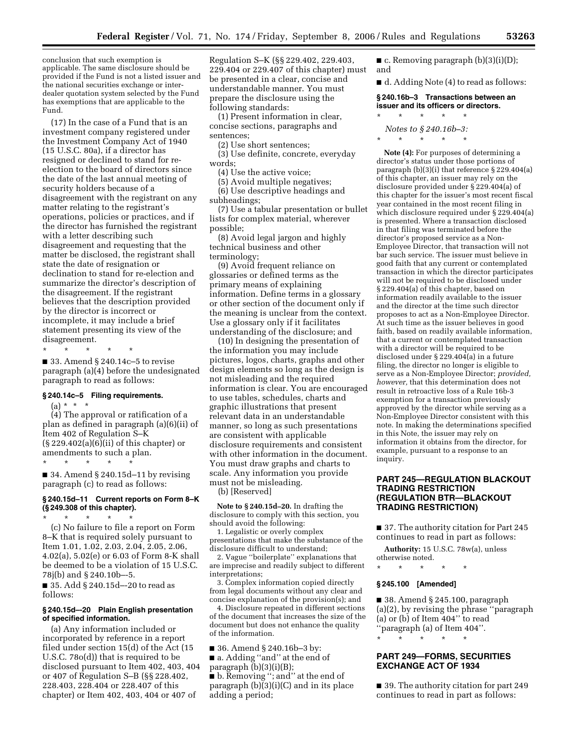conclusion that such exemption is applicable. The same disclosure should be provided if the Fund is not a listed issuer and the national securities exchange or interdealer quotation system selected by the Fund has exemptions that are applicable to the Fund.

(17) In the case of a Fund that is an investment company registered under the Investment Company Act of 1940 (15 U.S.C. 80a), if a director has resigned or declined to stand for reelection to the board of directors since the date of the last annual meeting of security holders because of a disagreement with the registrant on any matter relating to the registrant's operations, policies or practices, and if the director has furnished the registrant with a letter describing such disagreement and requesting that the matter be disclosed, the registrant shall state the date of resignation or declination to stand for re-election and summarize the director's description of the disagreement. If the registrant believes that the description provided by the director is incorrect or incomplete, it may include a brief statement presenting its view of the disagreement.

\* \* \* \* \*

■ 33. Amend § 240.14c–5 to revise paragraph (a)(4) before the undesignated paragraph to read as follows:

### **§ 240.14c–5 Filing requirements.**

# $(a) * * * * *$

(4) The approval or ratification of a plan as defined in paragraph (a)(6)(ii) of Item 402 of Regulation S–K (§ 229.402(a)(6)(ii) of this chapter) or amendments to such a plan. \* \* \* \* \*

 $\blacksquare$  34. Amend § 240.15d-11 by revising paragraph (c) to read as follows:

## **§ 240.15d–11 Current reports on Form 8–K (§ 249.308 of this chapter).**

\* \* \* \* \* (c) No failure to file a report on Form 8–K that is required solely pursuant to Item 1.01, 1.02, 2.03, 2.04, 2.05, 2.06, 4.02(a), 5.02(e) or 6.03 of Form 8-K shall be deemed to be a violation of 15 U.S.C. 78j(b) and § 240.10b–-5.

■ 35. Add § 240.15d--20 to read as follows:

#### **§ 240.15d–-20 Plain English presentation of specified information.**

(a) Any information included or incorporated by reference in a report filed under section 15(d) of the Act (15 U.S.C. 78o(d)) that is required to be disclosed pursuant to Item 402, 403, 404 or 407 of Regulation S–B (§§ 228.402, 228.403, 228.404 or 228.407 of this chapter) or Item 402, 403, 404 or 407 of

Regulation S–K (§§ 229.402, 229.403, 229.404 or 229.407 of this chapter) must be presented in a clear, concise and understandable manner. You must prepare the disclosure using the following standards:

(1) Present information in clear, concise sections, paragraphs and sentences;

(2) Use short sentences;

(3) Use definite, concrete, everyday words;

(4) Use the active voice;

(5) Avoid multiple negatives; (6) Use descriptive headings and subheadings;

(7) Use a tabular presentation or bullet lists for complex material, wherever possible;

(8) Avoid legal jargon and highly technical business and other terminology;

(9) Avoid frequent reliance on glossaries or defined terms as the primary means of explaining information. Define terms in a glossary or other section of the document only if the meaning is unclear from the context. Use a glossary only if it facilitates understanding of the disclosure; and

(10) In designing the presentation of the information you may include pictures, logos, charts, graphs and other design elements so long as the design is not misleading and the required information is clear. You are encouraged to use tables, schedules, charts and graphic illustrations that present relevant data in an understandable manner, so long as such presentations are consistent with applicable disclosure requirements and consistent with other information in the document. You must draw graphs and charts to scale. Any information you provide must not be misleading.

(b) [Reserved]

**Note to § 240.15d–20.** In drafting the disclosure to comply with this section, you should avoid the following:

1. Legalistic or overly complex presentations that make the substance of the disclosure difficult to understand;

2. Vague ''boilerplate'' explanations that are imprecise and readily subject to different interpretations;

3. Complex information copied directly from legal documents without any clear and concise explanation of the provision(s); and

4. Disclosure repeated in different sections of the document that increases the size of the document but does not enhance the quality of the information.

■ 36. Amend § 240.16b–3 by:

■ a. Adding "and" at the end of paragraph (b)(3)(i)(B); ■ b. Removing ''; and'' at the end of paragraph (b)(3)(i)(C) and in its place adding a period;

 $\blacksquare$  c. Removing paragraph (b)(3)(i)(D); and

■ d. Adding Note (4) to read as follows:

## **§ 240.16b–3 Transactions between an issuer and its officers or directors.**

\* \* \* \* \*

*Notes to § 240.16b–3:*  \* \* \* \* \*

**Note (4):** For purposes of determining a director's status under those portions of paragraph (b)(3)(i) that reference § 229.404(a) of this chapter, an issuer may rely on the disclosure provided under § 229.404(a) of this chapter for the issuer's most recent fiscal year contained in the most recent filing in which disclosure required under § 229.404(a) is presented. Where a transaction disclosed in that filing was terminated before the director's proposed service as a Non-Employee Director, that transaction will not bar such service. The issuer must believe in good faith that any current or contemplated transaction in which the director participates will not be required to be disclosed under § 229.404(a) of this chapter, based on information readily available to the issuer and the director at the time such director proposes to act as a Non-Employee Director. At such time as the issuer believes in good faith, based on readily available information, that a current or contemplated transaction with a director will be required to be disclosed under § 229.40 $4$ (a) in a future filing, the director no longer is eligible to serve as a Non-Employee Director; *provided, however*, that this determination does not result in retroactive loss of a Rule 16b-3 exemption for a transaction previously approved by the director while serving as a Non-Employee Director consistent with this note. In making the determinations specified in this Note, the issuer may rely on information it obtains from the director, for example, pursuant to a response to an inquiry.

## **PART 245—REGULATION BLACKOUT TRADING RESTRICTION (REGULATION BTR—BLACKOUT TRADING RESTRICTION)**

■ 37. The authority citation for Part 245 continues to read in part as follows:

**Authority:** 15 U.S.C. 78w(a), unless otherwise noted.

\* \* \* \* \*

### **§ 245.100 [Amended]**

■ 38. Amend § 245.100, paragraph (a)(2), by revising the phrase ''paragraph (a) or (b) of Item 404'' to read ''paragraph (a) of Item 404''. \* \* \* \* \*

**PART 249—FORMS, SECURITIES EXCHANGE ACT OF 1934** 

■ 39. The authority citation for part 249 continues to read in part as follows: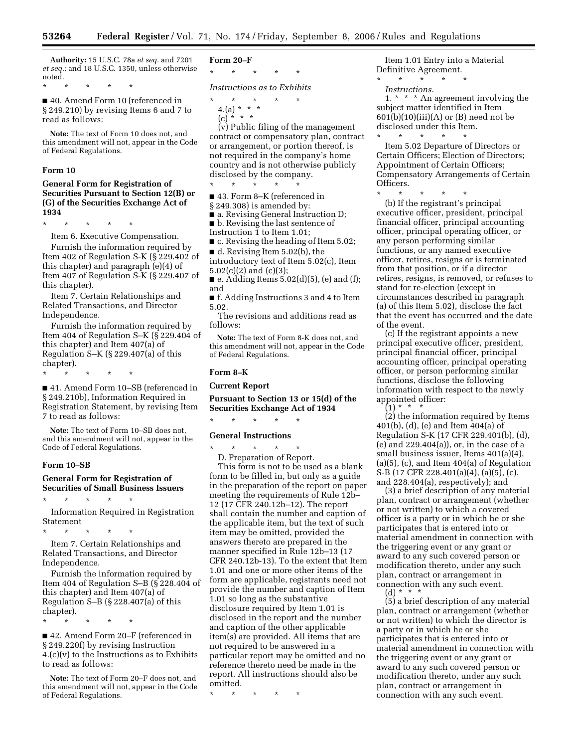**Authority:** 15 U.S.C. 78a *et seq.* and 7201 *et seq.*; and 18 U.S.C. 1350, unless otherwise noted.

\* \* \* \* \*

■ 40. Amend Form 10 (referenced in § 249.210) by revising Items 6 and 7 to read as follows:

**Note:** The text of Form 10 does not, and this amendment will not, appear in the Code of Federal Regulations.

#### **Form 10**

**General Form for Registration of Securities Pursuant to Section 12(B) or (G) of the Securities Exchange Act of 1934** 

\* \* \* \* \*

Item 6. Executive Compensation.

Furnish the information required by Item 402 of Regulation S-K (§ 229.402 of this chapter) and paragraph (e)(4) of Item 407 of Regulation S-K (§ 229.407 of this chapter).

Item 7. Certain Relationships and Related Transactions, and Director Independence.

Furnish the information required by Item 404 of Regulation S–K (§ 229.404 of this chapter) and Item 407(a) of Regulation S–K (§ 229.407(a) of this chapter).

\* \* \* \* \*

■ 41. Amend Form 10–SB (referenced in § 249.210b), Information Required in Registration Statement, by revising Item 7 to read as follows:

**Note:** The text of Form 10–SB does not, and this amendment will not, appear in the Code of Federal Regulations.

### **Form 10–SB**

## **General Form for Registration of Securities of Small Business Issuers**

\* \* \* \* \*

\* \* \* \* \*

Information Required in Registration Statement

\* \* \* \* \* Item 7. Certain Relationships and Related Transactions, and Director Independence.

Furnish the information required by Item 404 of Regulation S–B (§ 228.404 of this chapter) and Item 407(a) of Regulation S–B (§ 228.407(a) of this chapter).

■ 42. Amend Form 20–F (referenced in § 249.220f) by revising Instruction 4.(c)(v) to the Instructions as to Exhibits to read as follows:

**Note:** The text of Form 20–F does not, and this amendment will not, appear in the Code of Federal Regulations.

### **Form 20–F**

\* \* \* \* \*

*Instructions as to Exhibits* 

- \* \* \* \* \*
	- 4.(a) \* \* \*  $(c) * * * *$

(v) Public filing of the management contract or compensatory plan, contract or arrangement, or portion thereof, is not required in the company's home country and is not otherwise publicly disclosed by the company.

\* \* \* \* \*

■ 43. Form 8–K (referenced in

§ 249.308) is amended by:

■ a. Revising General Instruction D; ■ b. Revising the last sentence of

Instruction 1 to Item 1.01;

■ c. Revising the heading of Item 5.02; ■ d. Revising Item 5.02(b), the

introductory text of Item 5.02(c), Item 5.02(c)(2) and (c)(3);

 $\blacksquare$  e. Adding Items 5.02(d)(5), (e) and (f); and

■ f. Adding Instructions 3 and 4 to Item 5.02.

The revisions and additions read as follows:

**Note:** The text of Form 8-K does not, and this amendment will not, appear in the Code of Federal Regulations.

## **Form 8–K**

#### **Current Report**

**Pursuant to Section 13 or 15(d) of the Securities Exchange Act of 1934** 

\* \* \* \* \*

**General Instructions** 

\* \* \* \* \* D. Preparation of Report. This form is not to be used as a blank form to be filled in, but only as a guide in the preparation of the report on paper meeting the requirements of Rule 12b– 12 (17 CFR 240.12b–12). The report shall contain the number and caption of the applicable item, but the text of such item may be omitted, provided the answers thereto are prepared in the manner specified in Rule 12b–13 (17 CFR 240.12b-13). To the extent that Item 1.01 and one or more other items of the form are applicable, registrants need not provide the number and caption of Item 1.01 so long as the substantive disclosure required by Item 1.01 is disclosed in the report and the number and caption of the other applicable item(s) are provided. All items that are not required to be answered in a particular report may be omitted and no reference thereto need be made in the report. All instructions should also be omitted.

\* \* \* \* \*

Item 1.01 Entry into a Material Definitive Agreement.

\* \* \* \* \*

*Instructions.*  1. \* \* \* An agreement involving the subject matter identified in Item  $601(b)(10)(iii)(A)$  or  $(B)$  need not be disclosed under this Item.

\* \* \* \* \* Item 5.02 Departure of Directors or Certain Officers; Election of Directors; Appointment of Certain Officers; Compensatory Arrangements of Certain Officers.

\* \* \* \* \* (b) If the registrant's principal executive officer, president, principal financial officer, principal accounting officer, principal operating officer, or any person performing similar functions, or any named executive officer, retires, resigns or is terminated from that position, or if a director retires, resigns, is removed, or refuses to stand for re-election (except in circumstances described in paragraph (a) of this Item 5.02), disclose the fact that the event has occurred and the date of the event.

(c) If the registrant appoints a new principal executive officer, president, principal financial officer, principal accounting officer, principal operating officer, or person performing similar functions, disclose the following information with respect to the newly appointed officer:

 $(1) * *$ 

(2) the information required by Items 401(b), (d), (e) and Item 404(a) of Regulation S-K (17 CFR 229.401(b), (d), (e) and 229.404(a)), or, in the case of a small business issuer, Items  $401(a)(4)$ ,  $(a)(5)$ ,  $(c)$ , and Item 404 $(a)$  of Regulation S-B (17 CFR 228.401(a)(4), (a)(5), (c), and 228.404(a), respectively); and

(3) a brief description of any material plan, contract or arrangement (whether or not written) to which a covered officer is a party or in which he or she participates that is entered into or material amendment in connection with the triggering event or any grant or award to any such covered person or modification thereto, under any such plan, contract or arrangement in connection with any such event.

 $(d) * *$ 

(5) a brief description of any material plan, contract or arrangement (whether or not written) to which the director is a party or in which he or she participates that is entered into or material amendment in connection with the triggering event or any grant or award to any such covered person or modification thereto, under any such plan, contract or arrangement in connection with any such event.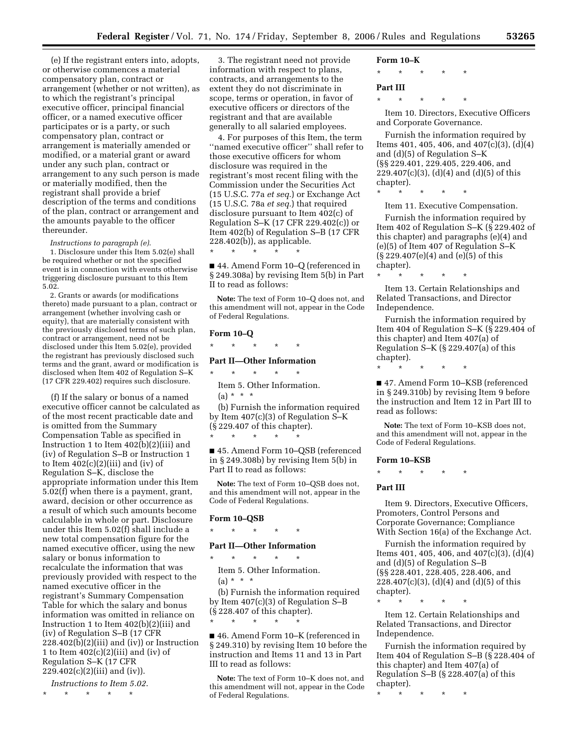(e) If the registrant enters into, adopts, or otherwise commences a material compensatory plan, contract or arrangement (whether or not written), as to which the registrant's principal executive officer, principal financial officer, or a named executive officer participates or is a party, or such compensatory plan, contract or arrangement is materially amended or modified, or a material grant or award under any such plan, contract or arrangement to any such person is made or materially modified, then the registrant shall provide a brief description of the terms and conditions of the plan, contract or arrangement and the amounts payable to the officer thereunder.

*Instructions to paragraph (e)*.

1. Disclosure under this Item 5.02(e) shall be required whether or not the specified event is in connection with events otherwise triggering disclosure pursuant to this Item 5.02.

2. Grants or awards (or modifications thereto) made pursuant to a plan, contract or arrangement (whether involving cash or equity), that are materially consistent with the previously disclosed terms of such plan, contract or arrangement, need not be disclosed under this Item 5.02(e), provided the registrant has previously disclosed such terms and the grant, award or modification is disclosed when Item 402 of Regulation S–K (17 CFR 229.402) requires such disclosure.

(f) If the salary or bonus of a named executive officer cannot be calculated as of the most recent practicable date and is omitted from the Summary Compensation Table as specified in Instruction 1 to Item 402(b)(2)(iii) and (iv) of Regulation S–B or Instruction 1 to Item  $402(c)(2)(iii)$  and  $(iv)$  of Regulation S–K, disclose the appropriate information under this Item 5.02(f) when there is a payment, grant, award, decision or other occurrence as a result of which such amounts become calculable in whole or part. Disclosure under this Item 5.02(f) shall include a new total compensation figure for the named executive officer, using the new salary or bonus information to recalculate the information that was previously provided with respect to the named executive officer in the registrant's Summary Compensation Table for which the salary and bonus information was omitted in reliance on Instruction 1 to Item 402(b)(2)(iii) and (iv) of Regulation S–B (17 CFR  $228.402(b)(2)(iii)$  and (iv)) or Instruction 1 to Item  $402(c)(2)(iii)$  and (iv) of Regulation S–K (17 CFR  $229.402(c)(2)(iii)$  and  $(iv)$ ).

*Instructions to Item 5.02*.

\* \* \* \* \*

3. The registrant need not provide information with respect to plans, contracts, and arrangements to the extent they do not discriminate in scope, terms or operation, in favor of executive officers or directors of the registrant and that are available generally to all salaried employees.

4. For purposes of this Item, the term ''named executive officer'' shall refer to those executive officers for whom disclosure was required in the registrant's most recent filing with the Commission under the Securities Act (15 U.S.C. 77a *et seq.*) or Exchange Act (15 U.S.C. 78a *et seq.*) that required disclosure pursuant to Item 402(c) of Regulation S–K (17 CFR 229.402(c)) or Item 402(b) of Regulation S–B (17 CFR 228.402(b)), as applicable.

■ 44. Amend Form 10–Q (referenced in § 249.308a) by revising Item 5(b) in Part II to read as follows:

**Note:** The text of Form 10–Q does not, and this amendment will not, appear in the Code of Federal Regulations.

### **Form 10–Q**

\* \* \* \* \*

\* \* \* \* \*

## **Part II—Other Information**

\* \* \* \* \*

Item 5. Other Information.

 $(a) * * * *$ 

(b) Furnish the information required by Item 407(c)(3) of Regulation S–K (§ 229.407 of this chapter). \* \* \* \* \*

■ 45. Amend Form 10–QSB (referenced in § 249.308b) by revising Item 5(b) in Part II to read as follows:

**Note:** The text of Form 10–QSB does not, and this amendment will not, appear in the Code of Federal Regulations.

## **Form 10–QSB**

\* \* \* \* \*

#### **Part II—Other Information**

- \* \* \* \* \*
- Item 5. Other Information.  $(a) * * * *$

(b) Furnish the information required by Item 407(c)(3) of Regulation S–B (§ 228.407 of this chapter). \* \* \* \* \*

■ 46. Amend Form 10–K (referenced in § 249.310) by revising Item 10 before the instruction and Items 11 and 13 in Part III to read as follows:

**Note:** The text of Form 10–K does not, and this amendment will not, appear in the Code of Federal Regulations.

**Form 10–K** 

\* \* \* \* \* **Part III** 

# \* \* \* \* \*

Item 10. Directors, Executive Officers and Corporate Governance.

Furnish the information required by Items 401, 405, 406, and 407(c)(3), (d)(4) and (d)(5) of Regulation S–K (§§ 229.401, 229.405, 229.406, and 229.407(c)(3), (d)(4) and (d)(5) of this chapter).

\* \* \* \* \*

\* \* \* \* \*

\* \* \* \* \*

Item 11. Executive Compensation.

Furnish the information required by Item 402 of Regulation S–K (§ 229.402 of this chapter) and paragraphs (e)(4) and (e)(5) of Item 407 of Regulation S–K (§ 229.407(e)(4) and (e)(5) of this chapter).

Item 13. Certain Relationships and Related Transactions, and Director Independence.

Furnish the information required by Item 404 of Regulation S–K (§ 229.404 of this chapter) and Item 407(a) of Regulation S–K (§ 229.407(a) of this chapter).

■ 47. Amend Form 10–KSB (referenced in § 249.310b) by revising Item 9 before the instruction and Item 12 in Part III to read as follows:

**Note:** The text of Form 10–KSB does not, and this amendment will not, appear in the Code of Federal Regulations.

#### **Form 10–KSB**

\* \* \* \* \*

### **Part III**

Item 9. Directors, Executive Officers, Promoters, Control Persons and Corporate Governance; Compliance With Section 16(a) of the Exchange Act.

Furnish the information required by Items 401, 405, 406, and 407(c)(3), (d)(4) and (d)(5) of Regulation S–B (§§ 228.401, 228.405, 228.406, and 228.407(c)(3), (d)(4) and (d)(5) of this chapter).

\* \* \* \* \*

Item 12. Certain Relationships and Related Transactions, and Director Independence.

Furnish the information required by Item 404 of Regulation S–B (§ 228.404 of this chapter) and Item 407(a) of Regulation S–B (§ 228.407(a) of this chapter).

\* \* \* \* \*